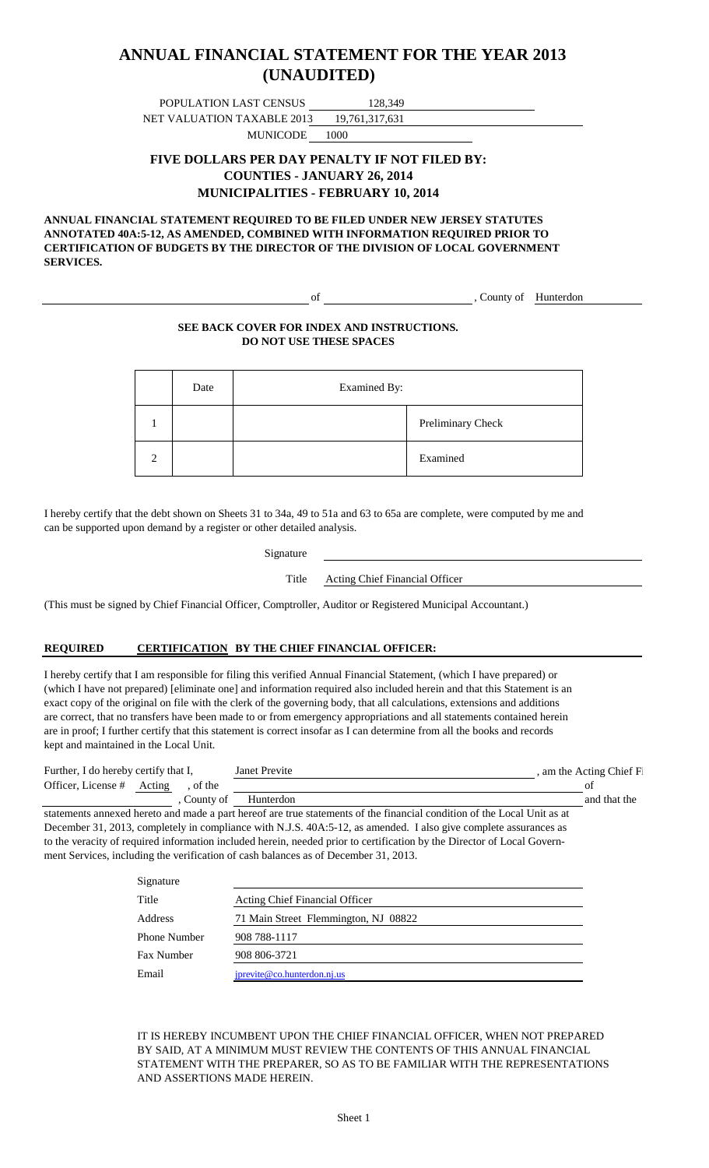### **(UNAUDITED) ANNUAL FINANCIAL STATEMENT FOR THE YEAR 2013**

POPULATION LAST CENSUS 128,349 NET VALUATION TAXABLE 2013 19,761,317,631

MUNICODE 1000

#### **FIVE DOLLARS PER DAY PENALTY IF NOT FILED BY: COUNTIES - JANUARY 26, 2014 MUNICIPALITIES - FEBRUARY 10, 2014**

**ANNUAL FINANCIAL STATEMENT REQUIRED TO BE FILED UNDER NEW JERSEY STATUTES ANNOTATED 40A:5-12, AS AMENDED, COMBINED WITH INFORMATION REQUIRED PRIOR TO CERTIFICATION OF BUDGETS BY THE DIRECTOR OF THE DIVISION OF LOCAL GOVERNMENT SERVICES.**

of , County of Hunterdon

#### **SEE BACK COVER FOR INDEX AND INSTRUCTIONS. DO NOT USE THESE SPACES**

| Date | Examined By: |                   |
|------|--------------|-------------------|
|      |              | Preliminary Check |
|      |              | Examined          |

I hereby certify that the debt shown on Sheets 31 to 34a, 49 to 51a and 63 to 65a are complete, were computed by me and can be supported upon demand by a register or other detailed analysis.

Title Acting Chief Financial Officer

(This must be signed by Chief Financial Officer, Comptroller, Auditor or Registered Municipal Accountant.)

#### **REQUIRED CERTIFICATION BY THE CHIEF FINANCIAL OFFICER:**

I hereby certify that I am responsible for filing this verified Annual Financial Statement, (which I have prepared) or (which I have not prepared) [eliminate one] and information required also included herein and that this Statement is an exact copy of the original on file with the clerk of the governing body, that all calculations, extensions and additions are correct, that no transfers have been made to or from emergency appropriations and all statements contained herein are in proof; I further certify that this statement is correct insofar as I can determine from all the books and records kept and maintained in the Local Unit.

| Further, I do hereby certify that I, |  |           | <b>Janet Previte</b> | , am the Acting Chief F |
|--------------------------------------|--|-----------|----------------------|-------------------------|
| Officer, License # Acting            |  | of the    |                      |                         |
|                                      |  | County of | Hunterdon            | and that the            |

statements annexed hereto and made a part hereof are true statements of the financial condition of the Local Unit as at December 31, 2013, completely in compliance with N.J.S. 40A:5-12, as amended. I also give complete assurances as to the veracity of required information included herein, needed prior to certification by the Director of Local Government Services, including the verification of cash balances as of December 31, 2013.

| Signature    |                                      |
|--------------|--------------------------------------|
| Title        | Acting Chief Financial Officer       |
| Address      | 71 Main Street Flemmington, NJ 08822 |
| Phone Number | 908 788-1117                         |
| Fax Number   | 908 806-3721                         |
| Email        | iprevite@co.hunterdon.nj.us          |

IT IS HEREBY INCUMBENT UPON THE CHIEF FINANCIAL OFFICER, WHEN NOT PREPARED BY SAID, AT A MINIMUM MUST REVIEW THE CONTENTS OF THIS ANNUAL FINANCIAL STATEMENT WITH THE PREPARER, SO AS TO BE FAMILIAR WITH THE REPRESENTATIONS AND ASSERTIONS MADE HEREIN.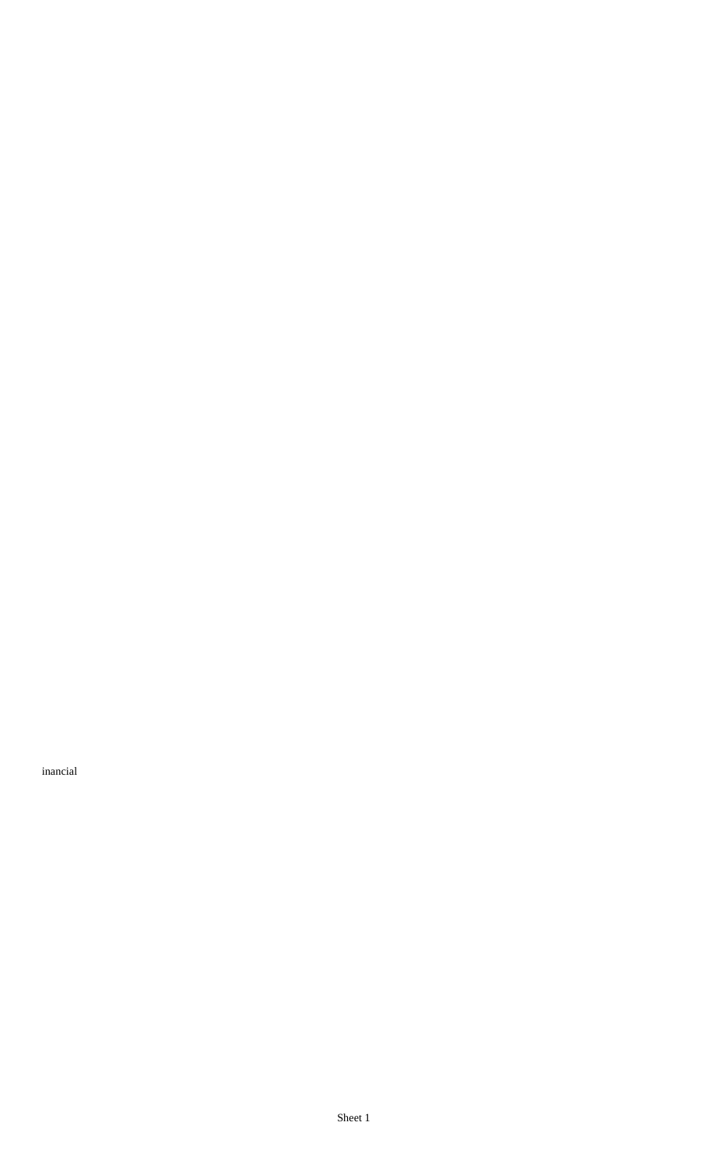inancial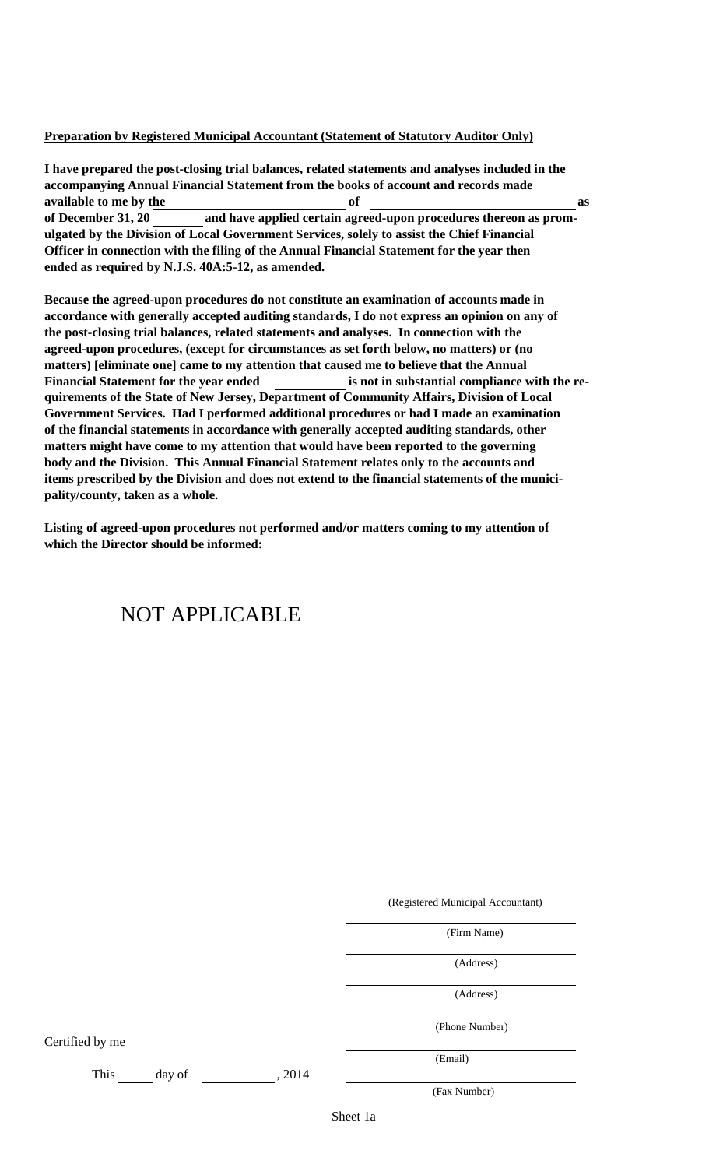#### **Preparation by Registered Municipal Accountant (Statement of Statutory Auditor Only)**

**I have prepared the post-closing trial balances, related statements and analyses included in the accompanying Annual Financial Statement from the books of account and records made available to me by the of as of December 31, 20 and have applied certain agreed-upon procedures thereon as promulgated by the Division of Local Government Services, solely to assist the Chief Financial Officer in connection with the filing of the Annual Financial Statement for the year then ended as required by N.J.S. 40A:5-12, as amended.**

**Because the agreed-upon procedures do not constitute an examination of accounts made in accordance with generally accepted auditing standards, I do not express an opinion on any of the post-closing trial balances, related statements and analyses. In connection with the agreed-upon procedures, (except for circumstances as set forth below, no matters) or (no matters) [eliminate one] came to my attention that caused me to believe that the Annual** Financial Statement for the year ended **is not in substantial compliance with the requirements of the State of New Jersey, Department of Community Affairs, Division of Local Government Services. Had I performed additional procedures or had I made an examination of the financial statements in accordance with generally accepted auditing standards, other matters might have come to my attention that would have been reported to the governing body and the Division. This Annual Financial Statement relates only to the accounts and items prescribed by the Division and does not extend to the financial statements of the municipality/county, taken as a whole.**

**Listing of agreed-upon procedures not performed and/or matters coming to my attention of which the Director should be informed:**

### NOT APPLICABLE

(Registered Municipal Accountant)

(Firm Name)

(Address)

(Address)

(Phone Number)

Certified by me

This day of , 2014

(Fax Number)

(Email)

Sheet 1a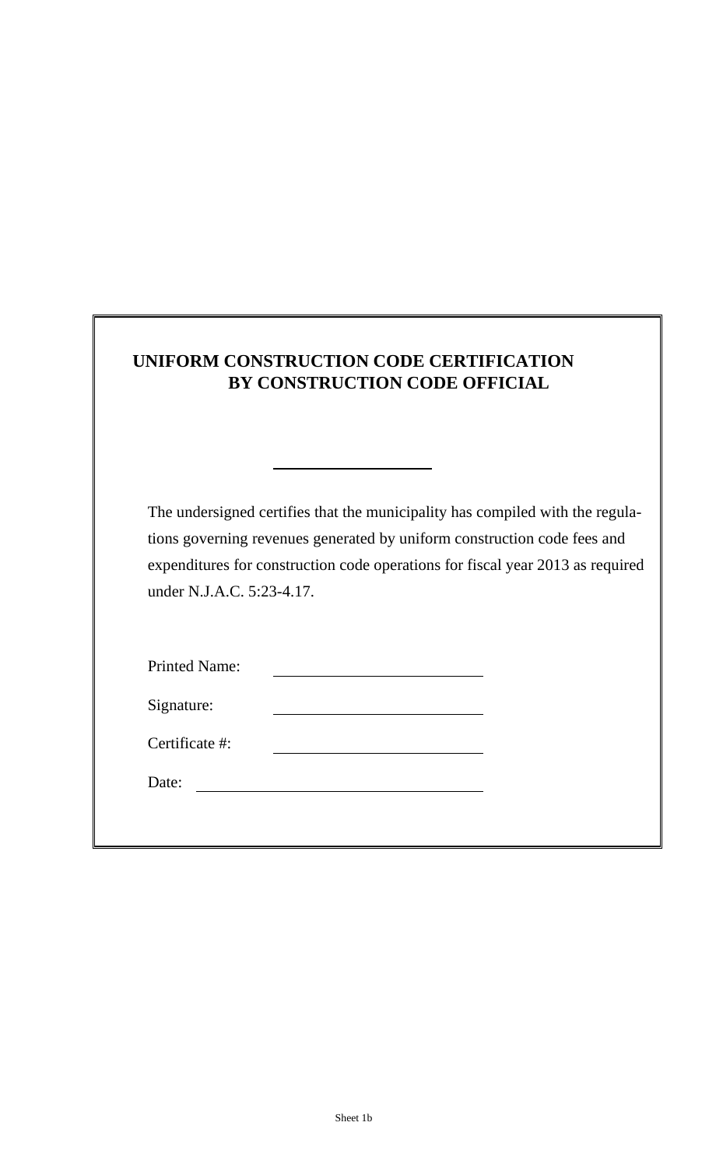| UNIFORM CONSTRUCTION CODE CERTIFICATION |
|-----------------------------------------|
| BY CONSTRUCTION CODE OFFICIAL           |

The undersigned certifies that the municipality has compiled with the regulations governing revenues generated by uniform construction code fees and expenditures for construction code operations for fiscal year 2013 as required under N.J.A.C. 5:23-4.17.

<u> 1990 - Johann Barbara, martin a</u>

| <b>Printed Name:</b> |  |
|----------------------|--|
|                      |  |

| Signature: |
|------------|
|------------|

Certificate #:

Date: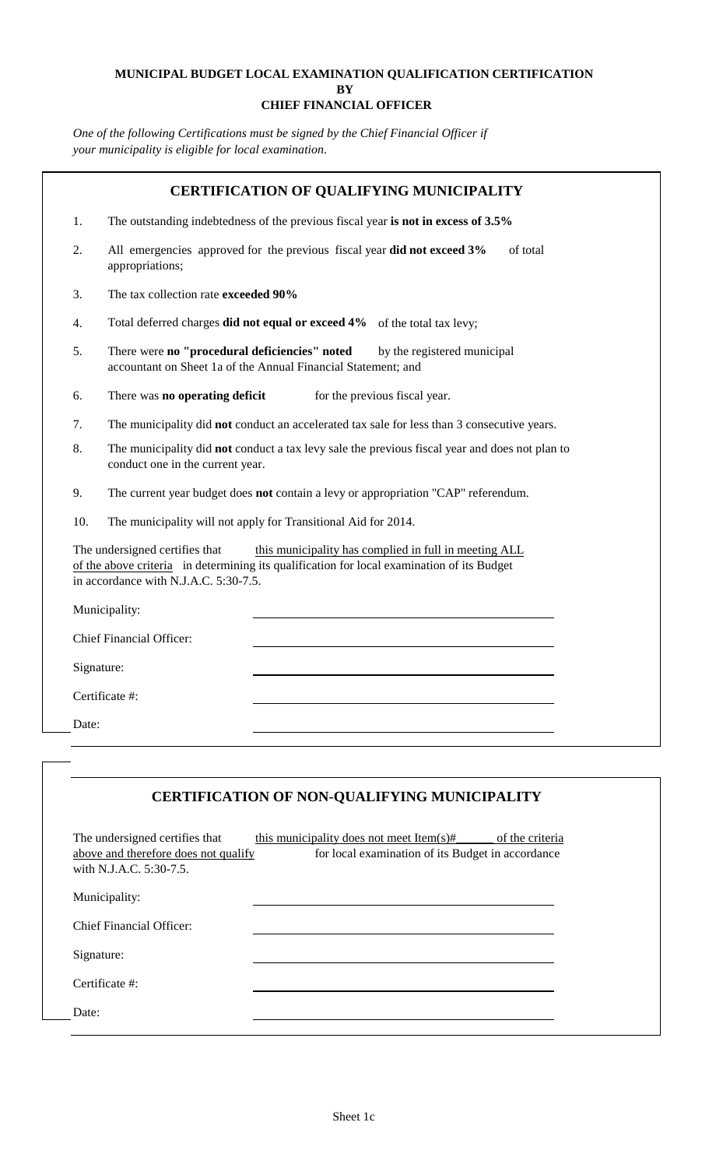#### **MUNICIPAL BUDGET LOCAL EXAMINATION QUALIFICATION CERTIFICATION BY CHIEF FINANCIAL OFFICER**

*One of the following Certifications must be signed by the Chief Financial Officer if your municipality is eligible for local examination.*

|            | <b>CERTIFICATION OF QUALIFYING MUNICIPALITY</b>                                                                                                                                                                                |
|------------|--------------------------------------------------------------------------------------------------------------------------------------------------------------------------------------------------------------------------------|
| 1.         | The outstanding indebtedness of the previous fiscal year is not in excess of 3.5%                                                                                                                                              |
| 2.         | All emergencies approved for the previous fiscal year did not exceed 3%<br>of total<br>appropriations;                                                                                                                         |
| 3.         | The tax collection rate exceeded 90%                                                                                                                                                                                           |
| 4.         | Total deferred charges did not equal or exceed 4% of the total tax levy;                                                                                                                                                       |
| 5.         | There were no "procedural deficiencies" noted<br>by the registered municipal<br>accountant on Sheet 1a of the Annual Financial Statement; and                                                                                  |
| 6.         | There was no operating deficit<br>for the previous fiscal year.                                                                                                                                                                |
| 7.         | The municipality did not conduct an accelerated tax sale for less than 3 consecutive years.                                                                                                                                    |
| 8.         | The municipality did not conduct a tax levy sale the previous fiscal year and does not plan to<br>conduct one in the current year.                                                                                             |
| 9.         | The current year budget does not contain a levy or appropriation "CAP" referendum.                                                                                                                                             |
| 10.        | The municipality will not apply for Transitional Aid for 2014.                                                                                                                                                                 |
|            | The undersigned certifies that<br>this municipality has complied in full in meeting ALL<br>of the above criteria in determining its qualification for local examination of its Budget<br>in accordance with N.J.A.C. 5:30-7.5. |
|            | Municipality:                                                                                                                                                                                                                  |
|            | <b>Chief Financial Officer:</b>                                                                                                                                                                                                |
| Signature: |                                                                                                                                                                                                                                |
|            | Certificate #:                                                                                                                                                                                                                 |
| Date:      |                                                                                                                                                                                                                                |
|            |                                                                                                                                                                                                                                |

|                                                                 | <b>CERTIFICATION OF NON-QUALIFYING MUNICIPALITY</b> |                 |
|-----------------------------------------------------------------|-----------------------------------------------------|-----------------|
| The undersigned certifies that                                  | this municipality does not meet Item(s)#            | of the criteria |
| above and therefore does not qualify<br>with N.J.A.C. 5:30-7.5. | for local examination of its Budget in accordance   |                 |
| Municipality:                                                   |                                                     |                 |
| Chief Financial Officer:                                        |                                                     |                 |
| Signature:                                                      |                                                     |                 |
| Certificate #:                                                  |                                                     |                 |
| Date:                                                           |                                                     |                 |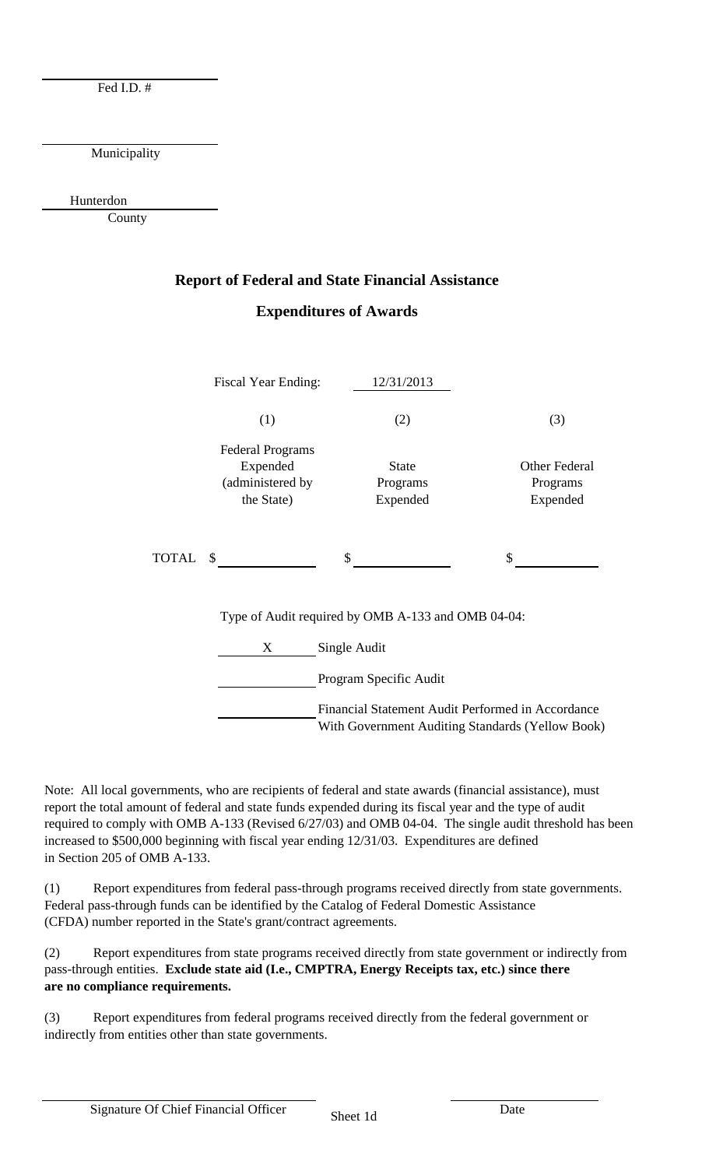Fed I.D. #

Municipality

Hunterdon

County

### **Report of Federal and State Financial Assistance Expenditures of Awards**

|       | <b>Fiscal Year Ending:</b>                                            | 12/31/2013                                                                                            |                                              |
|-------|-----------------------------------------------------------------------|-------------------------------------------------------------------------------------------------------|----------------------------------------------|
|       | (1)                                                                   | (2)                                                                                                   | (3)                                          |
|       | <b>Federal Programs</b><br>Expended<br>(administered by<br>the State) | <b>State</b><br>Programs<br>Expended                                                                  | <b>Other Federal</b><br>Programs<br>Expended |
| TOTAL | $\mathbb{S}$                                                          | \$                                                                                                    | \$                                           |
|       |                                                                       | Type of Audit required by OMB A-133 and OMB 04-04:                                                    |                                              |
|       | X                                                                     | Single Audit                                                                                          |                                              |
|       |                                                                       | Program Specific Audit                                                                                |                                              |
|       |                                                                       | Financial Statement Audit Performed in Accordance<br>With Government Auditing Standards (Yellow Book) |                                              |

Note: All local governments, who are recipients of federal and state awards (financial assistance), must report the total amount of federal and state funds expended during its fiscal year and the type of audit required to comply with OMB A-133 (Revised 6/27/03) and OMB 04-04. The single audit threshold has been increased to \$500,000 beginning with fiscal year ending 12/31/03. Expenditures are defined in Section 205 of OMB A-133.

(1) Report expenditures from federal pass-through programs received directly from state governments. Federal pass-through funds can be identified by the Catalog of Federal Domestic Assistance (CFDA) number reported in the State's grant/contract agreements.

(2) Report expenditures from state programs received directly from state government or indirectly from pass-through entities. **Exclude state aid (I.e., CMPTRA, Energy Receipts tax, etc.) since there are no compliance requirements.**

(3) Report expenditures from federal programs received directly from the federal government or indirectly from entities other than state governments.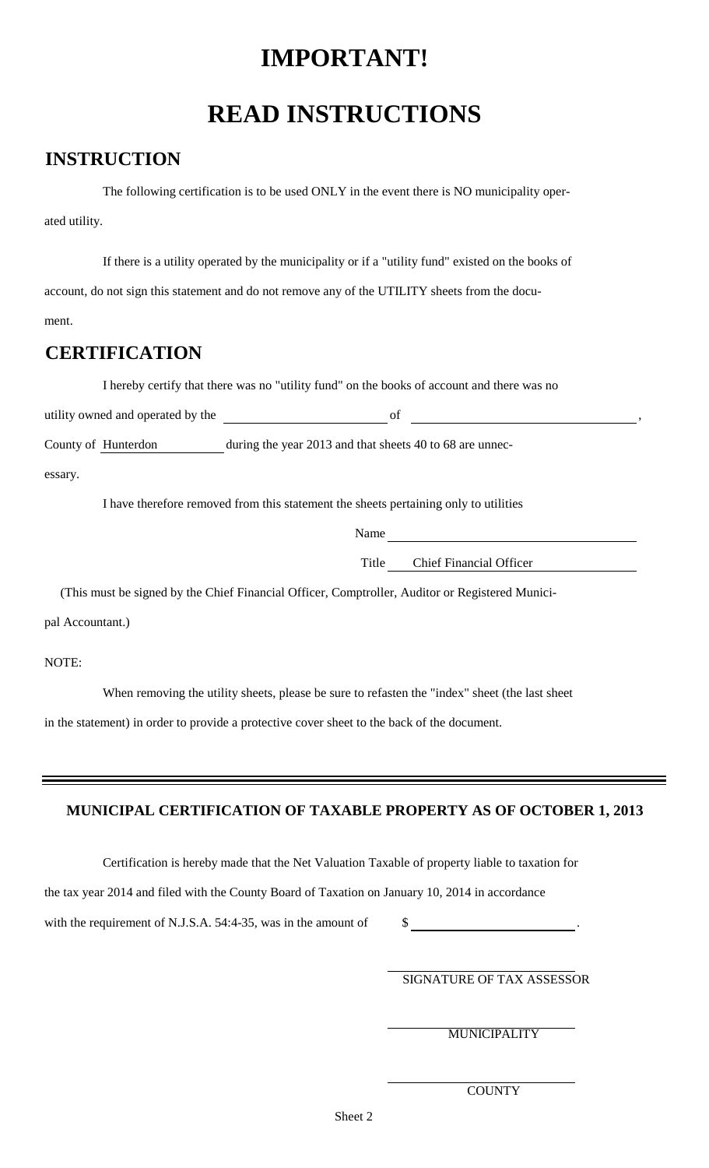# **IMPORTANT!**

# **READ INSTRUCTIONS**

### **INSTRUCTION**

The following certification is to be used ONLY in the event there is NO municipality operated utility.

If there is a utility operated by the municipality or if a "utility fund" existed on the books of account, do not sign this statement and do not remove any of the UTILITY sheets from the document.

### **CERTIFICATION**

I hereby certify that there was no "utility fund" on the books of account and there was no

utility owned and operated by the of  $\overline{\phantom{a}}$ 

County of Hunterdon during the year 2013 and that sheets 40 to 68 are unnec-

essary.

I have therefore removed from this statement the sheets pertaining only to utilities

Name

Title Chief Financial Officer

(This must be signed by the Chief Financial Officer, Comptroller, Auditor or Registered Munici-

pal Accountant.)

NOTE:

When removing the utility sheets, please be sure to refasten the "index" sheet (the last sheet

in the statement) in order to provide a protective cover sheet to the back of the document.

#### **MUNICIPAL CERTIFICATION OF TAXABLE PROPERTY AS OF OCTOBER 1, 2013**

Certification is hereby made that the Net Valuation Taxable of property liable to taxation for

the tax year 2014 and filed with the County Board of Taxation on January 10, 2014 in accordance

with the requirement of N.J.S.A. 54:4-35, was in the amount of  $\$\$$ 

SIGNATURE OF TAX ASSESSOR

**MUNICIPALITY** 

**COUNTY**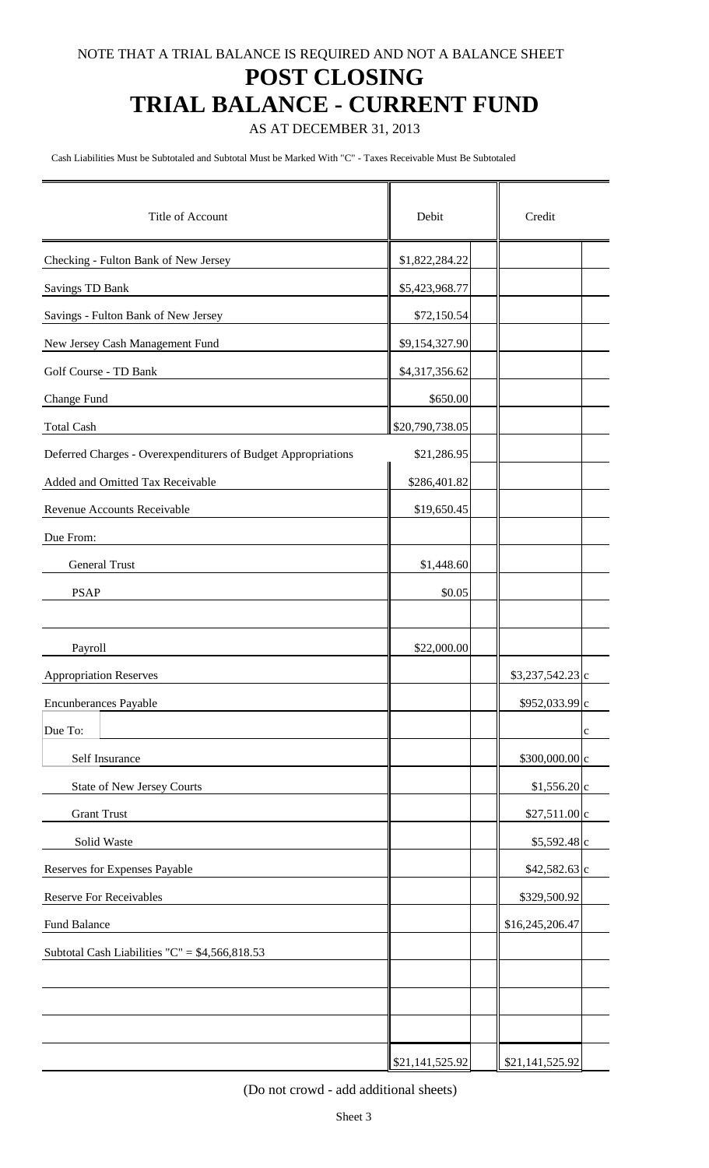### **POST CLOSING**

# **TRIAL BALANCE - CURRENT FUND**

AS AT DECEMBER 31, 2013

Cash Liabilities Must be Subtotaled and Subtotal Must be Marked With "C" - Taxes Receivable Must Be Subtotaled

| Title of Account                                              | Debit           | Credit           |
|---------------------------------------------------------------|-----------------|------------------|
| Checking - Fulton Bank of New Jersey                          | \$1,822,284.22  |                  |
| Savings TD Bank                                               | \$5,423,968.77  |                  |
| Savings - Fulton Bank of New Jersey                           | \$72,150.54     |                  |
| New Jersey Cash Management Fund                               | \$9,154,327.90  |                  |
| Golf Course - TD Bank                                         | \$4,317,356.62  |                  |
| Change Fund                                                   | \$650.00        |                  |
| <b>Total Cash</b>                                             | \$20,790,738.05 |                  |
| Deferred Charges - Overexpenditurers of Budget Appropriations | \$21,286.95     |                  |
| Added and Omitted Tax Receivable                              | \$286,401.82    |                  |
| Revenue Accounts Receivable                                   | \$19,650.45     |                  |
| Due From:                                                     |                 |                  |
| <b>General Trust</b>                                          | \$1,448.60      |                  |
| <b>PSAP</b>                                                   | \$0.05          |                  |
|                                                               |                 |                  |
| Payroll                                                       | \$22,000.00     |                  |
| <b>Appropriation Reserves</b>                                 |                 | \$3,237,542.23 c |
| <b>Encunberances Payable</b>                                  |                 | $$952,033.99$ c  |
| Due To:                                                       |                 | c                |
| Self Insurance                                                |                 | \$300,000.00 c   |
| <b>State of New Jersey Courts</b>                             |                 | $$1,556.20$ c    |
| <b>Grant Trust</b>                                            |                 | $$27,511.00$ c   |
| Solid Waste                                                   |                 | \$5,592.48 c     |
| Reserves for Expenses Payable                                 |                 | \$42,582.63 c    |
| <b>Reserve For Receivables</b>                                |                 | \$329,500.92     |
| Fund Balance                                                  |                 | \$16,245,206.47  |
| Subtotal Cash Liabilities "C" = $$4,566,818.53$               |                 |                  |
|                                                               |                 |                  |
|                                                               |                 |                  |
|                                                               |                 |                  |
|                                                               | \$21,141,525.92 | \$21,141,525.92  |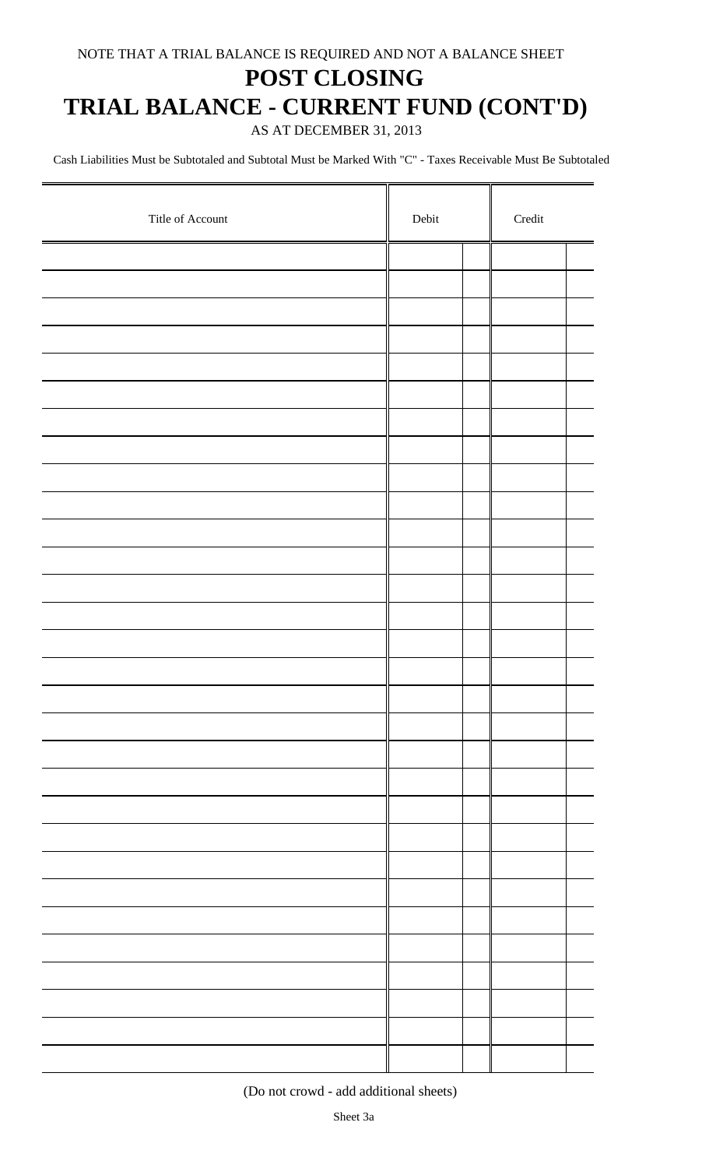### **POST CLOSING**

# **TRIAL BALANCE - CURRENT FUND (CONT'D)**

AS AT DECEMBER 31, 2013

Cash Liabilities Must be Subtotaled and Subtotal Must be Marked With "C" - Taxes Receivable Must Be Subtotaled

| Title of Account | Debit |  | $\bf Credit$ |  |
|------------------|-------|--|--------------|--|
|                  |       |  |              |  |
|                  |       |  |              |  |
|                  |       |  |              |  |
|                  |       |  |              |  |
|                  |       |  |              |  |
|                  |       |  |              |  |
|                  |       |  |              |  |
|                  |       |  |              |  |
|                  |       |  |              |  |
|                  |       |  |              |  |
|                  |       |  |              |  |
|                  |       |  |              |  |
|                  |       |  |              |  |
|                  |       |  |              |  |
|                  |       |  |              |  |
|                  |       |  |              |  |
|                  |       |  |              |  |
|                  |       |  |              |  |
|                  |       |  |              |  |
|                  |       |  |              |  |
|                  |       |  |              |  |
|                  |       |  |              |  |
|                  |       |  |              |  |
|                  |       |  |              |  |
|                  |       |  |              |  |
|                  |       |  |              |  |
|                  |       |  |              |  |
|                  |       |  |              |  |
|                  |       |  |              |  |
|                  |       |  |              |  |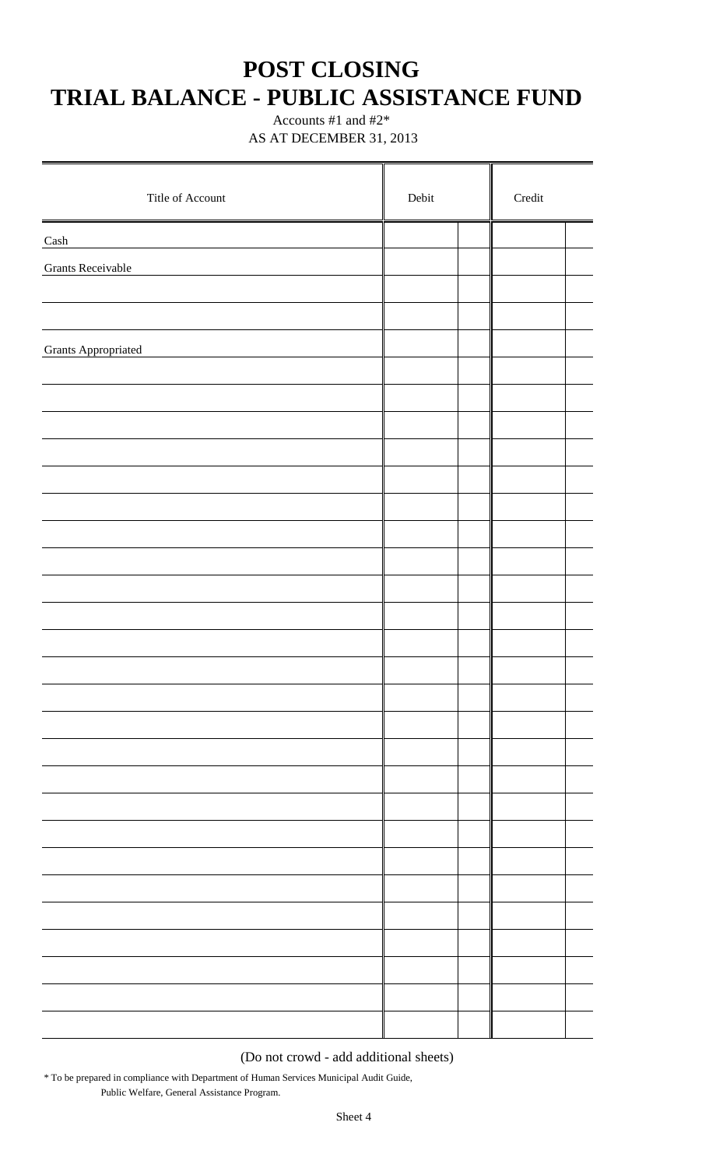## **POST CLOSING TRIAL BALANCE - PUBLIC ASSISTANCE FUND**

 Accounts #1 and #2\* AS AT DECEMBER 31, 2013

| Title of Account                  | Debit | $\bf Credit$ |  |
|-----------------------------------|-------|--------------|--|
| $\frac{\text{Cash}}{\text{Cash}}$ |       |              |  |
| <b>Grants Receivable</b>          |       |              |  |
|                                   |       |              |  |
|                                   |       |              |  |
| <b>Grants Appropriated</b>        |       |              |  |
|                                   |       |              |  |
|                                   |       |              |  |
|                                   |       |              |  |
|                                   |       |              |  |
|                                   |       |              |  |
|                                   |       |              |  |
|                                   |       |              |  |
|                                   |       |              |  |
|                                   |       |              |  |
|                                   |       |              |  |
|                                   |       |              |  |
|                                   |       |              |  |
|                                   |       |              |  |
|                                   |       |              |  |
|                                   |       |              |  |
|                                   |       |              |  |
|                                   |       |              |  |
|                                   |       |              |  |
|                                   |       |              |  |
|                                   |       |              |  |
|                                   |       |              |  |
|                                   |       |              |  |
|                                   |       |              |  |
|                                   |       |              |  |
|                                   |       |              |  |

(Do not crowd - add additional sheets)

\* To be prepared in compliance with Department of Human Services Municipal Audit Guide, Public Welfare, General Assistance Program.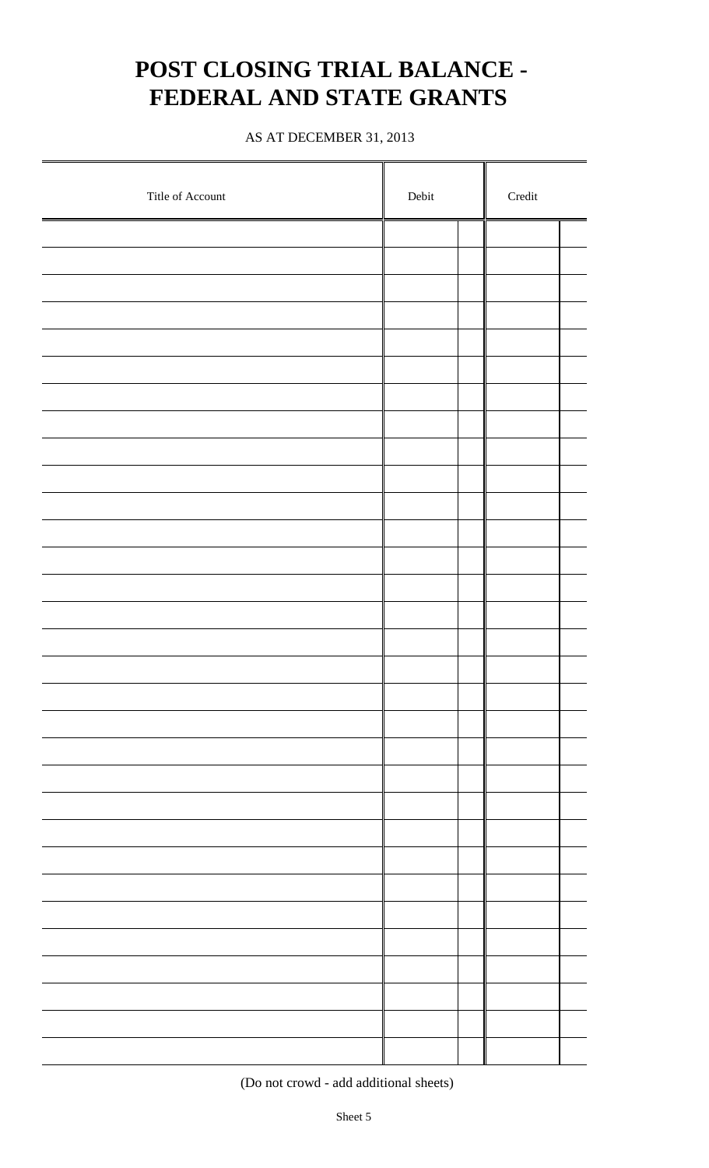# **POST CLOSING TRIAL BALANCE - FEDERAL AND STATE GRANTS**

AS AT DECEMBER 31, 2013

| Title of Account | ${\rm Debit}$ | $\bf Credit$ |  |
|------------------|---------------|--------------|--|
|                  |               |              |  |
|                  |               |              |  |
|                  |               |              |  |
|                  |               |              |  |
|                  |               |              |  |
|                  |               |              |  |
|                  |               |              |  |
|                  |               |              |  |
|                  |               |              |  |
|                  |               |              |  |
|                  |               |              |  |
|                  |               |              |  |
|                  |               |              |  |
|                  |               |              |  |
|                  |               |              |  |
|                  |               |              |  |
|                  |               |              |  |
|                  |               |              |  |
|                  |               |              |  |
|                  |               |              |  |
|                  |               |              |  |
|                  |               |              |  |
|                  |               |              |  |
|                  |               |              |  |
|                  |               |              |  |
|                  |               |              |  |
|                  |               |              |  |
|                  |               |              |  |
|                  |               |              |  |
|                  |               |              |  |
|                  |               |              |  |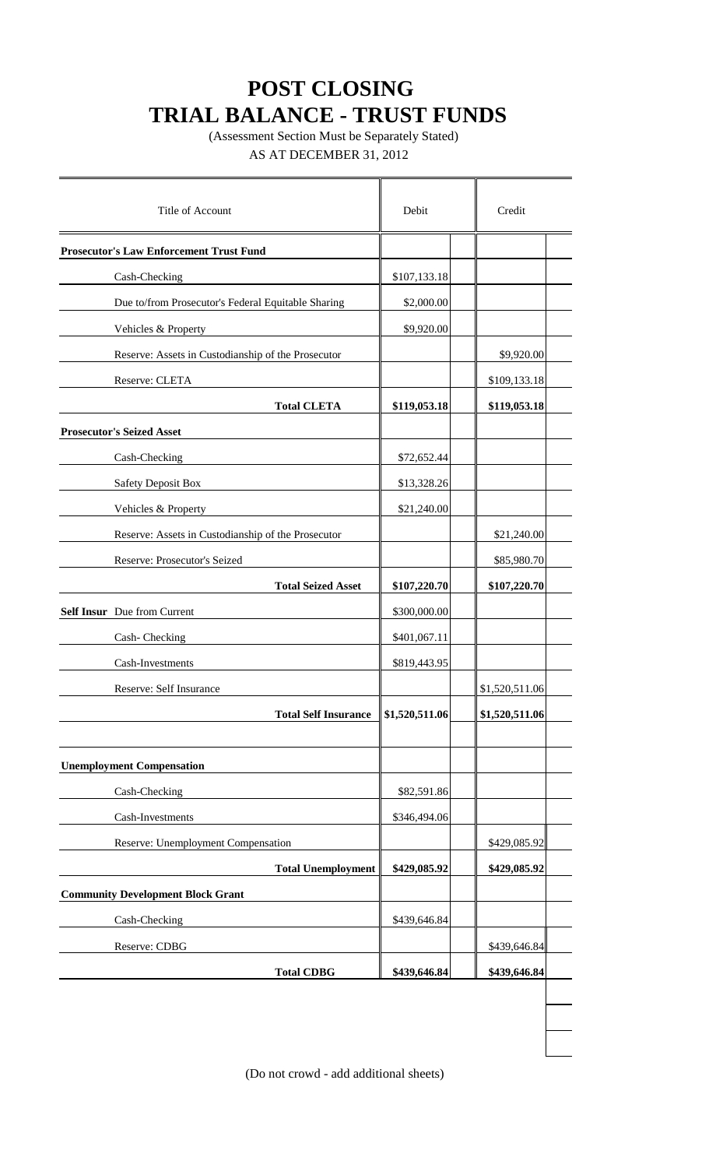(Assessment Section Must be Separately Stated) AS AT DECEMBER 31, 2012

| Title of Account                                   | Debit          | Credit         |  |
|----------------------------------------------------|----------------|----------------|--|
| <b>Prosecutor's Law Enforcement Trust Fund</b>     |                |                |  |
| Cash-Checking                                      | \$107,133.18   |                |  |
| Due to/from Prosecutor's Federal Equitable Sharing | \$2,000.00     |                |  |
| Vehicles & Property                                | \$9,920.00     |                |  |
| Reserve: Assets in Custodianship of the Prosecutor |                | \$9,920.00     |  |
| Reserve: CLETA                                     |                | \$109,133.18   |  |
| <b>Total CLETA</b>                                 | \$119,053.18   | \$119,053.18   |  |
| <b>Prosecutor's Seized Asset</b>                   |                |                |  |
| Cash-Checking                                      | \$72,652.44    |                |  |
| <b>Safety Deposit Box</b>                          | \$13,328.26    |                |  |
| Vehicles & Property                                | \$21,240.00    |                |  |
| Reserve: Assets in Custodianship of the Prosecutor |                | \$21,240.00    |  |
| Reserve: Prosecutor's Seized                       |                | \$85,980.70    |  |
| <b>Total Seized Asset</b>                          | \$107,220.70   | \$107,220.70   |  |
| Self Insur Due from Current                        | \$300,000.00   |                |  |
| Cash-Checking                                      | \$401,067.11   |                |  |
| Cash-Investments                                   | \$819,443.95   |                |  |
| Reserve: Self Insurance                            |                | \$1,520,511.06 |  |
| <b>Total Self Insurance</b>                        | \$1,520,511.06 | \$1,520,511.06 |  |
|                                                    |                |                |  |
| <b>Unemployment Compensation</b>                   |                |                |  |
| Cash-Checking                                      | \$82,591.86    |                |  |
| Cash-Investments                                   | \$346,494.06   |                |  |
| Reserve: Unemployment Compensation                 |                | \$429,085.92   |  |
| <b>Total Unemployment</b>                          | \$429,085.92   | \$429,085.92   |  |
| <b>Community Development Block Grant</b>           |                |                |  |
| Cash-Checking                                      | \$439,646.84   |                |  |
| Reserve: CDBG                                      |                | \$439,646.84   |  |
| <b>Total CDBG</b>                                  | \$439,646.84   | \$439,646.84   |  |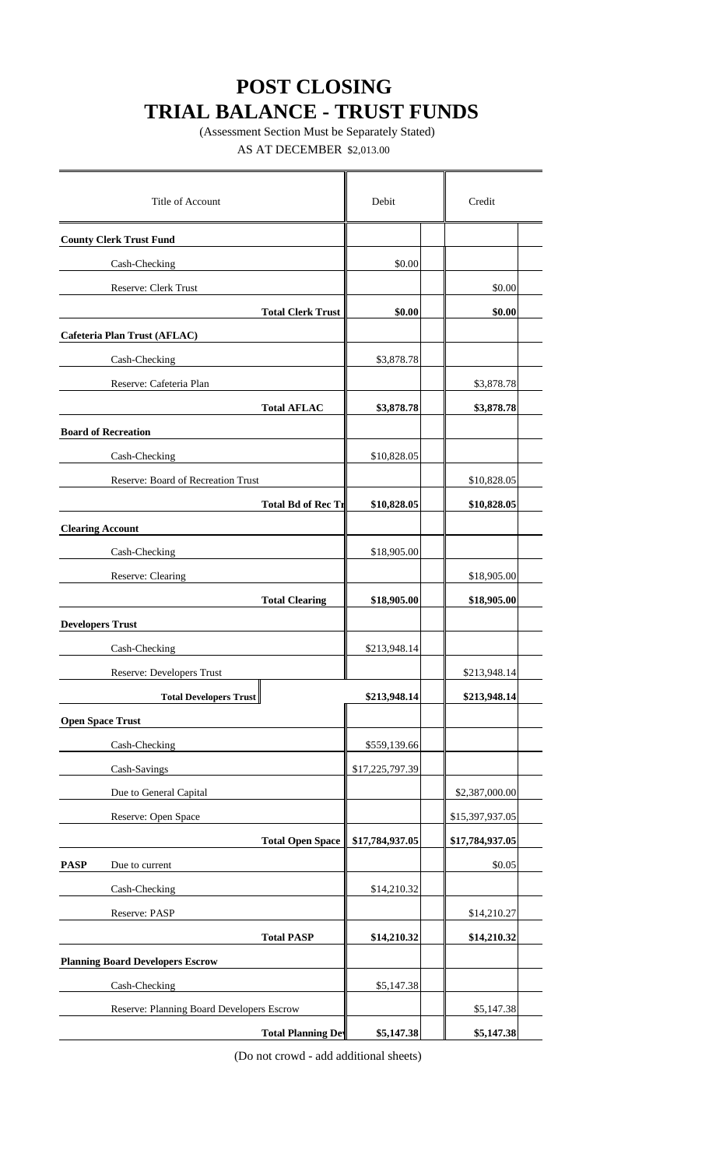(Assessment Section Must be Separately Stated) AS AT DECEMBER \$2,013.00

|                         | Title of Account                          |                           | Debit           | Credit          |  |
|-------------------------|-------------------------------------------|---------------------------|-----------------|-----------------|--|
|                         | <b>County Clerk Trust Fund</b>            |                           |                 |                 |  |
|                         | Cash-Checking                             |                           | \$0.00          |                 |  |
|                         | Reserve: Clerk Trust                      |                           |                 | \$0.00          |  |
|                         |                                           | <b>Total Clerk Trust</b>  | \$0.00          | \$0.00          |  |
|                         | Cafeteria Plan Trust (AFLAC)              |                           |                 |                 |  |
|                         | Cash-Checking                             |                           | \$3,878.78      |                 |  |
|                         | Reserve: Cafeteria Plan                   |                           |                 | \$3,878.78      |  |
|                         |                                           | <b>Total AFLAC</b>        | \$3,878.78      | \$3,878.78      |  |
|                         | <b>Board of Recreation</b>                |                           |                 |                 |  |
|                         | Cash-Checking                             |                           | \$10,828.05     |                 |  |
|                         | Reserve: Board of Recreation Trust        |                           |                 | \$10,828.05     |  |
|                         |                                           | <b>Total Bd of Rec Tr</b> | \$10,828.05     | \$10,828.05     |  |
|                         | <b>Clearing Account</b>                   |                           |                 |                 |  |
|                         | Cash-Checking                             |                           | \$18,905.00     |                 |  |
|                         | Reserve: Clearing                         |                           |                 | \$18,905.00     |  |
|                         |                                           | <b>Total Clearing</b>     | \$18,905.00     | \$18,905.00     |  |
| <b>Developers Trust</b> |                                           |                           |                 |                 |  |
|                         | Cash-Checking                             |                           | \$213,948.14    |                 |  |
|                         | Reserve: Developers Trust                 |                           |                 | \$213,948.14    |  |
|                         | <b>Total Developers Trust</b>             |                           | \$213,948.14    | \$213,948.14    |  |
|                         | <b>Open Space Trust</b>                   |                           |                 |                 |  |
|                         | Cash-Checking                             |                           | \$559,139.66    |                 |  |
|                         | Cash-Savings                              |                           | \$17,225,797.39 |                 |  |
|                         | Due to General Capital                    |                           |                 | \$2,387,000.00  |  |
|                         | Reserve: Open Space                       |                           |                 | \$15,397,937.05 |  |
|                         |                                           | <b>Total Open Space</b>   | \$17,784,937.05 | \$17,784,937.05 |  |
| <b>PASP</b>             | Due to current                            |                           |                 | \$0.05          |  |
|                         | Cash-Checking                             |                           | \$14,210.32     |                 |  |
|                         | Reserve: PASP                             |                           |                 | \$14,210.27     |  |
|                         |                                           | <b>Total PASP</b>         | \$14,210.32     | \$14,210.32     |  |
|                         | <b>Planning Board Developers Escrow</b>   |                           |                 |                 |  |
|                         | Cash-Checking                             |                           | \$5,147.38      |                 |  |
|                         | Reserve: Planning Board Developers Escrow |                           |                 | \$5,147.38      |  |
|                         |                                           | <b>Total Planning Dev</b> | \$5,147.38      | \$5,147.38      |  |

(Do not crowd - add additional sheets)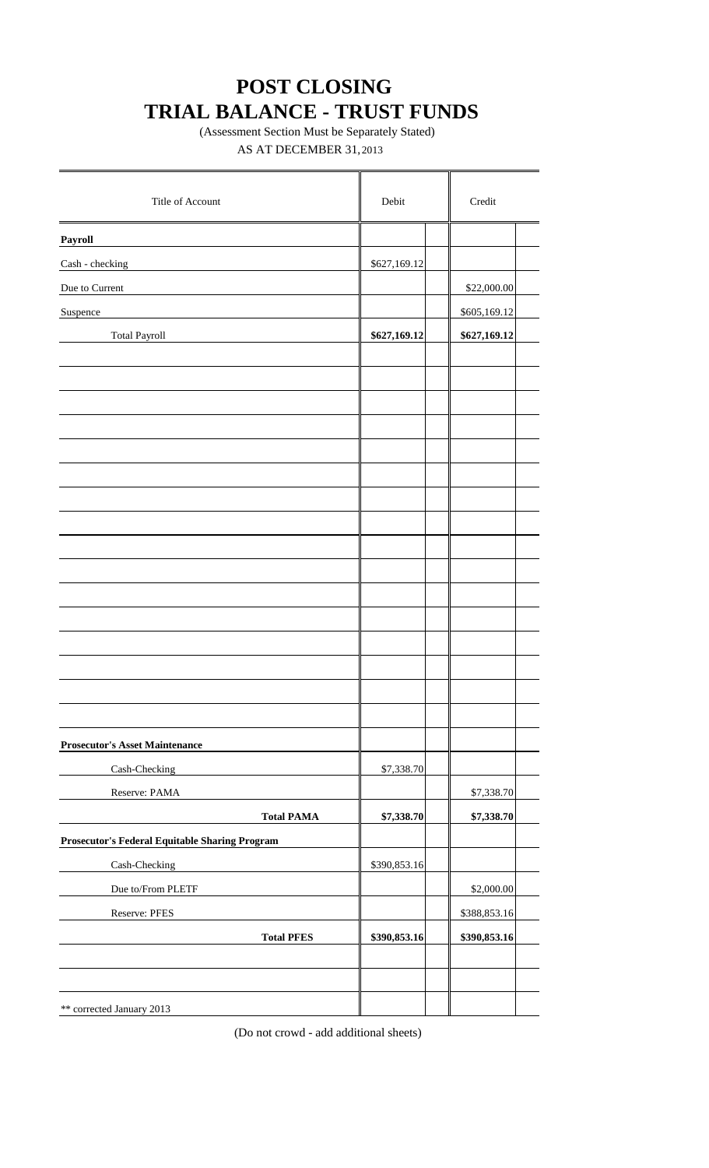(Assessment Section Must be Separately Stated) AS AT DECEMBER 31, 2013

| Title of Account                                      | Debit        | Credit       |
|-------------------------------------------------------|--------------|--------------|
| Payroll                                               |              |              |
| Cash - checking                                       | \$627,169.12 |              |
| Due to Current                                        |              | \$22,000.00  |
| Suspence                                              |              | \$605,169.12 |
| <b>Total Payroll</b>                                  | \$627,169.12 | \$627,169.12 |
|                                                       |              |              |
|                                                       |              |              |
|                                                       |              |              |
|                                                       |              |              |
|                                                       |              |              |
|                                                       |              |              |
|                                                       |              |              |
|                                                       |              |              |
|                                                       |              |              |
|                                                       |              |              |
|                                                       |              |              |
|                                                       |              |              |
|                                                       |              |              |
|                                                       |              |              |
|                                                       |              |              |
|                                                       |              |              |
| <b>Prosecutor's Asset Maintenance</b>                 |              |              |
| Cash-Checking                                         | \$7,338.70   |              |
| Reserve: PAMA                                         |              | \$7,338.70   |
| <b>Total PAMA</b>                                     | \$7,338.70   | \$7,338.70   |
| <b>Prosecutor's Federal Equitable Sharing Program</b> |              |              |
| Cash-Checking                                         | \$390,853.16 |              |
| Due to/From PLETF                                     |              | \$2,000.00   |
| Reserve: PFES                                         |              | \$388,853.16 |
| <b>Total PFES</b>                                     | \$390,853.16 | \$390,853.16 |
|                                                       |              |              |
|                                                       |              |              |
| ** corrected January 2013                             |              |              |

(Do not crowd - add additional sheets)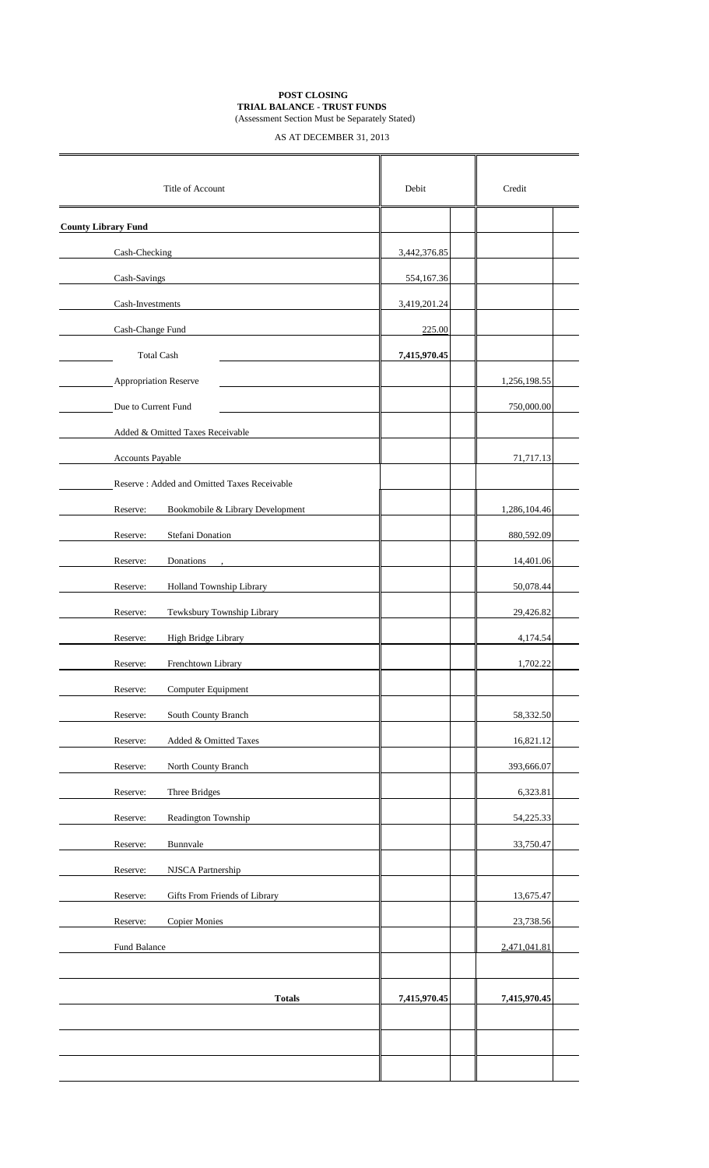#### **POST CLOSING TRIAL BALANCE - TRUST FUNDS** (Assessment Section Must be Separately Stated)

AS AT DECEMBER 31, 2013

| Title of Account                             | Debit        | Credit       |
|----------------------------------------------|--------------|--------------|
| <b>County Library Fund</b>                   |              |              |
| Cash-Checking                                | 3,442,376.85 |              |
| Cash-Savings                                 | 554,167.36   |              |
| Cash-Investments                             | 3,419,201.24 |              |
| Cash-Change Fund                             | 225.00       |              |
| <b>Total Cash</b>                            | 7,415,970.45 |              |
| Appropriation Reserve                        |              | 1,256,198.55 |
| Due to Current Fund                          |              | 750,000.00   |
| Added & Omitted Taxes Receivable             |              |              |
| <b>Accounts Payable</b>                      |              | 71,717.13    |
| Reserve: Added and Omitted Taxes Receivable  |              |              |
| Bookmobile & Library Development<br>Reserve: |              | 1,286,104.46 |
| Stefani Donation<br>Reserve:                 |              | 880,592.09   |
| Reserve:<br>Donations                        |              | 14,401.06    |
| Reserve:<br>Holland Township Library         |              | 50,078.44    |
| Tewksbury Township Library<br>Reserve:       |              | 29,426.82    |
| High Bridge Library<br>Reserve:              |              | 4,174.54     |
| Frenchtown Library<br>Reserve:               |              | 1,702.22     |
| Reserve:<br>Computer Equipment               |              |              |
| Reserve:<br>South County Branch              |              | 58,332.50    |
| Reserve:<br>Added & Omitted Taxes            |              | 16,821.12    |
| Reserve:<br>North County Branch              |              | 393,666.07   |
| Three Bridges<br>Reserve:                    |              | 6,323.81     |
| Readington Township<br>Reserve:              |              | 54,225.33    |
| Reserve:<br>Bunnvale                         |              | 33,750.47    |
| Reserve:<br>NJSCA Partnership                |              |              |
| Reserve:<br>Gifts From Friends of Library    |              | 13,675.47    |
| Reserve:<br><b>Copier Monies</b>             |              | 23,738.56    |
| Fund Balance                                 |              | 2,471,041.81 |
|                                              |              |              |
| <b>Totals</b>                                | 7,415,970.45 | 7,415,970.45 |
|                                              |              |              |
|                                              |              |              |
|                                              |              |              |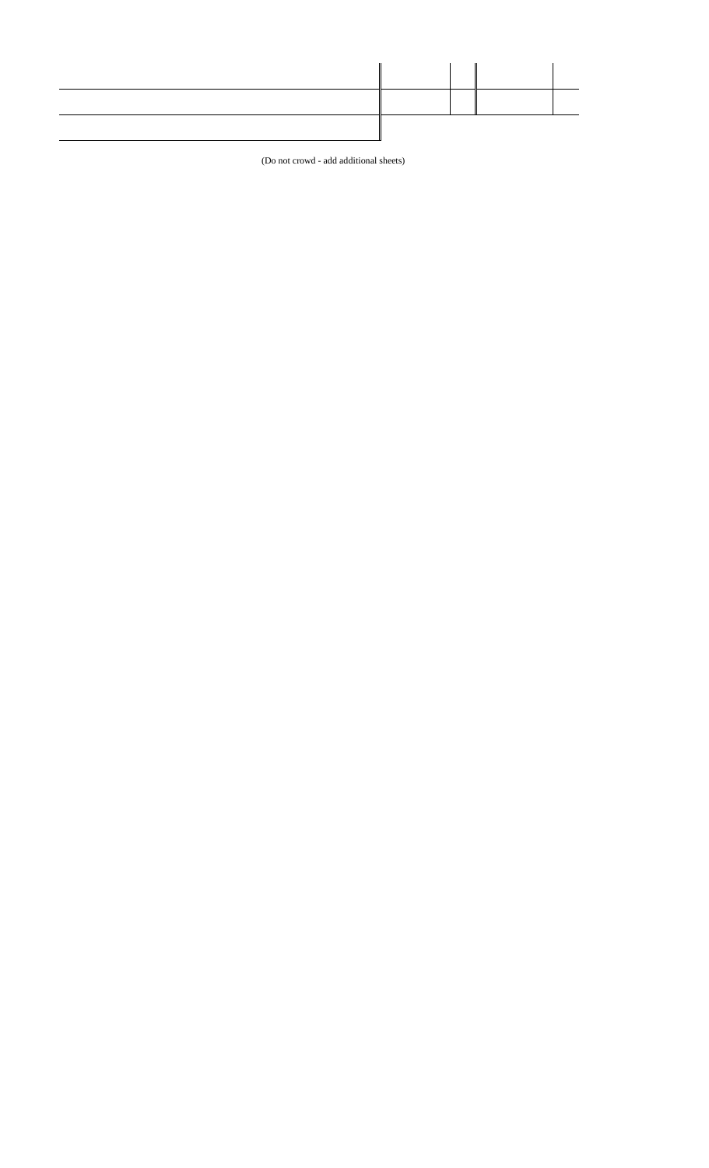```
 (Do not crowd - add additional sheets)
```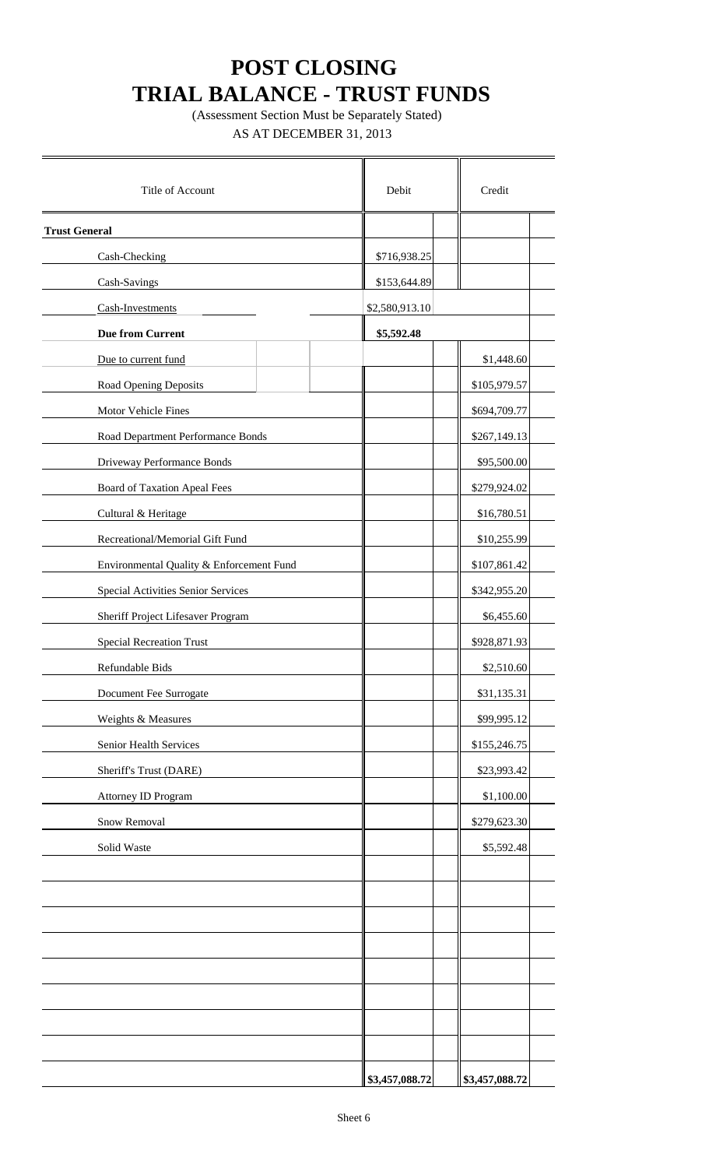(Assessment Section Must be Separately Stated) AS AT DECEMBER 31, 2013

| Title of Account                         | Debit | Credit         |                |  |
|------------------------------------------|-------|----------------|----------------|--|
| <b>Trust General</b>                     |       |                |                |  |
| Cash-Checking                            |       | \$716,938.25   |                |  |
| Cash-Savings                             |       | \$153,644.89   |                |  |
| Cash-Investments                         |       | \$2,580,913.10 |                |  |
| <b>Due from Current</b>                  |       | \$5,592.48     |                |  |
| Due to current fund                      |       |                | \$1,448.60     |  |
| Road Opening Deposits                    |       |                | \$105,979.57   |  |
| Motor Vehicle Fines                      |       |                | \$694,709.77   |  |
| Road Department Performance Bonds        |       |                | \$267,149.13   |  |
| Driveway Performance Bonds               |       |                | \$95,500.00    |  |
| <b>Board of Taxation Apeal Fees</b>      |       |                | \$279,924.02   |  |
| Cultural & Heritage                      |       |                | \$16,780.51    |  |
| Recreational/Memorial Gift Fund          |       |                | \$10,255.99    |  |
| Environmental Quality & Enforcement Fund |       |                | \$107,861.42   |  |
| Special Activities Senior Services       |       |                | \$342,955.20   |  |
| Sheriff Project Lifesaver Program        |       |                | \$6,455.60     |  |
| <b>Special Recreation Trust</b>          |       |                | \$928,871.93   |  |
| Refundable Bids                          |       |                | \$2,510.60     |  |
| Document Fee Surrogate                   |       |                | \$31,135.31    |  |
| Weights & Measures                       |       |                | \$99,995.12    |  |
| Senior Health Services                   |       |                | \$155,246.75   |  |
| Sheriff's Trust (DARE)                   |       |                | \$23,993.42    |  |
| Attorney ID Program                      |       |                | \$1,100.00     |  |
| Snow Removal                             |       |                | \$279,623.30   |  |
| Solid Waste                              |       |                | \$5,592.48     |  |
|                                          |       |                |                |  |
|                                          |       |                |                |  |
|                                          |       |                |                |  |
|                                          |       |                |                |  |
|                                          |       |                |                |  |
|                                          |       |                |                |  |
|                                          |       |                |                |  |
|                                          |       |                |                |  |
|                                          |       | \$3,457,088.72 | \$3,457,088.72 |  |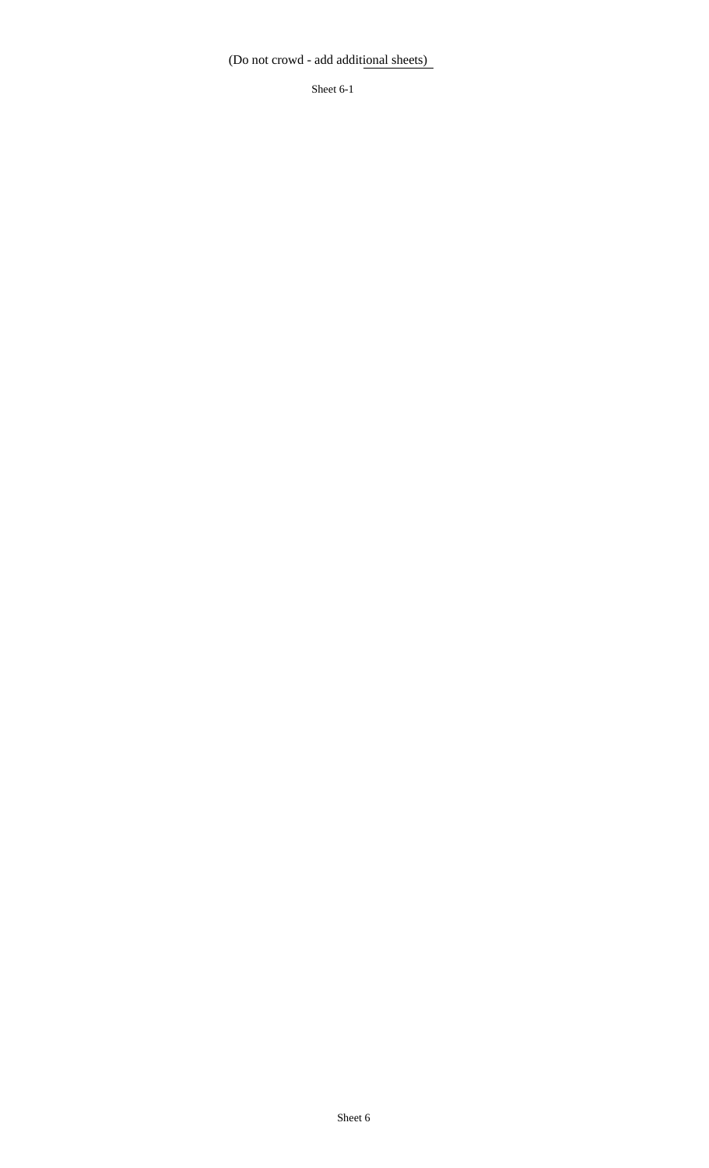#### (Do not crowd - add additional sheets)

Sheet 6-1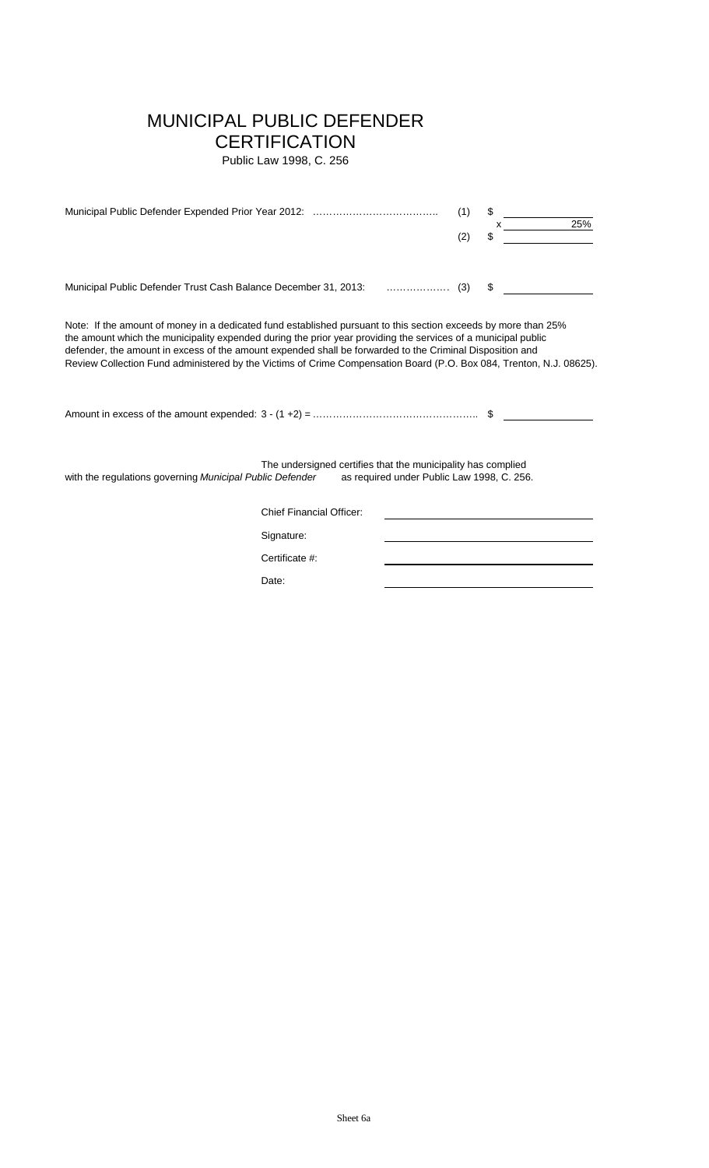### MUNICIPAL PUBLIC DEFENDER

### **CERTIFICATION**

Public Law 1998, C. 256

|                                                                                                                                                                                                                                                                                                                                                                                                                                                                    |                |                                 |                                                                                                            | (1) | \$ |     |
|--------------------------------------------------------------------------------------------------------------------------------------------------------------------------------------------------------------------------------------------------------------------------------------------------------------------------------------------------------------------------------------------------------------------------------------------------------------------|----------------|---------------------------------|------------------------------------------------------------------------------------------------------------|-----|----|-----|
|                                                                                                                                                                                                                                                                                                                                                                                                                                                                    |                |                                 |                                                                                                            | (2) | \$ | 25% |
|                                                                                                                                                                                                                                                                                                                                                                                                                                                                    |                |                                 |                                                                                                            |     |    |     |
| Municipal Public Defender Trust Cash Balance December 31, 2013:                                                                                                                                                                                                                                                                                                                                                                                                    |                |                                 |                                                                                                            | (3) | S  |     |
| Note: If the amount of money in a dedicated fund established pursuant to this section exceeds by more than 25%<br>the amount which the municipality expended during the prior year providing the services of a municipal public<br>defender, the amount in excess of the amount expended shall be forwarded to the Criminal Disposition and<br>Review Collection Fund administered by the Victims of Crime Compensation Board (P.O. Box 084, Trenton, N.J. 08625). |                |                                 |                                                                                                            |     |    |     |
|                                                                                                                                                                                                                                                                                                                                                                                                                                                                    |                |                                 |                                                                                                            |     |    |     |
| with the regulations governing Municipal Public Defender                                                                                                                                                                                                                                                                                                                                                                                                           |                |                                 | The undersigned certifies that the municipality has complied<br>as required under Public Law 1998, C. 256. |     |    |     |
|                                                                                                                                                                                                                                                                                                                                                                                                                                                                    |                | <b>Chief Financial Officer:</b> |                                                                                                            |     |    |     |
|                                                                                                                                                                                                                                                                                                                                                                                                                                                                    | Signature:     |                                 |                                                                                                            |     |    |     |
|                                                                                                                                                                                                                                                                                                                                                                                                                                                                    | Certificate #: |                                 |                                                                                                            |     |    |     |
|                                                                                                                                                                                                                                                                                                                                                                                                                                                                    | Date:          |                                 |                                                                                                            |     |    |     |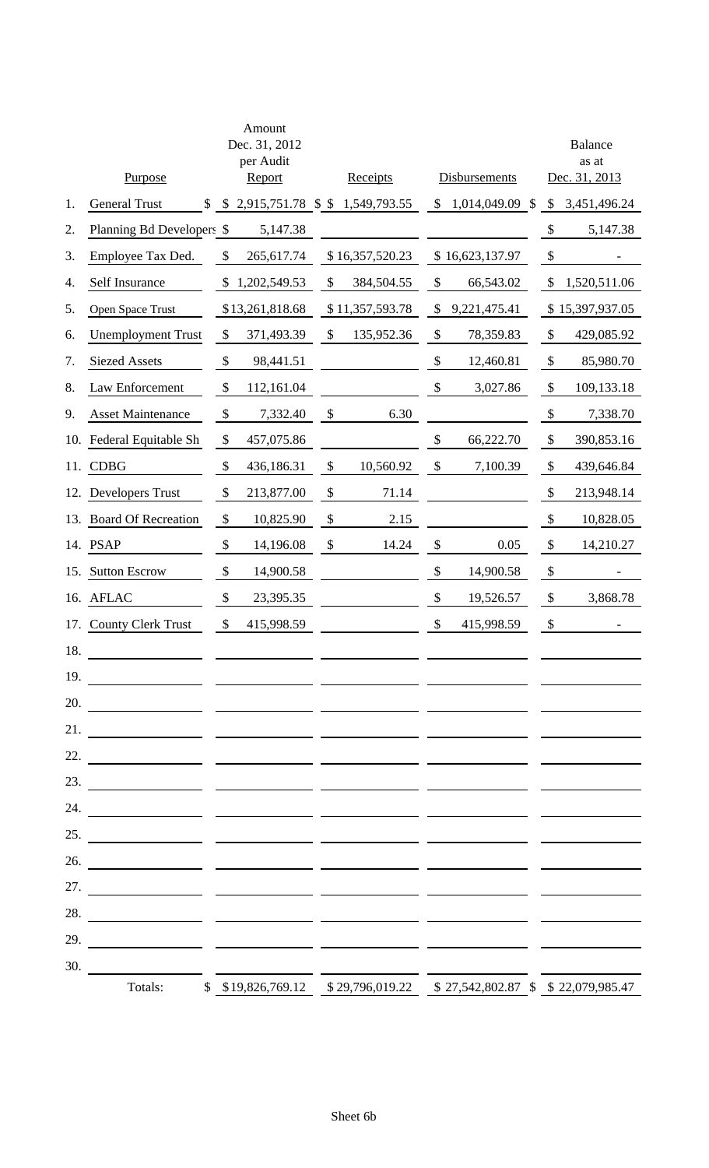|     | Purpose                                                                                                              |              | Amount<br>Dec. 31, 2012<br>per Audit<br>Report |                           | Receipts        |                           | Disbursements                      |                           | <b>Balance</b><br>as at<br>Dec. 31, 2013 |
|-----|----------------------------------------------------------------------------------------------------------------------|--------------|------------------------------------------------|---------------------------|-----------------|---------------------------|------------------------------------|---------------------------|------------------------------------------|
| 1.  | <b>General Trust</b>                                                                                                 | $\mathbb{S}$ | \$2,915,751.78 \$ \$1,549,793.55               |                           |                 | $\mathbb{S}$              | 1,014,049.09<br>$\mathbb{S}$       | $\mathcal{S}$             | 3,451,496.24                             |
| 2.  | Planning Bd Developers \$                                                                                            |              | 5,147.38                                       |                           |                 |                           |                                    | \$                        | 5,147.38                                 |
| 3.  | Employee Tax Ded.                                                                                                    |              | $\boldsymbol{\mathsf{S}}$<br>265, 617. 74      |                           | \$16,357,520.23 |                           | \$16,623,137.97                    | $\$\,$                    |                                          |
| 4.  | Self Insurance                                                                                                       |              | \$1,202,549.53                                 | $\boldsymbol{\mathsf{S}}$ | 384,504.55      | $\boldsymbol{\mathsf{S}}$ | 66,543.02                          | \$                        | 1,520,511.06                             |
| 5.  | Open Space Trust                                                                                                     |              | \$13,261,818.68                                |                           | \$11,357,593.78 | $\mathbb{S}$              | 9,221,475.41                       |                           | \$15,397,937.05                          |
| 6.  | <b>Unemployment Trust</b>                                                                                            |              | \$<br>371,493.39                               | $\boldsymbol{\mathsf{S}}$ | 135,952.36      | \$                        | 78,359.83                          | \$                        | 429,085.92                               |
| 7.  | <b>Siezed Assets</b>                                                                                                 |              | $\boldsymbol{\mathsf{S}}$<br>98,441.51         |                           |                 | \$                        | 12,460.81                          | $\boldsymbol{\mathsf{S}}$ | 85,980.70                                |
| 8.  | Law Enforcement                                                                                                      |              | $\boldsymbol{\mathsf{S}}$<br>112,161.04        |                           |                 | $\boldsymbol{\$}$         | 3,027.86                           | $\boldsymbol{\mathsf{S}}$ | 109,133.18                               |
| 9.  | <b>Asset Maintenance</b>                                                                                             |              | $\boldsymbol{\mathsf{S}}$<br>7,332.40          | $\boldsymbol{\mathsf{S}}$ | 6.30            |                           |                                    | \$                        | 7,338.70                                 |
| 10. | Federal Equitable Sh                                                                                                 |              | $\$\,$<br>457,075.86                           |                           |                 | \$                        | 66,222.70                          | $\$\,$                    | 390,853.16                               |
| 11. | <b>CDBG</b>                                                                                                          |              | $\boldsymbol{\mathsf{S}}$<br>436,186.31        | $\boldsymbol{\mathsf{S}}$ | 10,560.92       | \$                        | 7,100.39                           | $\boldsymbol{\mathsf{S}}$ | 439,646.84                               |
|     | 12. Developers Trust                                                                                                 |              | $\boldsymbol{\mathsf{S}}$<br>213,877.00        | $\boldsymbol{\mathsf{S}}$ | 71.14           |                           |                                    | $\boldsymbol{\mathsf{S}}$ | 213,948.14                               |
| 13. | <b>Board Of Recreation</b>                                                                                           |              | $\boldsymbol{\mathsf{S}}$<br>10,825.90         | $\boldsymbol{\mathsf{S}}$ | 2.15            |                           |                                    | $\boldsymbol{\mathsf{S}}$ | 10,828.05                                |
|     | 14. PSAP                                                                                                             |              | $\boldsymbol{\mathsf{S}}$<br>14,196.08         | $\boldsymbol{\mathsf{S}}$ | 14.24           | $\mathbb{S}$              | 0.05                               | $\boldsymbol{\mathsf{S}}$ | 14,210.27                                |
|     | 15. Sutton Escrow                                                                                                    |              | $\mathcal{S}$<br>14,900.58                     |                           |                 | \$                        | 14,900.58                          | \$                        |                                          |
|     | 16. AFLAC                                                                                                            |              | $\boldsymbol{\mathsf{S}}$<br>23,395.35         |                           |                 | \$                        | 19,526.57                          | \$                        | 3,868.78                                 |
| 17. | <b>County Clerk Trust</b>                                                                                            |              | $\boldsymbol{\mathsf{S}}$<br>415,998.59        |                           |                 | \$                        | 415,998.59                         | $\$\,$                    |                                          |
| 18. |                                                                                                                      |              |                                                |                           |                 |                           |                                    |                           |                                          |
| 19. |                                                                                                                      |              |                                                |                           |                 |                           |                                    |                           |                                          |
| 20. |                                                                                                                      |              |                                                |                           |                 |                           |                                    |                           |                                          |
| 21. | <u> 2000 - 2000 - 2000 - 2000 - 2000 - 2000 - 2000 - 2000 - 2000 - 2000 - 2000 - 2000 - 2000 - 2000 - 2000 - 200</u> |              |                                                |                           |                 |                           |                                    |                           |                                          |
| 22. |                                                                                                                      |              |                                                |                           |                 |                           |                                    |                           |                                          |
| 23. | <u> 1990 - Jan James James Barbara, politik eta idazlearia (h. 1905).</u>                                            |              |                                                |                           |                 |                           |                                    |                           |                                          |
|     |                                                                                                                      |              |                                                |                           |                 |                           |                                    |                           |                                          |
| 25. |                                                                                                                      |              |                                                |                           |                 |                           |                                    |                           |                                          |
| 26. |                                                                                                                      |              |                                                |                           |                 |                           |                                    |                           |                                          |
| 28. |                                                                                                                      |              |                                                |                           |                 |                           |                                    |                           |                                          |
| 29. |                                                                                                                      |              |                                                |                           |                 |                           |                                    |                           |                                          |
| 30. |                                                                                                                      |              |                                                |                           |                 |                           |                                    |                           |                                          |
|     | Totals:                                                                                                              |              | \$19,826,769.12                                |                           | \$29,796,019.22 |                           | \$27,542,802.87 \$ \$22,079,985.47 |                           |                                          |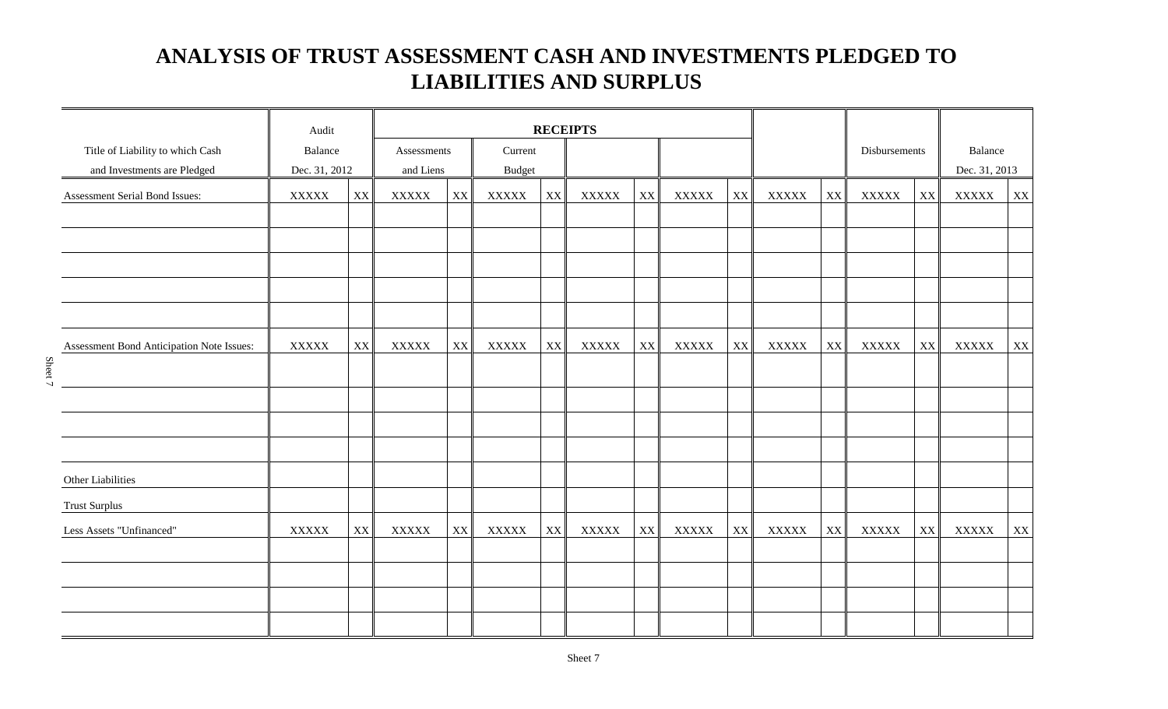### **ANALYSIS OF TRUST ASSESSMENT CASH AND INVESTMENTS PLEDGED TO LIABILITIES AND SURPLUS**

|                                           | Audit         |                        |              |                        |               |    | <b>RECEIPTS</b> |               |              |                         |              |         |               |    |              |    |
|-------------------------------------------|---------------|------------------------|--------------|------------------------|---------------|----|-----------------|---------------|--------------|-------------------------|--------------|---------|---------------|----|--------------|----|
| Title of Liability to which Cash          | Balance       |                        |              | Current<br>Assessments |               |    |                 |               |              | Disbursements           |              | Balance |               |    |              |    |
| and Investments are Pledged               | Dec. 31, 2012 |                        | and Liens    |                        | <b>Budget</b> |    |                 |               |              |                         |              |         | Dec. 31, 2013 |    |              |    |
| Assessment Serial Bond Issues:            | <b>XXXXX</b>  | XX                     | <b>XXXXX</b> | XX                     | <b>XXXXX</b>  | XX | <b>XXXXX</b>    | XX            | <b>XXXXX</b> | XX                      | <b>XXXXX</b> | XX      | <b>XXXXX</b>  | XX | <b>XXXXX</b> | XX |
|                                           |               |                        |              |                        |               |    |                 |               |              |                         |              |         |               |    |              |    |
|                                           |               |                        |              |                        |               |    |                 |               |              |                         |              |         |               |    |              |    |
|                                           |               |                        |              |                        |               |    |                 |               |              |                         |              |         |               |    |              |    |
|                                           |               |                        |              |                        |               |    |                 |               |              |                         |              |         |               |    |              |    |
|                                           |               |                        |              |                        |               |    |                 |               |              |                         |              |         |               |    |              |    |
| Assessment Bond Anticipation Note Issues: | <b>XXXXX</b>  | $\mathbf{X}\mathbf{X}$ | <b>XXXXX</b> | XX                     | <b>XXXXX</b>  | XX | <b>XXXXX</b>    | $\mathbf{XX}$ | <b>XXXXX</b> | $\mathbf{X} \mathbf{X}$ | <b>XXXXX</b> | XX      | <b>XXXXX</b>  | XX | <b>XXXXX</b> | XX |
|                                           |               |                        |              |                        |               |    |                 |               |              |                         |              |         |               |    |              |    |
|                                           |               |                        |              |                        |               |    |                 |               |              |                         |              |         |               |    |              |    |
|                                           |               |                        |              |                        |               |    |                 |               |              |                         |              |         |               |    |              |    |
|                                           |               |                        |              |                        |               |    |                 |               |              |                         |              |         |               |    |              |    |
| Other Liabilities                         |               |                        |              |                        |               |    |                 |               |              |                         |              |         |               |    |              |    |
| <b>Trust Surplus</b>                      |               |                        |              |                        |               |    |                 |               |              |                         |              |         |               |    |              |    |
| Less Assets "Unfinanced"                  | <b>XXXXX</b>  | XX                     | <b>XXXXX</b> | XX                     | <b>XXXXX</b>  | XX | <b>XXXXX</b>    | XX            | <b>XXXXX</b> | $\mathbf{X} \mathbf{X}$ | <b>XXXXX</b> | XX      | <b>XXXXX</b>  | XX | <b>XXXXX</b> | XX |
|                                           |               |                        |              |                        |               |    |                 |               |              |                         |              |         |               |    |              |    |
|                                           |               |                        |              |                        |               |    |                 |               |              |                         |              |         |               |    |              |    |
|                                           |               |                        |              |                        |               |    |                 |               |              |                         |              |         |               |    |              |    |
|                                           |               |                        |              |                        |               |    |                 |               |              |                         |              |         |               |    |              |    |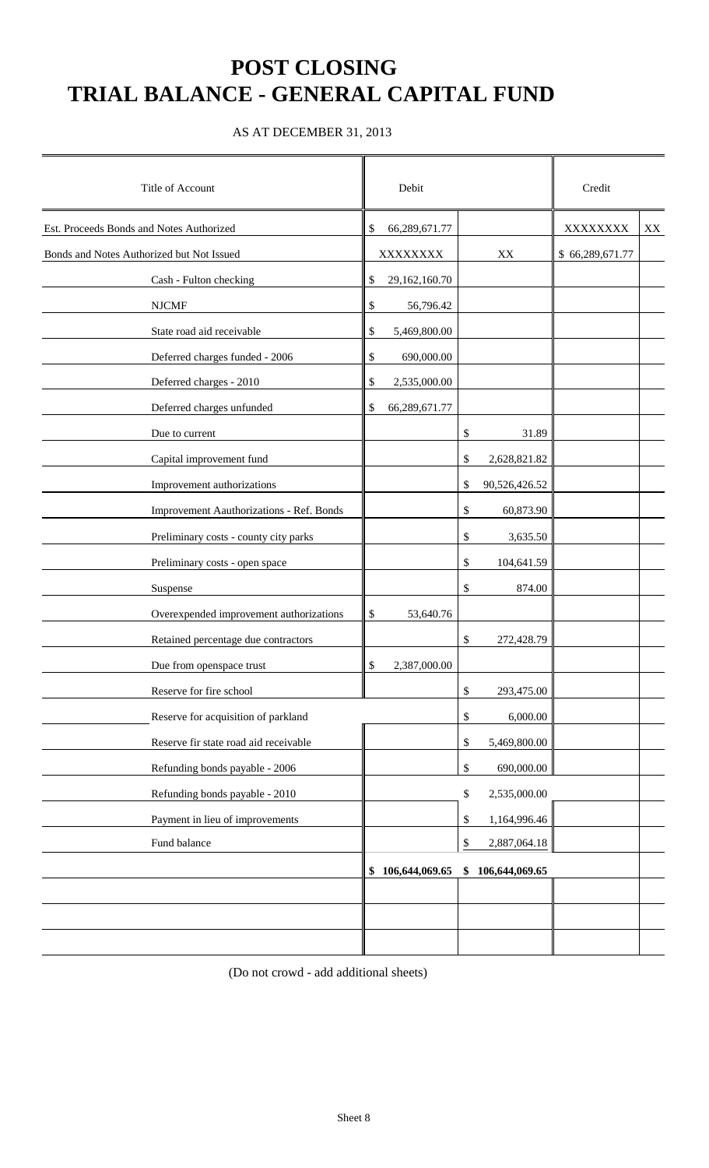## **POST CLOSING TRIAL BALANCE - GENERAL CAPITAL FUND**

#### AS AT DECEMBER 31, 2013

| Title of Account                          | Debit               | Credit                    |                  |                 |    |
|-------------------------------------------|---------------------|---------------------------|------------------|-----------------|----|
| Est. Proceeds Bonds and Notes Authorized  | \$<br>66,289,671.77 |                           |                  | XXXXXXXX        | XX |
| Bonds and Notes Authorized but Not Issued | XXXXXXXX            |                           | XX               | \$66,289,671.77 |    |
| Cash - Fulton checking                    | \$<br>29,162,160.70 |                           |                  |                 |    |
| <b>NJCMF</b>                              | \$<br>56,796.42     |                           |                  |                 |    |
| State road aid receivable                 | \$<br>5,469,800.00  |                           |                  |                 |    |
| Deferred charges funded - 2006            | \$<br>690,000.00    |                           |                  |                 |    |
| Deferred charges - 2010                   | \$<br>2,535,000.00  |                           |                  |                 |    |
| Deferred charges unfunded                 | \$<br>66,289,671.77 |                           |                  |                 |    |
| Due to current                            |                     | $\$\,$                    | 31.89            |                 |    |
| Capital improvement fund                  |                     | $\boldsymbol{\mathsf{S}}$ | 2,628,821.82     |                 |    |
| Improvement authorizations                |                     | \$                        | 90,526,426.52    |                 |    |
| Improvement Aauthorizations - Ref. Bonds  |                     | \$                        | 60,873.90        |                 |    |
| Preliminary costs - county city parks     |                     | \$                        | 3,635.50         |                 |    |
| Preliminary costs - open space            |                     | \$                        | 104,641.59       |                 |    |
| Suspense                                  |                     | \$                        | 874.00           |                 |    |
| Overexpended improvement authorizations   | \$<br>53,640.76     |                           |                  |                 |    |
| Retained percentage due contractors       |                     | \$                        | 272,428.79       |                 |    |
| Due from openspace trust                  | \$<br>2,387,000.00  |                           |                  |                 |    |
| Reserve for fire school                   |                     | \$                        | 293,475.00       |                 |    |
| Reserve for acquisition of parkland       |                     | \$                        | 6,000.00         |                 |    |
| Reserve fir state road aid receivable     |                     | \$                        | 5,469,800.00     |                 |    |
| Refunding bonds payable - 2006            |                     | \$                        | 690,000.00       |                 |    |
| Refunding bonds payable - 2010            |                     | \$                        | 2,535,000.00     |                 |    |
| Payment in lieu of improvements           |                     | \$                        | 1,164,996.46     |                 |    |
| Fund balance                              |                     | \$                        | 2,887,064.18     |                 |    |
|                                           | \$106,644,069.65    |                           | \$106,644,069.65 |                 |    |
|                                           |                     |                           |                  |                 |    |
|                                           |                     |                           |                  |                 |    |
|                                           |                     |                           |                  |                 |    |

(Do not crowd - add additional sheets)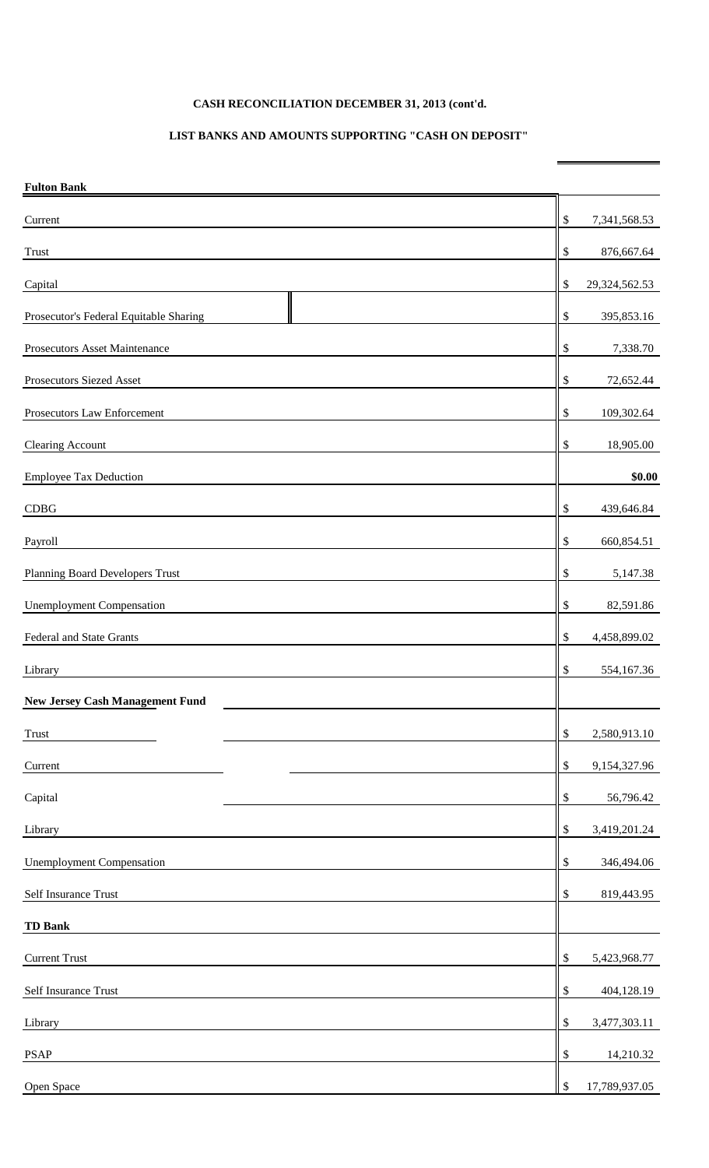#### **CASH RECONCILIATION DECEMBER 31, 2013 (cont'd.**

#### **LIST BANKS AND AMOUNTS SUPPORTING "CASH ON DEPOSIT"**

| <b>Fulton Bank</b>                     |                           |               |
|----------------------------------------|---------------------------|---------------|
| Current                                | \$                        | 7,341,568.53  |
| Trust                                  | \$                        | 876,667.64    |
| Capital                                | \$                        | 29,324,562.53 |
| Prosecutor's Federal Equitable Sharing | \$                        | 395,853.16    |
| Prosecutors Asset Maintenance          | \$                        | 7,338.70      |
| Prosecutors Siezed Asset               | \$                        | 72,652.44     |
| Prosecutors Law Enforcement            | \$                        | 109,302.64    |
| <b>Clearing Account</b>                | \$                        | 18,905.00     |
| <b>Employee Tax Deduction</b>          |                           | \$0.00        |
| CDBG                                   | \$                        | 439,646.84    |
| Payroll                                | \$                        | 660,854.51    |
| Planning Board Developers Trust        | \$                        | 5,147.38      |
| <b>Unemployment Compensation</b>       | \$                        | 82,591.86     |
| <b>Federal and State Grants</b>        | \$                        | 4,458,899.02  |
| Library                                | \$                        | 554,167.36    |
| <b>New Jersey Cash Management Fund</b> |                           |               |
| Trust                                  | \$                        | 2,580,913.10  |
| Current                                | \$                        | 9,154,327.96  |
| Capital                                | \$                        | 56,796.42     |
| Library                                | \$                        | 3,419,201.24  |
| <b>Unemployment Compensation</b>       | $\$\,$                    | 346,494.06    |
| Self Insurance Trust                   | \$                        | 819,443.95    |
| <b>TD Bank</b>                         |                           |               |
| <b>Current Trust</b>                   | \$                        | 5,423,968.77  |
| Self Insurance Trust                   | \$                        | 404,128.19    |
| Library                                | \$                        | 3,477,303.11  |
| PSAP                                   | $\boldsymbol{\mathsf{S}}$ | 14,210.32     |
| Open Space                             |                           | 17,789,937.05 |
|                                        | \$                        |               |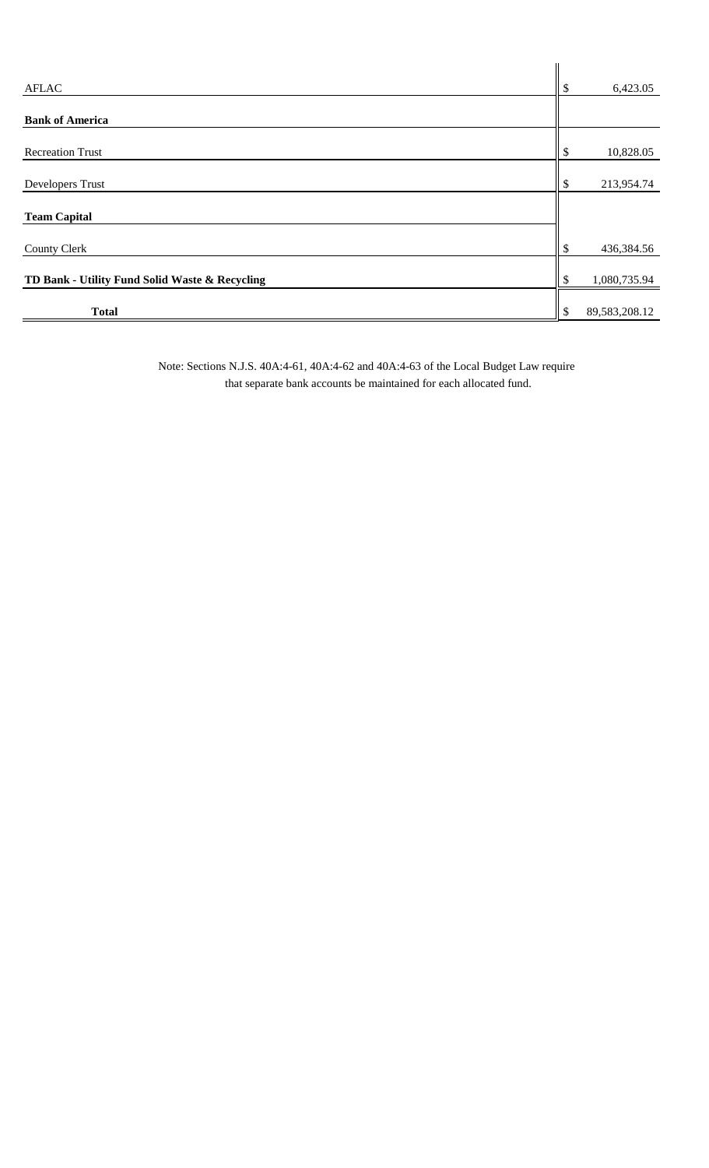| <b>AFLAC</b>                                   | S  | 6,423.05      |
|------------------------------------------------|----|---------------|
|                                                |    |               |
| <b>Bank of America</b>                         |    |               |
|                                                |    |               |
| <b>Recreation Trust</b>                        | \$ | 10,828.05     |
|                                                |    |               |
| Developers Trust                               | J  | 213,954.74    |
|                                                |    |               |
| <b>Team Capital</b>                            |    |               |
|                                                |    |               |
| <b>County Clerk</b>                            | \$ | 436,384.56    |
|                                                |    |               |
| TD Bank - Utility Fund Solid Waste & Recycling |    | 1,080,735.94  |
|                                                |    |               |
| <b>Total</b>                                   | \$ | 89,583,208.12 |

Note: Sections N.J.S. 40A:4-61, 40A:4-62 and 40A:4-63 of the Local Budget Law require that separate bank accounts be maintained for each allocated fund.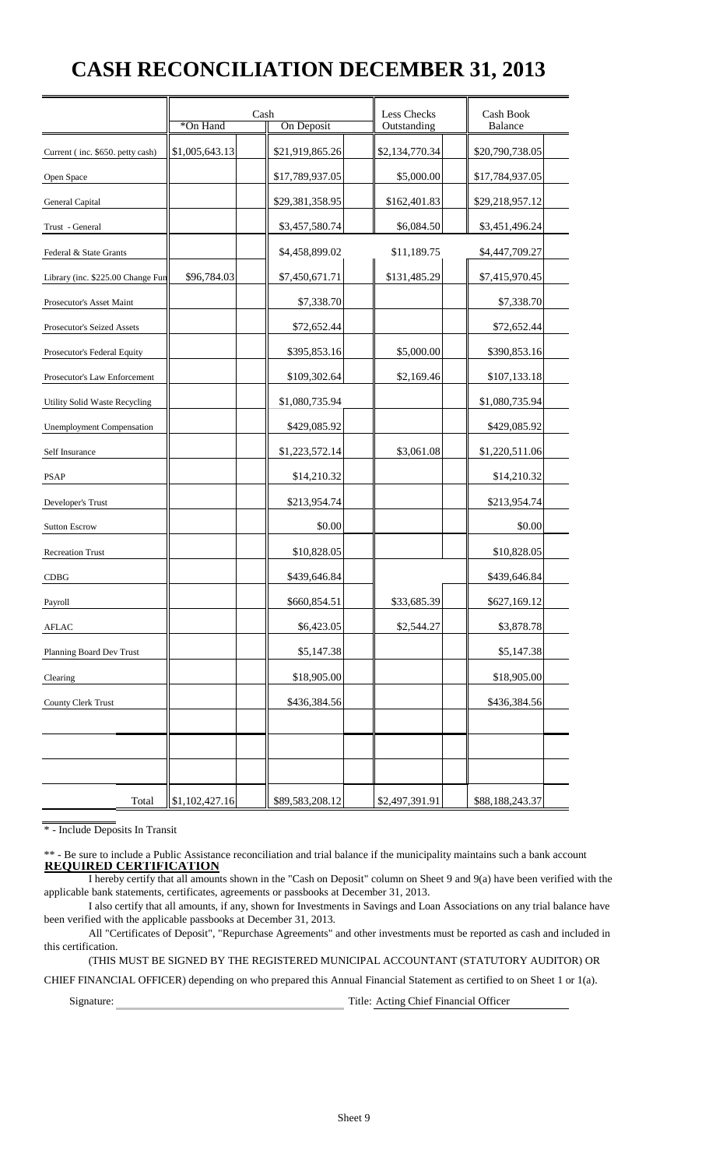# **CASH RECONCILIATION DECEMBER 31, 2013**

|                                      | *On Hand       | Cash<br>On Deposit |            | Less Checks<br>Outstanding | Cash Book<br><b>Balance</b> |
|--------------------------------------|----------------|--------------------|------------|----------------------------|-----------------------------|
| Current (inc. \$650. petty cash)     | \$1,005,643.13 | \$21,919,865.26    |            | \$2,134,770.34             | \$20,790,738.05             |
| Open Space                           |                | \$17,789,937.05    |            | \$5,000.00                 | \$17,784,937.05             |
| General Capital                      |                | \$29,381,358.95    |            | \$162,401.83               | \$29,218,957.12             |
| Trust - General                      |                | \$3,457,580.74     |            | \$6,084.50                 | \$3,451,496.24              |
| Federal & State Grants               |                | \$4,458,899.02     |            | \$11,189.75                | \$4,447,709.27              |
| Library (inc. \$225.00 Change Fun    | \$96,784.03    | \$7,450,671.71     |            | \$131,485.29               | \$7,415,970.45              |
| Prosecutor's Asset Maint             |                |                    | \$7,338.70 |                            | \$7,338.70                  |
| Prosecutor's Seized Assets           |                | \$72,652.44        |            |                            | \$72,652.44                 |
| Prosecutor's Federal Equity          |                | \$395,853.16       |            | \$5,000.00                 | \$390,853.16                |
| Prosecutor's Law Enforcement         |                | \$109,302.64       |            | \$2,169.46                 | \$107,133.18                |
| <b>Utility Solid Waste Recycling</b> |                | \$1,080,735.94     |            |                            | \$1,080,735.94              |
| <b>Unemployment Compensation</b>     |                | \$429,085.92       |            |                            | \$429,085.92                |
| Self Insurance                       |                | \$1,223,572.14     |            | \$3,061.08                 | \$1,220,511.06              |
| <b>PSAP</b>                          |                | \$14,210.32        |            |                            | \$14,210.32                 |
| Developer's Trust                    |                | \$213,954.74       |            |                            | \$213,954.74                |
| <b>Sutton Escrow</b>                 |                |                    | \$0.00     |                            | \$0.00                      |
| <b>Recreation Trust</b>              |                | \$10,828.05        |            |                            | \$10,828.05                 |
| <b>CDBG</b>                          |                | \$439,646.84       |            |                            | \$439,646.84                |
| Payroll                              |                | \$660,854.51       |            | \$33,685.39                | \$627,169.12                |
| AFLAC                                |                |                    | \$6,423.05 | \$2,544.27                 | \$3,878.78                  |
| Planning Board Dev Trust             |                |                    | \$5,147.38 |                            | \$5,147.38                  |
| Clearing                             |                | \$18,905.00        |            |                            | \$18,905.00                 |
| <b>County Clerk Trust</b>            |                | \$436,384.56       |            |                            | \$436,384.56                |
|                                      |                |                    |            |                            |                             |
|                                      |                |                    |            |                            |                             |
|                                      |                |                    |            |                            |                             |
| Total                                | \$1,102,427.16 | \$89,583,208.12    |            | \$2,497,391.91             | \$88,188,243.37             |

\* - Include Deposits In Transit

\*\* - Be sure to include a Public Assistance reconciliation and trial balance if the municipality maintains such a bank account **REQUIRED CERTIFICATION**

 I hereby certify that all amounts shown in the "Cash on Deposit" column on Sheet 9 and 9(a) have been verified with the applicable bank statements, certificates, agreements or passbooks at December 31, 2013.

 I also certify that all amounts, if any, shown for Investments in Savings and Loan Associations on any trial balance have been verified with the applicable passbooks at December 31, 2013.

 All "Certificates of Deposit", "Repurchase Agreements" and other investments must be reported as cash and included in this certification.

(THIS MUST BE SIGNED BY THE REGISTERED MUNICIPAL ACCOUNTANT (STATUTORY AUDITOR) OR

CHIEF FINANCIAL OFFICER) depending on who prepared this Annual Financial Statement as certified to on Sheet 1 or 1(a).

Signature: Title: Acting Chief Financial Officer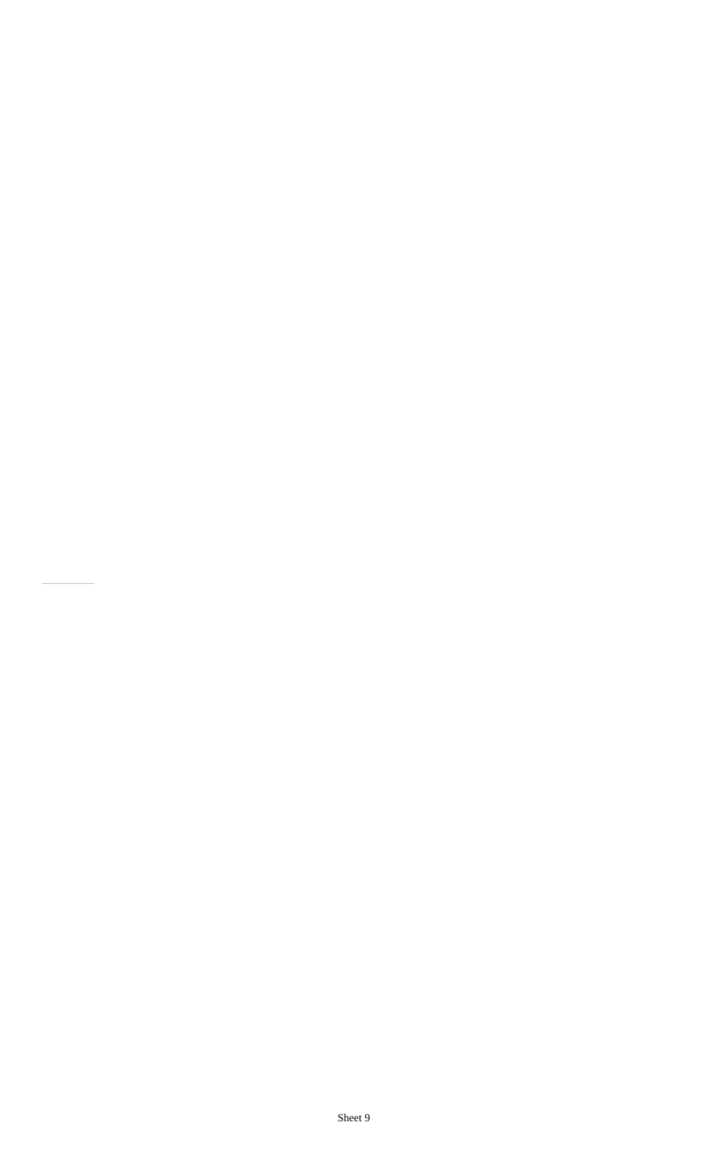Sheet 9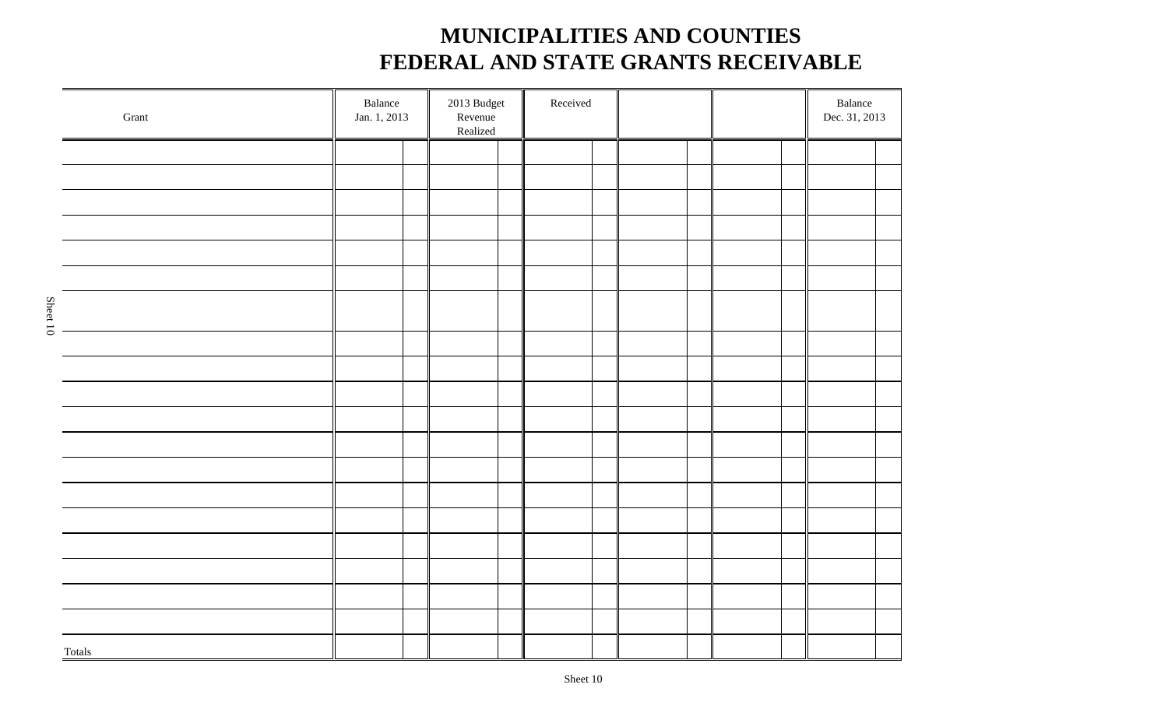### **MUNICIPALITIES AND COUNTIES FEDERAL AND STATE GRANTS RECEIVABLE**

| Grant                                        | Balance<br>Jan. 1, 2013 |  | $2013$ Budget<br>Revenue<br>Realized |  | Received |  |  |  | Balance<br>Dec. 31, 2013 |  |
|----------------------------------------------|-------------------------|--|--------------------------------------|--|----------|--|--|--|--------------------------|--|
|                                              |                         |  |                                      |  |          |  |  |  |                          |  |
|                                              |                         |  |                                      |  |          |  |  |  |                          |  |
|                                              |                         |  |                                      |  |          |  |  |  |                          |  |
|                                              |                         |  |                                      |  |          |  |  |  |                          |  |
|                                              |                         |  |                                      |  |          |  |  |  |                          |  |
|                                              |                         |  |                                      |  |          |  |  |  |                          |  |
|                                              |                         |  |                                      |  |          |  |  |  |                          |  |
|                                              |                         |  |                                      |  |          |  |  |  |                          |  |
|                                              |                         |  |                                      |  |          |  |  |  |                          |  |
|                                              |                         |  |                                      |  |          |  |  |  |                          |  |
|                                              |                         |  |                                      |  |          |  |  |  |                          |  |
|                                              |                         |  |                                      |  |          |  |  |  |                          |  |
|                                              |                         |  |                                      |  |          |  |  |  |                          |  |
|                                              |                         |  |                                      |  |          |  |  |  |                          |  |
|                                              |                         |  |                                      |  |          |  |  |  |                          |  |
|                                              |                         |  |                                      |  |          |  |  |  |                          |  |
|                                              |                         |  |                                      |  |          |  |  |  |                          |  |
|                                              |                         |  |                                      |  |          |  |  |  |                          |  |
|                                              |                         |  |                                      |  |          |  |  |  |                          |  |
| $\operatorname{\textsf{Totals}}$<br>$\equiv$ |                         |  |                                      |  |          |  |  |  |                          |  |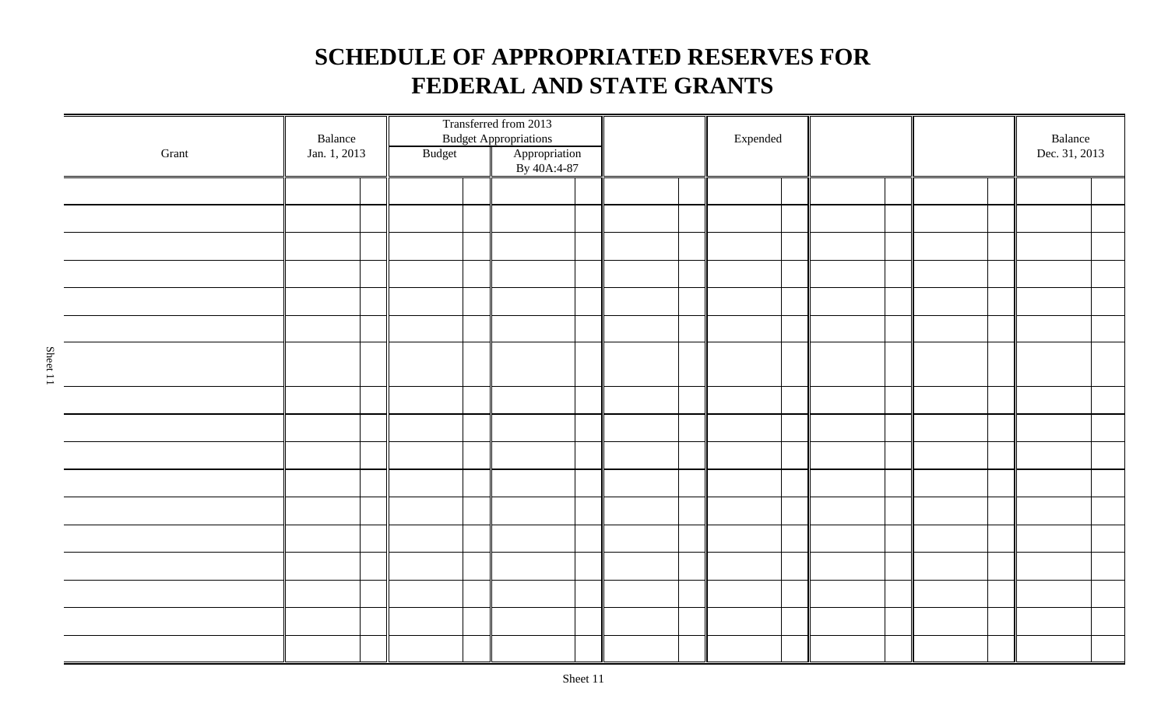# **SCHEDULE OF APPROPRIATED RESERVES FOR FEDERAL AND STATE GRANTS**

| Grant | Balance<br>Jan. 1, 2013 | Budget |  | Transferred from 2013 |  | <b>Budget Appropriations</b><br>Appropriation<br>By 40A:4-87 |  |  |  |  |  |  |  |  |  | Expended |  |  |  |  |  | Balance<br>Dec. 31, 2013 |  |
|-------|-------------------------|--------|--|-----------------------|--|--------------------------------------------------------------|--|--|--|--|--|--|--|--|--|----------|--|--|--|--|--|--------------------------|--|
|       |                         |        |  |                       |  |                                                              |  |  |  |  |  |  |  |  |  |          |  |  |  |  |  |                          |  |
|       |                         |        |  |                       |  |                                                              |  |  |  |  |  |  |  |  |  |          |  |  |  |  |  |                          |  |
|       |                         |        |  |                       |  |                                                              |  |  |  |  |  |  |  |  |  |          |  |  |  |  |  |                          |  |
|       |                         |        |  |                       |  |                                                              |  |  |  |  |  |  |  |  |  |          |  |  |  |  |  |                          |  |
|       |                         |        |  |                       |  |                                                              |  |  |  |  |  |  |  |  |  |          |  |  |  |  |  |                          |  |
|       |                         |        |  |                       |  |                                                              |  |  |  |  |  |  |  |  |  |          |  |  |  |  |  |                          |  |
|       |                         |        |  |                       |  |                                                              |  |  |  |  |  |  |  |  |  |          |  |  |  |  |  |                          |  |
|       |                         |        |  |                       |  |                                                              |  |  |  |  |  |  |  |  |  |          |  |  |  |  |  |                          |  |
|       |                         |        |  |                       |  |                                                              |  |  |  |  |  |  |  |  |  |          |  |  |  |  |  |                          |  |
|       |                         |        |  |                       |  |                                                              |  |  |  |  |  |  |  |  |  |          |  |  |  |  |  |                          |  |
|       |                         |        |  |                       |  |                                                              |  |  |  |  |  |  |  |  |  |          |  |  |  |  |  |                          |  |
|       |                         |        |  |                       |  |                                                              |  |  |  |  |  |  |  |  |  |          |  |  |  |  |  |                          |  |
|       |                         |        |  |                       |  |                                                              |  |  |  |  |  |  |  |  |  |          |  |  |  |  |  |                          |  |
|       |                         |        |  |                       |  |                                                              |  |  |  |  |  |  |  |  |  |          |  |  |  |  |  |                          |  |
|       |                         |        |  |                       |  |                                                              |  |  |  |  |  |  |  |  |  |          |  |  |  |  |  |                          |  |
|       |                         |        |  |                       |  |                                                              |  |  |  |  |  |  |  |  |  |          |  |  |  |  |  |                          |  |
|       |                         |        |  |                       |  |                                                              |  |  |  |  |  |  |  |  |  |          |  |  |  |  |  |                          |  |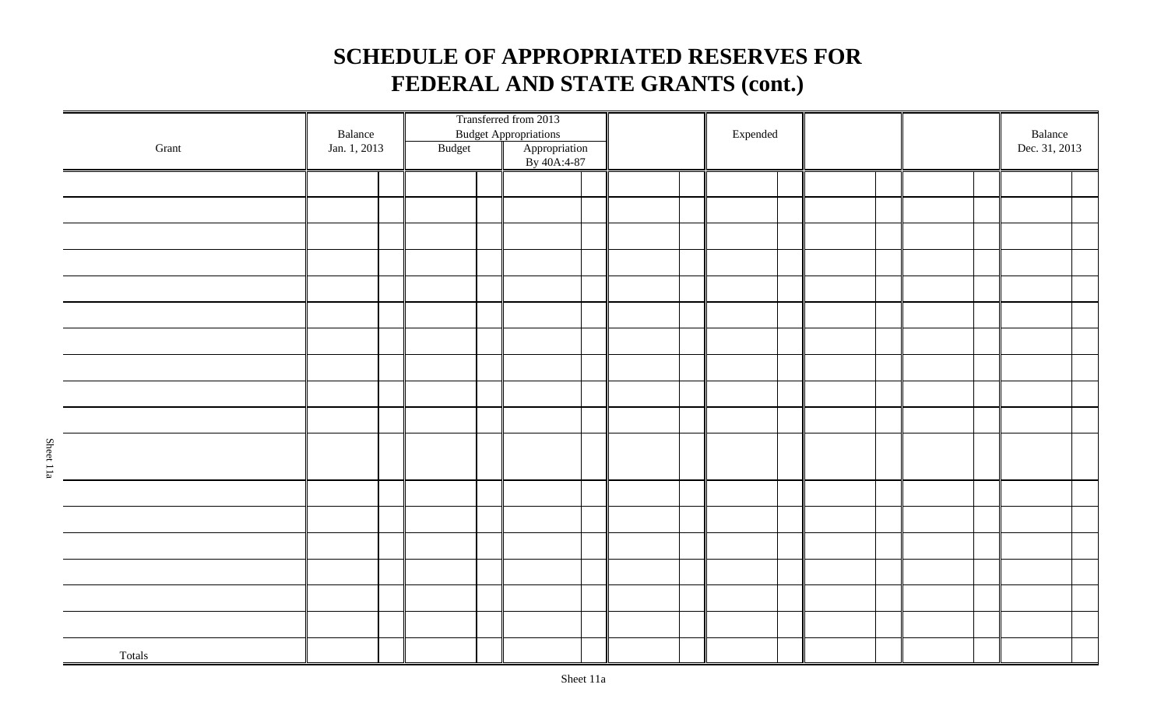## **SCHEDULE OF APPROPRIATED RESERVES FOR FEDERAL AND STATE GRANTS (cont.)**

| Grant  | Balance<br>Jan. 1, 2013 |  | <b>Budget Appropriations</b><br>Budget |  | Appropriation<br>By 40A:4-87 |  |  |  | Transferred from 2013 |  |  | Expended |  |  | Balance<br>Dec. 31, 2013 |  |
|--------|-------------------------|--|----------------------------------------|--|------------------------------|--|--|--|-----------------------|--|--|----------|--|--|--------------------------|--|
|        |                         |  |                                        |  |                              |  |  |  |                       |  |  |          |  |  |                          |  |
|        |                         |  |                                        |  |                              |  |  |  |                       |  |  |          |  |  |                          |  |
|        |                         |  |                                        |  |                              |  |  |  |                       |  |  |          |  |  |                          |  |
|        |                         |  |                                        |  |                              |  |  |  |                       |  |  |          |  |  |                          |  |
|        |                         |  |                                        |  |                              |  |  |  |                       |  |  |          |  |  |                          |  |
|        |                         |  |                                        |  |                              |  |  |  |                       |  |  |          |  |  |                          |  |
|        |                         |  |                                        |  |                              |  |  |  |                       |  |  |          |  |  |                          |  |
|        |                         |  |                                        |  |                              |  |  |  |                       |  |  |          |  |  |                          |  |
|        |                         |  |                                        |  |                              |  |  |  |                       |  |  |          |  |  |                          |  |
|        |                         |  |                                        |  |                              |  |  |  |                       |  |  |          |  |  |                          |  |
|        |                         |  |                                        |  |                              |  |  |  |                       |  |  |          |  |  |                          |  |
|        |                         |  |                                        |  |                              |  |  |  |                       |  |  |          |  |  |                          |  |
|        |                         |  |                                        |  |                              |  |  |  |                       |  |  |          |  |  |                          |  |
|        |                         |  |                                        |  |                              |  |  |  |                       |  |  |          |  |  |                          |  |
|        |                         |  |                                        |  |                              |  |  |  |                       |  |  |          |  |  |                          |  |
|        |                         |  |                                        |  |                              |  |  |  |                       |  |  |          |  |  |                          |  |
|        |                         |  |                                        |  |                              |  |  |  |                       |  |  |          |  |  |                          |  |
|        |                         |  |                                        |  |                              |  |  |  |                       |  |  |          |  |  |                          |  |
| Totals |                         |  |                                        |  |                              |  |  |  |                       |  |  |          |  |  |                          |  |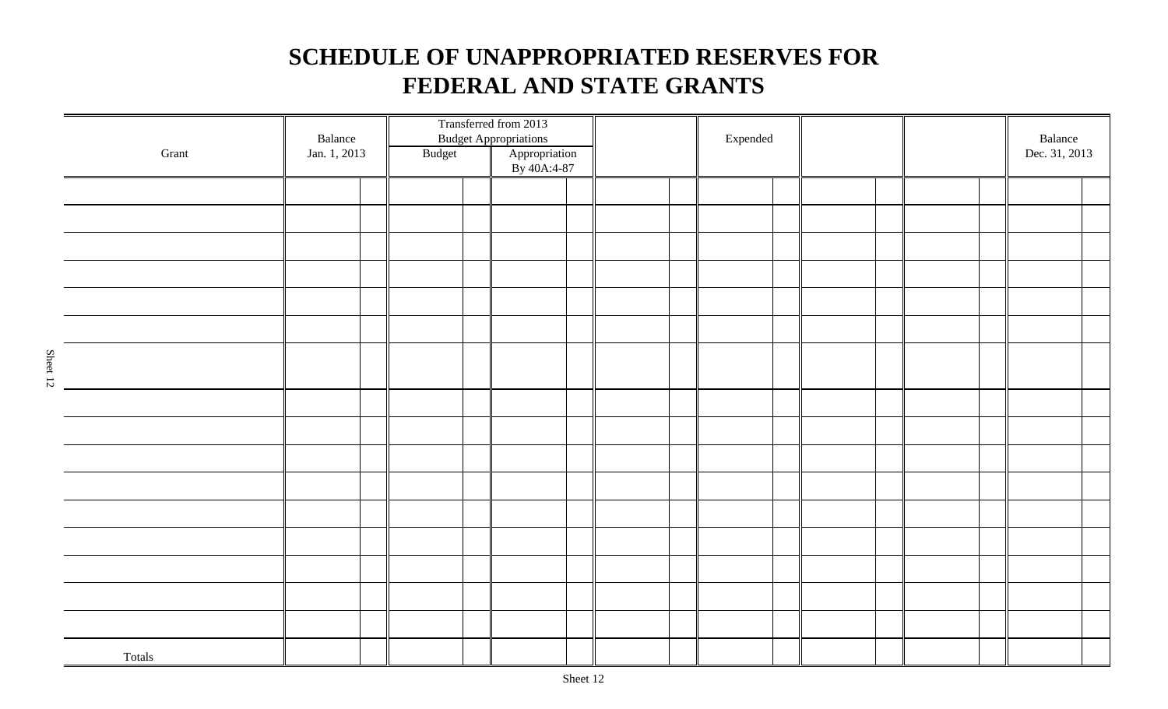# **SCHEDULE OF UNAPPROPRIATED RESERVES FOR FEDERAL AND STATE GRANTS**

| Grant  | Balance<br>Jan. 1, 2013 | Budget | Transferred from 2013<br><b>Budget Appropriations</b><br>Appropriation<br>By 40A:4-87 |  |  |  |  |  |  |  | Expended |  |  |  |  |  | Balance<br>Dec. 31, 2013 |  |
|--------|-------------------------|--------|---------------------------------------------------------------------------------------|--|--|--|--|--|--|--|----------|--|--|--|--|--|--------------------------|--|
|        |                         |        |                                                                                       |  |  |  |  |  |  |  |          |  |  |  |  |  |                          |  |
|        |                         |        |                                                                                       |  |  |  |  |  |  |  |          |  |  |  |  |  |                          |  |
|        |                         |        |                                                                                       |  |  |  |  |  |  |  |          |  |  |  |  |  |                          |  |
|        |                         |        |                                                                                       |  |  |  |  |  |  |  |          |  |  |  |  |  |                          |  |
|        |                         |        |                                                                                       |  |  |  |  |  |  |  |          |  |  |  |  |  |                          |  |
|        |                         |        |                                                                                       |  |  |  |  |  |  |  |          |  |  |  |  |  |                          |  |
|        |                         |        |                                                                                       |  |  |  |  |  |  |  |          |  |  |  |  |  |                          |  |
|        |                         |        |                                                                                       |  |  |  |  |  |  |  |          |  |  |  |  |  |                          |  |
|        |                         |        |                                                                                       |  |  |  |  |  |  |  |          |  |  |  |  |  |                          |  |
|        |                         |        |                                                                                       |  |  |  |  |  |  |  |          |  |  |  |  |  |                          |  |
|        |                         |        |                                                                                       |  |  |  |  |  |  |  |          |  |  |  |  |  |                          |  |
|        |                         |        |                                                                                       |  |  |  |  |  |  |  |          |  |  |  |  |  |                          |  |
|        |                         |        |                                                                                       |  |  |  |  |  |  |  |          |  |  |  |  |  |                          |  |
|        |                         |        |                                                                                       |  |  |  |  |  |  |  |          |  |  |  |  |  |                          |  |
|        |                         |        |                                                                                       |  |  |  |  |  |  |  |          |  |  |  |  |  |                          |  |
|        |                         |        |                                                                                       |  |  |  |  |  |  |  |          |  |  |  |  |  |                          |  |
| Totals |                         |        |                                                                                       |  |  |  |  |  |  |  |          |  |  |  |  |  |                          |  |

Sheet 12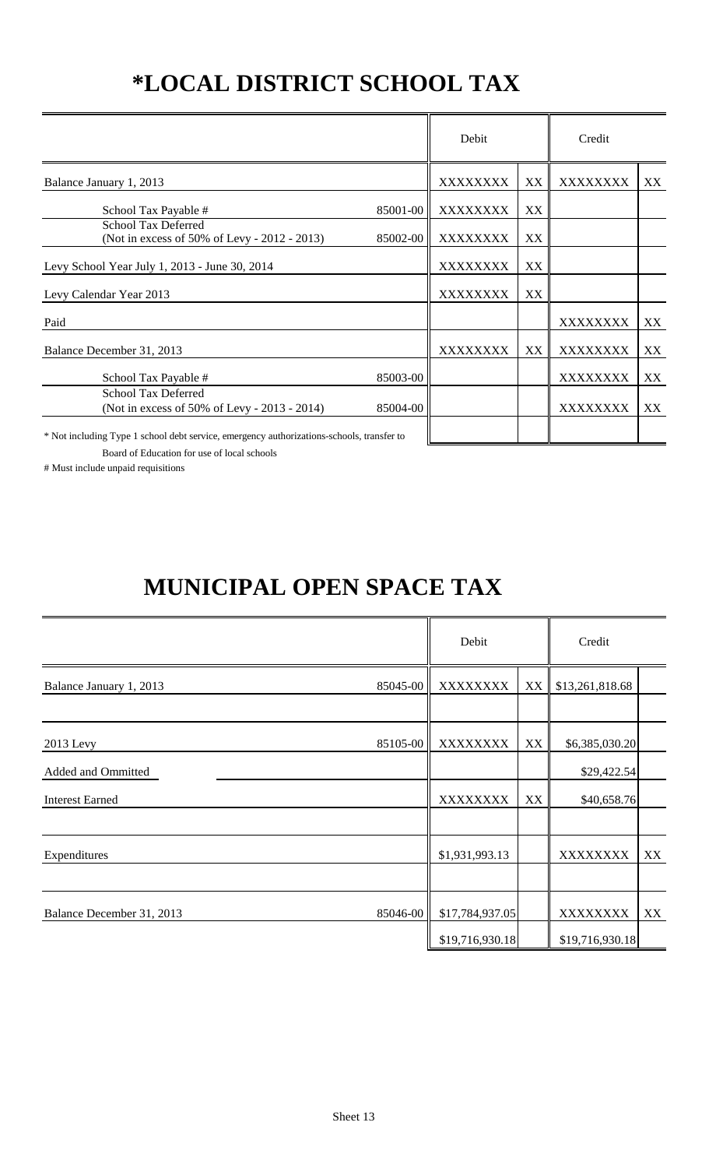# **\*LOCAL DISTRICT SCHOOL TAX**

|                                                                                         |          | Debit    |    | Credit          |    |
|-----------------------------------------------------------------------------------------|----------|----------|----|-----------------|----|
| Balance January 1, 2013                                                                 |          | XXXXXXXX | XX | XXXXXXXX        | XX |
| School Tax Payable #                                                                    | 85001-00 | XXXXXXXX | XX |                 |    |
| <b>School Tax Deferred</b><br>(Not in excess of 50% of Levy - 2012 - 2013)              | 85002-00 | XXXXXXXX | XX |                 |    |
| Levy School Year July 1, 2013 - June 30, 2014                                           |          | XXXXXXXX | XX |                 |    |
| Levy Calendar Year 2013                                                                 |          | XXXXXXXX | XX |                 |    |
| Paid                                                                                    |          |          |    | XXXXXXXX        | XX |
| Balance December 31, 2013                                                               |          | XXXXXXXX | XX | XXXXXXXX        | XX |
| School Tax Payable #                                                                    | 85003-00 |          |    | XXXXXXXX        | XX |
| <b>School Tax Deferred</b><br>(Not in excess of 50% of Levy - 2013 - 2014)              | 85004-00 |          |    | <b>XXXXXXXX</b> | XX |
| * Not including Type 1 school debt service emergency authorizations schools transfer to |          |          |    |                 |    |

Not including Type 1 school debt service, emergency authorizations-schools, transfer to

Board of Education for use of local schools

# Must include unpaid requisitions

# **MUNICIPAL OPEN SPACE TAX**

|                           |          | Debit           |    | Credit          |    |
|---------------------------|----------|-----------------|----|-----------------|----|
| Balance January 1, 2013   | 85045-00 | XXXXXXXX        | XX | \$13,261,818.68 |    |
|                           |          |                 |    |                 |    |
| 2013 Levy                 | 85105-00 | <b>XXXXXXXX</b> | XX | \$6,385,030.20  |    |
| Added and Ommitted        |          |                 |    | \$29,422.54     |    |
| <b>Interest Earned</b>    |          | XXXXXXXX        | XX | \$40,658.76     |    |
|                           |          |                 |    |                 |    |
| Expenditures              |          | \$1,931,993.13  |    | XXXXXXXX        | XX |
|                           |          |                 |    |                 |    |
| Balance December 31, 2013 | 85046-00 | \$17,784,937.05 |    | XXXXXXXX        | XX |
|                           |          | \$19,716,930.18 |    | \$19,716,930.18 |    |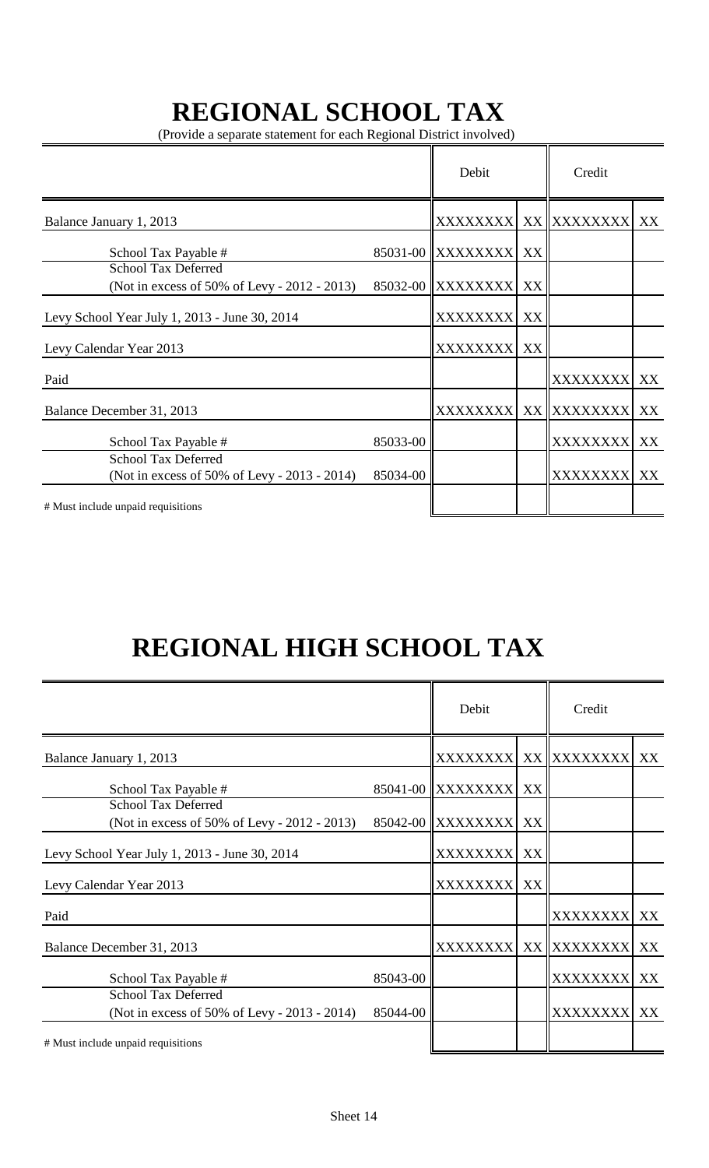# **REGIONAL SCHOOL TAX**

(Provide a separate statement for each Regional District involved)

|                                                                            |          | Debit             |    | Credit          |     |
|----------------------------------------------------------------------------|----------|-------------------|----|-----------------|-----|
| Balance January 1, 2013                                                    |          | <b>XXXXXXXX</b>   |    | XX XXXXXXXX     | XX. |
| School Tax Payable #                                                       |          | 85031-00 XXXXXXXX | XX |                 |     |
| <b>School Tax Deferred</b><br>(Not in excess of 50% of Levy - 2012 - 2013) |          | 85032-00 XXXXXXXX | XX |                 |     |
| Levy School Year July 1, 2013 - June 30, 2014                              |          | XXXXXXXX          | XX |                 |     |
| Levy Calendar Year 2013                                                    |          | <b>XXXXXXXX</b>   | XX |                 |     |
| Paid                                                                       |          |                   |    | <b>XXXXXXXX</b> | XX  |
| Balance December 31, 2013                                                  |          | <b>XXXXXXXXI</b>  |    | XX XXXXXXXX     | XX  |
| School Tax Payable #                                                       | 85033-00 |                   |    | <b>XXXXXXXX</b> | XX  |
| <b>School Tax Deferred</b><br>(Not in excess of 50% of Levy - 2013 - 2014) | 85034-00 |                   |    | <b>XXXXXXXX</b> | XX  |
| # Must include unpaid requisitions                                         |          |                   |    |                 |     |

# **REGIONAL HIGH SCHOOL TAX**

|                                                                            |          | Debit             |    | Credit          |    |
|----------------------------------------------------------------------------|----------|-------------------|----|-----------------|----|
| Balance January 1, 2013                                                    |          | <b>XXXXXXXXI</b>  |    | XX XXXXXXXX     | XX |
| School Tax Payable #                                                       |          | 85041-00 XXXXXXXX | XX |                 |    |
| <b>School Tax Deferred</b><br>(Not in excess of 50% of Levy - 2012 - 2013) |          | 85042-00 XXXXXXXX | XX |                 |    |
| Levy School Year July 1, 2013 - June 30, 2014                              |          | <b>XXXXXXXX</b>   | XX |                 |    |
| Levy Calendar Year 2013                                                    |          | <b>XXXXXXXX</b>   | XX |                 |    |
| Paid                                                                       |          |                   |    | <b>XXXXXXXX</b> | XX |
| Balance December 31, 2013                                                  |          | <b>XXXXXXXXI</b>  |    | XX XXXXXXXX     | XX |
| School Tax Payable #                                                       | 85043-00 |                   |    | <b>XXXXXXXX</b> | XX |
| <b>School Tax Deferred</b><br>(Not in excess of 50% of Levy - 2013 - 2014) | 85044-00 |                   |    | <b>XXXXXXXX</b> | XX |
| # Must include unpaid requisitions                                         |          |                   |    |                 |    |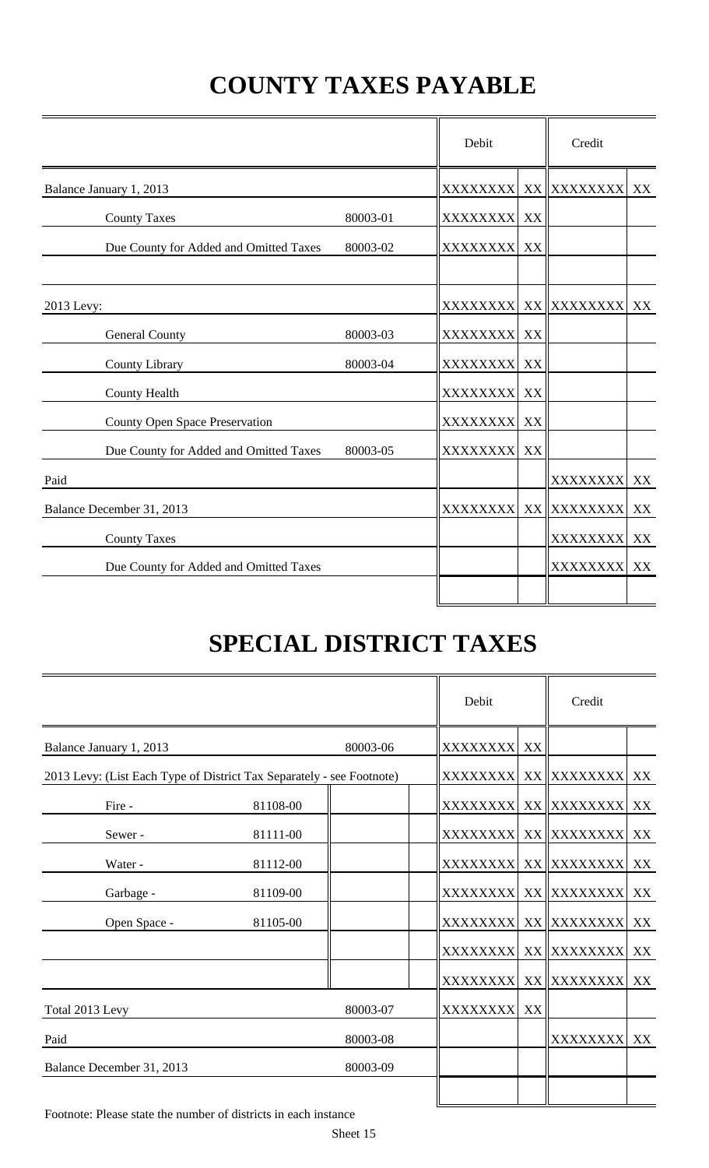# **COUNTY TAXES PAYABLE**

|                                        |          | Debit            |    | Credit          |    |  |
|----------------------------------------|----------|------------------|----|-----------------|----|--|
| Balance January 1, 2013                |          | <b>XXXXXXXXI</b> |    | XX XXXXXXXX     | XX |  |
| <b>County Taxes</b>                    | 80003-01 | XXXXXXXX XX      |    |                 |    |  |
| Due County for Added and Omitted Taxes | 80003-02 | <b>XXXXXXXXI</b> | XX |                 |    |  |
| 2013 Levy:                             |          | XXXXXXXX         | XX | <b>XXXXXXXX</b> | XX |  |
| <b>General County</b>                  | 80003-03 | XXXXXXXX XX      |    |                 |    |  |
| <b>County Library</b>                  | 80003-04 | XXXXXXXX         | XX |                 |    |  |
| <b>County Health</b>                   |          | <b>XXXXXXXX</b>  | XX |                 |    |  |
| <b>County Open Space Preservation</b>  |          | <b>XXXXXXXX</b>  | XX |                 |    |  |
| Due County for Added and Omitted Taxes | 80003-05 | <b>XXXXXXXXI</b> | XX |                 |    |  |
| Paid                                   |          |                  |    | XXXXXXXX XX     |    |  |
| Balance December 31, 2013              |          | <b>XXXXXXXXI</b> |    | XX XXXXXXXX     | XX |  |
| <b>County Taxes</b>                    |          |                  |    | XXXXXXXX XX     |    |  |
| Due County for Added and Omitted Taxes |          |                  |    | <b>XXXXXXXX</b> | XX |  |
|                                        |          |                  |    |                 |    |  |

# **SPECIAL DISTRICT TAXES**

|                                                                       |          | Debit       |                 |                       | Credit                |    |
|-----------------------------------------------------------------------|----------|-------------|-----------------|-----------------------|-----------------------|----|
| 80003-06<br>Balance January 1, 2013                                   |          | XXXXXXXX XX |                 |                       |                       |    |
| 2013 Levy: (List Each Type of District Tax Separately - see Footnote) |          |             |                 | XXXXXXXX  XX XXXXXXXX | XX                    |    |
| Fire -                                                                | 81108-00 |             |                 |                       | XXXXXXXX  XX XXXXXXXX | XX |
| Sewer-                                                                | 81111-00 |             |                 |                       | XXXXXXXX  XX XXXXXXXX | XX |
| Water -                                                               | 81112-00 |             |                 |                       | XXXXXXXX XX XXXXXXXX  | XX |
| Garbage -                                                             | 81109-00 |             |                 |                       | XXXXXXXX XX XXXXXXXX  | XX |
| Open Space -                                                          | 81105-00 |             |                 |                       | XXXXXXXX  XX XXXXXXXX | XX |
|                                                                       |          |             |                 |                       | XXXXXXXX XX XXXXXXXX  | XX |
|                                                                       |          |             |                 |                       | XXXXXXXX XX XXXXXXXX  | XX |
| Total 2013 Levy                                                       |          | 80003-07    | <b>XXXXXXXX</b> | XX                    |                       |    |
| Paid                                                                  |          | 80003-08    |                 |                       | XXXXXXXX XX           |    |
| Balance December 31, 2013                                             |          | 80003-09    |                 |                       |                       |    |
|                                                                       |          |             |                 |                       |                       |    |

Footnote: Please state the number of districts in each instance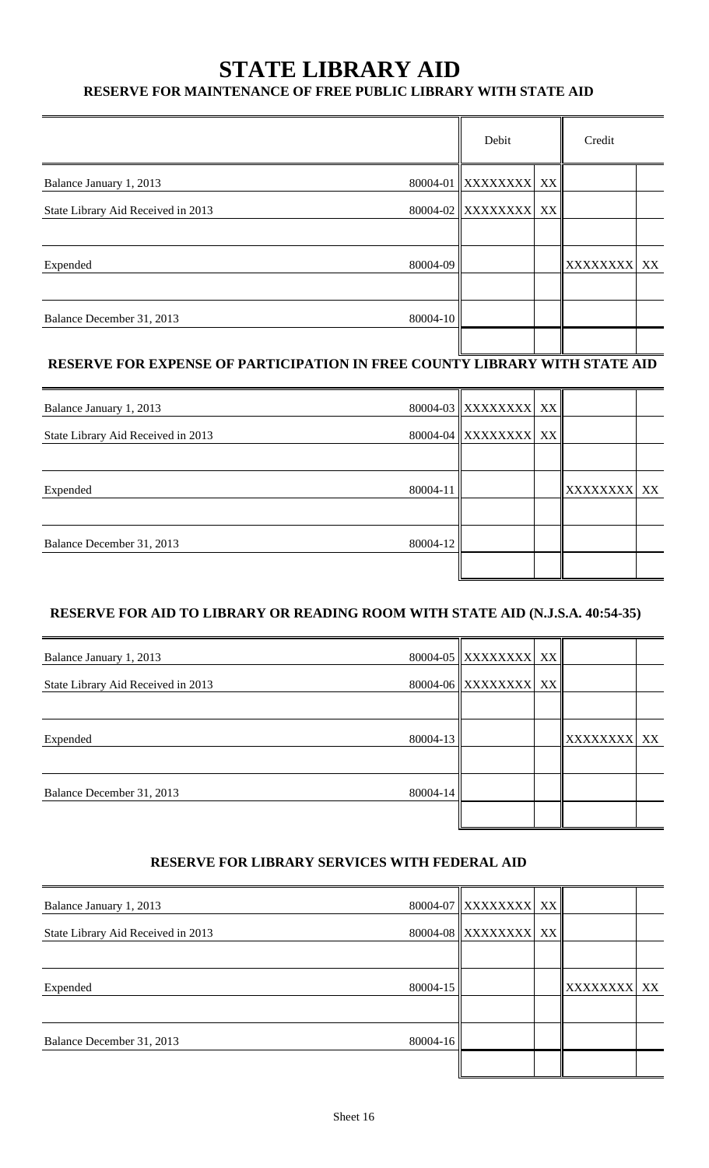### **STATE LIBRARY AID**

### **RESERVE FOR MAINTENANCE OF FREE PUBLIC LIBRARY WITH STATE AID**

|                                    |          | Debit                |  | Credit      |  |
|------------------------------------|----------|----------------------|--|-------------|--|
| Balance January 1, 2013            |          | 80004-01 XXXXXXXX XX |  |             |  |
| State Library Aid Received in 2013 |          | 80004-02 XXXXXXXX XX |  |             |  |
|                                    |          |                      |  |             |  |
| Expended                           | 80004-09 |                      |  | XXXXXXXX XX |  |
|                                    |          |                      |  |             |  |
| Balance December 31, 2013          | 80004-10 |                      |  |             |  |
|                                    |          |                      |  |             |  |

#### **RESERVE FOR EXPENSE OF PARTICIPATION IN FREE COUNTY LIBRARY WITH STATE AID**

| Balance January 1, 2013            |          | 80004-03 XXXXXXXX XX |                 |    |
|------------------------------------|----------|----------------------|-----------------|----|
| State Library Aid Received in 2013 |          | 80004-04 XXXXXXXX XX |                 |    |
|                                    |          |                      |                 |    |
| Expended                           | 80004-11 |                      | <b>XXXXXXXX</b> | XX |
|                                    |          |                      |                 |    |
| Balance December 31, 2013          | 80004-12 |                      |                 |    |
|                                    |          |                      |                 |    |

#### **RESERVE FOR AID TO LIBRARY OR READING ROOM WITH STATE AID (N.J.S.A. 40:54-35)**

| Balance January 1, 2013            |          | 80004-05 XXXXXXXX XX   |                 |    |
|------------------------------------|----------|------------------------|-----------------|----|
| State Library Aid Received in 2013 |          | $80004-06$ XXXXXXXX XX |                 |    |
|                                    |          |                        |                 |    |
| Expended                           | 80004-13 |                        | <b>XXXXXXXX</b> | XX |
|                                    |          |                        |                 |    |
| Balance December 31, 2013          | 80004-14 |                        |                 |    |
|                                    |          |                        |                 |    |

#### **RESERVE FOR LIBRARY SERVICES WITH FEDERAL AID**

| Balance January 1, 2013            |          | 80004-07 XXXXXXXX XX |             |  |
|------------------------------------|----------|----------------------|-------------|--|
| State Library Aid Received in 2013 |          | 80004-08 XXXXXXXX XX |             |  |
|                                    |          |                      |             |  |
| Expended                           | 80004-15 |                      | XXXXXXXX XX |  |
|                                    |          |                      |             |  |
| Balance December 31, 2013          | 80004-16 |                      |             |  |
|                                    |          |                      |             |  |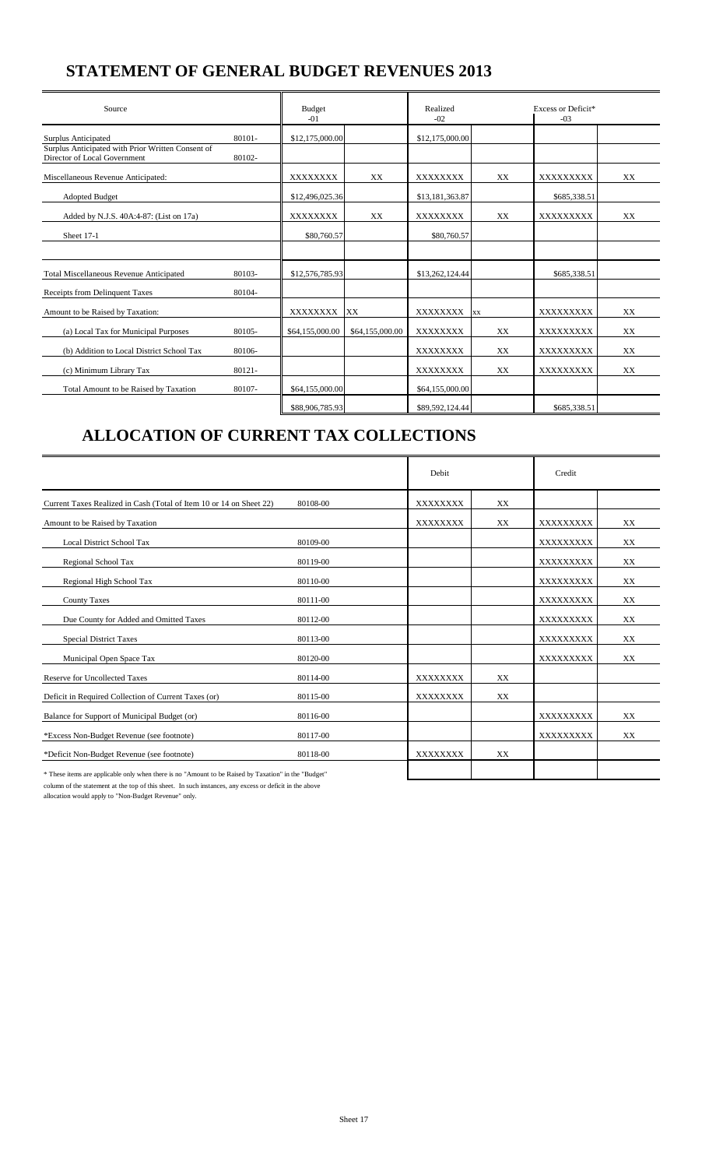### **STATEMENT OF GENERAL BUDGET REVENUES 2013**

| Source                                                                            | <b>Budget</b><br>$-01$ |                 |                 | Realized<br>$-02$ |           | Excess or Deficit*<br>$-03$ |    |
|-----------------------------------------------------------------------------------|------------------------|-----------------|-----------------|-------------------|-----------|-----------------------------|----|
| Surplus Anticipated                                                               | 80101-                 | \$12,175,000.00 |                 | \$12,175,000.00   |           |                             |    |
| Surplus Anticipated with Prior Written Consent of<br>Director of Local Government | 80102-                 |                 |                 |                   |           |                             |    |
| Miscellaneous Revenue Anticipated:                                                |                        | XXXXXXXX        | XX              | XXXXXXXX          | XX        | XXXXXXXXX                   | XX |
| <b>Adopted Budget</b>                                                             |                        | \$12,496,025.36 |                 | \$13,181,363.87   |           | \$685,338.51                |    |
| Added by N.J.S. 40A:4-87: (List on 17a)                                           |                        | XXXXXXXX        | XX              | XXXXXXXX          | XX        | XXXXXXXXX                   | XX |
| Sheet 17-1                                                                        |                        | \$80,760.57     |                 | \$80,760.57       |           |                             |    |
|                                                                                   |                        |                 |                 |                   |           |                             |    |
| <b>Total Miscellaneous Revenue Anticipated</b>                                    | 80103-                 | \$12,576,785.93 |                 | \$13,262,124.44   |           | \$685,338.51                |    |
| Receipts from Delinquent Taxes                                                    | 80104-                 |                 |                 |                   |           |                             |    |
| Amount to be Raised by Taxation:                                                  |                        | XXXXXXXX        | XX              | XXXXXXXX          | <b>XX</b> | XXXXXXXXX                   | XX |
| (a) Local Tax for Municipal Purposes                                              | 80105-                 | \$64,155,000.00 | \$64,155,000.00 | XXXXXXXX          | XX        | XXXXXXXXX                   | XX |
| (b) Addition to Local District School Tax                                         | 80106-                 |                 |                 | XXXXXXXX          | XX        | XXXXXXXXX                   | XX |
| (c) Minimum Library Tax                                                           | 80121-                 |                 |                 | XXXXXXXX          | XX        | XXXXXXXXX                   | XX |
| Total Amount to be Raised by Taxation                                             | 80107-                 | \$64,155,000.00 |                 | \$64,155,000.00   |           |                             |    |
|                                                                                   |                        | \$88,906,785.93 |                 | \$89,592,124.44   |           | \$685,338.51                |    |

### **ALLOCATION OF CURRENT TAX COLLECTIONS**

|                                                                                                      |          | Debit    |    | Credit    |    |
|------------------------------------------------------------------------------------------------------|----------|----------|----|-----------|----|
| Current Taxes Realized in Cash (Total of Item 10 or 14 on Sheet 22)                                  | 80108-00 | XXXXXXXX | XX |           |    |
| Amount to be Raised by Taxation                                                                      |          | XXXXXXXX | XX | XXXXXXXXX | XX |
| <b>Local District School Tax</b>                                                                     | 80109-00 |          |    | XXXXXXXXX | XX |
| Regional School Tax                                                                                  | 80119-00 |          |    | XXXXXXXXX | XX |
| Regional High School Tax                                                                             | 80110-00 |          |    | XXXXXXXXX | XX |
| <b>County Taxes</b>                                                                                  | 80111-00 |          |    | XXXXXXXXX | XX |
| Due County for Added and Omitted Taxes                                                               | 80112-00 |          |    | XXXXXXXXX | XX |
| <b>Special District Taxes</b>                                                                        | 80113-00 |          |    | XXXXXXXXX | XX |
| Municipal Open Space Tax                                                                             | 80120-00 |          |    | XXXXXXXXX | XX |
| Reserve for Uncollected Taxes                                                                        | 80114-00 | XXXXXXXX | XX |           |    |
| Deficit in Required Collection of Current Taxes (or)                                                 | 80115-00 | XXXXXXXX | XX |           |    |
| Balance for Support of Municipal Budget (or)                                                         | 80116-00 |          |    | XXXXXXXXX | XX |
| *Excess Non-Budget Revenue (see footnote)                                                            | 80117-00 |          |    | XXXXXXXXX | XX |
| *Deficit Non-Budget Revenue (see footnote)                                                           | 80118-00 | XXXXXXXX | XX |           |    |
| * These items are applicable only when there is no "Amount to be Raised by Taxation" in the "Budget" |          |          |    |           |    |

\* These items are applicable only when there is no "Amount to be Raised by Taxation" in the "Budget" column of the statement at the top of this sheet. In such instances, any excess or deficit in the above allocation would apply to "Non-Budget Revenue" only.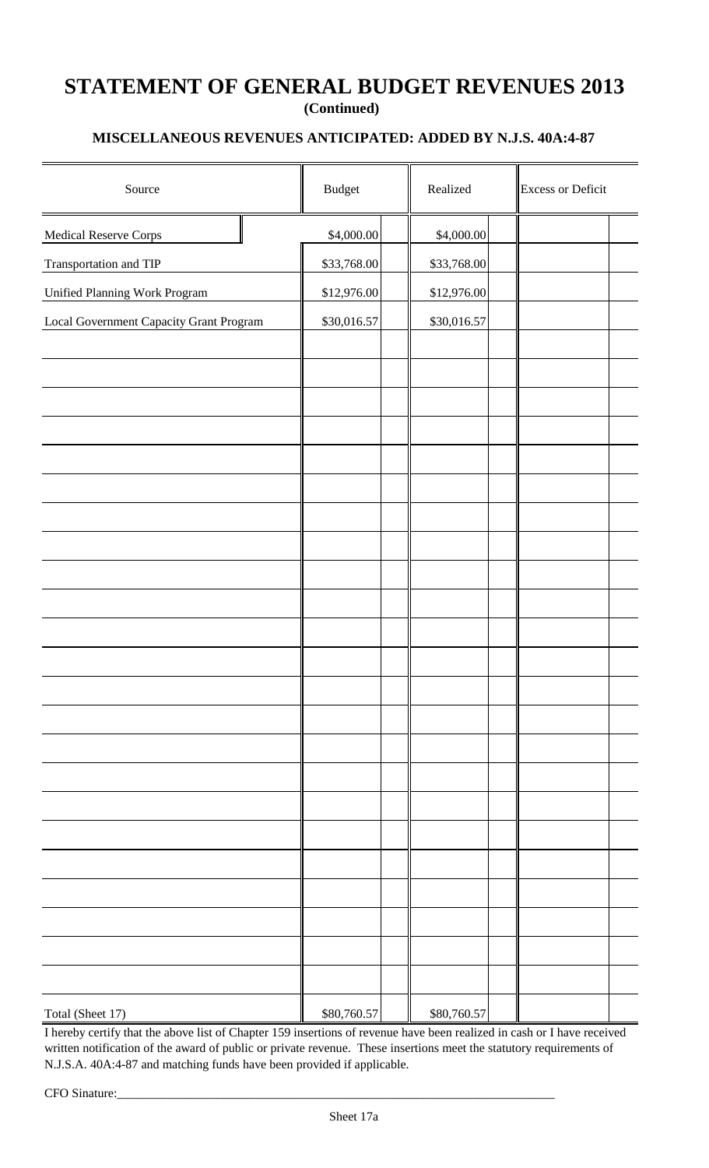### **STATEMENT OF GENERAL BUDGET REVENUES 2013 (Continued)**

#### **MISCELLANEOUS REVENUES ANTICIPATED: ADDED BY N.J.S. 40A:4-87**

| Source                                  | $\mathbf{B} \mathbf{u} \mathbf{d} \mathbf{g}$ et | Realized    | <b>Excess or Deficit</b> |
|-----------------------------------------|--------------------------------------------------|-------------|--------------------------|
| <b>Medical Reserve Corps</b>            | \$4,000.00                                       | \$4,000.00  |                          |
| Transportation and TIP                  | \$33,768.00                                      | \$33,768.00 |                          |
| <b>Unified Planning Work Program</b>    | \$12,976.00                                      | \$12,976.00 |                          |
| Local Government Capacity Grant Program | \$30,016.57                                      | \$30,016.57 |                          |
|                                         |                                                  |             |                          |
|                                         |                                                  |             |                          |
|                                         |                                                  |             |                          |
|                                         |                                                  |             |                          |
|                                         |                                                  |             |                          |
|                                         |                                                  |             |                          |
|                                         |                                                  |             |                          |
|                                         |                                                  |             |                          |
|                                         |                                                  |             |                          |
|                                         |                                                  |             |                          |
|                                         |                                                  |             |                          |
|                                         |                                                  |             |                          |
|                                         |                                                  |             |                          |
|                                         |                                                  |             |                          |
|                                         |                                                  |             |                          |
|                                         |                                                  |             |                          |
|                                         |                                                  |             |                          |
|                                         |                                                  |             |                          |
|                                         |                                                  |             |                          |
|                                         |                                                  |             |                          |
|                                         |                                                  |             |                          |
|                                         |                                                  |             |                          |
|                                         |                                                  |             |                          |
| Total (Sheet 17)                        | \$80,760.57                                      | \$80,760.57 |                          |

I hereby certify that the above list of Chapter 159 insertions of revenue have been realized in cash or I have received written notification of the award of public or private revenue. These insertions meet the statutory requirements of N.J.S.A. 40A:4-87 and matching funds have been provided if applicable.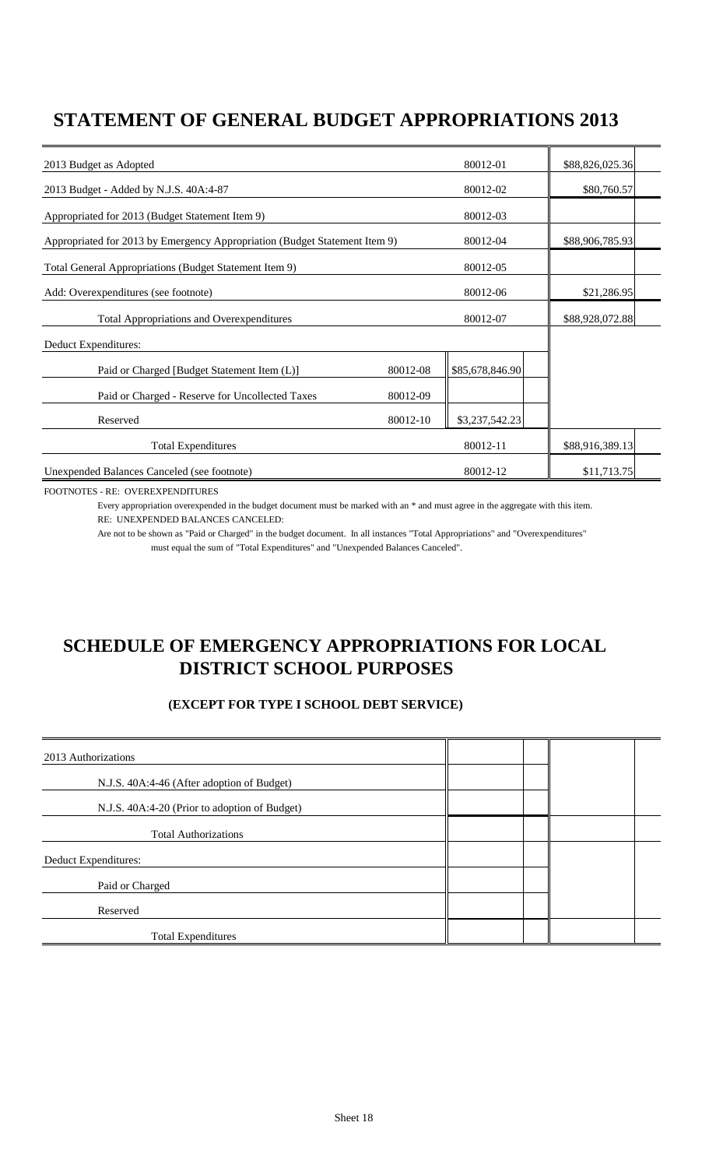### **STATEMENT OF GENERAL BUDGET APPROPRIATIONS 2013**

| 2013 Budget as Adopted                                                     |          | 80012-01        | \$88,826,025.36 |  |
|----------------------------------------------------------------------------|----------|-----------------|-----------------|--|
| 2013 Budget - Added by N.J.S. 40A:4-87                                     |          | 80012-02        | \$80,760.57     |  |
| Appropriated for 2013 (Budget Statement Item 9)                            |          | 80012-03        |                 |  |
| Appropriated for 2013 by Emergency Appropriation (Budget Statement Item 9) |          | 80012-04        | \$88,906,785.93 |  |
| Total General Appropriations (Budget Statement Item 9)                     |          | 80012-05        |                 |  |
| Add: Overexpenditures (see footnote)                                       |          | 80012-06        | \$21,286.95     |  |
| <b>Total Appropriations and Overexpenditures</b>                           |          | 80012-07        | \$88,928,072.88 |  |
| Deduct Expenditures:                                                       |          |                 |                 |  |
| Paid or Charged [Budget Statement Item (L)]                                | 80012-08 | \$85,678,846.90 |                 |  |
| Paid or Charged - Reserve for Uncollected Taxes                            | 80012-09 |                 |                 |  |
| Reserved                                                                   | 80012-10 | \$3,237,542.23  |                 |  |
| <b>Total Expenditures</b>                                                  |          | 80012-11        | \$88,916,389.13 |  |
| Unexpended Balances Canceled (see footnote)                                |          | 80012-12        | \$11,713.75     |  |

FOOTNOTES - RE: OVEREXPENDITURES

Every appropriation overexpended in the budget document must be marked with an \* and must agree in the aggregate with this item. RE: UNEXPENDED BALANCES CANCELED:

Are not to be shown as "Paid or Charged" in the budget document. In all instances "Total Appropriations" and "Overexpenditures" must equal the sum of "Total Expenditures" and "Unexpended Balances Canceled".

### **SCHEDULE OF EMERGENCY APPROPRIATIONS FOR LOCAL DISTRICT SCHOOL PURPOSES**

#### **(EXCEPT FOR TYPE I SCHOOL DEBT SERVICE)**

| 2013 Authorizations                           |  |  |
|-----------------------------------------------|--|--|
| N.J.S. 40A:4-46 (After adoption of Budget)    |  |  |
| N.J.S. 40A:4-20 (Prior to adoption of Budget) |  |  |
| <b>Total Authorizations</b>                   |  |  |
| Deduct Expenditures:                          |  |  |
| Paid or Charged                               |  |  |
| Reserved                                      |  |  |
| <b>Total Expenditures</b>                     |  |  |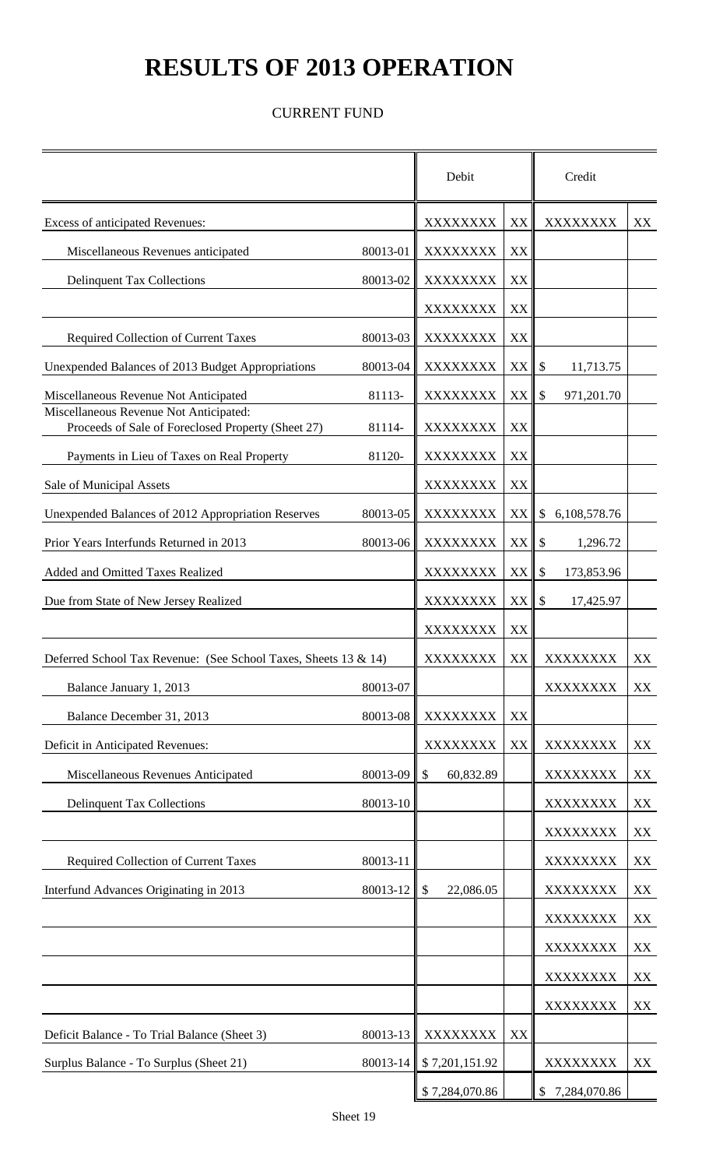# **RESULTS OF 2013 OPERATION**

### CURRENT FUND

|                                                                                              |          | Debit                                  |                 | Credit             |    |
|----------------------------------------------------------------------------------------------|----------|----------------------------------------|-----------------|--------------------|----|
| Excess of anticipated Revenues:                                                              |          | XXXXXXXX                               | XX              | XXXXXXXX           | XX |
| Miscellaneous Revenues anticipated                                                           | 80013-01 | XXXXXXXX                               | XX              |                    |    |
| <b>Delinquent Tax Collections</b>                                                            | 80013-02 | XXXXXXXX                               | XX              |                    |    |
|                                                                                              |          | XXXXXXXX                               | XX              |                    |    |
| <b>Required Collection of Current Taxes</b>                                                  | 80013-03 | XXXXXXXX                               | XX              |                    |    |
| Unexpended Balances of 2013 Budget Appropriations                                            | 80013-04 | XXXXXXXX                               | XX              | \$<br>11,713.75    |    |
| Miscellaneous Revenue Not Anticipated                                                        | 81113-   | XXXXXXXX                               | XX              | \$<br>971,201.70   |    |
| Miscellaneous Revenue Not Anticipated:<br>Proceeds of Sale of Foreclosed Property (Sheet 27) | 81114-   | XXXXXXXX                               | XX              |                    |    |
| Payments in Lieu of Taxes on Real Property                                                   | 81120-   | XXXXXXXX                               | XX              |                    |    |
| Sale of Municipal Assets                                                                     |          | XXXXXXXX                               | XX              |                    |    |
| Unexpended Balances of 2012 Appropriation Reserves                                           | 80013-05 | XXXXXXXX                               | XX              | 6,108,578.76<br>\$ |    |
| Prior Years Interfunds Returned in 2013                                                      | 80013-06 | XXXXXXXX                               | XX <sub>l</sub> | 1,296.72<br>\$     |    |
| Added and Omitted Taxes Realized                                                             |          | XXXXXXXX                               | XX <sub>l</sub> | \$<br>173,853.96   |    |
| Due from State of New Jersey Realized                                                        |          | XXXXXXXX                               | XX <sub>l</sub> | \$<br>17,425.97    |    |
|                                                                                              |          | XXXXXXXX                               | XX              |                    |    |
| Deferred School Tax Revenue: (See School Taxes, Sheets 13 & 14)                              |          | XXXXXXXX                               | XX              | XXXXXXXX           | XX |
| Balance January 1, 2013                                                                      | 80013-07 |                                        |                 | XXXXXXXX           | XX |
| Balance December 31, 2013                                                                    | 80013-08 | XXXXXXXX                               | XX              |                    |    |
| Deficit in Anticipated Revenues:                                                             |          | XXXXXXXX                               | XX              | XXXXXXXX           | XX |
| Miscellaneous Revenues Anticipated                                                           | 80013-09 | 60,832.89<br>$\boldsymbol{\mathsf{S}}$ |                 | XXXXXXXX           | XX |
| <b>Delinquent Tax Collections</b>                                                            | 80013-10 |                                        |                 | XXXXXXXX           | XX |
|                                                                                              |          |                                        |                 | XXXXXXXX           | XX |
| <b>Required Collection of Current Taxes</b>                                                  | 80013-11 |                                        |                 | XXXXXXXX           | XX |
| Interfund Advances Originating in 2013                                                       | 80013-12 | 22,086.05<br>$\boldsymbol{\mathsf{S}}$ |                 | XXXXXXXX           | XX |
|                                                                                              |          |                                        |                 | XXXXXXXX           | XX |
|                                                                                              |          |                                        |                 | XXXXXXXX           | XX |
|                                                                                              |          |                                        |                 | XXXXXXXX           | XX |
|                                                                                              |          |                                        |                 | XXXXXXXX           | XX |
| Deficit Balance - To Trial Balance (Sheet 3)                                                 | 80013-13 | XXXXXXXX                               | XX              |                    |    |
| Surplus Balance - To Surplus (Sheet 21)                                                      | 80013-14 | \$7,201,151.92                         |                 | XXXXXXXX           | XX |
|                                                                                              |          | \$7,284,070.86                         |                 | 7,284,070.86       |    |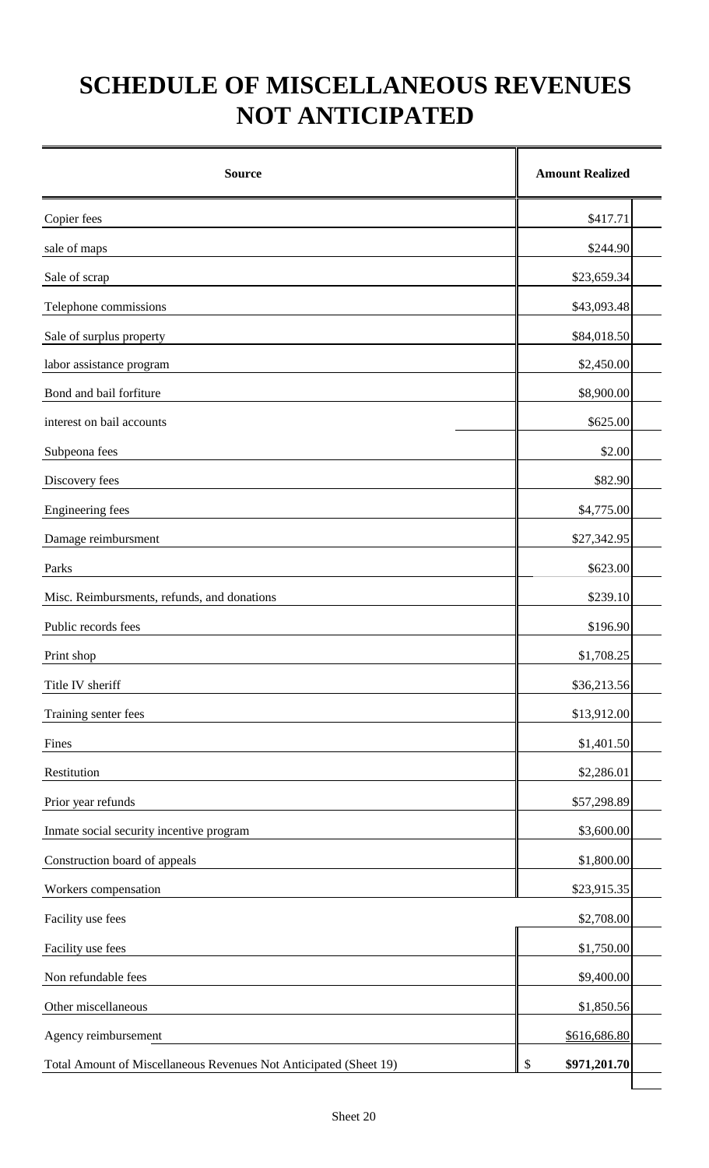# **SCHEDULE OF MISCELLANEOUS REVENUES NOT ANTICIPATED**

| <b>Source</b>                                                     | <b>Amount Realized</b> |  |
|-------------------------------------------------------------------|------------------------|--|
| Copier fees                                                       | \$417.71               |  |
| sale of maps                                                      | \$244.90               |  |
| Sale of scrap                                                     | \$23,659.34            |  |
| Telephone commissions                                             | \$43,093.48            |  |
| Sale of surplus property                                          | \$84,018.50            |  |
| labor assistance program                                          | \$2,450.00             |  |
| Bond and bail forfiture                                           | \$8,900.00             |  |
| interest on bail accounts                                         | \$625.00               |  |
| Subpeona fees                                                     | \$2.00                 |  |
| Discovery fees                                                    | \$82.90                |  |
| Engineering fees                                                  | \$4,775.00             |  |
| Damage reimbursment                                               | \$27,342.95            |  |
| Parks                                                             | \$623.00               |  |
| Misc. Reimbursments, refunds, and donations                       | \$239.10               |  |
| Public records fees                                               | \$196.90               |  |
| Print shop                                                        | \$1,708.25             |  |
| Title IV sheriff                                                  | \$36,213.56            |  |
| Training senter fees                                              | \$13,912.00            |  |
| Fines                                                             | \$1,401.50             |  |
| Restitution                                                       | \$2,286.01             |  |
| Prior year refunds                                                | \$57,298.89            |  |
| Inmate social security incentive program                          | \$3,600.00             |  |
| Construction board of appeals                                     | \$1,800.00             |  |
| Workers compensation                                              | \$23,915.35            |  |
| Facility use fees                                                 | \$2,708.00             |  |
| Facility use fees                                                 | \$1,750.00             |  |
| Non refundable fees                                               | \$9,400.00             |  |
| Other miscellaneous                                               | \$1,850.56             |  |
| Agency reimbursement                                              | \$616,686.80           |  |
| Total Amount of Miscellaneous Revenues Not Anticipated (Sheet 19) | \$<br>\$971,201.70     |  |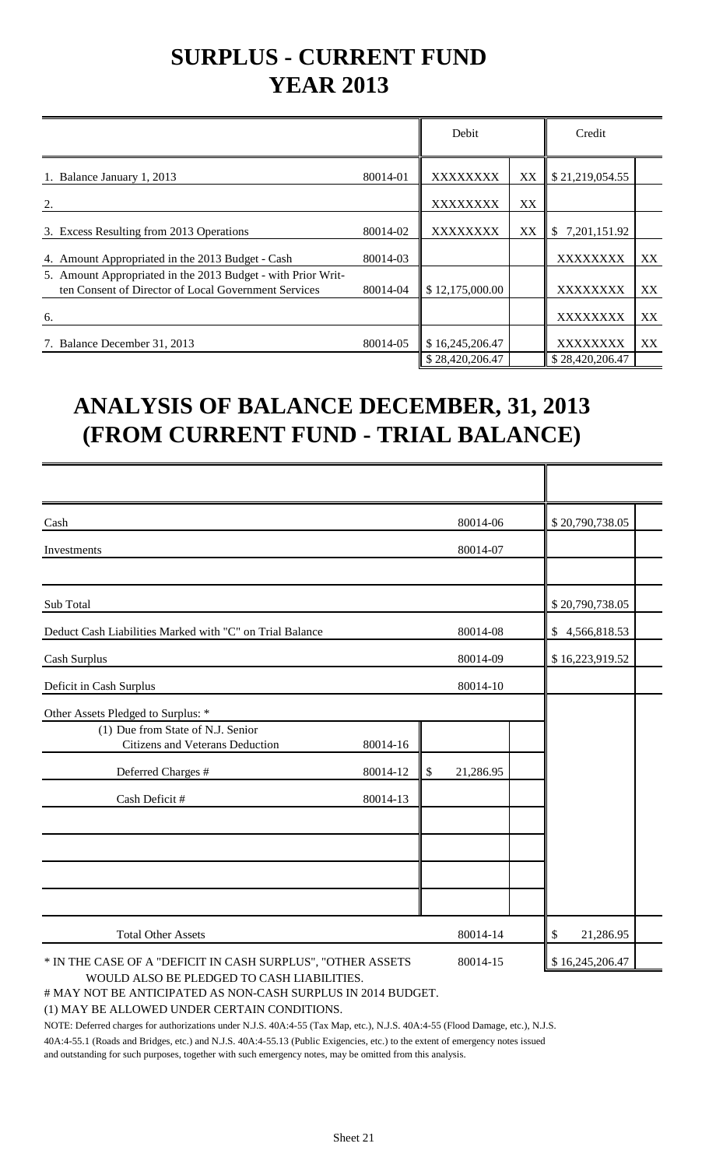## **SURPLUS - CURRENT FUND YEAR 2013**

|                                                                                                                      |          | Debit           |    | Credit              |    |
|----------------------------------------------------------------------------------------------------------------------|----------|-----------------|----|---------------------|----|
| 1. Balance January 1, 2013                                                                                           | 80014-01 | XXXXXXXX        | XX | \$21,219,054.55     |    |
| 2.                                                                                                                   |          | XXXXXXXX        | XX |                     |    |
| 3. Excess Resulting from 2013 Operations                                                                             | 80014-02 | XXXXXXXX        | XX | 7,201,151.92<br>\$. |    |
| 4. Amount Appropriated in the 2013 Budget - Cash                                                                     | 80014-03 |                 |    | XXXXXXXX            | XX |
| 5. Amount Appropriated in the 2013 Budget - with Prior Writ-<br>ten Consent of Director of Local Government Services | 80014-04 | \$12,175,000.00 |    | XXXXXXXX            | XX |
| 6.                                                                                                                   |          |                 |    | XXXXXXXX            | XX |
| 7. Balance December 31, 2013                                                                                         | 80014-05 | \$16,245,206.47 |    | XXXXXXXX            | XX |
|                                                                                                                      |          | \$28,420,206.47 |    | \$28,420,206.47     |    |

# **ANALYSIS OF BALANCE DECEMBER, 31, 2013 (FROM CURRENT FUND - TRIAL BALANCE)**

| Cash                                                                 |          |                           | 80014-06  |     | \$20,790,738.05 |  |
|----------------------------------------------------------------------|----------|---------------------------|-----------|-----|-----------------|--|
| Investments                                                          |          |                           | 80014-07  |     |                 |  |
|                                                                      |          |                           |           |     |                 |  |
| Sub Total                                                            |          |                           |           |     | \$20,790,738.05 |  |
| Deduct Cash Liabilities Marked with "C" on Trial Balance             |          |                           | 80014-08  |     | \$4,566,818.53  |  |
| Cash Surplus                                                         |          |                           | 80014-09  |     | \$16,223,919.52 |  |
| Deficit in Cash Surplus                                              |          |                           | 80014-10  |     |                 |  |
| Other Assets Pledged to Surplus: *                                   |          |                           |           |     |                 |  |
| (1) Due from State of N.J. Senior<br>Citizens and Veterans Deduction | 80014-16 |                           |           |     |                 |  |
| Deferred Charges #                                                   | 80014-12 | $\boldsymbol{\mathsf{S}}$ | 21,286.95 |     |                 |  |
| Cash Deficit #                                                       | 80014-13 |                           |           |     |                 |  |
|                                                                      |          |                           |           |     |                 |  |
|                                                                      |          |                           |           |     |                 |  |
|                                                                      |          |                           |           |     |                 |  |
|                                                                      |          |                           |           |     |                 |  |
| <b>Total Other Assets</b>                                            |          |                           | 80014-14  | \$. | 21,286.95       |  |
| * IN THE CASE OF A "DEFICIT IN CASH SURPLUS", "OTHER ASSETS          |          |                           | 80014-15  |     | \$16,245,206.47 |  |
| WOULD ALSO BE PLEDGED TO CASH LIABILITIES.                           |          |                           |           |     |                 |  |

# MAY NOT BE ANTICIPATED AS NON-CASH SURPLUS IN 2014 BUDGET.

(1) MAY BE ALLOWED UNDER CERTAIN CONDITIONS.

NOTE: Deferred charges for authorizations under N.J.S. 40A:4-55 (Tax Map, etc.), N.J.S. 40A:4-55 (Flood Damage, etc.), N.J.S. 40A:4-55.1 (Roads and Bridges, etc.) and N.J.S. 40A:4-55.13 (Public Exigencies, etc.) to the extent of emergency notes issued and outstanding for such purposes, together with such emergency notes, may be omitted from this analysis.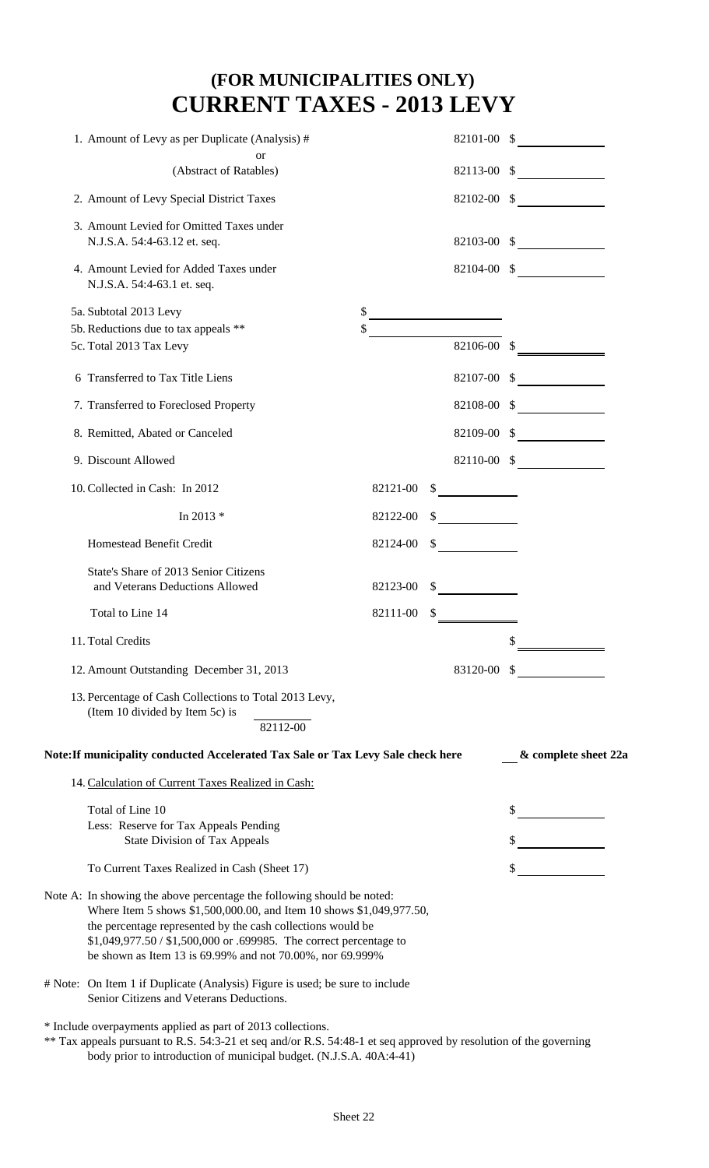## **(FOR MUNICIPALITIES ONLY) CURRENT TAXES - 2013 LEVY**

| 1. Amount of Levy as per Duplicate (Analysis) #                                                                                                                                                                                                                                                                                                  |          | 82101-00 \$ |                          |
|--------------------------------------------------------------------------------------------------------------------------------------------------------------------------------------------------------------------------------------------------------------------------------------------------------------------------------------------------|----------|-------------|--------------------------|
| <sub>or</sub><br>(Abstract of Ratables)                                                                                                                                                                                                                                                                                                          |          |             | $82113-00$ \$            |
|                                                                                                                                                                                                                                                                                                                                                  |          |             |                          |
| 2. Amount of Levy Special District Taxes                                                                                                                                                                                                                                                                                                         |          |             | 82102-00 \$              |
| 3. Amount Levied for Omitted Taxes under<br>N.J.S.A. 54:4-63.12 et. seq.                                                                                                                                                                                                                                                                         |          | 82103-00 \$ |                          |
| 4. Amount Levied for Added Taxes under<br>N.J.S.A. 54:4-63.1 et. seq.                                                                                                                                                                                                                                                                            |          |             | $82104-00$ \$            |
| 5a. Subtotal 2013 Levy                                                                                                                                                                                                                                                                                                                           | S        |             |                          |
| 5b. Reductions due to tax appeals **                                                                                                                                                                                                                                                                                                             |          |             |                          |
| 5c. Total 2013 Tax Levy                                                                                                                                                                                                                                                                                                                          |          | 82106-00    |                          |
| 6 Transferred to Tax Title Liens                                                                                                                                                                                                                                                                                                                 |          | 82107-00 \$ | $\overline{\phantom{a}}$ |
| 7. Transferred to Foreclosed Property                                                                                                                                                                                                                                                                                                            |          | 82108-00 \$ |                          |
| 8. Remitted, Abated or Canceled                                                                                                                                                                                                                                                                                                                  |          | 82109-00 \$ |                          |
| 9. Discount Allowed                                                                                                                                                                                                                                                                                                                              |          | 82110-00 \$ |                          |
| 10. Collected in Cash: In 2012                                                                                                                                                                                                                                                                                                                   | 82121-00 |             |                          |
| In 2013 $*$                                                                                                                                                                                                                                                                                                                                      | 82122-00 |             |                          |
| Homestead Benefit Credit                                                                                                                                                                                                                                                                                                                         | 82124-00 |             |                          |
| State's Share of 2013 Senior Citizens<br>and Veterans Deductions Allowed                                                                                                                                                                                                                                                                         | 82123-00 |             |                          |
| Total to Line 14                                                                                                                                                                                                                                                                                                                                 | 82111-00 |             |                          |
| 11. Total Credits                                                                                                                                                                                                                                                                                                                                |          |             | \$                       |
| 12. Amount Outstanding December 31, 2013                                                                                                                                                                                                                                                                                                         |          | 83120-00 \$ |                          |
| 13. Percentage of Cash Collections to Total 2013 Levy,<br>(Item 10 divided by Item 5c) is<br>82112-00<br>Note: If municipality conducted Accelerated Tax Sale or Tax Levy Sale check here                                                                                                                                                        |          |             | & complete sheet 22a     |
| 14. Calculation of Current Taxes Realized in Cash:                                                                                                                                                                                                                                                                                               |          |             |                          |
| Total of Line 10                                                                                                                                                                                                                                                                                                                                 |          |             | \$                       |
| Less: Reserve for Tax Appeals Pending                                                                                                                                                                                                                                                                                                            |          |             |                          |
| <b>State Division of Tax Appeals</b>                                                                                                                                                                                                                                                                                                             |          |             |                          |
| To Current Taxes Realized in Cash (Sheet 17)                                                                                                                                                                                                                                                                                                     |          |             |                          |
| Note A: In showing the above percentage the following should be noted:<br>Where Item 5 shows \$1,500,000.00, and Item 10 shows \$1,049,977.50,<br>the percentage represented by the cash collections would be<br>\$1,049,977.50 / \$1,500,000 or .699985. The correct percentage to<br>be shown as Item 13 is 69.99% and not 70.00%, nor 69.999% |          |             |                          |
| # Note: On Item 1 if Duplicate (Analysis) Figure is used; be sure to include<br>Senior Citizens and Veterans Deductions.                                                                                                                                                                                                                         |          |             |                          |
| * Include overpayments applied as part of 2013 collections.<br>** Tax appeals pursuant to R.S. 54:3-21 et seq and/or R.S. 54:48-1 et seq approved by resolution of the governing<br>body prior to introduction of municipal budget. (N.J.S.A. 40A:4-41)                                                                                          |          |             |                          |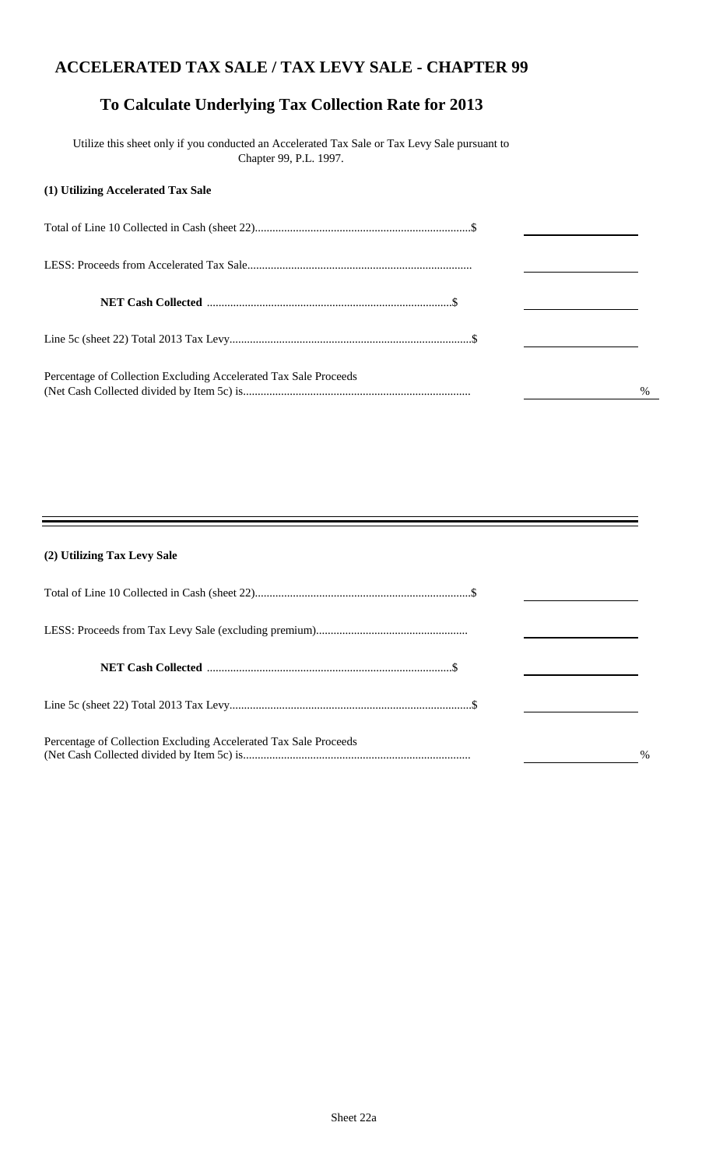### **ACCELERATED TAX SALE / TAX LEVY SALE - CHAPTER 99**

### **To Calculate Underlying Tax Collection Rate for 2013**

 Utilize this sheet only if you conducted an Accelerated Tax Sale or Tax Levy Sale pursuant to Chapter 99, P.L. 1997.

#### **(1) Utilizing Accelerated Tax Sale**

| Percentage of Collection Excluding Accelerated Tax Sale Proceeds | $\%$ |
|------------------------------------------------------------------|------|

#### **(2) Utilizing Tax Levy Sale**

| Percentage of Collection Excluding Accelerated Tax Sale Proceeds | $\%$ |
|------------------------------------------------------------------|------|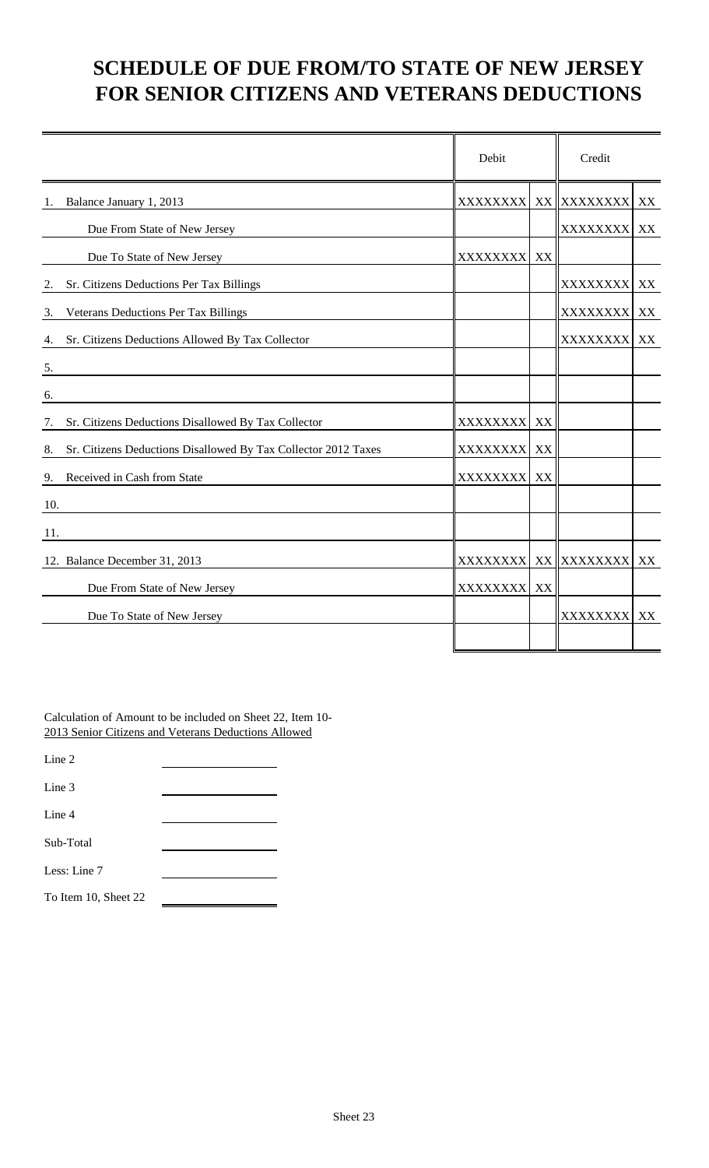## **SCHEDULE OF DUE FROM/TO STATE OF NEW JERSEY FOR SENIOR CITIZENS AND VETERANS DEDUCTIONS**

|                                                                      | Debit            |    | Credit                        |    |
|----------------------------------------------------------------------|------------------|----|-------------------------------|----|
| Balance January 1, 2013                                              |                  |    | XXXXXXXX  XX   XXXXXXXX       | XX |
| Due From State of New Jersey                                         |                  |    | <b>XXXXXXXX</b>               | XX |
| Due To State of New Jersey                                           | <b>XXXXXXXXI</b> | XX |                               |    |
| Sr. Citizens Deductions Per Tax Billings<br>2.                       |                  |    | XXXXXXXX                      | XX |
| Veterans Deductions Per Tax Billings<br>3.                           |                  |    | XXXXXXXX                      | XX |
| Sr. Citizens Deductions Allowed By Tax Collector<br>4.               |                  |    | XXXXXXXX                      | XX |
| 5.                                                                   |                  |    |                               |    |
| 6.                                                                   |                  |    |                               |    |
| Sr. Citizens Deductions Disallowed By Tax Collector<br>7.            | <b>XXXXXXXX</b>  | XX |                               |    |
| Sr. Citizens Deductions Disallowed By Tax Collector 2012 Taxes<br>8. | <b>XXXXXXXX</b>  | XX |                               |    |
| Received in Cash from State<br>9.                                    | <b>XXXXXXXX</b>  | XX |                               |    |
| 10.                                                                  |                  |    |                               |    |
| 11.                                                                  |                  |    |                               |    |
| 12. Balance December 31, 2013                                        |                  |    | XXXXXXXX  XX    XXXXXXXX   XX |    |
| Due From State of New Jersey                                         | <b>XXXXXXXXI</b> | XX |                               |    |
| Due To State of New Jersey                                           |                  |    | <b>XXXXXXXXI</b>              | XX |
|                                                                      |                  |    |                               |    |

Calculation of Amount to be included on Sheet 22, Item 10- 2013 Senior Citizens and Veterans Deductions Allowed

Line 2 Line 3 Line 4 Sub-Total

Less: Line 7

To Item 10, Sheet 22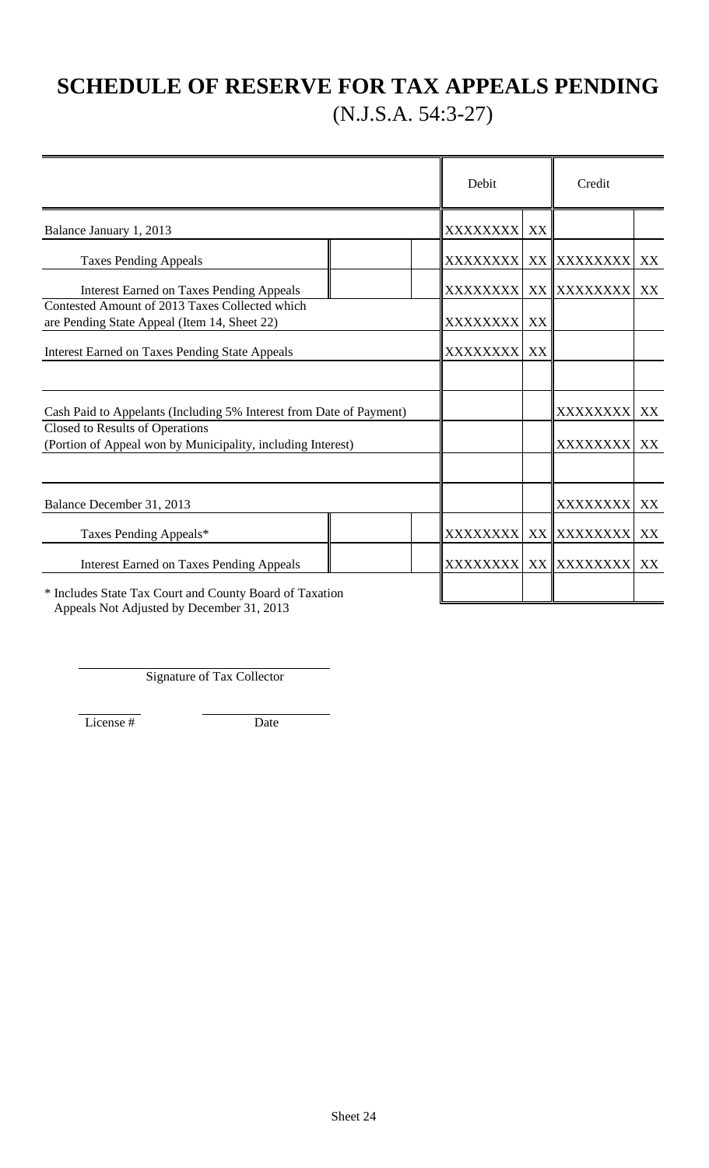## **SCHEDULE OF RESERVE FOR TAX APPEALS PENDING** (N.J.S.A. 54:3-27)

|                                                                                                                            | Debit            |                 | Credit | XX<br>XX<br>XX                |    |  |  |
|----------------------------------------------------------------------------------------------------------------------------|------------------|-----------------|--------|-------------------------------|----|--|--|
| Balance January 1, 2013                                                                                                    |                  | XXXXXXXX        | XX     |                               |    |  |  |
| <b>Taxes Pending Appeals</b>                                                                                               |                  |                 |        | XXXXXXXX∣ XX    XXXXXXXX   XX |    |  |  |
| <b>Interest Earned on Taxes Pending Appeals</b>                                                                            |                  | <b>XXXXXXXX</b> |        | XX XXXXXXXX                   |    |  |  |
| Contested Amount of 2013 Taxes Collected which<br>are Pending State Appeal (Item 14, Sheet 22)                             |                  | XXXXXXXX XX     |        |                               |    |  |  |
| <b>Interest Earned on Taxes Pending State Appeals</b>                                                                      | <b>XXXXXXXXI</b> | XX              |        |                               |    |  |  |
|                                                                                                                            |                  |                 |        |                               |    |  |  |
| Cash Paid to Appelants (Including 5% Interest from Date of Payment)                                                        |                  |                 |        | <b>XXXXXXXX</b>               |    |  |  |
| Closed to Results of Operations<br>(Portion of Appeal won by Municipality, including Interest)                             |                  |                 |        | XXXXXXXX                      |    |  |  |
| Balance December 31, 2013                                                                                                  |                  |                 |        | XXXXXXXX                      | XX |  |  |
| Taxes Pending Appeals*                                                                                                     |                  | XXXXXXXX        |        | XX XXXXXXXX                   | XX |  |  |
| <b>Interest Earned on Taxes Pending Appeals</b>                                                                            |                  | XXXXXXXX        |        | XX XXXXXXXX                   | XX |  |  |
| * Includes State Tax Court and County Board of Taxation<br>$1 \times 1 \times 1!$ $11 \times 11 \times 1$ $21 \times 2012$ |                  |                 |        |                               |    |  |  |

Appeals Not Adjusted by December 31, 2013

Signature of Tax Collector

License # Date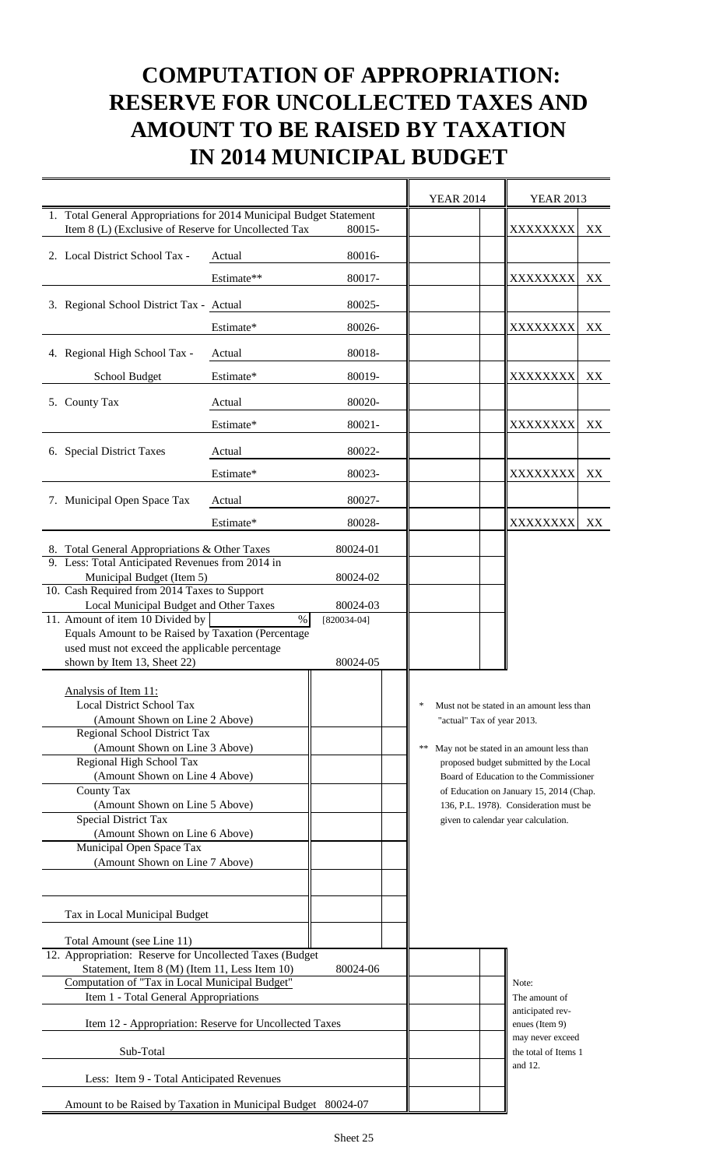## **COMPUTATION OF APPROPRIATION: RESERVE FOR UNCOLLECTED TAXES AND AMOUNT TO BE RAISED BY TAXATION IN 2014 MUNICIPAL BUDGET**

|                                                                                                                             |            |                       | <b>YEAR 2014</b>           | <b>YEAR 2013</b>                                                                  |    |
|-----------------------------------------------------------------------------------------------------------------------------|------------|-----------------------|----------------------------|-----------------------------------------------------------------------------------|----|
| 1. Total General Appropriations for 2014 Municipal Budget Statement<br>Item 8 (L) (Exclusive of Reserve for Uncollected Tax |            | 80015-                |                            | XXXXXXXX                                                                          | XX |
| 2. Local District School Tax -                                                                                              | Actual     | 80016-                |                            |                                                                                   |    |
|                                                                                                                             | Estimate** | 80017-                |                            | XXXXXXXX                                                                          | XX |
| 3. Regional School District Tax - Actual                                                                                    |            | 80025-                |                            |                                                                                   |    |
|                                                                                                                             | Estimate*  | 80026-                |                            | XXXXXXXX                                                                          | XX |
| 4. Regional High School Tax -                                                                                               | Actual     | 80018-                |                            |                                                                                   |    |
| School Budget                                                                                                               | Estimate*  | 80019-                |                            | XXXXXXXX                                                                          | XX |
| 5. County Tax                                                                                                               | Actual     | 80020-                |                            |                                                                                   |    |
|                                                                                                                             | Estimate*  | 80021-                |                            | XXXXXXXX                                                                          | XX |
| 6. Special District Taxes                                                                                                   | Actual     | 80022-                |                            |                                                                                   |    |
|                                                                                                                             | Estimate*  | 80023-                |                            | XXXXXXXX                                                                          | XX |
| 7. Municipal Open Space Tax                                                                                                 | Actual     | 80027-                |                            |                                                                                   |    |
|                                                                                                                             | Estimate*  | 80028-                |                            | <b>XXXXXXXX</b>                                                                   | XX |
| 8. Total General Appropriations & Other Taxes                                                                               |            | 80024-01              |                            |                                                                                   |    |
| 9. Less: Total Anticipated Revenues from 2014 in<br>Municipal Budget (Item 5)                                               |            | 80024-02              |                            |                                                                                   |    |
| 10. Cash Required from 2014 Taxes to Support                                                                                |            |                       |                            |                                                                                   |    |
| Local Municipal Budget and Other Taxes                                                                                      |            | 80024-03              |                            |                                                                                   |    |
| 11. Amount of item 10 Divided by                                                                                            |            | $\%$<br>$[820034-04]$ |                            |                                                                                   |    |
| Equals Amount to be Raised by Taxation (Percentage                                                                          |            |                       |                            |                                                                                   |    |
| used must not exceed the applicable percentage<br>shown by Item 13, Sheet 22)                                               |            | 80024-05              |                            |                                                                                   |    |
| Analysis of Item 11:                                                                                                        |            |                       |                            |                                                                                   |    |
| <b>Local District School Tax</b>                                                                                            |            |                       |                            | Must not be stated in an amount less than                                         |    |
| (Amount Shown on Line 2 Above)                                                                                              |            |                       | "actual" Tax of year 2013. |                                                                                   |    |
| Regional School District Tax                                                                                                |            |                       |                            |                                                                                   |    |
| (Amount Shown on Line 3 Above)                                                                                              |            |                       | **                         | May not be stated in an amount less than                                          |    |
| Regional High School Tax                                                                                                    |            |                       |                            | proposed budget submitted by the Local                                            |    |
| (Amount Shown on Line 4 Above)                                                                                              |            |                       |                            | Board of Education to the Commissioner                                            |    |
| County Tax<br>(Amount Shown on Line 5 Above)                                                                                |            |                       |                            | of Education on January 15, 2014 (Chap.<br>136, P.L. 1978). Consideration must be |    |
| <b>Special District Tax</b>                                                                                                 |            |                       |                            | given to calendar year calculation.                                               |    |
| (Amount Shown on Line 6 Above)                                                                                              |            |                       |                            |                                                                                   |    |
| Municipal Open Space Tax                                                                                                    |            |                       |                            |                                                                                   |    |
| (Amount Shown on Line 7 Above)                                                                                              |            |                       |                            |                                                                                   |    |
|                                                                                                                             |            |                       |                            |                                                                                   |    |
| Tax in Local Municipal Budget                                                                                               |            |                       |                            |                                                                                   |    |
| Total Amount (see Line 11)                                                                                                  |            |                       |                            |                                                                                   |    |
| 12. Appropriation: Reserve for Uncollected Taxes (Budget                                                                    |            |                       |                            |                                                                                   |    |
| Statement, Item 8 (M) (Item 11, Less Item 10)                                                                               |            | 80024-06              |                            |                                                                                   |    |
| Computation of "Tax in Local Municipal Budget"<br>Item 1 - Total General Appropriations                                     |            |                       |                            | Note:<br>The amount of                                                            |    |
|                                                                                                                             |            |                       |                            | anticipated rev-                                                                  |    |
| Item 12 - Appropriation: Reserve for Uncollected Taxes                                                                      |            |                       |                            | enues (Item 9)<br>may never exceed                                                |    |
| Sub-Total                                                                                                                   |            |                       |                            | the total of Items 1<br>and 12.                                                   |    |
| Less: Item 9 - Total Anticipated Revenues                                                                                   |            |                       |                            |                                                                                   |    |
| Amount to be Raised by Taxation in Municipal Budget 80024-07                                                                |            |                       |                            |                                                                                   |    |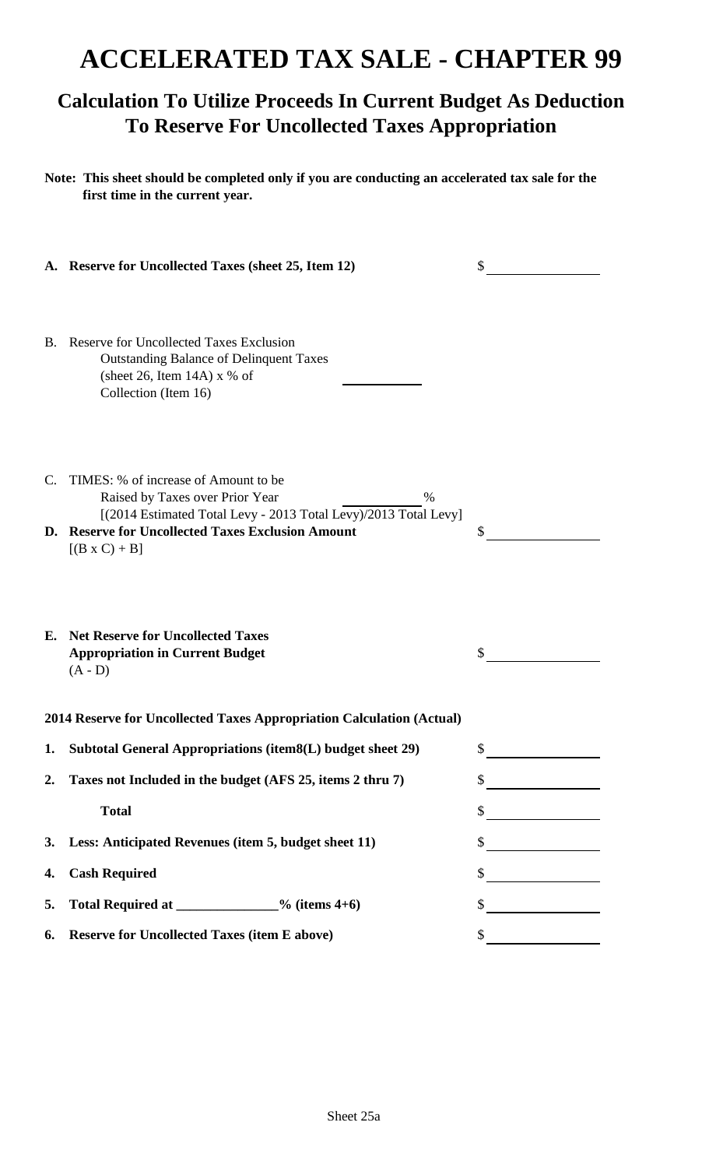# **ACCELERATED TAX SALE - CHAPTER 99**

## **Calculation To Utilize Proceeds In Current Budget As Deduction To Reserve For Uncollected Taxes Appropriation**

**Note: This sheet should be completed only if you are conducting an accelerated tax sale for the first time in the current year.**

|    | A. Reserve for Uncollected Taxes (sheet 25, Item 12)                                                                                                                                                                               | \$                                            |  |  |  |  |
|----|------------------------------------------------------------------------------------------------------------------------------------------------------------------------------------------------------------------------------------|-----------------------------------------------|--|--|--|--|
|    | B. Reserve for Uncollected Taxes Exclusion<br><b>Outstanding Balance of Delinquent Taxes</b><br>(sheet 26, Item 14A) $x$ % of<br>Collection (Item 16)                                                                              |                                               |  |  |  |  |
|    | C. TIMES: % of increase of Amount to be<br>Raised by Taxes over Prior Year<br>$\%$<br>[(2014 Estimated Total Levy - 2013 Total Levy)/2013 Total Levy]<br>D. Reserve for Uncollected Taxes Exclusion Amount<br>$[(B \times C) + B]$ | \$                                            |  |  |  |  |
| Е. | <b>Net Reserve for Uncollected Taxes</b><br><b>Appropriation in Current Budget</b><br>$(A - D)$                                                                                                                                    | \$                                            |  |  |  |  |
|    | 2014 Reserve for Uncollected Taxes Appropriation Calculation (Actual)                                                                                                                                                              |                                               |  |  |  |  |
| 1. | Subtotal General Appropriations (item8(L) budget sheet 29)                                                                                                                                                                         |                                               |  |  |  |  |
| 2. | Taxes not Included in the budget (AFS 25, items 2 thru 7)                                                                                                                                                                          | Φ                                             |  |  |  |  |
|    | <b>Total</b>                                                                                                                                                                                                                       | \$                                            |  |  |  |  |
| 3. | Less: Anticipated Revenues (item 5, budget sheet 11)                                                                                                                                                                               | $\frac{\text{S}}{\text{S}}$                   |  |  |  |  |
| 4. | <b>Cash Required</b>                                                                                                                                                                                                               | \$<br><u> 1990 - Johann Barbara, martin a</u> |  |  |  |  |
| 5. | Total Required at ______________% (items 4+6)                                                                                                                                                                                      | \$                                            |  |  |  |  |
| 6. | <b>Reserve for Uncollected Taxes (item E above)</b>                                                                                                                                                                                | \$                                            |  |  |  |  |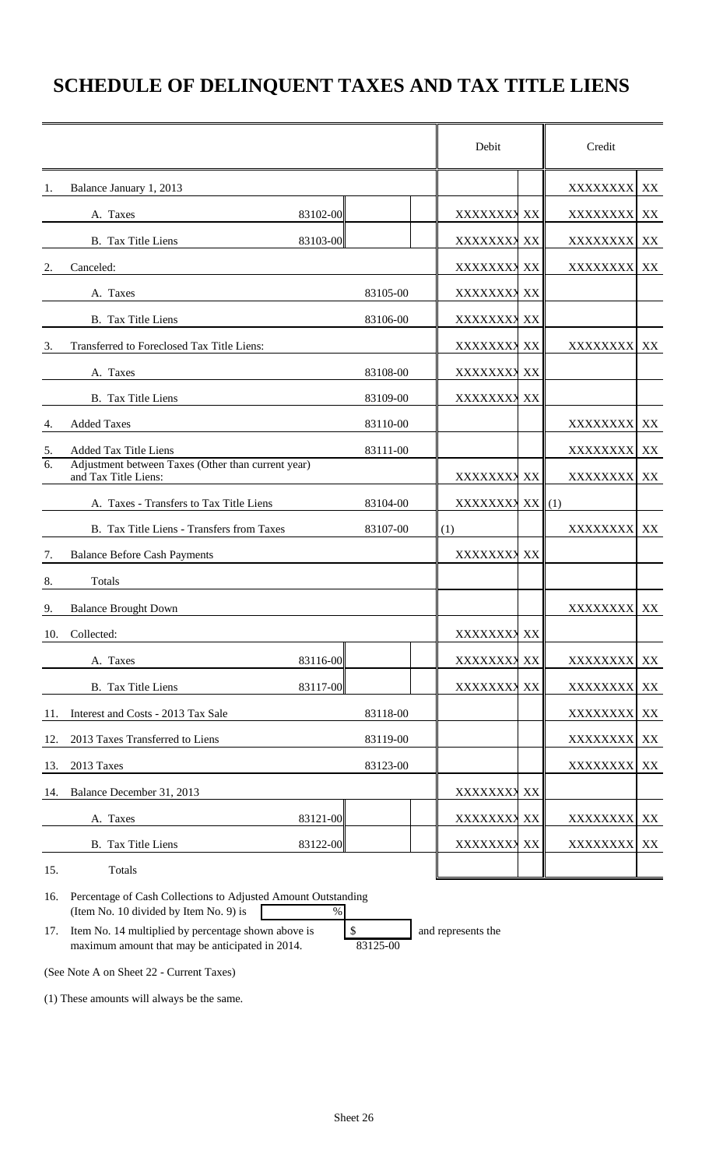## **SCHEDULE OF DELINQUENT TAXES AND TAX TITLE LIENS**

|     |                                                                                                         |          |          | Debit                       | Credit          |    |
|-----|---------------------------------------------------------------------------------------------------------|----------|----------|-----------------------------|-----------------|----|
| 1.  | Balance January 1, 2013                                                                                 |          |          |                             | XXXXXXXX        | XX |
|     | A. Taxes                                                                                                | 83102-00 |          | XXXXXXXX XX                 | XXXXXXXX        | XX |
|     | B. Tax Title Liens                                                                                      | 83103-00 |          | XXXXXXXX XX                 | XXXXXXXX        | XX |
| 2.  | Canceled:                                                                                               |          |          | XXXXXXXX XX                 | <b>XXXXXXXX</b> | XX |
|     | A. Taxes                                                                                                |          | 83105-00 | XXXXXXXX XX                 |                 |    |
|     | B. Tax Title Liens                                                                                      |          | 83106-00 | XXXXXXXX XX                 |                 |    |
| 3.  | Transferred to Foreclosed Tax Title Liens:                                                              |          |          | XXXXXXXX XX                 | XXXXXXXX        | XX |
|     | A. Taxes                                                                                                |          | 83108-00 | XXXXXXXX XX                 |                 |    |
|     | <b>B.</b> Tax Title Liens                                                                               |          | 83109-00 | XXXXXXXX XX                 |                 |    |
| 4.  | <b>Added Taxes</b>                                                                                      |          | 83110-00 |                             | <b>XXXXXXXX</b> | XX |
| 5.  | Added Tax Title Liens                                                                                   |          | 83111-00 |                             | XXXXXXXX        | XX |
| 6.  | Adjustment between Taxes (Other than current year)<br>and Tax Title Liens:                              |          |          | XXXXXXXX XX                 | XXXXXXXX        | XX |
|     | A. Taxes - Transfers to Tax Title Liens                                                                 |          | 83104-00 | XXXXXXXX XX $\parallel$ (1) |                 |    |
|     | B. Tax Title Liens - Transfers from Taxes                                                               |          | 83107-00 | (1)                         | XXXXXXXX XX     |    |
| 7.  | <b>Balance Before Cash Payments</b>                                                                     |          |          | XXXXXXXX XX                 |                 |    |
| 8.  | <b>Totals</b>                                                                                           |          |          |                             |                 |    |
| 9.  | <b>Balance Brought Down</b>                                                                             |          |          |                             | XXXXXXXX XX     |    |
| 10. | Collected:                                                                                              |          |          | XXXXXXXX XX                 |                 |    |
|     | A. Taxes                                                                                                | 83116-00 |          | XXXXXXXX XX                 | XXXXXXXX XX     |    |
|     | B. Tax Title Liens                                                                                      | 83117-00 |          | XXXXXXXX XX                 | XXXXXXXX        | XX |
| 11. | Interest and Costs - 2013 Tax Sale                                                                      |          | 83118-00 |                             | XXXXXXXX        | XX |
| 12. | 2013 Taxes Transferred to Liens                                                                         |          | 83119-00 |                             | XXXXXXXX        | XX |
| 13. | 2013 Taxes                                                                                              |          | 83123-00 |                             | XXXXXXXX XX     |    |
| 14. | Balance December 31, 2013                                                                               |          |          | XXXXXXXX XX                 |                 |    |
|     | A. Taxes                                                                                                | 83121-00 |          | XXXXXXXX XX                 | XXXXXXXX        | XX |
|     | B. Tax Title Liens                                                                                      | 83122-00 |          | XXXXXXXX XX                 | <b>XXXXXXXX</b> | XX |
| 15. | Totals                                                                                                  |          |          |                             |                 |    |
| 16. | Percentage of Cash Collections to Adjusted Amount Outstanding<br>(Item No. 10 divided by Item No. 9) is | $\%$     |          |                             |                 |    |

17. Item No. 14 multiplied by percentage shown above is  $\boxed{\$}$  and represents the maximum amount that may be anticipated in 2014. 83125-00

(See Note A on Sheet 22 - Current Taxes)

(1) These amounts will always be the same.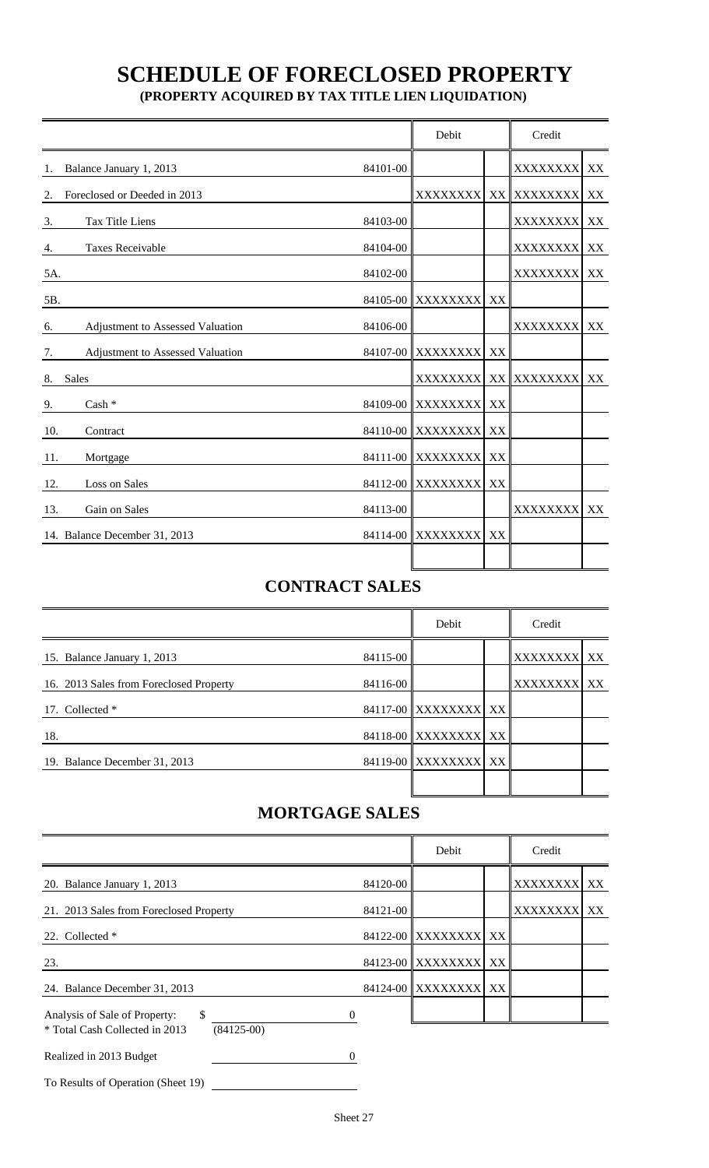# **SCHEDULE OF FORECLOSED PROPERTY**

 **(PROPERTY ACQUIRED BY TAX TITLE LIEN LIQUIDATION)**

|     |                                  |          | Debit             |    | Credit      |    |
|-----|----------------------------------|----------|-------------------|----|-------------|----|
| 1.  | Balance January 1, 2013          | 84101-00 |                   |    | XXXXXXXX    | XX |
| 2.  | Foreclosed or Deeded in 2013     |          | <b>XXXXXXXX</b>   |    | XX XXXXXXXX | XX |
| 3.  | Tax Title Liens                  | 84103-00 |                   |    | XXXXXXXX    | XX |
| 4.  | <b>Taxes Receivable</b>          | 84104-00 |                   |    | XXXXXXXX    | XX |
| 5A. |                                  |          |                   |    | XXXXXXXX    | XX |
| 5B. |                                  | 84105-00 | <b>XXXXXXXX</b>   | XX |             |    |
| 6.  | Adjustment to Assessed Valuation | 84106-00 |                   |    | XXXXXXXX    | XX |
| 7.  | Adjustment to Assessed Valuation |          | 84107-00 XXXXXXXX | XX |             |    |
| 8.  | <b>Sales</b>                     |          | <b>XXXXXXXX</b>   |    | XX XXXXXXXX | XX |
| 9.  | Cash *                           |          | 84109-00 XXXXXXXX | XX |             |    |
| 10. | Contract                         |          | 84110-00 XXXXXXXX | XX |             |    |
| 11. | Mortgage                         |          | 84111-00 XXXXXXXX | XX |             |    |
| 12. | Loss on Sales                    |          | 84112-00 XXXXXXXX | XX |             |    |
| 13. | Gain on Sales                    | 84113-00 |                   |    | XXXXXXXX    | XX |
|     | 14. Balance December 31, 2013    |          | 84114-00 XXXXXXXX | XX |             |    |
|     |                                  |          |                   |    |             |    |

### **CONTRACT SALES**

|                                         |          | Debit                | Credit |                 |    |
|-----------------------------------------|----------|----------------------|--------|-----------------|----|
| 15. Balance January 1, 2013             | 84115-00 |                      |        | XXXXXXXX XX     |    |
| 16. 2013 Sales from Foreclosed Property | 84116-00 |                      |        | <b>XXXXXXXX</b> | XX |
| 17. Collected *                         |          | 84117-00 XXXXXXXX XX |        |                 |    |
| 18.                                     |          | 84118-00 XXXXXXXX XX |        |                 |    |
| 19. Balance December 31, 2013           |          | 84119-00 XXXXXXXX XX |        |                 |    |
|                                         |          |                      |        |                 |    |

### **MORTGAGE SALES**

|                                                                                       |          | Debit                |    | Credit<br><b>XXXXXXXXI</b><br><b>XXXXXXXX</b> |    |  |  |  |
|---------------------------------------------------------------------------------------|----------|----------------------|----|-----------------------------------------------|----|--|--|--|
| 20. Balance January 1, 2013                                                           | 84120-00 |                      |    |                                               | XX |  |  |  |
| 21. 2013 Sales from Foreclosed Property                                               | 84121-00 |                      |    |                                               | XX |  |  |  |
| 22. Collected *                                                                       |          | 84122-00 XXXXXXXX XX |    |                                               |    |  |  |  |
| 23.                                                                                   |          | 84123-00 XXXXXXXX XX |    |                                               |    |  |  |  |
| 24. Balance December 31, 2013                                                         |          | 84124-00 XXXXXXXX    | XX |                                               |    |  |  |  |
| Analysis of Sale of Property:<br>\$<br>* Total Cash Collected in 2013<br>$(84125-00)$ |          |                      |    |                                               |    |  |  |  |
| Realized in 2013 Budget                                                               |          |                      |    |                                               |    |  |  |  |

To Results of Operation (Sheet 19)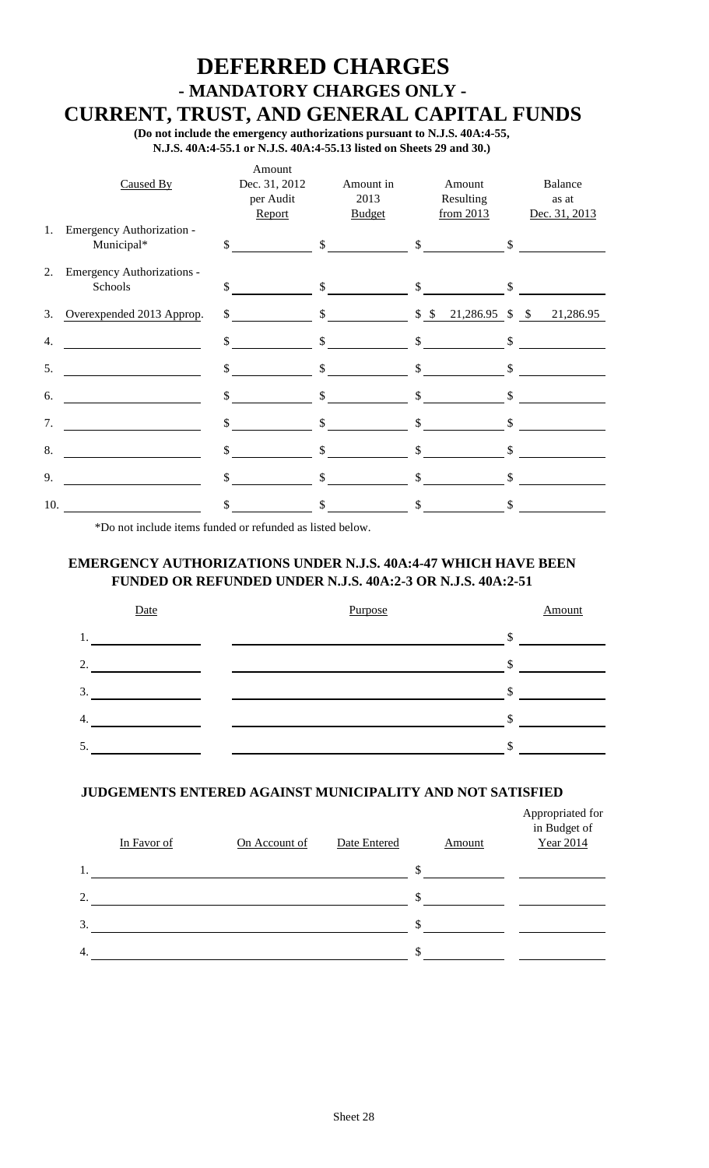## **DEFERRED CHARGES - MANDATORY CHARGES ONLY - CURRENT, TRUST, AND GENERAL CAPITAL FUNDS**

 **(Do not include the emergency authorizations pursuant to N.J.S. 40A:4-55, N.J.S. 40A:4-55.1 or N.J.S. 40A:4-55.13 listed on Sheets 29 and 30.)**

Amount

|     | Caused By                               | $\overline{\mathbf{r}}$ introduce<br>Dec. 31, 2012<br>Amount in<br>Amount<br>2013<br>Resulting<br>per Audit<br>from 2013<br>Report<br><b>Budget</b> |              | Balance<br>as at<br>Dec. 31, 2013 |              |
|-----|-----------------------------------------|-----------------------------------------------------------------------------------------------------------------------------------------------------|--------------|-----------------------------------|--------------|
| 1.  | Emergency Authorization -<br>Municipal* | \$                                                                                                                                                  | $\mathsf{S}$ | $\mathbb{S}$                      | $\mathbb{S}$ |
| 2.  | Emergency Authorizations -<br>Schools   | \$                                                                                                                                                  | \$           | \$                                | \$           |
| 3.  | Overexpended 2013 Approp.               | \$                                                                                                                                                  | \$           | \$S<br>21,286.95 \$ \$            | 21,286.95    |
| 4.  |                                         | \$                                                                                                                                                  | \$           | \$                                | \$           |
| 5.  |                                         | \$                                                                                                                                                  | \$           | \$                                | \$           |
| 6.  |                                         | \$                                                                                                                                                  | \$           | \$                                | \$           |
| 7.  |                                         | \$                                                                                                                                                  | \$           | \$                                | \$           |
| 8.  |                                         | \$                                                                                                                                                  | \$           | \$                                | \$           |
| 9.  |                                         | \$                                                                                                                                                  | \$           | \$                                | \$           |
| 10. |                                         | \$                                                                                                                                                  | \$           | \$                                | \$           |

\*Do not include items funded or refunded as listed below.

### **EMERGENCY AUTHORIZATIONS UNDER N.J.S. 40A:4-47 WHICH HAVE BEEN FUNDED OR REFUNDED UNDER N.J.S. 40A:2-3 OR N.J.S. 40A:2-51**

| Date | Purpose | Amount |
|------|---------|--------|
| 1.   | \$.     |        |
| 2.   | ₼       |        |
| 3.   |         |        |
| 4.   | Φ       |        |
| 5.   |         |        |

#### **JUDGEMENTS ENTERED AGAINST MUNICIPALITY AND NOT SATISFIED**

|    | In Favor of | On Account of | Date Entered | Amount | Appropriated for<br>in Budget of<br>Year 2014 |
|----|-------------|---------------|--------------|--------|-----------------------------------------------|
| 1. |             |               |              | \$     |                                               |
| 2. |             |               |              | \$.    |                                               |
| 3. |             |               |              | S      |                                               |
| 4. |             |               |              | \$     |                                               |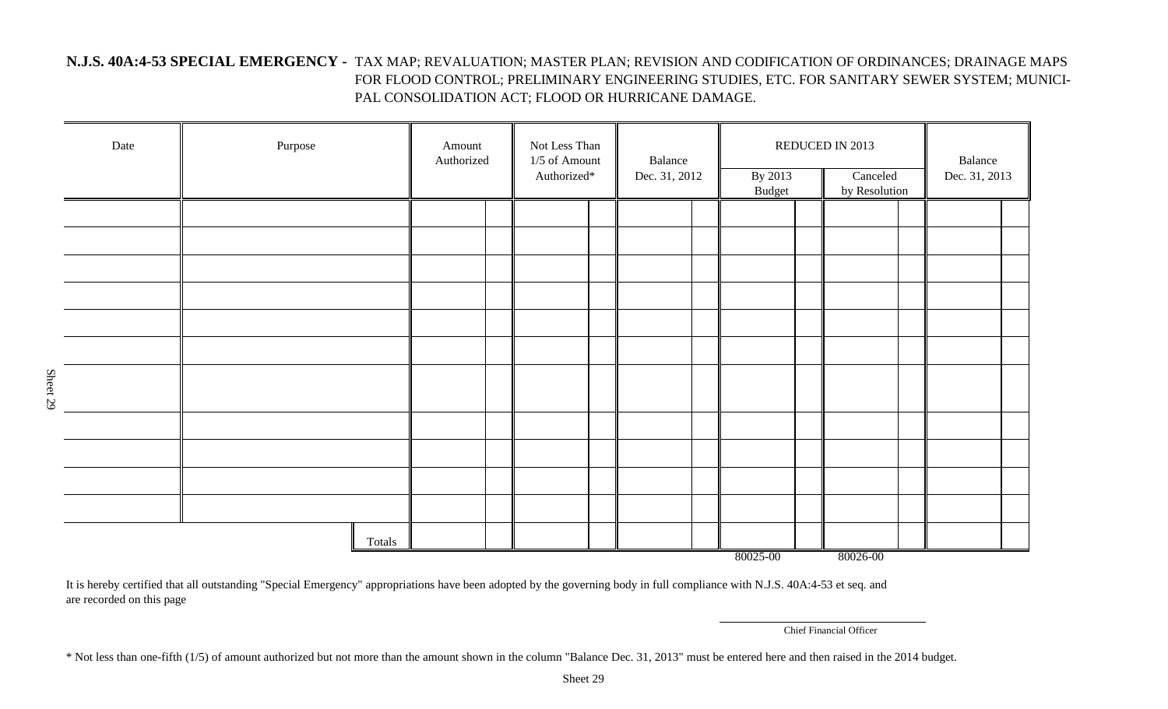#### **N.J.S. 40A:4-53 SPECIAL EMERGENCY -** TAX MAP; REVALUATION; MASTER PLAN; REVISION AND CODIFICATION OF ORDINANCES; DRAINAGE MAPS FOR FLOOD CONTROL; PRELIMINARY ENGINEERING STUDIES, ETC. FOR SANITARY SEWER SYSTEM; MUNICI-PAL CONSOLIDATION ACT; FLOOD OR HURRICANE DAMAGE.

|          | Date | Purpose |        | Amount | Authorized |  | Not Less Than<br>1/5 of Amount<br>Authorized* |  | Balance<br>Dec. 31, 2012 |          | By 2013<br><b>Budget</b> | REDUCED IN 2013<br>Canceled<br>by Resolution |  | Balance<br>Dec. 31, 2013 |  |
|----------|------|---------|--------|--------|------------|--|-----------------------------------------------|--|--------------------------|----------|--------------------------|----------------------------------------------|--|--------------------------|--|
|          |      |         |        |        |            |  |                                               |  |                          |          |                          |                                              |  |                          |  |
|          |      |         |        |        |            |  |                                               |  |                          |          |                          |                                              |  |                          |  |
|          |      |         |        |        |            |  |                                               |  |                          |          |                          |                                              |  |                          |  |
|          |      |         |        |        |            |  |                                               |  |                          |          |                          |                                              |  |                          |  |
|          |      |         |        |        |            |  |                                               |  |                          |          |                          |                                              |  |                          |  |
|          |      |         |        |        |            |  |                                               |  |                          |          |                          |                                              |  |                          |  |
| Sheet 29 |      |         |        |        |            |  |                                               |  |                          |          |                          |                                              |  |                          |  |
|          |      |         |        |        |            |  |                                               |  |                          |          |                          |                                              |  |                          |  |
|          |      |         |        |        |            |  |                                               |  |                          |          |                          |                                              |  |                          |  |
|          |      |         |        |        |            |  |                                               |  |                          |          |                          |                                              |  |                          |  |
|          |      |         |        |        |            |  |                                               |  |                          |          |                          |                                              |  |                          |  |
|          |      |         | Totals |        |            |  |                                               |  |                          | 80025-00 | 80026-00                 |                                              |  |                          |  |

It is hereby certified that all outstanding "Special Emergency" appropriations have been adopted by the governing body in full compliance with N.J.S. 40A:4-53 et seq. and are recorded on this page

Chief Financial Officer

\* Not less than one-fifth (1/5) of amount authorized but not more than the amount shown in the column "Balance Dec. 31, 2013" must be entered here and then raised in the 2014 budget.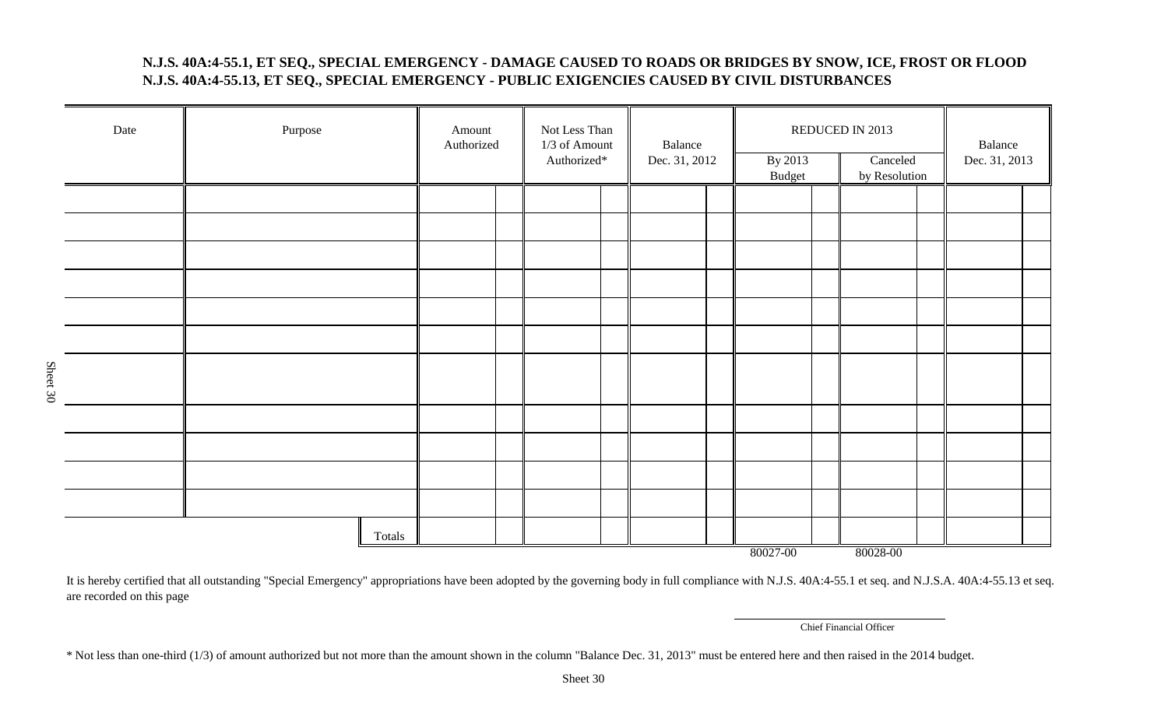#### **N.J.S. 40A:4-55.1, ET SEQ., SPECIAL EMERGENCY - DAMAGE CAUSED TO ROADS OR BRIDGES BY SNOW, ICE, FROST OR FLOOD N.J.S. 40A:4-55.13, ET SEQ., SPECIAL EMERGENCY - PUBLIC EXIGENCIES CAUSED BY CIVIL DISTURBANCES**

| Date     | Purpose | Amount<br>Authorized | Not Less Than<br>1/3 of Amount<br>Authorized* |  | Dec. 31, 2012 | By 2013<br><b>Budget</b> |  | REDUCED IN 2013<br>Canceled<br>by Resolution | Balance<br>Dec. 31, 2013 |  |  |
|----------|---------|----------------------|-----------------------------------------------|--|---------------|--------------------------|--|----------------------------------------------|--------------------------|--|--|
|          |         |                      |                                               |  |               |                          |  |                                              |                          |  |  |
|          |         |                      |                                               |  |               |                          |  |                                              |                          |  |  |
|          |         |                      |                                               |  |               |                          |  |                                              |                          |  |  |
|          |         |                      |                                               |  |               |                          |  |                                              |                          |  |  |
|          |         |                      |                                               |  |               |                          |  |                                              |                          |  |  |
|          |         |                      |                                               |  |               |                          |  |                                              |                          |  |  |
|          |         |                      |                                               |  |               |                          |  |                                              |                          |  |  |
| Sheet 30 |         |                      |                                               |  |               |                          |  |                                              |                          |  |  |
|          |         |                      |                                               |  |               |                          |  |                                              |                          |  |  |
|          |         |                      |                                               |  |               |                          |  |                                              |                          |  |  |
|          |         |                      |                                               |  |               |                          |  |                                              |                          |  |  |
|          |         |                      |                                               |  |               |                          |  |                                              |                          |  |  |
|          | Totals  |                      |                                               |  |               | 80027-00                 |  | 80028-00                                     |                          |  |  |

It is hereby certified that all outstanding "Special Emergency" appropriations have been adopted by the governing body in full compliance with N.J.S. 40A:4-55.1 et seq. and N.J.S.A. 40A:4-55.13 et seq. are recorded on this page

Chief Financial Officer

\* Not less than one-third (1/3) of amount authorized but not more than the amount shown in the column "Balance Dec. 31, 2013" must be entered here and then raised in the 2014 budget.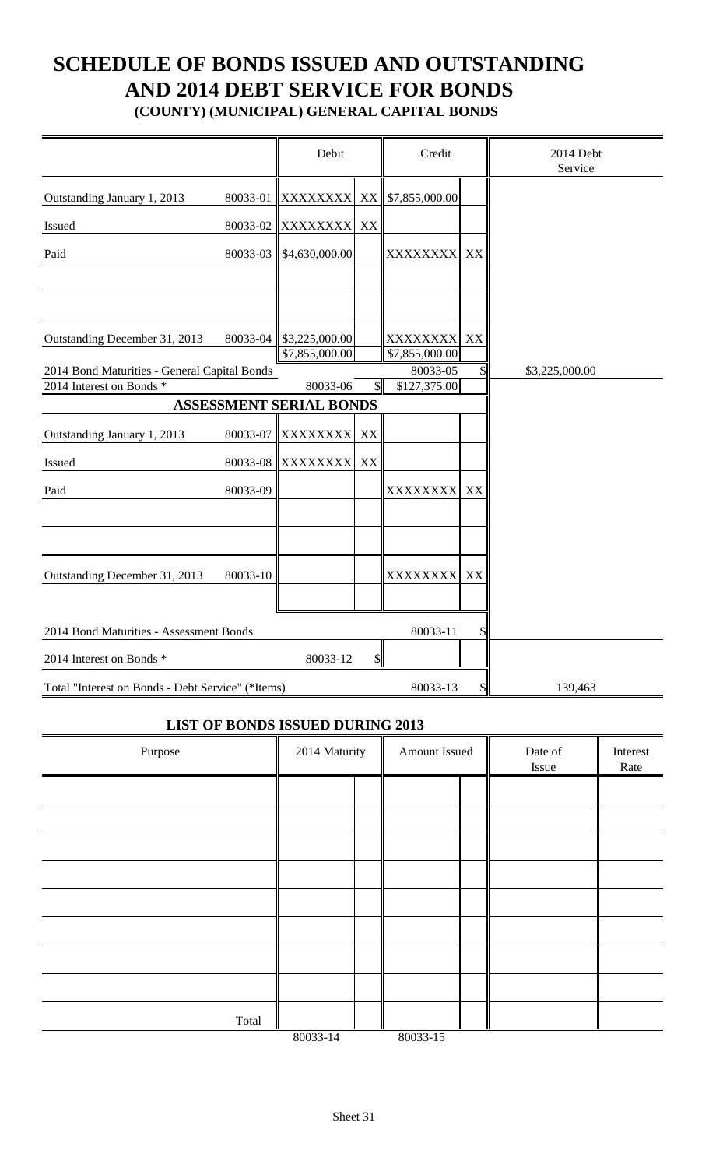# **SCHEDULE OF BONDS ISSUED AND OUTSTANDING AND 2014 DEBT SERVICE FOR BONDS**

**(COUNTY) (MUNICIPAL) GENERAL CAPITAL BONDS**

|                                                   |          | Debit                          |                           | Credit         |                           | 2014 Debt<br>Service |
|---------------------------------------------------|----------|--------------------------------|---------------------------|----------------|---------------------------|----------------------|
| Outstanding January 1, 2013                       | 80033-01 | XXXXXXXX                       | XX                        | \$7,855,000.00 |                           |                      |
| Issued                                            | 80033-02 | XXXXXXXX XX                    |                           |                |                           |                      |
| Paid                                              | 80033-03 | \$4,630,000.00                 |                           | XXXXXXXX       | XX                        |                      |
|                                                   |          |                                |                           |                |                           |                      |
| Outstanding December 31, 2013                     | 80033-04 | \$3,225,000.00                 |                           | XXXXXXXX       | XX                        |                      |
|                                                   |          | \$7,855,000.00                 |                           | \$7,855,000.00 |                           |                      |
| 2014 Bond Maturities - General Capital Bonds      |          |                                |                           | 80033-05       | \$                        | \$3,225,000.00       |
| 2014 Interest on Bonds *                          |          | 80033-06                       | $\overline{\mathcal{S}}$  | \$127,375.00   |                           |                      |
|                                                   |          | <b>ASSESSMENT SERIAL BONDS</b> |                           |                |                           |                      |
| Outstanding January 1, 2013                       | 80033-07 | XXXXXXXX XX                    |                           |                |                           |                      |
| Issued                                            | 80033-08 | XXXXXXXX                       | XX                        |                |                           |                      |
| Paid                                              | 80033-09 |                                |                           | XXXXXXXX       | XX                        |                      |
|                                                   |          |                                |                           |                |                           |                      |
| Outstanding December 31, 2013                     | 80033-10 |                                |                           | XXXXXXXX       | XX                        |                      |
|                                                   |          |                                |                           |                |                           |                      |
| 2014 Bond Maturities - Assessment Bonds           |          |                                |                           | 80033-11       | \$                        |                      |
| 2014 Interest on Bonds *                          |          | 80033-12                       | $\boldsymbol{\mathsf{S}}$ |                |                           |                      |
| Total "Interest on Bonds - Debt Service" (*Items) |          |                                |                           | 80033-13       | $\boldsymbol{\mathsf{S}}$ | 139,463              |

#### **LIST OF BONDS ISSUED DURING 2013**

| Purpose | 2014 Maturity |  | Amount Issued |  | Date of<br>Issue | Interest<br>Rate |
|---------|---------------|--|---------------|--|------------------|------------------|
|         |               |  |               |  |                  |                  |
|         |               |  |               |  |                  |                  |
|         |               |  |               |  |                  |                  |
|         |               |  |               |  |                  |                  |
|         |               |  |               |  |                  |                  |
|         |               |  |               |  |                  |                  |
|         |               |  |               |  |                  |                  |
|         |               |  |               |  |                  |                  |
| Total   |               |  |               |  |                  |                  |
|         | 80033-14      |  | 80033-15      |  |                  |                  |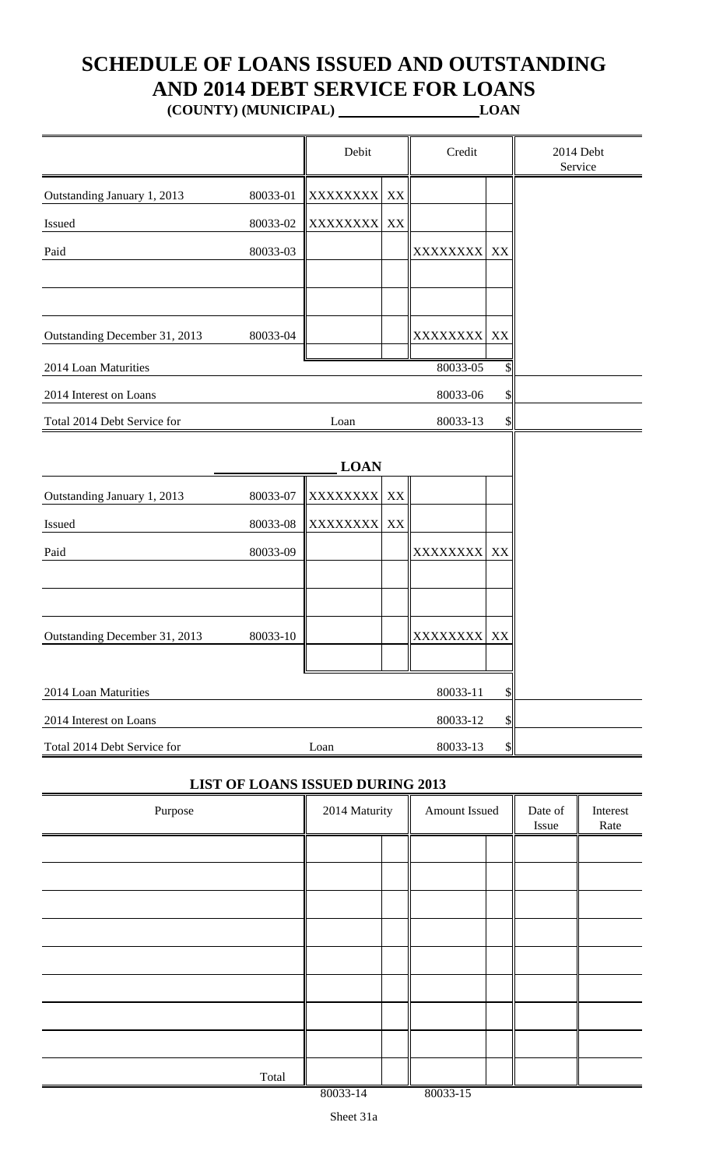## **SCHEDULE OF LOANS ISSUED AND OUTSTANDING AND 2014 DEBT SERVICE FOR LOANS**

**(COUNTY) (MUNICIPAL) LOAN**

|                               |          | Debit           |    | Credit          |                           | 2014 Debt<br>Service |
|-------------------------------|----------|-----------------|----|-----------------|---------------------------|----------------------|
| Outstanding January 1, 2013   | 80033-01 | <b>XXXXXXXX</b> | XX |                 |                           |                      |
| Issued                        | 80033-02 | <b>XXXXXXXX</b> | XX |                 |                           |                      |
| Paid                          | 80033-03 |                 |    | XXXXXXXX        | XX                        |                      |
|                               |          |                 |    |                 |                           |                      |
| Outstanding December 31, 2013 | 80033-04 |                 |    | XXXXXXXX        | XX                        |                      |
| 2014 Loan Maturities          |          |                 |    | 80033-05        | \$                        |                      |
| 2014 Interest on Loans        |          |                 |    | 80033-06        | \$                        |                      |
| Total 2014 Debt Service for   |          | Loan            |    | 80033-13        | \$                        |                      |
|                               |          | <b>LOAN</b>     |    |                 |                           |                      |
| Outstanding January 1, 2013   | 80033-07 | <b>XXXXXXXX</b> | XX |                 |                           |                      |
| Issued                        | 80033-08 | <b>XXXXXXXX</b> | XX |                 |                           |                      |
| Paid                          | 80033-09 |                 |    | <b>XXXXXXXX</b> | XX                        |                      |
|                               |          |                 |    |                 |                           |                      |
| Outstanding December 31, 2013 | 80033-10 |                 |    | XXXXXXXX        | XX                        |                      |
| 2014 Loan Maturities          |          |                 |    | 80033-11        | \$                        |                      |
| 2014 Interest on Loans        |          |                 |    | 80033-12        | \$                        |                      |
| Total 2014 Debt Service for   |          | Loan            |    | 80033-13        | $\boldsymbol{\mathsf{S}}$ |                      |

### **LIST OF LOANS ISSUED DURING 2013**

| Purpose | 2014 Maturity | Amount Issued | Date of<br>Issue | Interest<br>Rate |
|---------|---------------|---------------|------------------|------------------|
|         |               |               |                  |                  |
|         |               |               |                  |                  |
|         |               |               |                  |                  |
|         |               |               |                  |                  |
|         |               |               |                  |                  |
|         |               |               |                  |                  |
|         |               |               |                  |                  |
|         |               |               |                  |                  |
| Total   |               |               |                  |                  |
|         | 80033-14      | 80033-15      |                  |                  |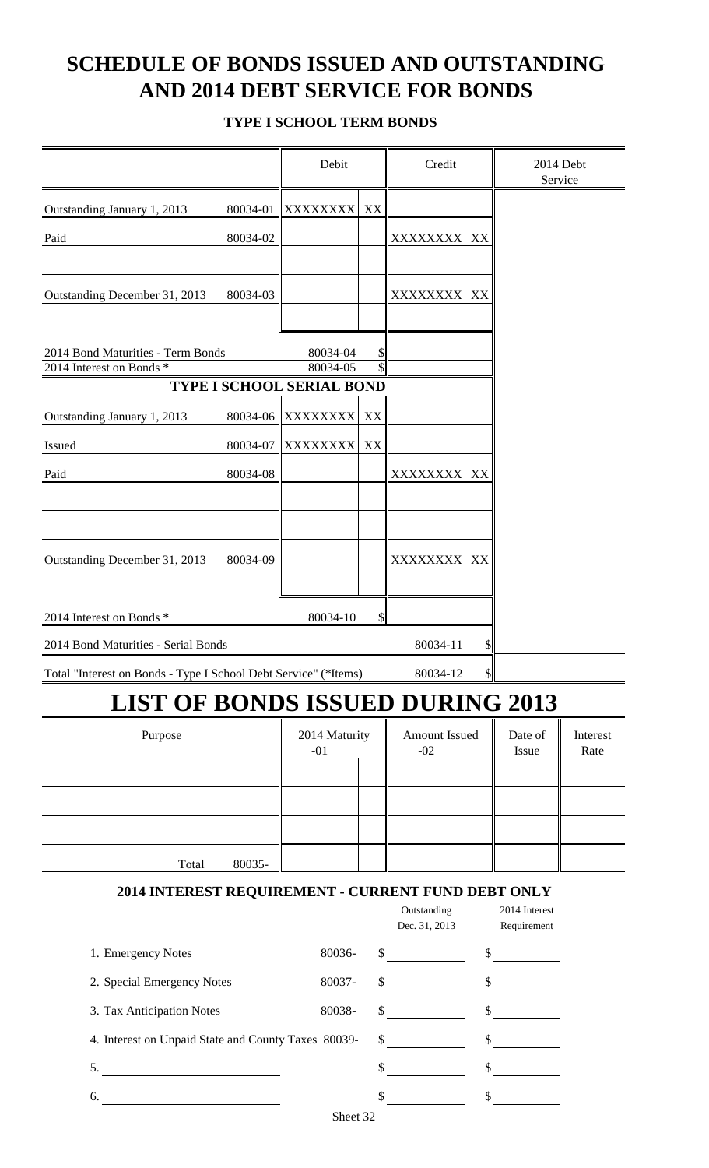## **SCHEDULE OF BONDS ISSUED AND OUTSTANDING AND 2014 DEBT SERVICE FOR BONDS**

#### **TYPE I SCHOOL TERM BONDS**

|                                                                 |          | Debit                            |    | Credit                                                  |              | 2014 Debt<br>Service         |                  |  |
|-----------------------------------------------------------------|----------|----------------------------------|----|---------------------------------------------------------|--------------|------------------------------|------------------|--|
| Outstanding January 1, 2013                                     | 80034-01 | XXXXXXXX                         | XX |                                                         |              |                              |                  |  |
| Paid                                                            | 80034-02 |                                  |    | XXXXXXXX                                                | XX           |                              |                  |  |
|                                                                 |          |                                  |    |                                                         |              |                              |                  |  |
| Outstanding December 31, 2013                                   | 80034-03 |                                  |    | XXXXXXXXI                                               | XX           |                              |                  |  |
|                                                                 |          |                                  |    |                                                         |              |                              |                  |  |
| 2014 Bond Maturities - Term Bonds                               |          | 80034-04                         | P  |                                                         |              |                              |                  |  |
| 2014 Interest on Bonds *                                        |          | 80034-05                         | \$ |                                                         |              |                              |                  |  |
|                                                                 |          | <b>TYPE I SCHOOL SERIAL BOND</b> |    |                                                         |              |                              |                  |  |
| Outstanding January 1, 2013                                     | 80034-06 | <b>XXXXXXXX</b>                  | XX |                                                         |              |                              |                  |  |
| Issued                                                          | 80034-07 | XXXXXXXX                         | XX |                                                         |              |                              |                  |  |
| Paid                                                            | 80034-08 |                                  |    | XXXXXXXX                                                | XX           |                              |                  |  |
|                                                                 |          |                                  |    |                                                         |              |                              |                  |  |
|                                                                 |          |                                  |    |                                                         |              |                              |                  |  |
| Outstanding December 31, 2013                                   | 80034-09 |                                  |    | XXXXXXXX                                                | XX           |                              |                  |  |
|                                                                 |          |                                  |    |                                                         |              |                              |                  |  |
| 2014 Interest on Bonds *                                        |          | 80034-10                         | \$ |                                                         |              |                              |                  |  |
| 2014 Bond Maturities - Serial Bonds                             |          |                                  |    | 80034-11                                                | \$           |                              |                  |  |
| Total "Interest on Bonds - Type I School Debt Service" (*Items) |          |                                  |    | 80034-12                                                | $\mathbb{S}$ |                              |                  |  |
| <b>LIST OF BONDS ISSUED DURING 2013</b>                         |          |                                  |    |                                                         |              |                              |                  |  |
| Purpose                                                         |          | 2014 Maturity<br>$-01$           |    | <b>Amount Issued</b><br>$-02$                           |              | Date of<br>Issue             | Interest<br>Rate |  |
|                                                                 |          |                                  |    |                                                         |              |                              |                  |  |
|                                                                 |          |                                  |    |                                                         |              |                              |                  |  |
|                                                                 |          |                                  |    |                                                         |              |                              |                  |  |
| Total                                                           | 80035-   |                                  |    |                                                         |              |                              |                  |  |
| 2014 INTEREST REQUIREMENT - CURRENT FUND DEBT ONLY              |          |                                  |    |                                                         |              |                              |                  |  |
|                                                                 |          |                                  |    | Outstanding<br>Dec. 31, 2013                            |              | 2014 Interest<br>Requirement |                  |  |
| 1. Emergency Notes                                              |          | 80036-                           |    | $\frac{\sqrt{25}}{25}$ $\frac{\sqrt{25}}{25}$           |              |                              |                  |  |
| 2. Special Emergency Notes                                      |          | 80037-                           |    | $\frac{\text{S}}{\text{S}}$ $\frac{\text{S}}{\text{S}}$ |              |                              |                  |  |
| 3. Tax Anticipation Notes                                       |          | 80038-                           |    | $\frac{\text{S}}{\text{S}}$                             |              | $\frac{\text{S}}{\text{S}}$  |                  |  |
| 4. Interest on Unpaid State and County Taxes 80039-             |          |                                  |    | $\frac{1}{2}$                                           |              | $\frac{\sqrt{2}}{2}$         |                  |  |
| 5.                                                              |          |                                  |    | $\frac{\text{S}}{\text{S}}$                             |              | $\frac{\sqrt{2}}{2}$         |                  |  |
| 6.                                                              |          |                                  |    | $\sim$                                                  |              | $\mathcal{S}$                |                  |  |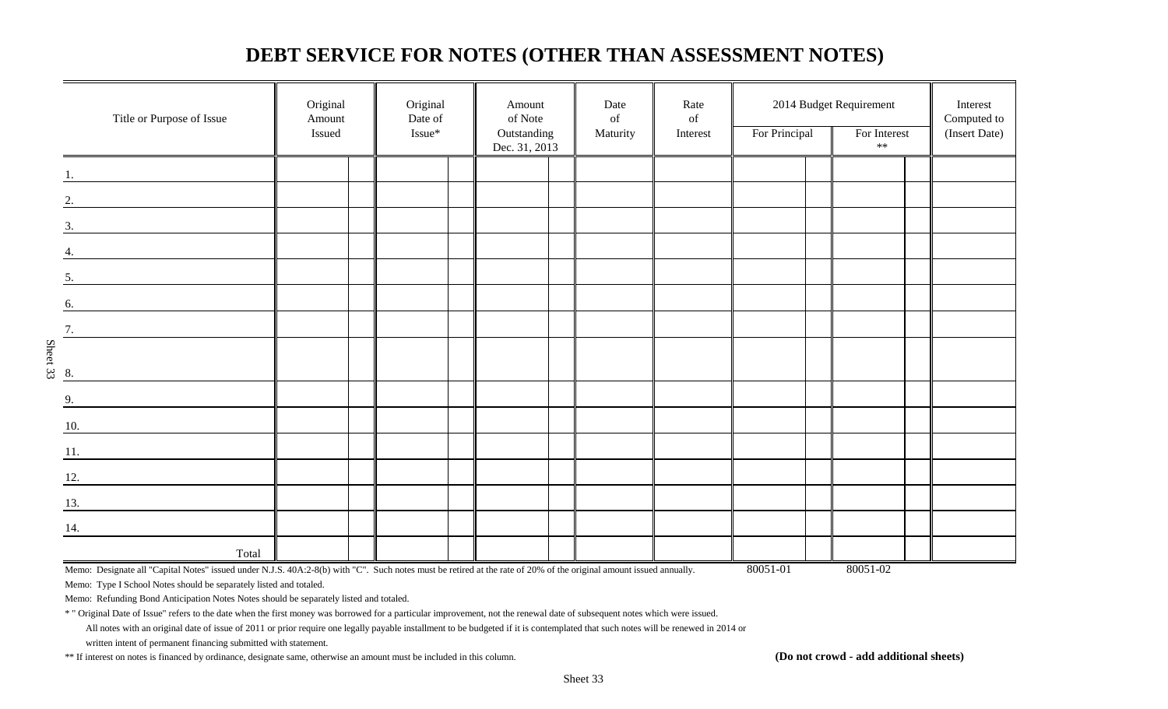## **DEBT SERVICE FOR NOTES (OTHER THAN ASSESSMENT NOTES)**

|          | Title or Purpose of Issue                                                                                                  | Original<br>Amount<br>Issued | Original<br>Date of<br>Issue* | Amount<br>of Note<br>Outstanding | Date<br>of<br>Maturity | Rate<br>$% \left( \left( \mathcal{A},\mathcal{A}\right) \right) =\left( \mathcal{A},\mathcal{A}\right)$ of<br>Interest | 2014 Budget Requirement<br>For Principal<br>For Interest |               |  |  |  |
|----------|----------------------------------------------------------------------------------------------------------------------------|------------------------------|-------------------------------|----------------------------------|------------------------|------------------------------------------------------------------------------------------------------------------------|----------------------------------------------------------|---------------|--|--|--|
|          |                                                                                                                            |                              |                               | Dec. 31, 2013                    |                        |                                                                                                                        | $**$                                                     | (Insert Date) |  |  |  |
|          |                                                                                                                            |                              |                               |                                  |                        |                                                                                                                        |                                                          |               |  |  |  |
|          | 2.                                                                                                                         |                              |                               |                                  |                        |                                                                                                                        |                                                          |               |  |  |  |
|          | 3.                                                                                                                         |                              |                               |                                  |                        |                                                                                                                        |                                                          |               |  |  |  |
|          | 4.                                                                                                                         |                              |                               |                                  |                        |                                                                                                                        |                                                          |               |  |  |  |
|          | 5.                                                                                                                         |                              |                               |                                  |                        |                                                                                                                        |                                                          |               |  |  |  |
|          | 6.<br><u> 1980 - Jan Stein Stein Stein Stein Stein Stein Stein Stein Stein Stein Stein Stein Stein Stein Stein Stein S</u> |                              |                               |                                  |                        |                                                                                                                        |                                                          |               |  |  |  |
|          | 7.<br><u> 1990 - Jan Barbara Barat, manala</u>                                                                             |                              |                               |                                  |                        |                                                                                                                        |                                                          |               |  |  |  |
| Sheet 33 |                                                                                                                            |                              |                               |                                  |                        |                                                                                                                        |                                                          |               |  |  |  |
|          | 8.                                                                                                                         |                              |                               |                                  |                        |                                                                                                                        |                                                          |               |  |  |  |
|          | 9.                                                                                                                         |                              |                               |                                  |                        |                                                                                                                        |                                                          |               |  |  |  |
|          | $\underline{10}$ .                                                                                                         |                              |                               |                                  |                        |                                                                                                                        |                                                          |               |  |  |  |
|          | 11.                                                                                                                        |                              |                               |                                  |                        |                                                                                                                        |                                                          |               |  |  |  |
|          | $\overline{12.}$                                                                                                           |                              |                               |                                  |                        |                                                                                                                        |                                                          |               |  |  |  |
|          | 13.<br><u> 1980 - Jan Samuel Barbara, politik a politik (</u>                                                              |                              |                               |                                  |                        |                                                                                                                        |                                                          |               |  |  |  |
|          | 14.                                                                                                                        |                              |                               |                                  |                        |                                                                                                                        |                                                          |               |  |  |  |
|          | Total                                                                                                                      |                              |                               |                                  |                        |                                                                                                                        | 80051-02                                                 |               |  |  |  |

Memo: Type I School Notes should be separately listed and totaled.

Memo: Refunding Bond Anticipation Notes Notes should be separately listed and totaled.

\* " Original Date of Issue" refers to the date when the first money was borrowed for a particular improvement, not the renewal date of subsequent notes which were issued.

All notes with an original date of issue of 2011 or prior require one legally payable installment to be budgeted if it is contemplated that such notes will be renewed in 2014 or

written intent of permanent financing submitted with statement.

\*\* If interest on notes is financed by ordinance, designate same, otherwise an amount must be included in this column. (Do not crowd - add additional sheets)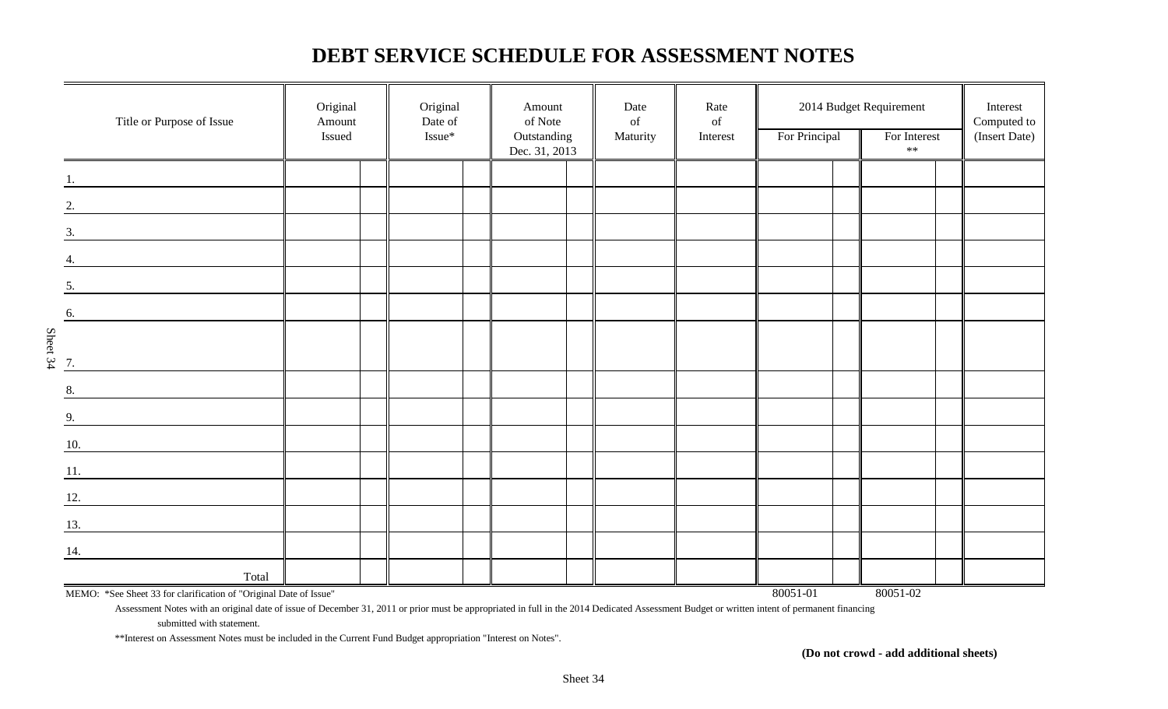## **DEBT SERVICE SCHEDULE FOR ASSESSMENT NOTES**

|          | Title or Purpose of Issue                                         | Original<br>Amount<br>Issued | Original<br>Date of<br>Issue* | Amount<br>of Note<br>Outstanding | Date<br>$% \left( \left( \mathcal{A},\mathcal{A}\right) \right) =\left( \mathcal{A},\mathcal{A}\right)$ of<br>Maturity | Rate<br>$% \left( \left( \mathcal{A},\mathcal{A}\right) \right) =\left( \mathcal{A},\mathcal{A}\right)$ of<br>Interest | For Principal | 2014 Budget Requirement<br>For Interest | Interest<br>Computed to<br>(Insert Date) |
|----------|-------------------------------------------------------------------|------------------------------|-------------------------------|----------------------------------|------------------------------------------------------------------------------------------------------------------------|------------------------------------------------------------------------------------------------------------------------|---------------|-----------------------------------------|------------------------------------------|
|          |                                                                   |                              |                               | Dec. 31, 2013                    |                                                                                                                        |                                                                                                                        |               | $\ast\ast$                              |                                          |
|          |                                                                   |                              |                               |                                  |                                                                                                                        |                                                                                                                        |               |                                         |                                          |
|          | 2.                                                                |                              |                               |                                  |                                                                                                                        |                                                                                                                        |               |                                         |                                          |
|          | 3.                                                                |                              |                               |                                  |                                                                                                                        |                                                                                                                        |               |                                         |                                          |
|          | 4.                                                                |                              |                               |                                  |                                                                                                                        |                                                                                                                        |               |                                         |                                          |
|          | 5.                                                                |                              |                               |                                  |                                                                                                                        |                                                                                                                        |               |                                         |                                          |
|          | 6.                                                                |                              |                               |                                  |                                                                                                                        |                                                                                                                        |               |                                         |                                          |
|          |                                                                   |                              |                               |                                  |                                                                                                                        |                                                                                                                        |               |                                         |                                          |
| Sheet 34 | 7.                                                                |                              |                               |                                  |                                                                                                                        |                                                                                                                        |               |                                         |                                          |
|          | 8.                                                                |                              |                               |                                  |                                                                                                                        |                                                                                                                        |               |                                         |                                          |
|          | 9.                                                                |                              |                               |                                  |                                                                                                                        |                                                                                                                        |               |                                         |                                          |
|          | 10.                                                               |                              |                               |                                  |                                                                                                                        |                                                                                                                        |               |                                         |                                          |
|          | 11.<br><u> 1990 - Johann Barbara, martxa a</u>                    |                              |                               |                                  |                                                                                                                        |                                                                                                                        |               |                                         |                                          |
|          | 12.                                                               |                              |                               |                                  |                                                                                                                        |                                                                                                                        |               |                                         |                                          |
|          | 13.                                                               |                              |                               |                                  |                                                                                                                        |                                                                                                                        |               |                                         |                                          |
|          | 14.                                                               |                              |                               |                                  |                                                                                                                        |                                                                                                                        |               |                                         |                                          |
|          | Total                                                             |                              |                               |                                  |                                                                                                                        |                                                                                                                        |               |                                         |                                          |
|          | MEMO: *See Sheet 33 for clarification of "Original Date of Issue" | 80051-01                     | 80051-02                      |                                  |                                                                                                                        |                                                                                                                        |               |                                         |                                          |

Assessment Notes with an original date of issue of December 31, 2011 or prior must be appropriated in full in the 2014 Dedicated Assessment Budget or written intent of permanent financing

submitted with statement.

\*\*Interest on Assessment Notes must be included in the Current Fund Budget appropriation "Interest on Notes".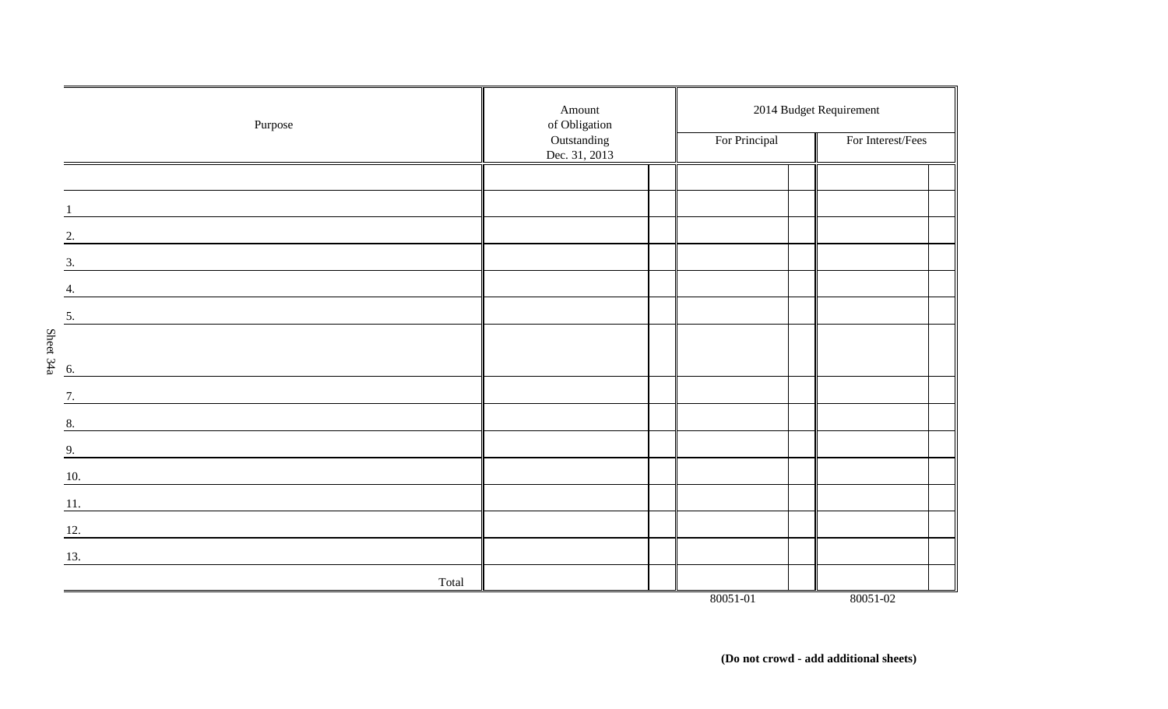|           | Purpose                                                                                                                       | Amount<br>of Obligation<br>Outstanding<br>Dec. 31, 2013 | For Principal | 2014 Budget Requirement<br>For Interest/Fees |  |  |
|-----------|-------------------------------------------------------------------------------------------------------------------------------|---------------------------------------------------------|---------------|----------------------------------------------|--|--|
|           |                                                                                                                               |                                                         |               |                                              |  |  |
|           |                                                                                                                               |                                                         |               |                                              |  |  |
|           | 2.<br><u> 1980 - Jan Stein Berlin, amerikan berlindar (</u>                                                                   |                                                         |               |                                              |  |  |
|           | 3.                                                                                                                            |                                                         |               |                                              |  |  |
|           | 4.                                                                                                                            |                                                         |               |                                              |  |  |
|           | $\overline{5}$ .                                                                                                              |                                                         |               |                                              |  |  |
|           |                                                                                                                               |                                                         |               |                                              |  |  |
| Sheet 34a | 6.                                                                                                                            |                                                         |               |                                              |  |  |
|           | 7.                                                                                                                            |                                                         |               |                                              |  |  |
|           | 8.                                                                                                                            |                                                         |               |                                              |  |  |
|           | 9.                                                                                                                            |                                                         |               |                                              |  |  |
|           | 10.<br><u> 1980 - Jan Samuel Barbara, margaret eta biztanleria (h. 1980).</u>                                                 |                                                         |               |                                              |  |  |
|           | 11.                                                                                                                           |                                                         |               |                                              |  |  |
|           | 12.<br><u> 1989 - Johann Stoff, deutscher Stoffen und der Stoffen und der Stoffen und der Stoffen und der Stoffen und der</u> |                                                         |               |                                              |  |  |
|           | 13.<br><u> 1989 - Johann John Stein, mars an deutscher Stein († 1958)</u>                                                     |                                                         |               |                                              |  |  |
|           | Total                                                                                                                         |                                                         | 80051-01      | 80051-02                                     |  |  |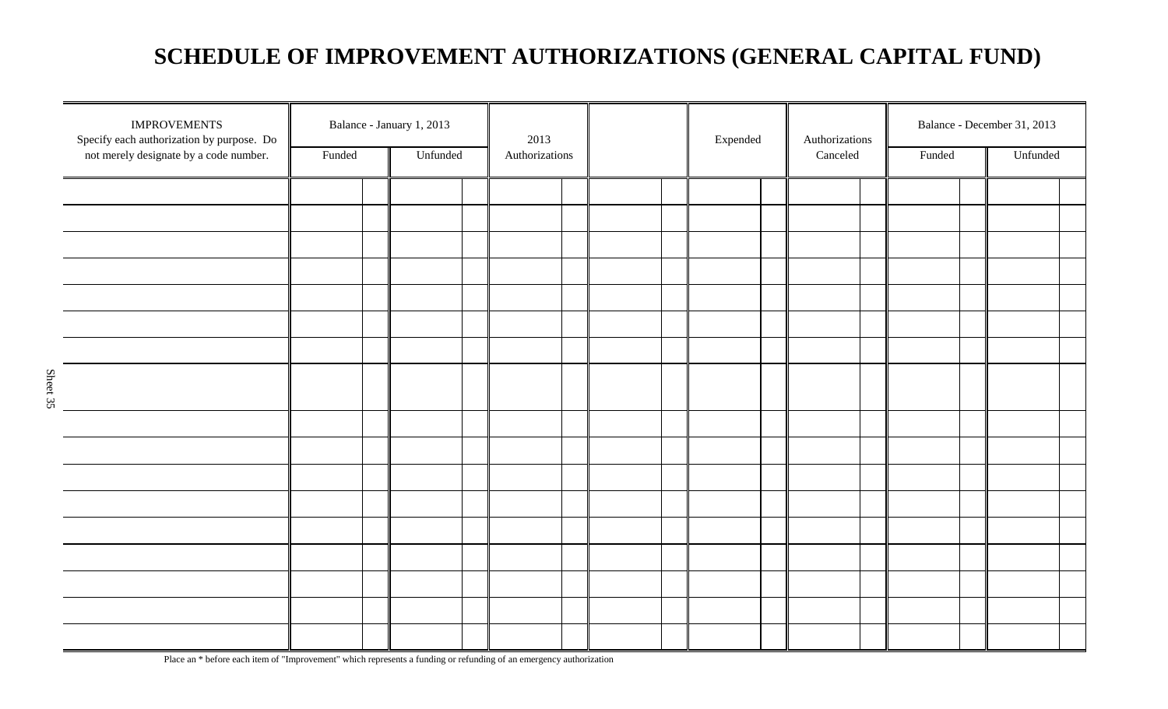## **SCHEDULE OF IMPROVEMENT AUTHORIZATIONS (GENERAL CAPITAL FUND)**

| <b>IMPROVEMENTS</b><br>Specify each authorization by purpose. Do<br>not merely designate by a code number. | Funded | Balance - January 1, 2013 | Unfunded |  | 2013<br>Authorizations |  |  |  | Expended |  | Authorizations<br>Canceled |  | Balance - December 31, 2013<br>Funded |  | Unfunded |  |
|------------------------------------------------------------------------------------------------------------|--------|---------------------------|----------|--|------------------------|--|--|--|----------|--|----------------------------|--|---------------------------------------|--|----------|--|
|                                                                                                            |        |                           |          |  |                        |  |  |  |          |  |                            |  |                                       |  |          |  |
|                                                                                                            |        |                           |          |  |                        |  |  |  |          |  |                            |  |                                       |  |          |  |
|                                                                                                            |        |                           |          |  |                        |  |  |  |          |  |                            |  |                                       |  |          |  |
|                                                                                                            |        |                           |          |  |                        |  |  |  |          |  |                            |  |                                       |  |          |  |
|                                                                                                            |        |                           |          |  |                        |  |  |  |          |  |                            |  |                                       |  |          |  |
|                                                                                                            |        |                           |          |  |                        |  |  |  |          |  |                            |  |                                       |  |          |  |
|                                                                                                            |        |                           |          |  |                        |  |  |  |          |  |                            |  |                                       |  |          |  |
|                                                                                                            |        |                           |          |  |                        |  |  |  |          |  |                            |  |                                       |  |          |  |
|                                                                                                            |        |                           |          |  |                        |  |  |  |          |  |                            |  |                                       |  |          |  |
|                                                                                                            |        |                           |          |  |                        |  |  |  |          |  |                            |  |                                       |  |          |  |
|                                                                                                            |        |                           |          |  |                        |  |  |  |          |  |                            |  |                                       |  |          |  |
|                                                                                                            |        |                           |          |  |                        |  |  |  |          |  |                            |  |                                       |  |          |  |
|                                                                                                            |        |                           |          |  |                        |  |  |  |          |  |                            |  |                                       |  |          |  |
|                                                                                                            |        |                           |          |  |                        |  |  |  |          |  |                            |  |                                       |  |          |  |
|                                                                                                            |        |                           |          |  |                        |  |  |  |          |  |                            |  |                                       |  |          |  |
|                                                                                                            |        |                           |          |  |                        |  |  |  |          |  |                            |  |                                       |  |          |  |
|                                                                                                            |        |                           |          |  |                        |  |  |  |          |  |                            |  |                                       |  |          |  |
|                                                                                                            |        |                           |          |  |                        |  |  |  |          |  |                            |  |                                       |  |          |  |

Place an \* before each item of "Improvement" which represents a funding or refunding of an emergency authorization

Sheet 35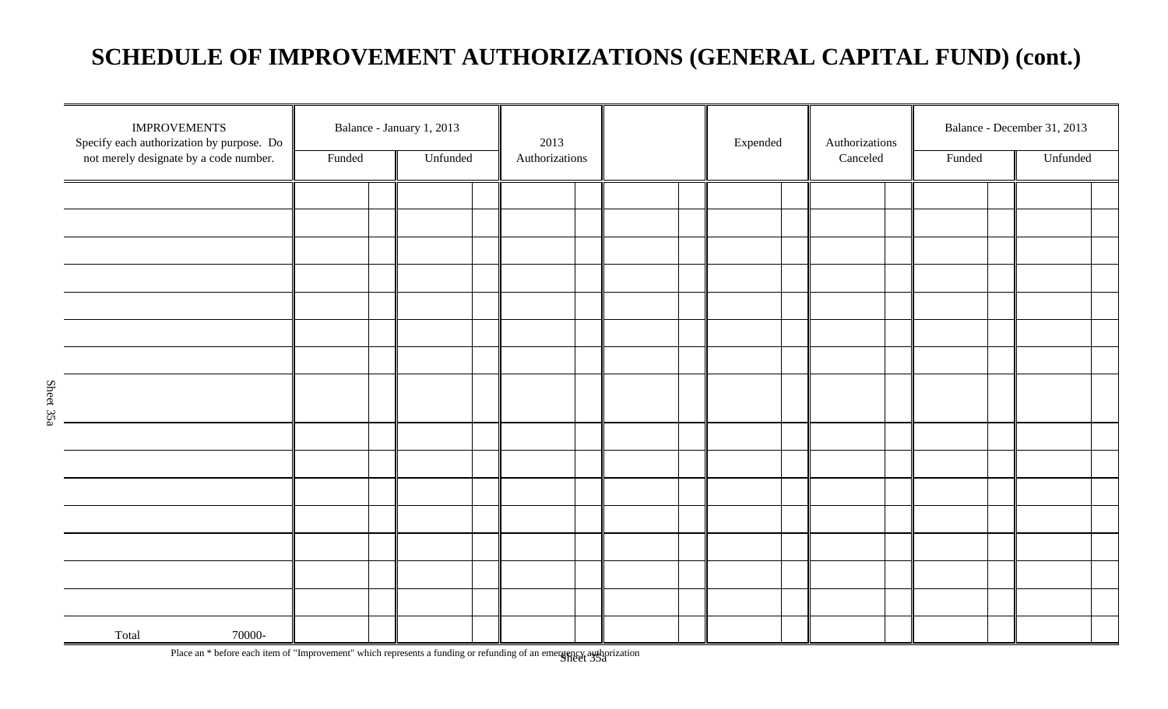## **SCHEDULE OF IMPROVEMENT AUTHORIZATIONS (GENERAL CAPITAL FUND) (cont.)**

| <b>IMPROVEMENTS</b><br>Specify each authorization by purpose. Do<br>not merely designate by a code number. | Funded | Balance - January 1, 2013<br>Unfunded |  | 2013<br>Authorizations |  |  |  |  |  |  |  | Expended |  |  |  |  |  |  |  |  |  |  |  |  |  |  |  |  |  |  |  |  |  | Authorizations<br>Canceled | Funded | Balance - December 31, 2013<br>Unfunded |  |
|------------------------------------------------------------------------------------------------------------|--------|---------------------------------------|--|------------------------|--|--|--|--|--|--|--|----------|--|--|--|--|--|--|--|--|--|--|--|--|--|--|--|--|--|--|--|--|--|----------------------------|--------|-----------------------------------------|--|
|                                                                                                            |        |                                       |  |                        |  |  |  |  |  |  |  |          |  |  |  |  |  |  |  |  |  |  |  |  |  |  |  |  |  |  |  |  |  |                            |        |                                         |  |
|                                                                                                            |        |                                       |  |                        |  |  |  |  |  |  |  |          |  |  |  |  |  |  |  |  |  |  |  |  |  |  |  |  |  |  |  |  |  |                            |        |                                         |  |
|                                                                                                            |        |                                       |  |                        |  |  |  |  |  |  |  |          |  |  |  |  |  |  |  |  |  |  |  |  |  |  |  |  |  |  |  |  |  |                            |        |                                         |  |
|                                                                                                            |        |                                       |  |                        |  |  |  |  |  |  |  |          |  |  |  |  |  |  |  |  |  |  |  |  |  |  |  |  |  |  |  |  |  |                            |        |                                         |  |
|                                                                                                            |        |                                       |  |                        |  |  |  |  |  |  |  |          |  |  |  |  |  |  |  |  |  |  |  |  |  |  |  |  |  |  |  |  |  |                            |        |                                         |  |
|                                                                                                            |        |                                       |  |                        |  |  |  |  |  |  |  |          |  |  |  |  |  |  |  |  |  |  |  |  |  |  |  |  |  |  |  |  |  |                            |        |                                         |  |
|                                                                                                            |        |                                       |  |                        |  |  |  |  |  |  |  |          |  |  |  |  |  |  |  |  |  |  |  |  |  |  |  |  |  |  |  |  |  |                            |        |                                         |  |
|                                                                                                            |        |                                       |  |                        |  |  |  |  |  |  |  |          |  |  |  |  |  |  |  |  |  |  |  |  |  |  |  |  |  |  |  |  |  |                            |        |                                         |  |
|                                                                                                            |        |                                       |  |                        |  |  |  |  |  |  |  |          |  |  |  |  |  |  |  |  |  |  |  |  |  |  |  |  |  |  |  |  |  |                            |        |                                         |  |
|                                                                                                            |        |                                       |  |                        |  |  |  |  |  |  |  |          |  |  |  |  |  |  |  |  |  |  |  |  |  |  |  |  |  |  |  |  |  |                            |        |                                         |  |
|                                                                                                            |        |                                       |  |                        |  |  |  |  |  |  |  |          |  |  |  |  |  |  |  |  |  |  |  |  |  |  |  |  |  |  |  |  |  |                            |        |                                         |  |
|                                                                                                            |        |                                       |  |                        |  |  |  |  |  |  |  |          |  |  |  |  |  |  |  |  |  |  |  |  |  |  |  |  |  |  |  |  |  |                            |        |                                         |  |
|                                                                                                            |        |                                       |  |                        |  |  |  |  |  |  |  |          |  |  |  |  |  |  |  |  |  |  |  |  |  |  |  |  |  |  |  |  |  |                            |        |                                         |  |
|                                                                                                            |        |                                       |  |                        |  |  |  |  |  |  |  |          |  |  |  |  |  |  |  |  |  |  |  |  |  |  |  |  |  |  |  |  |  |                            |        |                                         |  |
|                                                                                                            |        |                                       |  |                        |  |  |  |  |  |  |  |          |  |  |  |  |  |  |  |  |  |  |  |  |  |  |  |  |  |  |  |  |  |                            |        |                                         |  |
|                                                                                                            |        |                                       |  |                        |  |  |  |  |  |  |  |          |  |  |  |  |  |  |  |  |  |  |  |  |  |  |  |  |  |  |  |  |  |                            |        |                                         |  |
| 70000-<br>Total                                                                                            |        |                                       |  |                        |  |  |  |  |  |  |  |          |  |  |  |  |  |  |  |  |  |  |  |  |  |  |  |  |  |  |  |  |  |                            |        |                                         |  |

Place an \* before each item of "Improvement" which represents a funding or refunding of an emergency authorization<br>Sheet 35a

Sheet 35a

Sheet 35a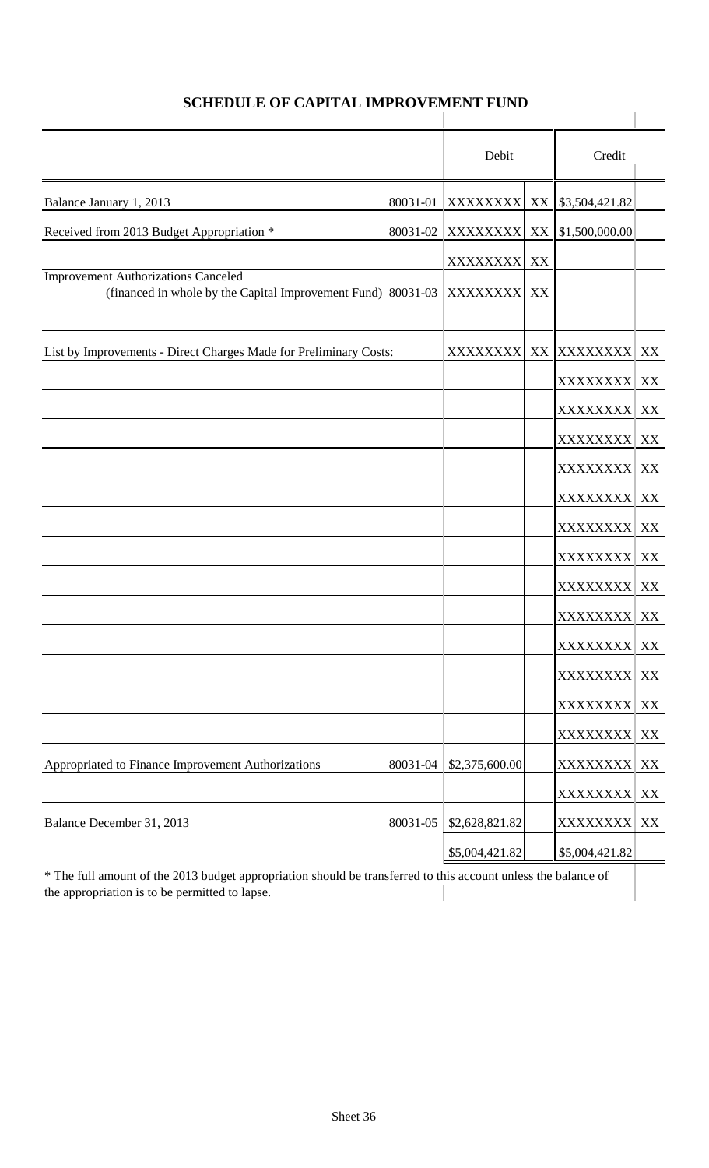### **SCHEDULE OF CAPITAL IMPROVEMENT FUND**

ш

 $\begin{array}{c} \hline \end{array}$ 

|                                                                                                            |          | Debit                |    | Credit          |           |
|------------------------------------------------------------------------------------------------------------|----------|----------------------|----|-----------------|-----------|
| Balance January 1, 2013                                                                                    | 80031-01 | XXXXXXXX XX          |    | \$3,504,421.82  |           |
| Received from 2013 Budget Appropriation *                                                                  |          | 80031-02 XXXXXXXX XX |    | \$1,500,000.00  |           |
|                                                                                                            |          | <b>XXXXXXXX</b>      | XX |                 |           |
| <b>Improvement Authorizations Canceled</b><br>(financed in whole by the Capital Improvement Fund) 80031-03 |          | XXXXXXXX XX          |    |                 |           |
|                                                                                                            |          |                      |    |                 |           |
| List by Improvements - Direct Charges Made for Preliminary Costs:                                          |          | <b>XXXXXXXXI</b>     | XX | <b>XXXXXXXX</b> | XX        |
|                                                                                                            |          |                      |    | XXXXXXXX XX     |           |
|                                                                                                            |          |                      |    | XXXXXXXX XX     |           |
|                                                                                                            |          |                      |    | XXXXXXXX XX     |           |
|                                                                                                            |          |                      |    | XXXXXXXX XX     |           |
|                                                                                                            |          |                      |    | XXXXXXXX XX     |           |
|                                                                                                            |          |                      |    | XXXXXXXX  XX    |           |
|                                                                                                            |          |                      |    | XXXXXXXX XX     |           |
|                                                                                                            |          |                      |    | XXXXXXXX  XX    |           |
|                                                                                                            |          |                      |    | XXXXXXXX        | XX        |
|                                                                                                            |          |                      |    | <b>XXXXXXXX</b> | $\mid$ XX |
|                                                                                                            |          |                      |    | XXXXXXXX XX     |           |
|                                                                                                            |          |                      |    | <b>XXXXXXXX</b> | XX        |
|                                                                                                            |          |                      |    | XXXXXXXX XX     |           |
| Appropriated to Finance Improvement Authorizations                                                         | 80031-04 | \$2,375,600.00       |    | XXXXXXXX XX     |           |
|                                                                                                            |          |                      |    | XXXXXXXX XX     |           |
| Balance December 31, 2013                                                                                  | 80031-05 | \$2,628,821.82       |    | XXXXXXXX XX     |           |
|                                                                                                            |          | \$5,004,421.82       |    | \$5,004,421.82  |           |

\* The full amount of the 2013 budget appropriation should be transferred to this account unless the balance of the appropriation is to be permitted to lapse.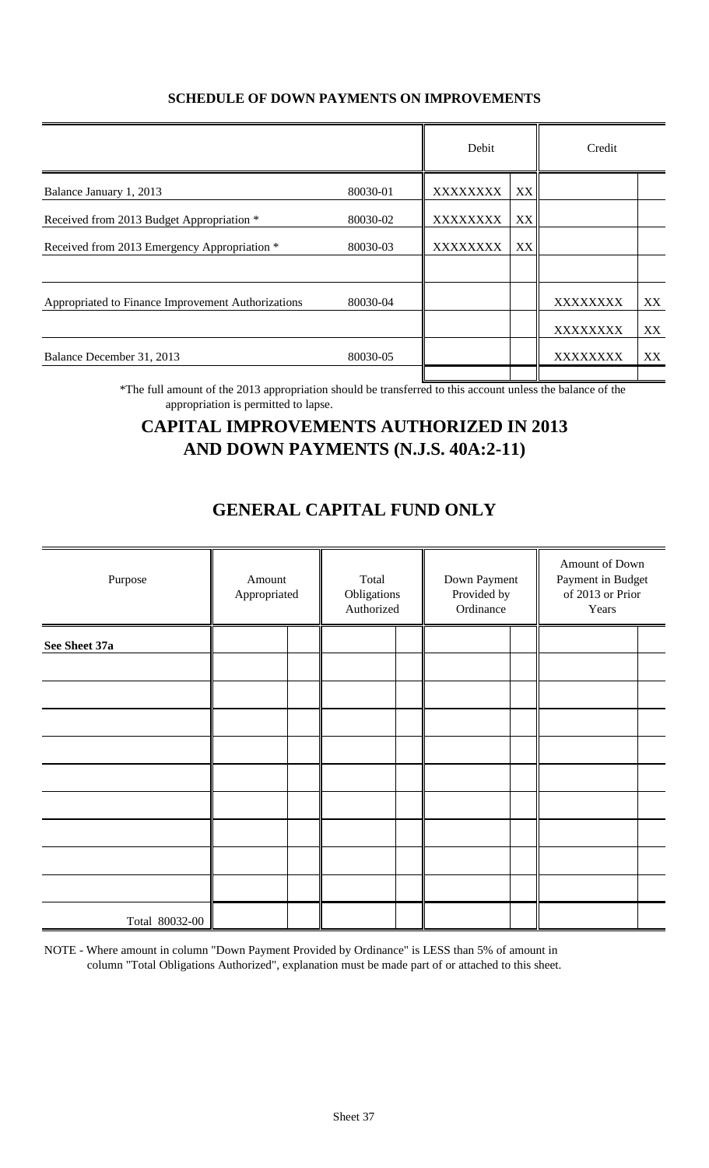#### **SCHEDULE OF DOWN PAYMENTS ON IMPROVEMENTS**

|                                                    |          | Debit    |    | Credit          |    |
|----------------------------------------------------|----------|----------|----|-----------------|----|
| Balance January 1, 2013                            | 80030-01 | XXXXXXXX | XX |                 |    |
| Received from 2013 Budget Appropriation *          | 80030-02 | XXXXXXXX | XX |                 |    |
| Received from 2013 Emergency Appropriation *       | 80030-03 | XXXXXXXX | XX |                 |    |
|                                                    |          |          |    |                 |    |
| Appropriated to Finance Improvement Authorizations | 80030-04 |          |    | <b>XXXXXXXX</b> | XX |
|                                                    |          |          |    | XXXXXXXX        | XX |
| Balance December 31, 2013                          | 80030-05 |          |    | XXXXXXXX        | XX |
|                                                    |          |          |    |                 |    |

\*The full amount of the 2013 appropriation should be transferred to this account unless the balance of the appropriation is permitted to lapse.

### **CAPITAL IMPROVEMENTS AUTHORIZED IN 2013 AND DOWN PAYMENTS (N.J.S. 40A:2-11)**

### **GENERAL CAPITAL FUND ONLY**

| Purpose        | Amount<br>Appropriated | Total<br>Obligations<br>Authorized | Down Payment<br>Provided by<br>Ordinance | Amount of Down<br>Payment in Budget<br>of 2013 or Prior<br>Years |
|----------------|------------------------|------------------------------------|------------------------------------------|------------------------------------------------------------------|
| See Sheet 37a  |                        |                                    |                                          |                                                                  |
|                |                        |                                    |                                          |                                                                  |
|                |                        |                                    |                                          |                                                                  |
|                |                        |                                    |                                          |                                                                  |
|                |                        |                                    |                                          |                                                                  |
|                |                        |                                    |                                          |                                                                  |
|                |                        |                                    |                                          |                                                                  |
| Total 80032-00 |                        |                                    |                                          |                                                                  |

NOTE - Where amount in column "Down Payment Provided by Ordinance" is LESS than 5% of amount in column "Total Obligations Authorized", explanation must be made part of or attached to this sheet.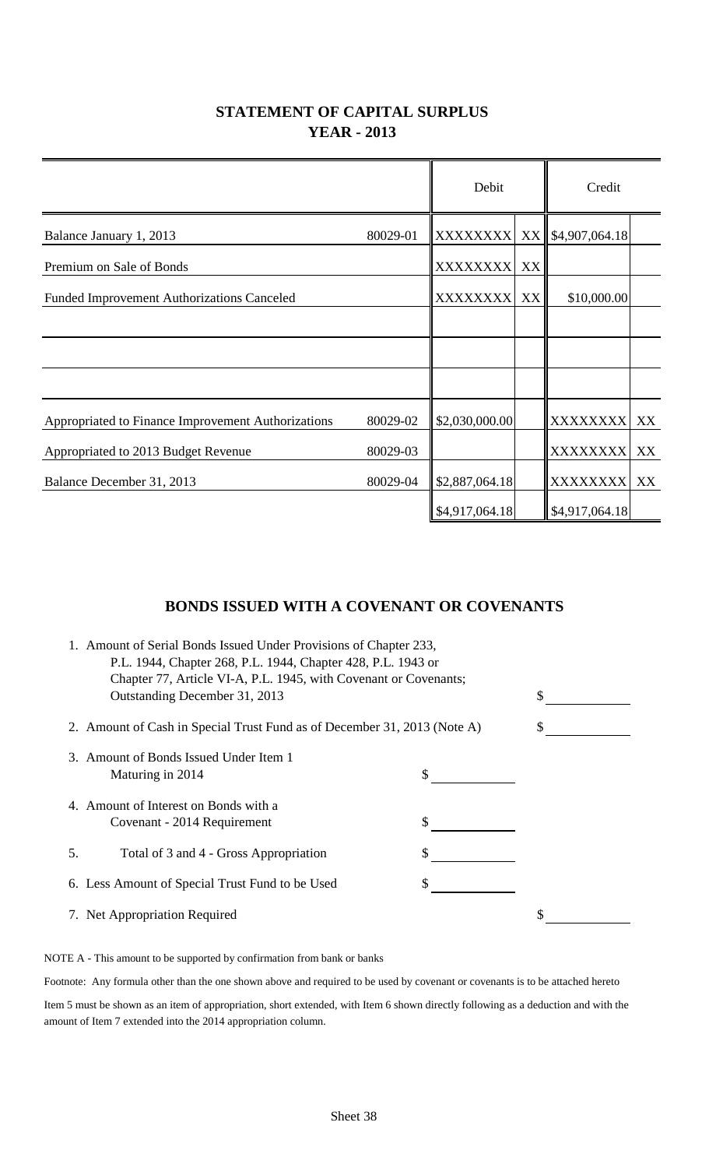### **STATEMENT OF CAPITAL SURPLUS YEAR - 2013**

|                                                    |          | Debit           |    | Credit                                             |  |
|----------------------------------------------------|----------|-----------------|----|----------------------------------------------------|--|
| Balance January 1, 2013                            | 80029-01 |                 |    | $\vert$ XXXXXXXX $\vert$ XX $\vert$ \$4,907,064.18 |  |
| Premium on Sale of Bonds                           |          | <b>XXXXXXXX</b> | XX |                                                    |  |
| Funded Improvement Authorizations Canceled         |          | <b>XXXXXXXX</b> | XX | \$10,000.00                                        |  |
|                                                    |          |                 |    |                                                    |  |
|                                                    |          |                 |    |                                                    |  |
|                                                    |          |                 |    |                                                    |  |
| Appropriated to Finance Improvement Authorizations | 80029-02 | \$2,030,000.00  |    | XXXXXXXX XX                                        |  |
| Appropriated to 2013 Budget Revenue                | 80029-03 |                 |    | XXXXXXXX XX                                        |  |
| Balance December 31, 2013                          | 80029-04 | \$2,887,064.18  |    | XXXXXXXX XX                                        |  |
|                                                    |          | \$4,917,064.18  |    | \$4,917,064.18                                     |  |

#### **BONDS ISSUED WITH A COVENANT OR COVENANTS**

| 1. Amount of Serial Bonds Issued Under Provisions of Chapter 233,<br>P.L. 1944, Chapter 268, P.L. 1944, Chapter 428, P.L. 1943 or |  |    |  |  |  |  |  |
|-----------------------------------------------------------------------------------------------------------------------------------|--|----|--|--|--|--|--|
| Chapter 77, Article VI-A, P.L. 1945, with Covenant or Covenants;                                                                  |  |    |  |  |  |  |  |
| Outstanding December 31, 2013                                                                                                     |  | \$ |  |  |  |  |  |
| 2. Amount of Cash in Special Trust Fund as of December 31, 2013 (Note A)                                                          |  |    |  |  |  |  |  |
| 3. Amount of Bonds Issued Under Item 1<br>Maturing in 2014                                                                        |  |    |  |  |  |  |  |
| 4. Amount of Interest on Bonds with a<br>Covenant - 2014 Requirement                                                              |  |    |  |  |  |  |  |
| 5.<br>Total of 3 and 4 - Gross Appropriation                                                                                      |  |    |  |  |  |  |  |
| 6. Less Amount of Special Trust Fund to be Used                                                                                   |  |    |  |  |  |  |  |
| 7. Net Appropriation Required                                                                                                     |  | S  |  |  |  |  |  |

NOTE A - This amount to be supported by confirmation from bank or banks

Footnote: Any formula other than the one shown above and required to be used by covenant or covenants is to be attached hereto

Item 5 must be shown as an item of appropriation, short extended, with Item 6 shown directly following as a deduction and with the amount of Item 7 extended into the 2014 appropriation column.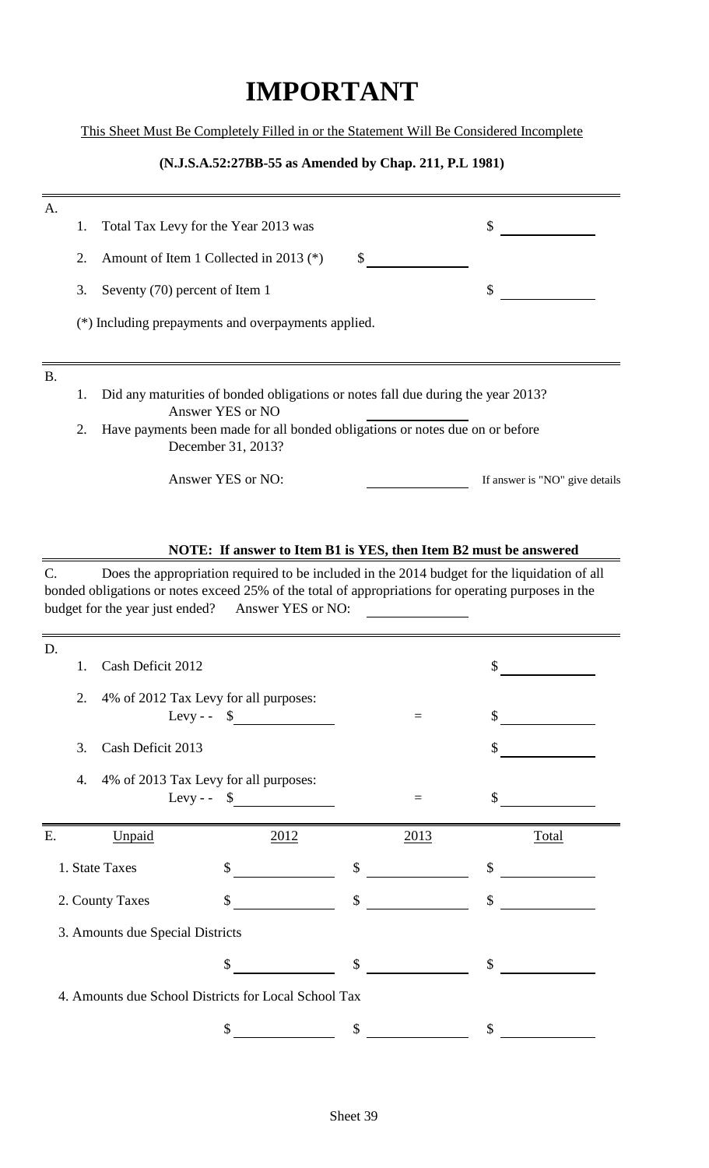# **IMPORTANT**

This Sheet Must Be Completely Filled in or the Statement Will Be Considered Incomplete

### **(N.J.S.A.52:27BB-55 as Amended by Chap. 211, P.L 1981)**

| A.              | 1. |                                  | Total Tax Levy for the Year 2013 was                                                                                                                                                                                                                     |      | \$                             |  |
|-----------------|----|----------------------------------|----------------------------------------------------------------------------------------------------------------------------------------------------------------------------------------------------------------------------------------------------------|------|--------------------------------|--|
|                 |    |                                  |                                                                                                                                                                                                                                                          |      |                                |  |
|                 | 2. |                                  | Amount of Item 1 Collected in 2013 (*)                                                                                                                                                                                                                   | \$   |                                |  |
|                 | 3. | Seventy (70) percent of Item 1   |                                                                                                                                                                                                                                                          |      | \$                             |  |
|                 |    |                                  | (*) Including prepayments and overpayments applied.                                                                                                                                                                                                      |      |                                |  |
| <b>B.</b>       |    |                                  |                                                                                                                                                                                                                                                          |      |                                |  |
|                 | 1. |                                  | Did any maturities of bonded obligations or notes fall due during the year 2013?<br>Answer YES or NO                                                                                                                                                     |      |                                |  |
|                 | 2. |                                  | Have payments been made for all bonded obligations or notes due on or before<br>December 31, 2013?                                                                                                                                                       |      |                                |  |
|                 |    |                                  | Answer YES or NO:                                                                                                                                                                                                                                        |      | If answer is "NO" give details |  |
|                 |    |                                  |                                                                                                                                                                                                                                                          |      |                                |  |
|                 |    |                                  | NOTE: If answer to Item B1 is YES, then Item B2 must be answered                                                                                                                                                                                         |      |                                |  |
| $\mathcal{C}$ . |    |                                  | Does the appropriation required to be included in the 2014 budget for the liquidation of all<br>bonded obligations or notes exceed 25% of the total of appropriations for operating purposes in the<br>budget for the year just ended? Answer YES or NO: |      |                                |  |
| D.              |    |                                  |                                                                                                                                                                                                                                                          |      |                                |  |
|                 | 1. | Cash Deficit 2012                |                                                                                                                                                                                                                                                          |      | \$                             |  |
|                 | 2. |                                  | 4% of 2012 Tax Levy for all purposes:<br>Levy - - $\$$                                                                                                                                                                                                   |      |                                |  |
|                 | 3. | Cash Deficit 2013                |                                                                                                                                                                                                                                                          |      | \$                             |  |
|                 | 4. |                                  | 4% of 2013 Tax Levy for all purposes:<br>Levy - $\sim$ \$                                                                                                                                                                                                | $=$  | \$                             |  |
| E.              |    | Unpaid                           | 2012                                                                                                                                                                                                                                                     | 2013 | Total                          |  |
|                 |    | 1. State Taxes                   | \$                                                                                                                                                                                                                                                       | \$   | \$                             |  |
|                 |    | 2. County Taxes                  | \$                                                                                                                                                                                                                                                       | \$   | \$                             |  |
|                 |    | 3. Amounts due Special Districts |                                                                                                                                                                                                                                                          |      |                                |  |
|                 |    |                                  | \$                                                                                                                                                                                                                                                       | \$   | \$                             |  |
|                 |    |                                  | 4. Amounts due School Districts for Local School Tax                                                                                                                                                                                                     |      |                                |  |
|                 |    |                                  | \$                                                                                                                                                                                                                                                       | \$   | \$                             |  |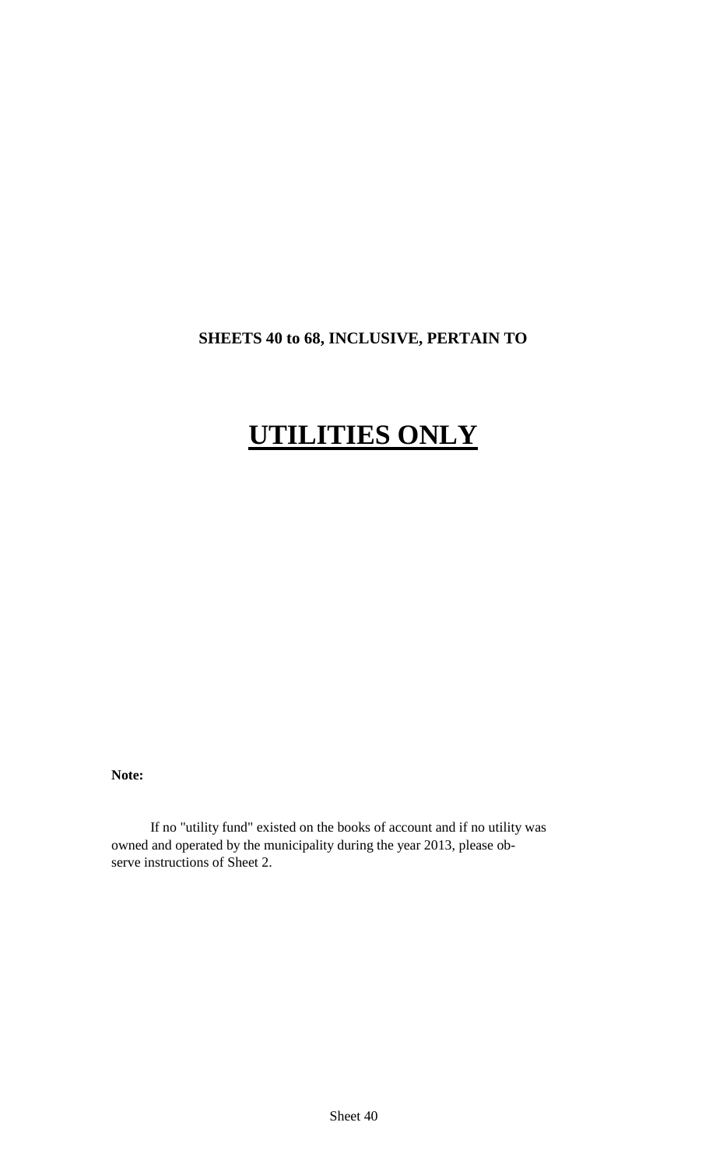### **SHEETS 40 to 68, INCLUSIVE, PERTAIN TO**

# **UTILITIES ONLY**

**Note:**

If no "utility fund" existed on the books of account and if no utility was owned and operated by the municipality during the year 2013, please observe instructions of Sheet 2.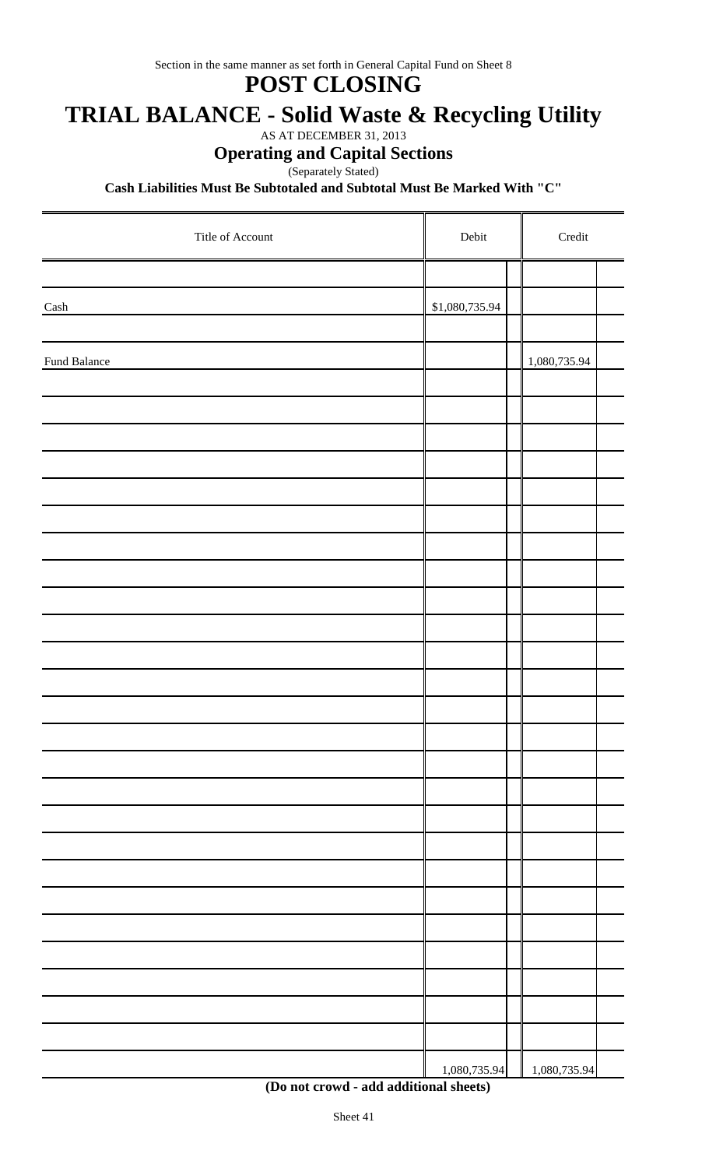## **POST CLOSING**

## **TRIAL BALANCE - Solid Waste & Recycling Utility**

AS AT DECEMBER 31, 2013

### **Operating and Capital Sections**

S<br>(Separately Stated)

**Cash Liabilities Must Be Subtotaled and Subtotal Must Be Marked With "C"**

| Title of Account    | Debit          | $\bf Credit$      |  |
|---------------------|----------------|-------------------|--|
|                     |                |                   |  |
| Cash                | \$1,080,735.94 |                   |  |
|                     |                |                   |  |
| <b>Fund Balance</b> |                | 1,080,735.94      |  |
|                     |                |                   |  |
|                     |                |                   |  |
|                     |                |                   |  |
|                     |                |                   |  |
|                     |                |                   |  |
|                     |                |                   |  |
|                     |                |                   |  |
|                     |                |                   |  |
|                     |                |                   |  |
|                     |                |                   |  |
|                     |                |                   |  |
|                     |                |                   |  |
|                     |                |                   |  |
|                     |                |                   |  |
|                     |                |                   |  |
|                     |                |                   |  |
|                     |                |                   |  |
|                     |                |                   |  |
|                     |                |                   |  |
|                     |                |                   |  |
|                     |                |                   |  |
|                     |                |                   |  |
|                     |                |                   |  |
|                     |                |                   |  |
|                     |                |                   |  |
|                     | 1,080,735.94   | 1,080,735.94<br>Ш |  |

 **(Do not crowd - add additional sheets)**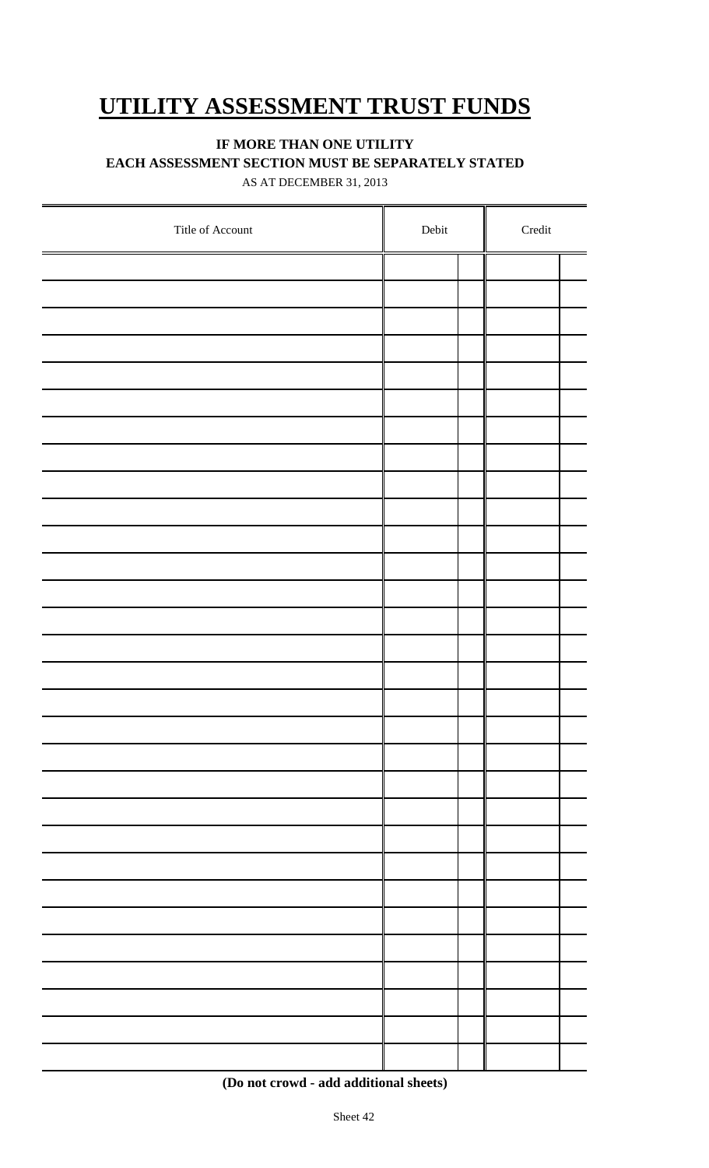## **UTILITY ASSESSMENT TRUST FUNDS**

### **IF MORE THAN ONE UTILITY EACH ASSESSMENT SECTION MUST BE SEPARATELY STATED**

AS AT DECEMBER 31, 2013

| Title of Account | Debit | Credit |  |
|------------------|-------|--------|--|
|                  |       |        |  |
|                  |       |        |  |
|                  |       |        |  |
|                  |       |        |  |
|                  |       |        |  |
|                  |       |        |  |
|                  |       |        |  |
|                  |       |        |  |
|                  |       |        |  |
|                  |       |        |  |
|                  |       |        |  |
|                  |       |        |  |
|                  |       |        |  |
|                  |       |        |  |
|                  |       |        |  |
|                  |       |        |  |
|                  |       |        |  |
|                  |       |        |  |
|                  |       |        |  |
|                  |       |        |  |
|                  |       |        |  |
|                  |       |        |  |
|                  |       |        |  |
|                  |       |        |  |
|                  |       |        |  |
|                  |       |        |  |
|                  |       |        |  |
|                  |       |        |  |
|                  |       |        |  |
|                  |       |        |  |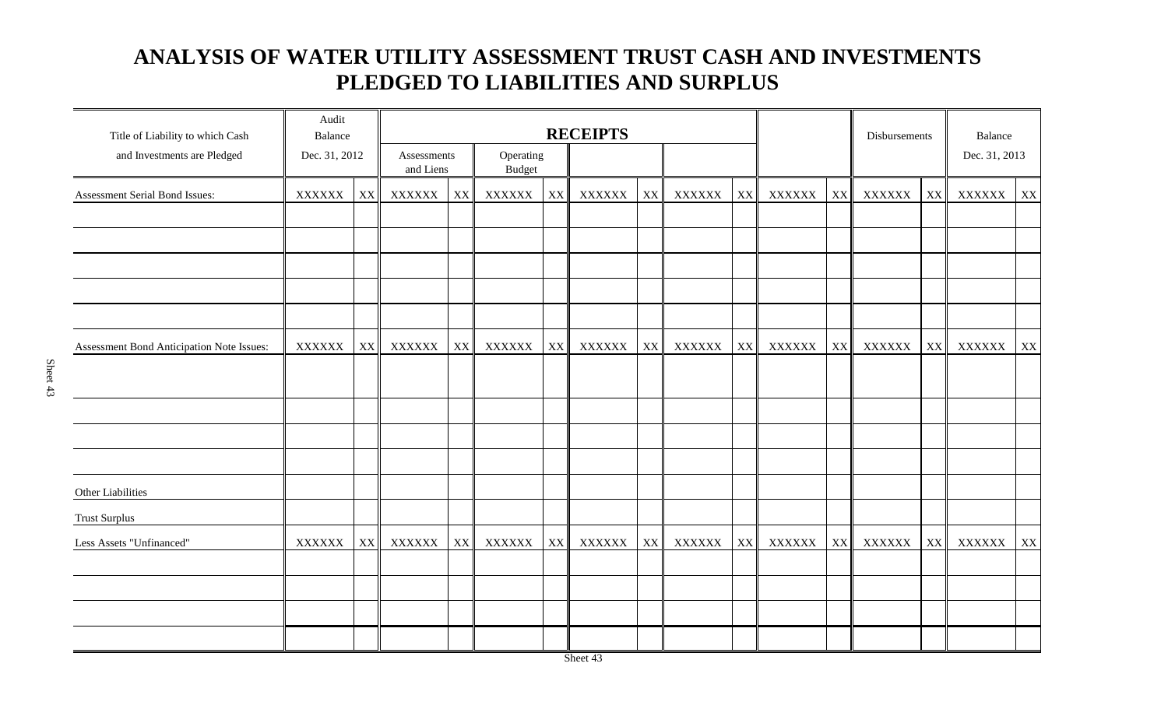## **ANALYSIS OF WATER UTILITY ASSESSMENT TRUST CASH AND INVESTMENTS PLEDGED TO LIABILITIES AND SURPLUS**

| Title of Liability to which Cash          | Audit<br>Balance |    |                          |                        |                            |    | <b>RECEIPTS</b> |    |               |    |               |                         | Disbursements |    | <b>Balance</b> |    |
|-------------------------------------------|------------------|----|--------------------------|------------------------|----------------------------|----|-----------------|----|---------------|----|---------------|-------------------------|---------------|----|----------------|----|
| and Investments are Pledged               | Dec. 31, 2012    |    | Assessments<br>and Liens |                        | Operating<br><b>Budget</b> |    |                 |    |               |    |               |                         |               |    | Dec. 31, 2013  |    |
| Assessment Serial Bond Issues:            | <b>XXXXXX</b>    | XX | <b>XXXXXX</b>            | $\mathbf{XX}$          | XXXXXX                     | XX | <b>XXXXXX</b>   | XX | XXXXXX        | XX | XXXXXX        | XX                      | XXXXXX        | XX | XXXXXX         | XX |
|                                           |                  |    |                          |                        |                            |    |                 |    |               |    |               |                         |               |    |                |    |
|                                           |                  |    |                          |                        |                            |    |                 |    |               |    |               |                         |               |    |                |    |
|                                           |                  |    |                          |                        |                            |    |                 |    |               |    |               |                         |               |    |                |    |
|                                           |                  |    |                          |                        |                            |    |                 |    |               |    |               |                         |               |    |                |    |
| Assessment Bond Anticipation Note Issues: | <b>XXXXXX</b>    | XX | <b>XXXXXX</b>            | $\mathbf{X}\mathbf{X}$ | <b>XXXXXX</b>              | XX | <b>XXXXXX</b>   | XX | <b>XXXXXX</b> | XX | XXXXXX        | $\mathbf{X} \mathbf{X}$ | XXXXXX        | XX | XXXXXX         | XX |
|                                           |                  |    |                          |                        |                            |    |                 |    |               |    |               |                         |               |    |                |    |
|                                           |                  |    |                          |                        |                            |    |                 |    |               |    |               |                         |               |    |                |    |
|                                           |                  |    |                          |                        |                            |    |                 |    |               |    |               |                         |               |    |                |    |
| Other Liabilities                         |                  |    |                          |                        |                            |    |                 |    |               |    |               |                         |               |    |                |    |
| <b>Trust Surplus</b>                      |                  |    |                          |                        |                            |    |                 |    |               |    |               |                         |               |    |                |    |
| Less Assets "Unfinanced"                  | <b>XXXXXX</b>    | XX | <b>XXXXXX</b>            | $\mathbf{X}\mathbf{X}$ | XXXXXX                     | XX | XXXXXX          | XX | <b>XXXXXX</b> | XX | <b>XXXXXX</b> | $\mathbf{X}\mathbf{X}$  | XXXXXX        | XX | <b>XXXXXX</b>  | XX |
|                                           |                  |    |                          |                        |                            |    |                 |    |               |    |               |                         |               |    |                |    |
|                                           |                  |    |                          |                        |                            |    |                 |    |               |    |               |                         |               |    |                |    |
|                                           |                  |    |                          |                        |                            |    |                 |    |               |    |               |                         |               |    |                |    |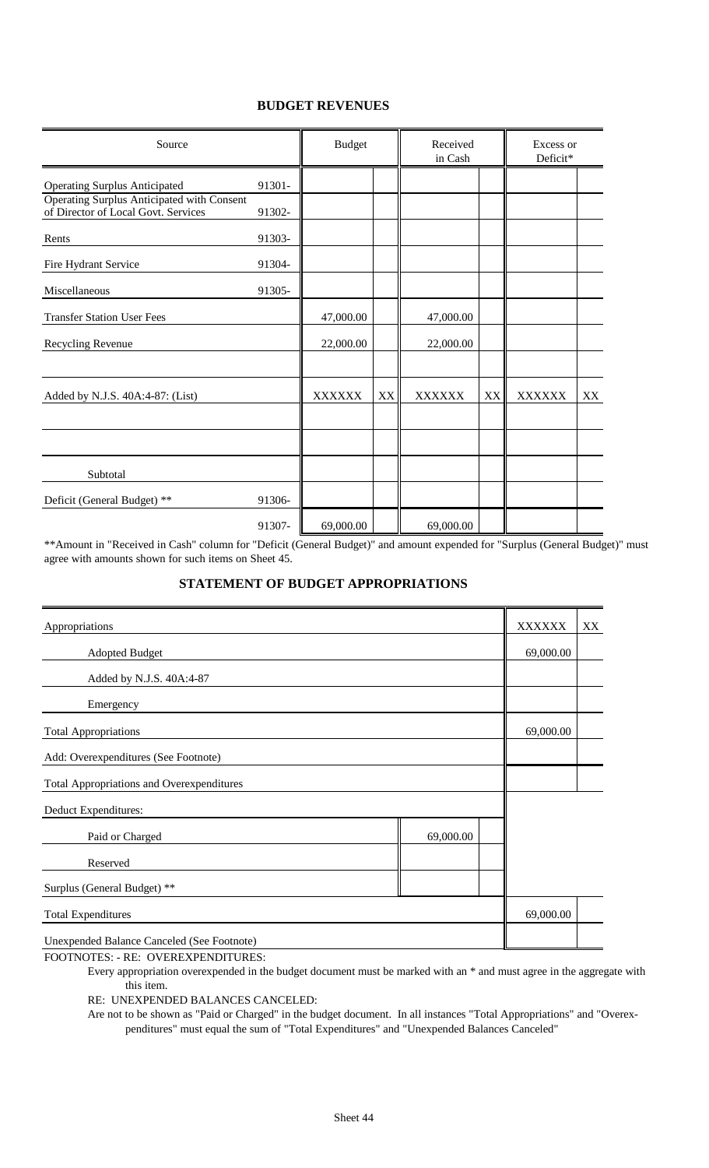#### **BUDGET REVENUES**

| Source                                                                                   |        | <b>Budget</b> |    | Received<br>in Cash |    | Excess or<br>Deficit* |               |
|------------------------------------------------------------------------------------------|--------|---------------|----|---------------------|----|-----------------------|---------------|
| <b>Operating Surplus Anticipated</b>                                                     | 91301- |               |    |                     |    |                       |               |
| <b>Operating Surplus Anticipated with Consent</b><br>of Director of Local Govt. Services | 91302- |               |    |                     |    |                       |               |
| Rents                                                                                    | 91303- |               |    |                     |    |                       |               |
| Fire Hydrant Service                                                                     | 91304- |               |    |                     |    |                       |               |
| Miscellaneous                                                                            | 91305- |               |    |                     |    |                       |               |
| <b>Transfer Station User Fees</b>                                                        |        | 47,000.00     |    | 47,000.00           |    |                       |               |
| Recycling Revenue                                                                        |        | 22,000.00     |    | 22,000.00           |    |                       |               |
| Added by N.J.S. 40A:4-87: (List)                                                         |        | <b>XXXXXX</b> | XX | <b>XXXXXX</b>       | XX | <b>XXXXXX</b>         | $\mathbf{XX}$ |
|                                                                                          |        |               |    |                     |    |                       |               |
| Subtotal                                                                                 |        |               |    |                     |    |                       |               |
| Deficit (General Budget) **                                                              | 91306- |               |    |                     |    |                       |               |
|                                                                                          | 91307- | 69,000.00     |    | 69,000.00           |    |                       |               |

\*\*Amount in "Received in Cash" column for "Deficit (General Budget)" and amount expended for "Surplus (General Budget)" must agree with amounts shown for such items on Sheet 45.

### **STATEMENT OF BUDGET APPROPRIATIONS**

| Appropriations                                    |           | <b>XXXXXX</b> | $\mathbf{XX}$ |
|---------------------------------------------------|-----------|---------------|---------------|
| <b>Adopted Budget</b>                             |           | 69,000.00     |               |
| Added by N.J.S. 40A:4-87                          |           |               |               |
| Emergency                                         |           |               |               |
| <b>Total Appropriations</b>                       |           | 69,000.00     |               |
| Add: Overexpenditures (See Footnote)              |           |               |               |
| <b>Total Appropriations and Overexpenditures</b>  |           |               |               |
| Deduct Expenditures:                              |           |               |               |
| Paid or Charged                                   | 69,000.00 |               |               |
| Reserved                                          |           |               |               |
| Surplus (General Budget) **                       |           |               |               |
| <b>Total Expenditures</b>                         |           | 69,000.00     |               |
| <b>Unexpended Balance Canceled (See Footnote)</b> |           |               |               |

FOOTNOTES: - RE: OVEREXPENDITURES:

Every appropriation overexpended in the budget document must be marked with an \* and must agree in the aggregate with this item.

RE: UNEXPENDED BALANCES CANCELED:

Are not to be shown as "Paid or Charged" in the budget document. In all instances "Total Appropriations" and "Overexpenditures" must equal the sum of "Total Expenditures" and "Unexpended Balances Canceled"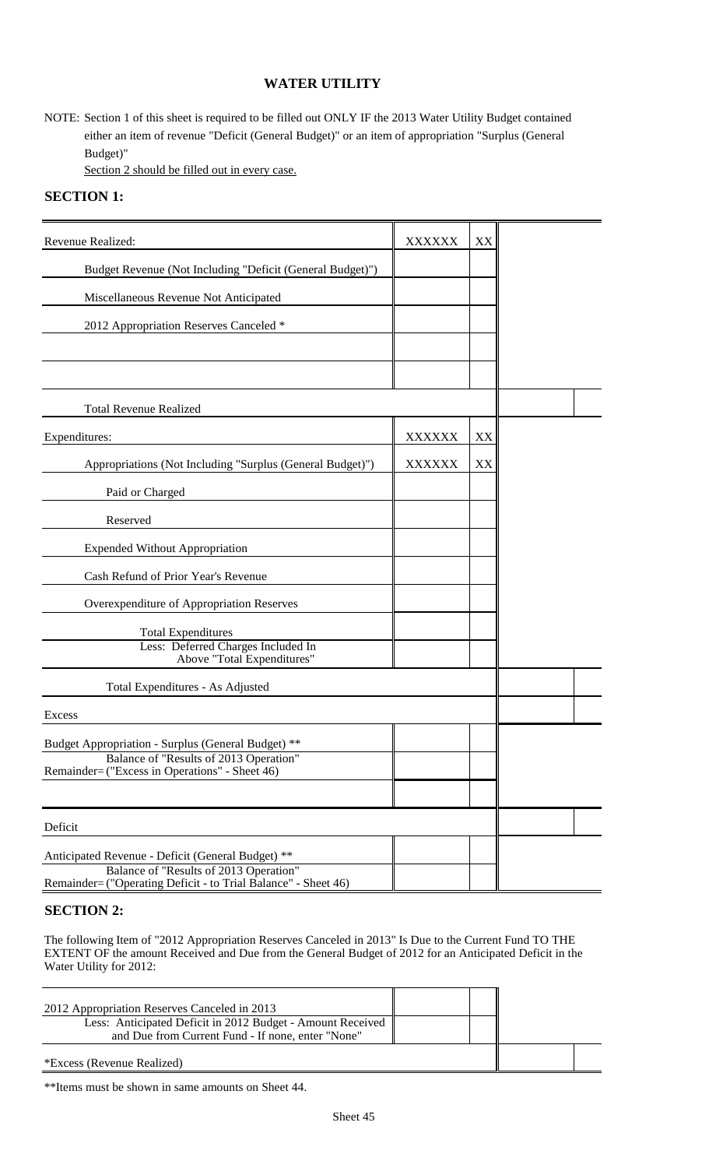#### **WATER UTILITY**

NOTE: Section 1 of this sheet is required to be filled out ONLY IF the 2013 Water Utility Budget contained either an item of revenue "Deficit (General Budget)" or an item of appropriation "Surplus (General Budget)"

Section 2 should be filled out in every case.

#### **SECTION 1:**

| Revenue Realized:                                                                                                                                             | <b>XXXXXX</b> | XX |  |
|---------------------------------------------------------------------------------------------------------------------------------------------------------------|---------------|----|--|
| Budget Revenue (Not Including "Deficit (General Budget)")                                                                                                     |               |    |  |
| Miscellaneous Revenue Not Anticipated                                                                                                                         |               |    |  |
| 2012 Appropriation Reserves Canceled *                                                                                                                        |               |    |  |
|                                                                                                                                                               |               |    |  |
|                                                                                                                                                               |               |    |  |
| <b>Total Revenue Realized</b>                                                                                                                                 |               |    |  |
| Expenditures:                                                                                                                                                 | <b>XXXXXX</b> | XX |  |
| Appropriations (Not Including "Surplus (General Budget)")                                                                                                     | XXXXXX        | XX |  |
| Paid or Charged                                                                                                                                               |               |    |  |
| Reserved                                                                                                                                                      |               |    |  |
| <b>Expended Without Appropriation</b>                                                                                                                         |               |    |  |
| Cash Refund of Prior Year's Revenue                                                                                                                           |               |    |  |
| Overexpenditure of Appropriation Reserves                                                                                                                     |               |    |  |
| <b>Total Expenditures</b>                                                                                                                                     |               |    |  |
| Less: Deferred Charges Included In<br>Above "Total Expenditures"                                                                                              |               |    |  |
| Total Expenditures - As Adjusted                                                                                                                              |               |    |  |
| Excess                                                                                                                                                        |               |    |  |
| Budget Appropriation - Surplus (General Budget) **                                                                                                            |               |    |  |
| Balance of "Results of 2013 Operation"<br>Remainder= ("Excess in Operations" - Sheet 46)                                                                      |               |    |  |
|                                                                                                                                                               |               |    |  |
| Deficit                                                                                                                                                       |               |    |  |
| Anticipated Revenue - Deficit (General Budget) **<br>Balance of "Results of 2013 Operation"<br>Remainder= ("Operating Deficit - to Trial Balance" - Sheet 46) |               |    |  |

#### **SECTION 2:**

The following Item of "2012 Appropriation Reserves Canceled in 2013" Is Due to the Current Fund TO THE EXTENT OF the amount Received and Due from the General Budget of 2012 for an Anticipated Deficit in the Water Utility for 2012:

| 2012 Appropriation Reserves Canceled in 2013                                                                    |  |  |
|-----------------------------------------------------------------------------------------------------------------|--|--|
| Less: Anticipated Deficit in 2012 Budget - Amount Received<br>and Due from Current Fund - If none, enter "None" |  |  |
| *Excess (Revenue Realized)                                                                                      |  |  |

<sup>\*\*</sup>Items must be shown in same amounts on Sheet 44.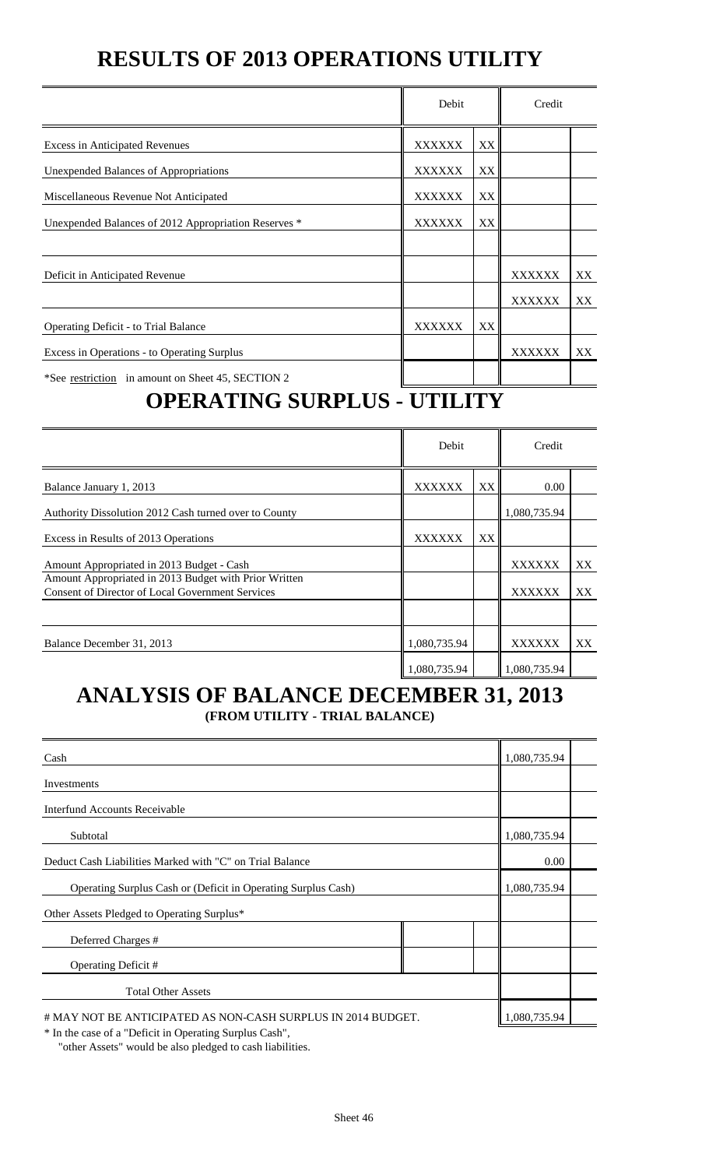## **RESULTS OF 2013 OPERATIONS UTILITY**

|                                                      | Debit         |    | Credit        |     |
|------------------------------------------------------|---------------|----|---------------|-----|
| Excess in Anticipated Revenues                       | <b>XXXXXX</b> | XX |               |     |
| Unexpended Balances of Appropriations                | <b>XXXXXX</b> | XX |               |     |
| Miscellaneous Revenue Not Anticipated                | <b>XXXXXX</b> | XX |               |     |
| Unexpended Balances of 2012 Appropriation Reserves * | <b>XXXXXX</b> | XX |               |     |
|                                                      |               |    |               |     |
| Deficit in Anticipated Revenue                       |               |    | <b>XXXXXX</b> | XX. |
|                                                      |               |    | <b>XXXXXX</b> | XX  |
| <b>Operating Deficit - to Trial Balance</b>          | <b>XXXXXX</b> | XX |               |     |
| Excess in Operations - to Operating Surplus          |               |    | <b>XXXXXX</b> | XX  |
| *See restriction in amount on Sheet 45, SECTION 2    |               |    |               |     |
| ADED LEBLA AUDILIA                                   | TYMIT YANV    |    |               |     |

### **OPERATING SURPLUS - UTILITY**

|                                                                                                                  | Debit        |    | Credit       |    |
|------------------------------------------------------------------------------------------------------------------|--------------|----|--------------|----|
| Balance January 1, 2013                                                                                          | XXXXXX       | XX | 0.00         |    |
| Authority Dissolution 2012 Cash turned over to County                                                            |              |    | 1,080,735.94 |    |
| Excess in Results of 2013 Operations                                                                             | XXXXXX       | XX |              |    |
| Amount Appropriated in 2013 Budget - Cash                                                                        |              |    | XXXXXX       | XX |
| Amount Appropriated in 2013 Budget with Prior Written<br><b>Consent of Director of Local Government Services</b> |              |    | XXXXXX       | XX |
|                                                                                                                  |              |    |              |    |
| Balance December 31, 2013                                                                                        | 1,080,735.94 |    | XXXXXX       | XX |
|                                                                                                                  | 1.080.735.94 |    | 1,080,735.94 |    |

### **ANALYSIS OF BALANCE DECEMBER 31, 2013 (FROM UTILITY - TRIAL BALANCE)**

| Cash                                                          | 1,080,735.94 |  |
|---------------------------------------------------------------|--------------|--|
| Investments                                                   |              |  |
| Interfund Accounts Receivable                                 |              |  |
| Subtotal                                                      | 1,080,735.94 |  |
| Deduct Cash Liabilities Marked with "C" on Trial Balance      | 0.00         |  |
| Operating Surplus Cash or (Deficit in Operating Surplus Cash) |              |  |
| Other Assets Pledged to Operating Surplus*                    |              |  |
| Deferred Charges #                                            |              |  |
| Operating Deficit #                                           |              |  |
| <b>Total Other Assets</b>                                     |              |  |
| # MAY NOT BE ANTICIPATED AS NON-CASH SURPLUS IN 2014 BUDGET.  |              |  |

\* In the case of a "Deficit in Operating Surplus Cash",

"other Assets" would be also pledged to cash liabilities.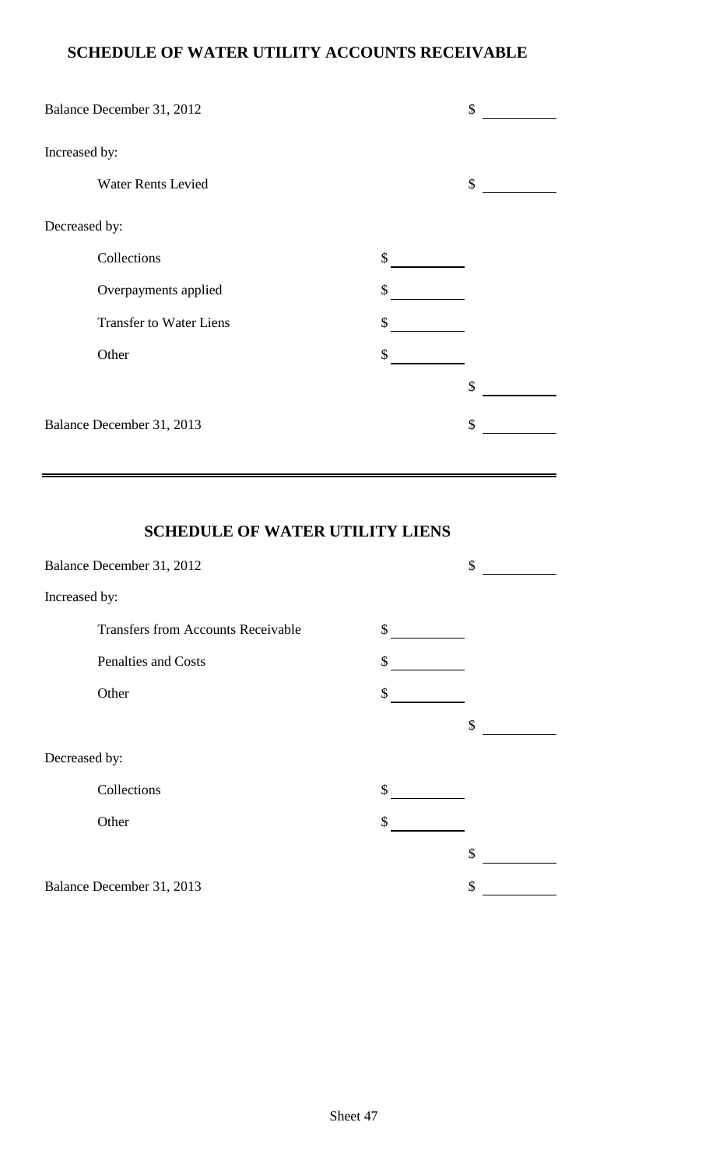### **SCHEDULE OF WATER UTILITY ACCOUNTS RECEIVABLE**

| Balance December 31, 2012 | \$                             |               |    |
|---------------------------|--------------------------------|---------------|----|
| Increased by:             |                                |               |    |
|                           | <b>Water Rents Levied</b>      |               | \$ |
| Decreased by:             |                                |               |    |
|                           | Collections                    | $\mathcal{S}$ |    |
|                           | Overpayments applied           | $\mathcal{S}$ |    |
|                           | <b>Transfer to Water Liens</b> | \$            |    |
|                           | Other                          | $\mathcal{S}$ |    |
|                           |                                |               | \$ |
|                           | Balance December 31, 2013      |               | \$ |

### **SCHEDULE OF WATER UTILITY LIENS**

| Balance December 31, 2012 |                                           | \$ |    |  |  |  |  |  |
|---------------------------|-------------------------------------------|----|----|--|--|--|--|--|
|                           | Increased by:                             |    |    |  |  |  |  |  |
|                           | <b>Transfers from Accounts Receivable</b> | \$ |    |  |  |  |  |  |
|                           | Penalties and Costs                       | \$ |    |  |  |  |  |  |
|                           | Other                                     | \$ |    |  |  |  |  |  |
|                           |                                           |    | \$ |  |  |  |  |  |
| Decreased by:             |                                           |    |    |  |  |  |  |  |
|                           | Collections                               | \$ |    |  |  |  |  |  |
|                           | Other                                     | \$ |    |  |  |  |  |  |
|                           |                                           |    | \$ |  |  |  |  |  |
|                           | Balance December 31, 2013                 |    | \$ |  |  |  |  |  |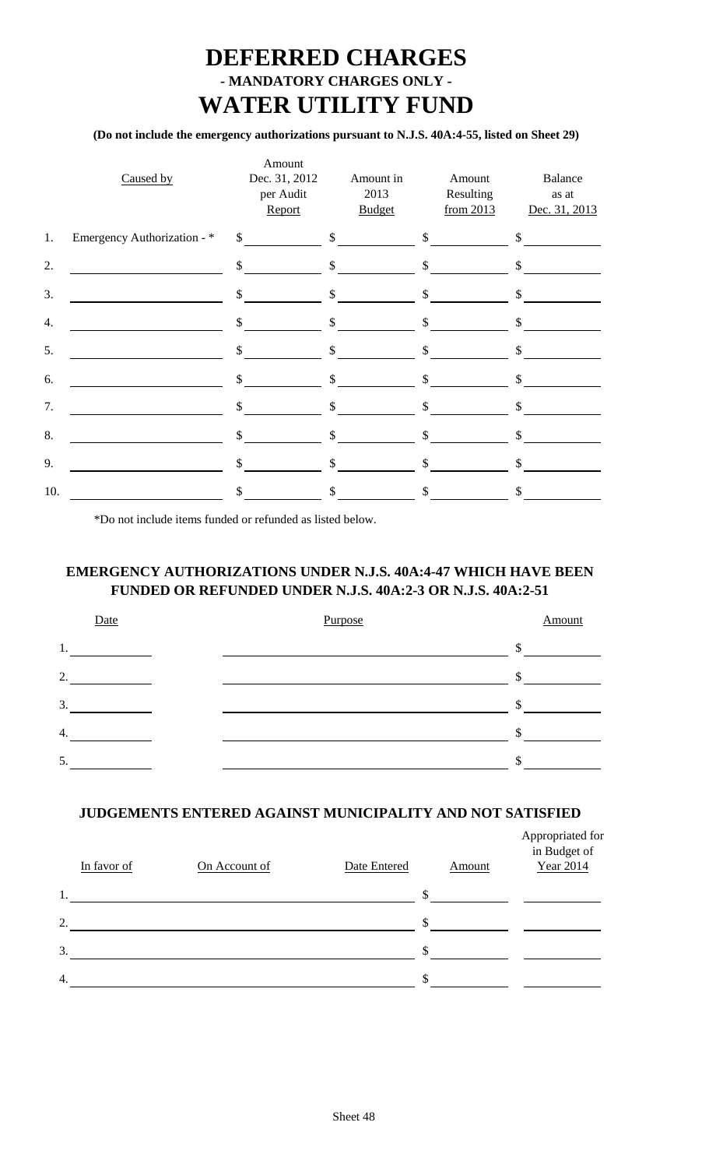## **DEFERRED CHARGES - MANDATORY CHARGES ONLY - WATER UTILITY FUND**

#### **(Do not include the emergency authorizations pursuant to N.J.S. 40A:4-55, listed on Sheet 29)**

|     | Caused by                   | Amount<br>Dec. 31, 2012<br>per Audit<br>Report |               | Amount in<br>2013<br><b>Budget</b> | Amount<br>Resulting<br>from 2013 | Balance<br>as at<br>Dec. 31, 2013 |
|-----|-----------------------------|------------------------------------------------|---------------|------------------------------------|----------------------------------|-----------------------------------|
| 1.  | Emergency Authorization - * | $\frac{1}{\sqrt{2}}$                           | $\frac{1}{2}$ |                                    | $\frac{\text{S}}{\text{S}}$      | $\frac{1}{\sqrt{2}}$              |
| 2.  |                             | $\sim$                                         | $\sim$        |                                    | $\sim$<br>$\sim$                 |                                   |
| 3.  |                             | $\sim$                                         | $\sim$        | $\sim$                             | $\mathsf{\$}$                    |                                   |
| 4.  |                             | $\sim$                                         | $\sim$        | $\mathcal{S}$                      | $\mathsf{\$}$                    |                                   |
| 5.  |                             | $\mathbb{S}$                                   | $\mathsf{\$}$ | $\mathcal{S}$                      | $\frac{1}{2}$                    |                                   |
| 6.  |                             | \$                                             | \$            | $\mathsf{\$}$                      | \$                               |                                   |
| 7.  |                             | \$                                             | \$            | \$                                 | \$                               |                                   |
| 8.  |                             | \$                                             | \$            | \$                                 | \$                               |                                   |
| 9.  |                             | \$                                             | \$            | \$                                 | \$                               |                                   |
| 10. |                             | \$                                             | \$            | \$                                 | \$.                              |                                   |

\*Do not include items funded or refunded as listed below.

### **EMERGENCY AUTHORIZATIONS UNDER N.J.S. 40A:4-47 WHICH HAVE BEEN FUNDED OR REFUNDED UNDER N.J.S. 40A:2-3 OR N.J.S. 40A:2-51**

| Date | Purpose | Amount  |
|------|---------|---------|
| 1.   |         | \$      |
| 2.   |         | \$.     |
| 3.   |         | ¢<br>D  |
| 4.   |         | Φ       |
| 5.   |         | ¢<br>J. |

#### **JUDGEMENTS ENTERED AGAINST MUNICIPALITY AND NOT SATISFIED**

|    | In favor of | On Account of | Date Entered |     | Amount | Appropriated for<br>in Budget of<br>Year 2014 |
|----|-------------|---------------|--------------|-----|--------|-----------------------------------------------|
| 1. |             |               |              | S   |        |                                               |
| 2. |             |               |              | £.  |        |                                               |
| 3. |             |               |              | \$. |        |                                               |
| 4. |             |               |              | \$. |        |                                               |
|    |             |               |              |     |        |                                               |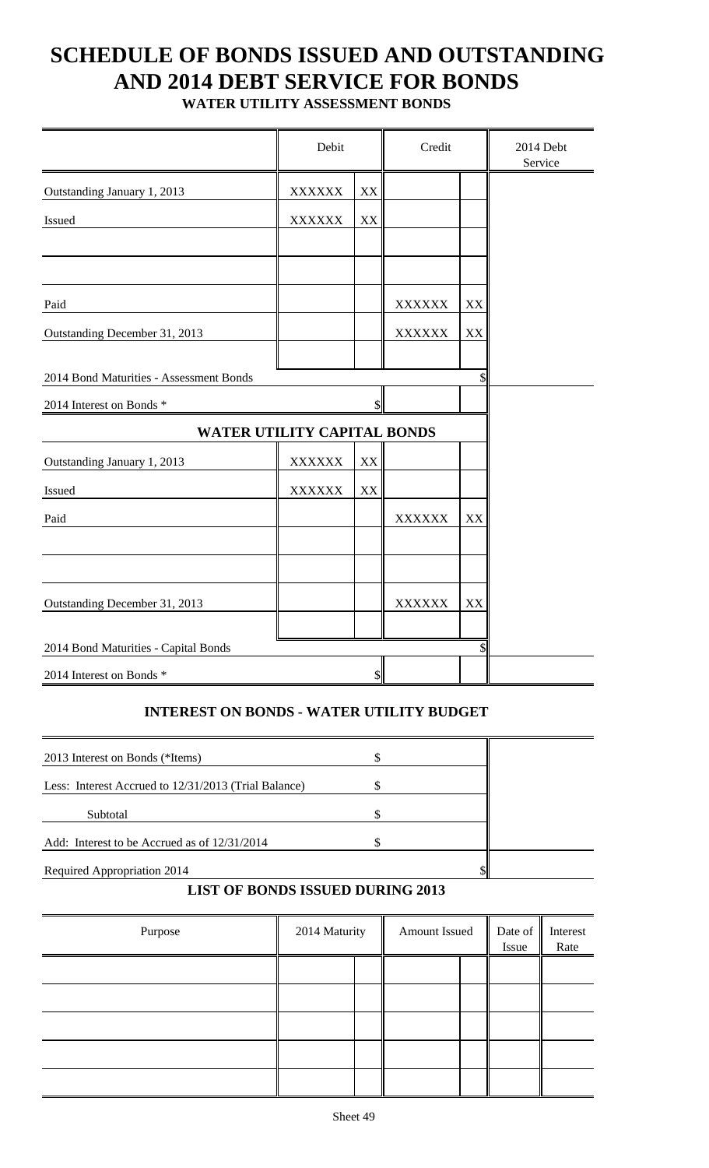# **SCHEDULE OF BONDS ISSUED AND OUTSTANDING AND 2014 DEBT SERVICE FOR BONDS**

**WATER UTILITY ASSESSMENT BONDS**

|                                         | Debit         | Credit                    |               | 2014 Debt<br>Service |  |
|-----------------------------------------|---------------|---------------------------|---------------|----------------------|--|
| Outstanding January 1, 2013             | <b>XXXXXX</b> | XX                        |               |                      |  |
| Issued                                  | <b>XXXXXX</b> | XX                        |               |                      |  |
|                                         |               |                           |               |                      |  |
| Paid                                    |               |                           | <b>XXXXXX</b> | XX                   |  |
| Outstanding December 31, 2013           |               |                           | <b>XXXXXX</b> | XX                   |  |
| 2014 Bond Maturities - Assessment Bonds |               |                           |               | \$                   |  |
| 2014 Interest on Bonds *                |               | S                         |               |                      |  |
| <b>WATER UTILITY CAPITAL BONDS</b>      |               |                           |               |                      |  |
| Outstanding January 1, 2013             | <b>XXXXXX</b> | XX                        |               |                      |  |
| Issued                                  | <b>XXXXXX</b> | XX                        |               |                      |  |
| Paid                                    |               |                           | <b>XXXXXX</b> | XX                   |  |
|                                         |               |                           |               |                      |  |
| Outstanding December 31, 2013           |               |                           | <b>XXXXXX</b> | XX                   |  |
| 2014 Bond Maturities - Capital Bonds    |               |                           |               | \$                   |  |
| 2014 Interest on Bonds *                |               | $\boldsymbol{\mathsf{S}}$ |               |                      |  |

#### **INTEREST ON BONDS - WATER UTILITY BUDGET**

| 2013 Interest on Bonds (*Items)                      |  |  |
|------------------------------------------------------|--|--|
| Less: Interest Accrued to 12/31/2013 (Trial Balance) |  |  |
| Subtotal                                             |  |  |
| Add: Interest to be Accrued as of $12/31/2014$       |  |  |
| <b>Required Appropriation 2014</b>                   |  |  |

#### **LIST OF BONDS ISSUED DURING 2013**

| Purpose | 2014 Maturity | Amount Issued | Date of $\ $<br>Issue | Interest<br>Rate |
|---------|---------------|---------------|-----------------------|------------------|
|         |               |               |                       |                  |
|         |               |               |                       |                  |
|         |               |               |                       |                  |
|         |               |               |                       |                  |
|         |               |               |                       |                  |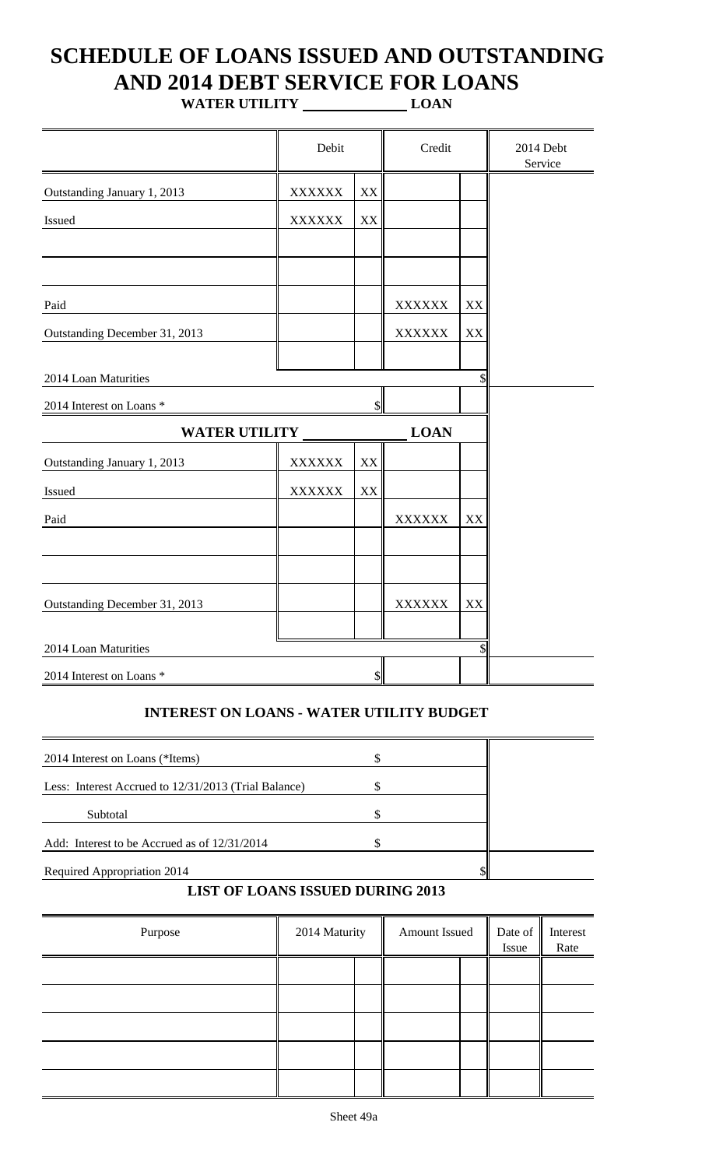# **SCHEDULE OF LOANS ISSUED AND OUTSTANDING AND 2014 DEBT SERVICE FOR LOANS**

**WATER UTILITY LOAN**

|                               | Debit         |    | Credit        |    | 2014 Debt<br>Service |
|-------------------------------|---------------|----|---------------|----|----------------------|
| Outstanding January 1, 2013   | <b>XXXXXX</b> |    |               |    |                      |
| Issued                        | <b>XXXXXX</b> | XX |               |    |                      |
| Paid                          |               |    | <b>XXXXXX</b> | XX |                      |
| Outstanding December 31, 2013 |               |    | <b>XXXXXX</b> | XX |                      |
| 2014 Loan Maturities          |               |    |               | \$ |                      |
| 2014 Interest on Loans *      |               | \$ |               |    |                      |
| <b>WATER UTILITY</b>          |               |    | <b>LOAN</b>   |    |                      |
| Outstanding January 1, 2013   | <b>XXXXXX</b> | XX |               |    |                      |
| Issued                        | <b>XXXXXX</b> | XX |               |    |                      |
| Paid                          |               |    | <b>XXXXXX</b> | XX |                      |
|                               |               |    |               |    |                      |
| Outstanding December 31, 2013 |               |    | <b>XXXXXX</b> | XX |                      |
| 2014 Loan Maturities          |               |    |               | \$ |                      |
| 2014 Interest on Loans *      |               | \$ |               |    |                      |

### **INTEREST ON LOANS - WATER UTILITY BUDGET**

| 2014 Interest on Loans (*Items)                      |  |  |
|------------------------------------------------------|--|--|
| Less: Interest Accrued to 12/31/2013 (Trial Balance) |  |  |
| Subtotal                                             |  |  |
| Add: Interest to be Accrued as of 12/31/2014         |  |  |
| Required Appropriation 2014                          |  |  |

## **LIST OF LOANS ISSUED DURING 2013**

| Purpose | 2014 Maturity |  | Amount Issued | Date of<br>Issue | Interest<br>Rate |
|---------|---------------|--|---------------|------------------|------------------|
|         |               |  |               |                  |                  |
|         |               |  |               |                  |                  |
|         |               |  |               |                  |                  |
|         |               |  |               |                  |                  |
|         |               |  |               |                  |                  |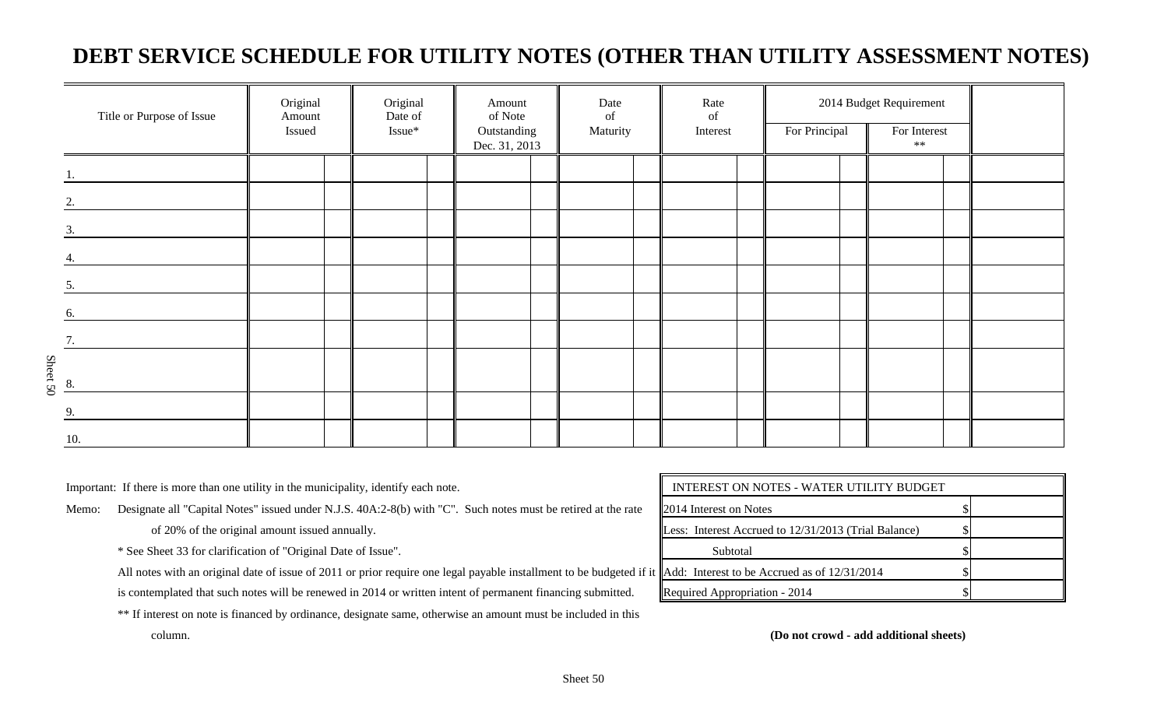## **DEBT SERVICE SCHEDULE FOR UTILITY NOTES (OTHER THAN UTILITY ASSESSMENT NOTES)**

|                | Title or Purpose of Issue | Original<br>Amount<br>Issued | Original<br>Date of<br>Issue* | Amount<br>of Note<br>Outstanding<br>Dec. 31, 2013 | Date<br>of<br>Maturity | Rate<br>of<br>Interest | For Principal | 2014 Budget Requirement<br>For Interest<br>$**$ |  |
|----------------|---------------------------|------------------------------|-------------------------------|---------------------------------------------------|------------------------|------------------------|---------------|-------------------------------------------------|--|
|                |                           |                              |                               |                                                   |                        |                        |               |                                                 |  |
| 2.             |                           |                              |                               |                                                   |                        |                        |               |                                                 |  |
| 3.             |                           |                              |                               |                                                   |                        |                        |               |                                                 |  |
|                |                           |                              |                               |                                                   |                        |                        |               |                                                 |  |
| 5.             |                           |                              |                               |                                                   |                        |                        |               |                                                 |  |
| 6.             |                           |                              |                               |                                                   |                        |                        |               |                                                 |  |
| $\tau$         |                           |                              |                               |                                                   |                        |                        |               |                                                 |  |
| Sheet 50<br>8. |                           |                              |                               |                                                   |                        |                        |               |                                                 |  |
| 9.             |                           |                              |                               |                                                   |                        |                        |               |                                                 |  |
| 10.            |                           |                              |                               |                                                   |                        |                        |               |                                                 |  |

Important: If there is more than one utility in the municipality, identify each note.

Memo: Designate all "Capital Notes" issued under N.J.S. 40A:2-8(b) with "C". Such notes must be retired at the rate

of 20% of the original amount issued annually.

\* See Sheet 33 for clarification of "Original Date of Issue".

All notes with an original date of issue of 2011 or prior require one legal payable installment to be budgeted if it

is contemplated that such notes will be renewed in 2014 or written intent of permanent financing submitted.

\*\* If interest on note is financed by ordinance, designate same, otherwise an amount must be included in this

| INTEREST ON NOTES - WATER UTILITY BUDGET             |  |
|------------------------------------------------------|--|
| <b>2014</b> Interest on Notes                        |  |
| Less: Interest Accrued to 12/31/2013 (Trial Balance) |  |
| Subtotal                                             |  |
| Add: Interest to be Accrued as of 12/31/2014         |  |
| Required Appropriation - 2014                        |  |

column. **(Do not crowd - add additional sheets)**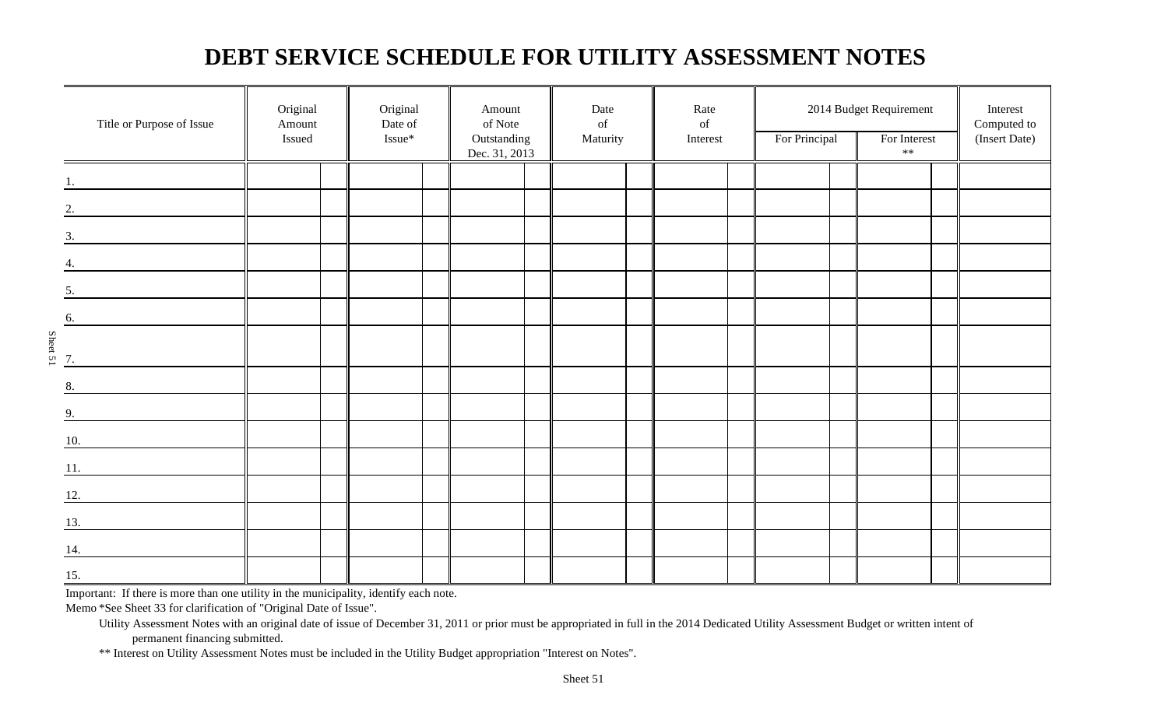# **DEBT SERVICE SCHEDULE FOR UTILITY ASSESSMENT NOTES**

|                      | Title or Purpose of Issue | Original<br>Amount<br>Issued | Original<br>Date of<br>Issue* | Amount<br>of Note<br>Outstanding<br>Dec. 31, 2013 | Date<br>of<br>Maturity | Rate<br>of<br>Interest | For Principal | 2014 Budget Requirement<br>For Interest<br>$***$ | Interest<br>Computed to<br>(Insert Date) |
|----------------------|---------------------------|------------------------------|-------------------------------|---------------------------------------------------|------------------------|------------------------|---------------|--------------------------------------------------|------------------------------------------|
|                      |                           |                              |                               |                                                   |                        |                        |               |                                                  |                                          |
|                      | 2.                        |                              |                               |                                                   |                        |                        |               |                                                  |                                          |
|                      | $\frac{3}{2}$             |                              |                               |                                                   |                        |                        |               |                                                  |                                          |
| 4.                   |                           |                              |                               |                                                   |                        |                        |               |                                                  |                                          |
| 5.                   |                           |                              |                               |                                                   |                        |                        |               |                                                  |                                          |
| 6.                   |                           |                              |                               |                                                   |                        |                        |               |                                                  |                                          |
| Sheet 51<br>Sheet 51 |                           |                              |                               |                                                   |                        |                        |               |                                                  |                                          |
|                      |                           |                              |                               |                                                   |                        |                        |               |                                                  |                                          |
| 8.                   |                           |                              |                               |                                                   |                        |                        |               |                                                  |                                          |
| 9.                   |                           |                              |                               |                                                   |                        |                        |               |                                                  |                                          |
| 10.                  |                           |                              |                               |                                                   |                        |                        |               |                                                  |                                          |
|                      |                           |                              |                               |                                                   |                        |                        |               |                                                  |                                          |
| 12.                  |                           |                              |                               |                                                   |                        |                        |               |                                                  |                                          |
| 13.                  |                           |                              |                               |                                                   |                        |                        |               |                                                  |                                          |
| 14.                  |                           |                              |                               |                                                   |                        |                        |               |                                                  |                                          |
| 15.                  |                           |                              |                               |                                                   |                        |                        |               |                                                  |                                          |

Important: If there is more than one utility in the municipality, identify each note.

Memo \*See Sheet 33 for clarification of "Original Date of Issue".

Utility Assessment Notes with an original date of issue of December 31, 2011 or prior must be appropriated in full in the 2014 Dedicated Utility Assessment Budget or written intent of permanent financing submitted.

\*\* Interest on Utility Assessment Notes must be included in the Utility Budget appropriation "Interest on Notes".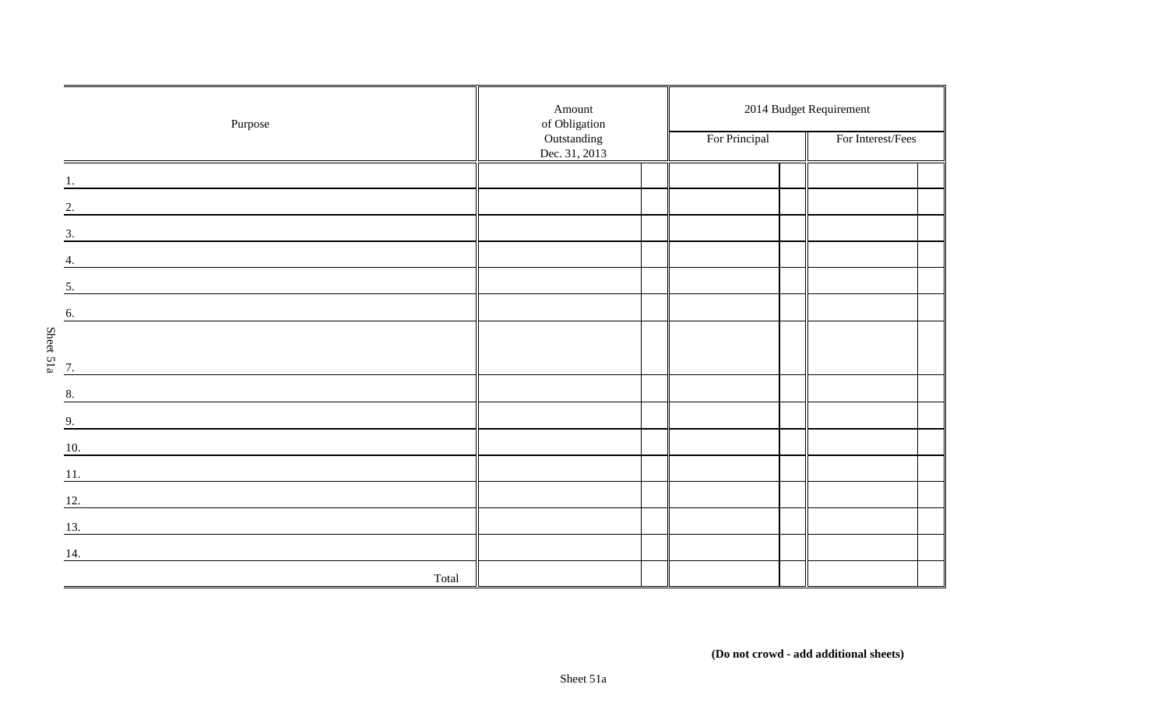|           | Purpose                                                                                                                      | Amount<br>of Obligation      | 2014 Budget Requirement |                   |  |  |  |  |  |
|-----------|------------------------------------------------------------------------------------------------------------------------------|------------------------------|-------------------------|-------------------|--|--|--|--|--|
|           |                                                                                                                              | Outstanding<br>Dec. 31, 2013 | For Principal           | For Interest/Fees |  |  |  |  |  |
|           |                                                                                                                              |                              |                         |                   |  |  |  |  |  |
|           | 2.                                                                                                                           |                              |                         |                   |  |  |  |  |  |
|           | 3.                                                                                                                           |                              |                         |                   |  |  |  |  |  |
|           |                                                                                                                              |                              |                         |                   |  |  |  |  |  |
|           | 5.                                                                                                                           |                              |                         |                   |  |  |  |  |  |
|           | 6.                                                                                                                           |                              |                         |                   |  |  |  |  |  |
|           |                                                                                                                              |                              |                         |                   |  |  |  |  |  |
| Sheet 51a | 7.                                                                                                                           |                              |                         |                   |  |  |  |  |  |
|           | 8.<br><u> 1980 - Jan Samuel Barbara, margaret e populari e populari e populari e populari e populari e populari e popu</u>   |                              |                         |                   |  |  |  |  |  |
|           | 9.<br><u> 1989 - Johann Stoff, deutscher Stoffen und der Stoffen und der Stoffen und der Stoffen und der Stoffen und der</u> |                              |                         |                   |  |  |  |  |  |
|           | 10.<br><u> 1980 - Andrea Andrew Maria (h. 1980).</u>                                                                         |                              |                         |                   |  |  |  |  |  |
|           | 11.                                                                                                                          |                              |                         |                   |  |  |  |  |  |
|           | 12.                                                                                                                          |                              |                         |                   |  |  |  |  |  |
|           | 13.                                                                                                                          |                              |                         |                   |  |  |  |  |  |
|           | 14.<br><u> 1989 - Jan James James Barnett, martin a</u>                                                                      |                              |                         |                   |  |  |  |  |  |
|           | Total                                                                                                                        |                              |                         |                   |  |  |  |  |  |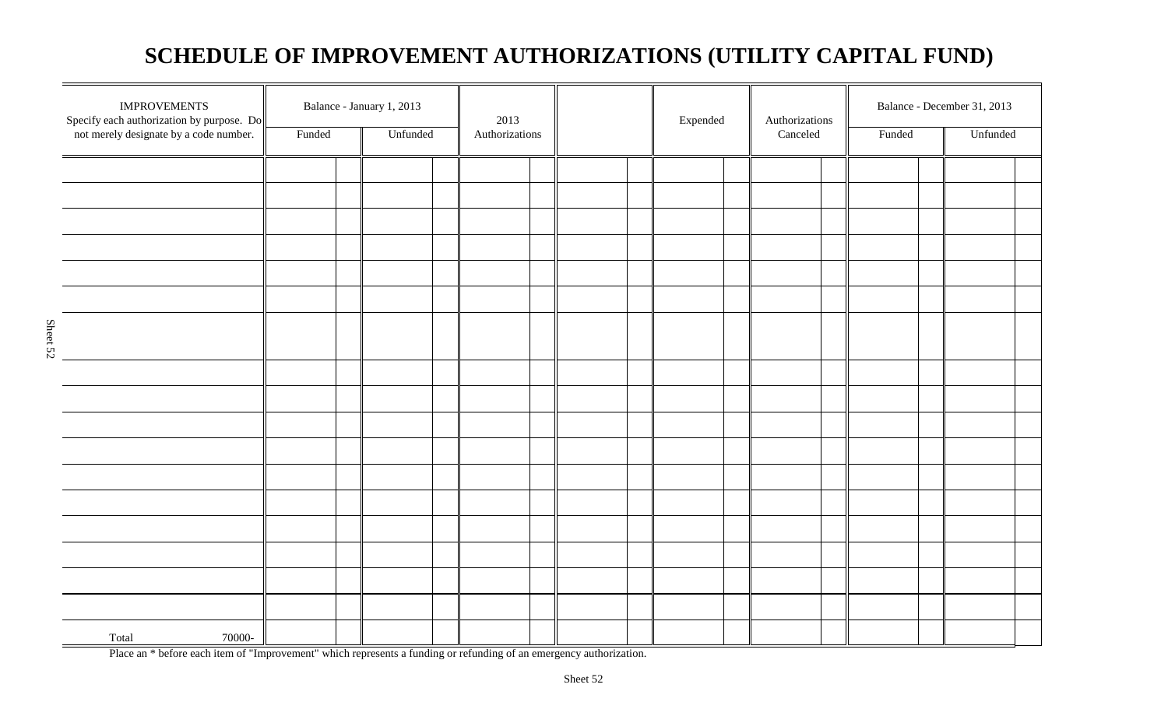# **SCHEDULE OF IMPROVEMENT AUTHORIZATIONS (UTILITY CAPITAL FUND)**

| <b>IMPROVEMENTS</b><br>Specify each authorization by purpose. Do<br>not merely designate by a code number. | Funded | Balance - January 1, 2013<br>Unfunded | 2013<br>Authorizations |  | Expended | Authorizations<br>Canceled | Balance - December 31, 2013<br>Funded |  | Unfunded |
|------------------------------------------------------------------------------------------------------------|--------|---------------------------------------|------------------------|--|----------|----------------------------|---------------------------------------|--|----------|
|                                                                                                            |        |                                       |                        |  |          |                            |                                       |  |          |
|                                                                                                            |        |                                       |                        |  |          |                            |                                       |  |          |
|                                                                                                            |        |                                       |                        |  |          |                            |                                       |  |          |
|                                                                                                            |        |                                       |                        |  |          |                            |                                       |  |          |
|                                                                                                            |        |                                       |                        |  |          |                            |                                       |  |          |
|                                                                                                            |        |                                       |                        |  |          |                            |                                       |  |          |
|                                                                                                            |        |                                       |                        |  |          |                            |                                       |  |          |
|                                                                                                            |        |                                       |                        |  |          |                            |                                       |  |          |
|                                                                                                            |        |                                       |                        |  |          |                            |                                       |  |          |
|                                                                                                            |        |                                       |                        |  |          |                            |                                       |  |          |
|                                                                                                            |        |                                       |                        |  |          |                            |                                       |  |          |
|                                                                                                            |        |                                       |                        |  |          |                            |                                       |  |          |
|                                                                                                            |        |                                       |                        |  |          |                            |                                       |  |          |
|                                                                                                            |        |                                       |                        |  |          |                            |                                       |  |          |
|                                                                                                            |        |                                       |                        |  |          |                            |                                       |  |          |
|                                                                                                            |        |                                       |                        |  |          |                            |                                       |  |          |
|                                                                                                            |        |                                       |                        |  |          |                            |                                       |  |          |
|                                                                                                            |        |                                       |                        |  |          |                            |                                       |  |          |
|                                                                                                            |        |                                       |                        |  |          |                            |                                       |  |          |
|                                                                                                            |        |                                       |                        |  |          |                            |                                       |  |          |
| 70000-<br>Total                                                                                            |        |                                       |                        |  |          |                            |                                       |  |          |

Place an \* before each item of "Improvement" which represents a funding or refunding of an emergency authorization.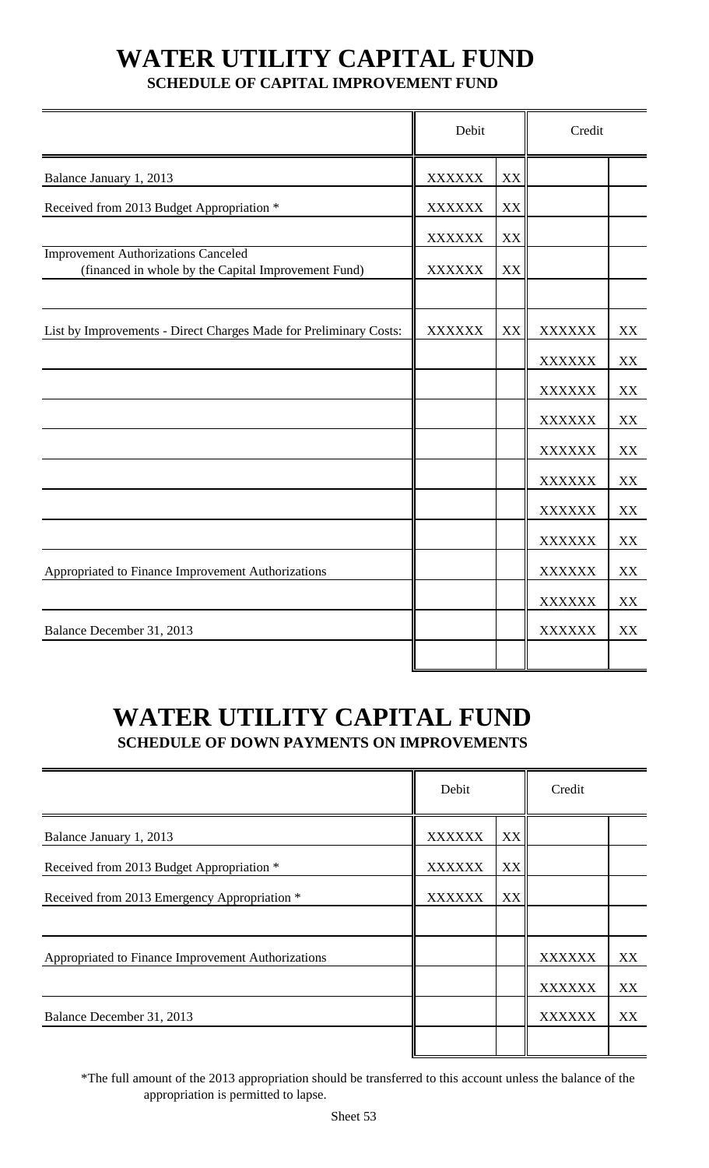## **WATER UTILITY CAPITAL FUND SCHEDULE OF CAPITAL IMPROVEMENT FUND**

|                                                                                                   | Debit         |    | Credit        |    |
|---------------------------------------------------------------------------------------------------|---------------|----|---------------|----|
| Balance January 1, 2013                                                                           | <b>XXXXXX</b> | XX |               |    |
| Received from 2013 Budget Appropriation *                                                         | <b>XXXXXX</b> | XX |               |    |
|                                                                                                   | <b>XXXXXX</b> | XX |               |    |
| <b>Improvement Authorizations Canceled</b><br>(financed in whole by the Capital Improvement Fund) | <b>XXXXXX</b> | XX |               |    |
| List by Improvements - Direct Charges Made for Preliminary Costs:                                 | <b>XXXXXX</b> | XX | <b>XXXXXX</b> | XX |
|                                                                                                   |               |    | <b>XXXXXX</b> | XX |
|                                                                                                   |               |    | <b>XXXXXX</b> | XX |
|                                                                                                   |               |    | <b>XXXXXX</b> | XX |
|                                                                                                   |               |    | <b>XXXXXX</b> | XX |
|                                                                                                   |               |    | <b>XXXXXX</b> | XX |
|                                                                                                   |               |    | <b>XXXXXX</b> | XX |
|                                                                                                   |               |    | <b>XXXXXX</b> | XX |
| Appropriated to Finance Improvement Authorizations                                                |               |    | <b>XXXXXX</b> | XX |
|                                                                                                   |               |    | <b>XXXXXX</b> | XX |
| Balance December 31, 2013                                                                         |               |    | <b>XXXXXX</b> | XX |
|                                                                                                   |               |    |               |    |

# **WATER UTILITY CAPITAL FUND SCHEDULE OF DOWN PAYMENTS ON IMPROVEMENTS**

|                                                    | Debit         |    | Credit        |    |
|----------------------------------------------------|---------------|----|---------------|----|
| Balance January 1, 2013                            | <b>XXXXXX</b> | XX |               |    |
| Received from 2013 Budget Appropriation *          | <b>XXXXXX</b> | XX |               |    |
| Received from 2013 Emergency Appropriation *       | <b>XXXXXX</b> | XX |               |    |
|                                                    |               |    |               |    |
| Appropriated to Finance Improvement Authorizations |               |    | <b>XXXXXX</b> | XX |
|                                                    |               |    | <b>XXXXXX</b> | XX |
| Balance December 31, 2013                          |               |    | <b>XXXXXX</b> | XX |
|                                                    |               |    |               |    |

\*The full amount of the 2013 appropriation should be transferred to this account unless the balance of the appropriation is permitted to lapse.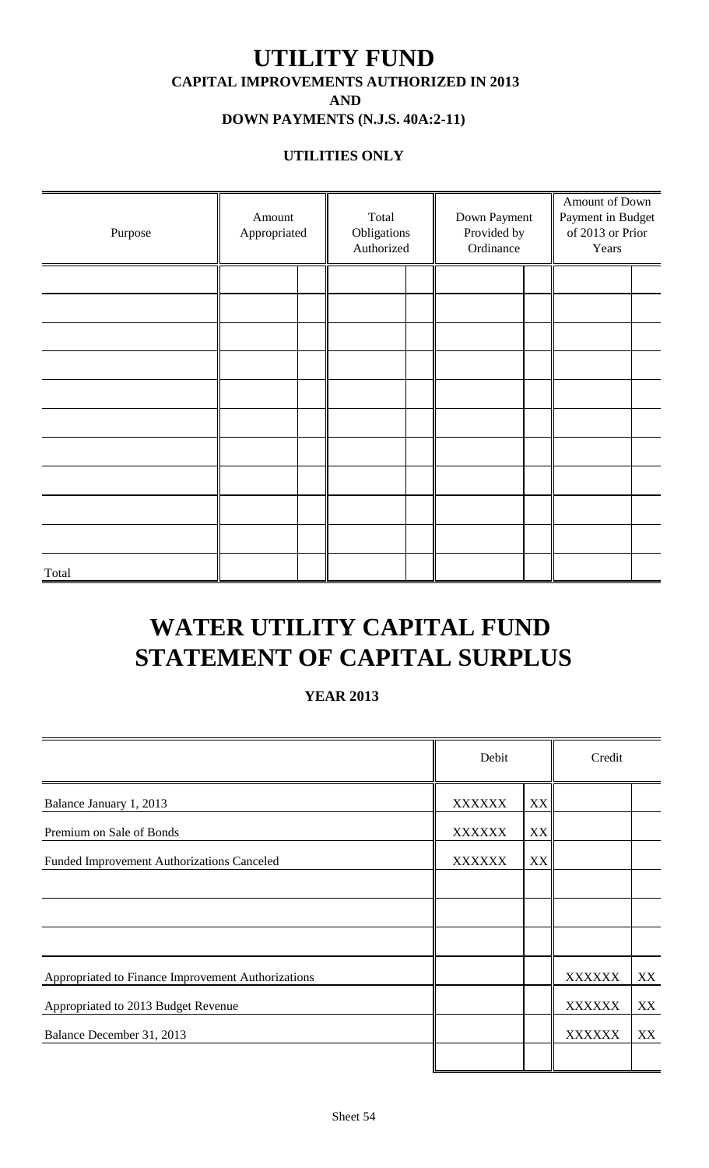## **UTILITY FUND CAPITAL IMPROVEMENTS AUTHORIZED IN 2013 AND**

## **DOWN PAYMENTS (N.J.S. 40A:2-11)**

### **UTILITIES ONLY**

| Purpose | Amount<br>Appropriated | Total<br>Obligations<br>Authorized | Down Payment<br>Provided by<br>Ordinance | Amount of Down<br>Payment in Budget<br>of 2013 or Prior<br>Years |
|---------|------------------------|------------------------------------|------------------------------------------|------------------------------------------------------------------|
|         |                        |                                    |                                          |                                                                  |
|         |                        |                                    |                                          |                                                                  |
|         |                        |                                    |                                          |                                                                  |
|         |                        |                                    |                                          |                                                                  |
|         |                        |                                    |                                          |                                                                  |
|         |                        |                                    |                                          |                                                                  |
|         |                        |                                    |                                          |                                                                  |
|         |                        |                                    |                                          |                                                                  |
|         |                        |                                    |                                          |                                                                  |
|         |                        |                                    |                                          |                                                                  |
| Total   |                        |                                    |                                          |                                                                  |

# **WATER UTILITY CAPITAL FUND STATEMENT OF CAPITAL SURPLUS**

#### **YEAR 2013**

|                                                    | Debit         |    | Credit        |    |
|----------------------------------------------------|---------------|----|---------------|----|
| Balance January 1, 2013                            | <b>XXXXXX</b> | XX |               |    |
| Premium on Sale of Bonds                           | <b>XXXXXX</b> | XX |               |    |
| Funded Improvement Authorizations Canceled         | <b>XXXXXX</b> | XX |               |    |
|                                                    |               |    |               |    |
|                                                    |               |    |               |    |
|                                                    |               |    |               |    |
| Appropriated to Finance Improvement Authorizations |               |    | <b>XXXXXX</b> | XX |
| Appropriated to 2013 Budget Revenue                |               |    | <b>XXXXXX</b> | XX |
| Balance December 31, 2013                          |               |    | <b>XXXXXX</b> | XX |
|                                                    |               |    |               |    |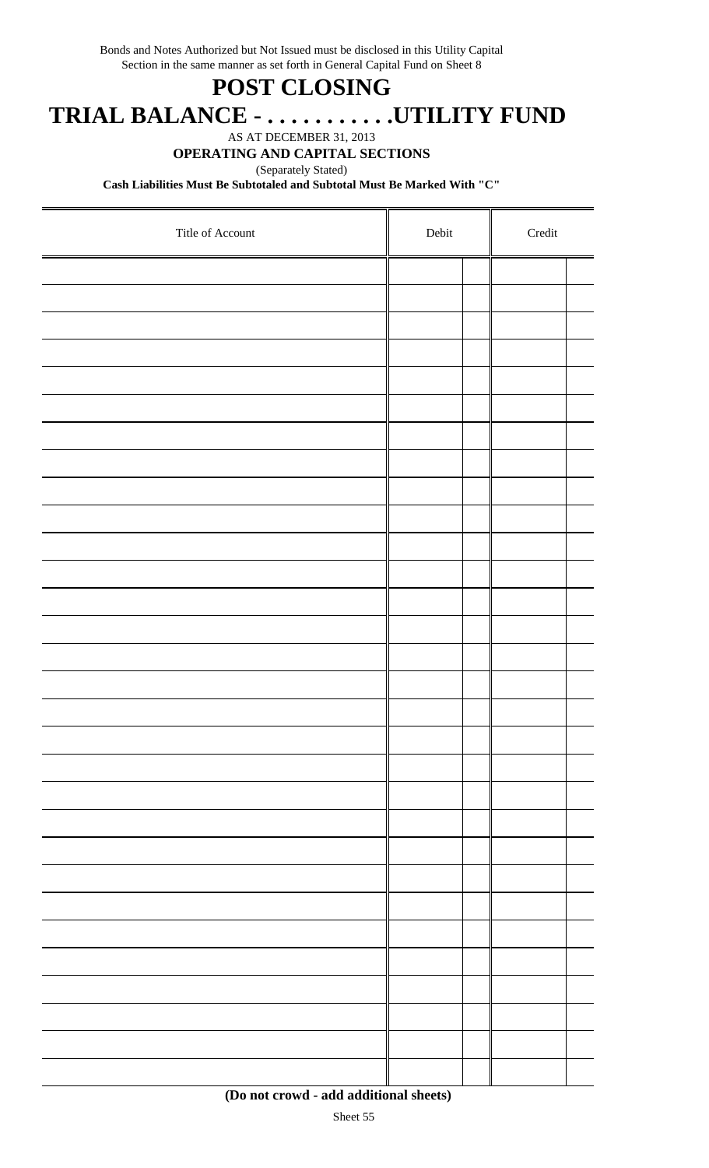Bonds and Notes Authorized but Not Issued must be disclosed in this Utility Capital Section in the same manner as set forth in General Capital Fund on Sheet 8

# **POST CLOSING**

 **TRIAL BALANCE - . . . . . . . . . . .UTILITY FUND**

AS AT DECEMBER 31, 2013

#### **OPERATING AND CAPITAL SECTIONS**

(Separately Stated)

**Cash Liabilities Must Be Subtotaled and Subtotal Must Be Marked With "C"**

| Title of Account | Debit | $\bf Credit$ |  |  |
|------------------|-------|--------------|--|--|
|                  |       |              |  |  |
|                  |       |              |  |  |
|                  |       |              |  |  |
|                  |       |              |  |  |
|                  |       |              |  |  |
|                  |       |              |  |  |
|                  |       |              |  |  |
|                  |       |              |  |  |
|                  |       |              |  |  |
|                  |       |              |  |  |
|                  |       |              |  |  |
|                  |       |              |  |  |
|                  |       |              |  |  |
|                  |       |              |  |  |
|                  |       |              |  |  |
|                  |       |              |  |  |
|                  |       |              |  |  |
|                  |       |              |  |  |
|                  |       |              |  |  |
|                  |       |              |  |  |
|                  |       |              |  |  |
|                  |       |              |  |  |
|                  |       |              |  |  |
|                  |       |              |  |  |
|                  |       |              |  |  |
|                  |       |              |  |  |
|                  |       |              |  |  |
|                  |       |              |  |  |
|                  |       |              |  |  |
|                  |       |              |  |  |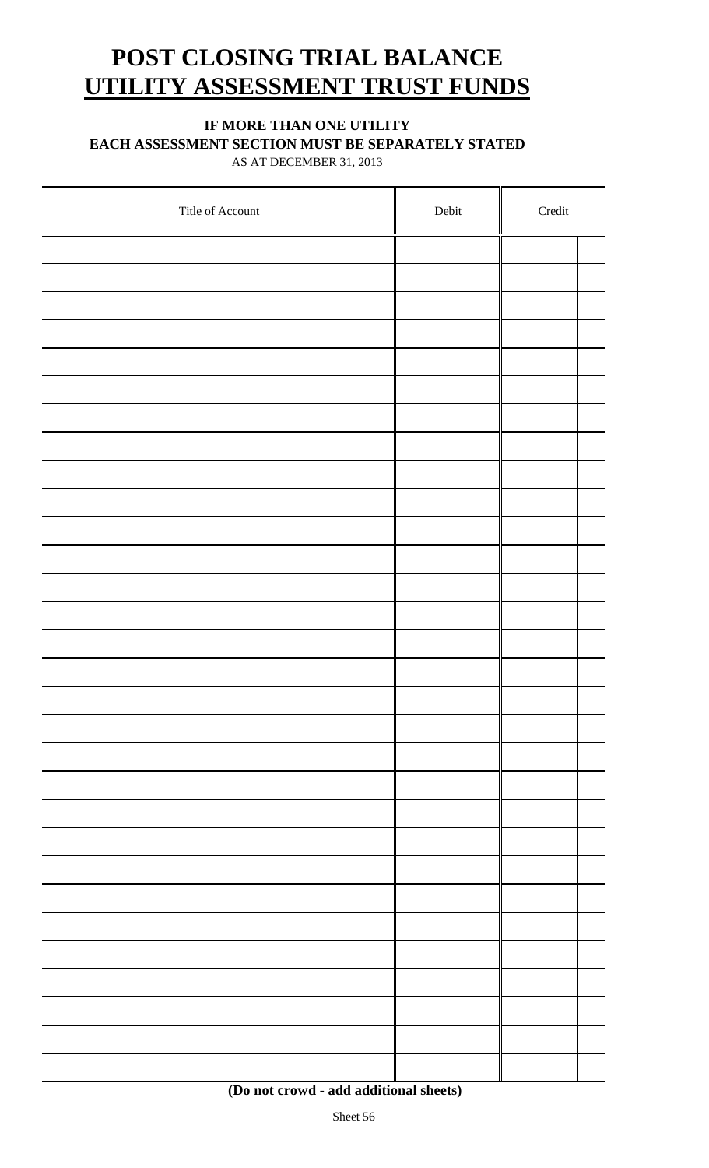# **POST CLOSING TRIAL BALANCE UTILITY ASSESSMENT TRUST FUNDS**

### **IF MORE THAN ONE UTILITY**

**EACH ASSESSMENT SECTION MUST BE SEPARATELY STATED**

AS AT DECEMBER 31, 2013

| Title of Account | ${\rm Debit}$ | $\bf Credit$ |  |  |
|------------------|---------------|--------------|--|--|
|                  |               |              |  |  |
|                  |               |              |  |  |
|                  |               |              |  |  |
|                  |               |              |  |  |
|                  |               |              |  |  |
|                  |               |              |  |  |
|                  |               |              |  |  |
|                  |               |              |  |  |
|                  |               |              |  |  |
|                  |               |              |  |  |
|                  |               |              |  |  |
|                  |               |              |  |  |
|                  |               |              |  |  |
|                  |               |              |  |  |
|                  |               |              |  |  |
|                  |               |              |  |  |
|                  |               |              |  |  |
|                  |               |              |  |  |
|                  |               |              |  |  |
|                  |               |              |  |  |
|                  |               |              |  |  |
|                  |               |              |  |  |
|                  |               |              |  |  |
|                  |               |              |  |  |
|                  |               |              |  |  |
|                  |               |              |  |  |
|                  |               |              |  |  |
|                  |               |              |  |  |
|                  |               |              |  |  |
|                  |               |              |  |  |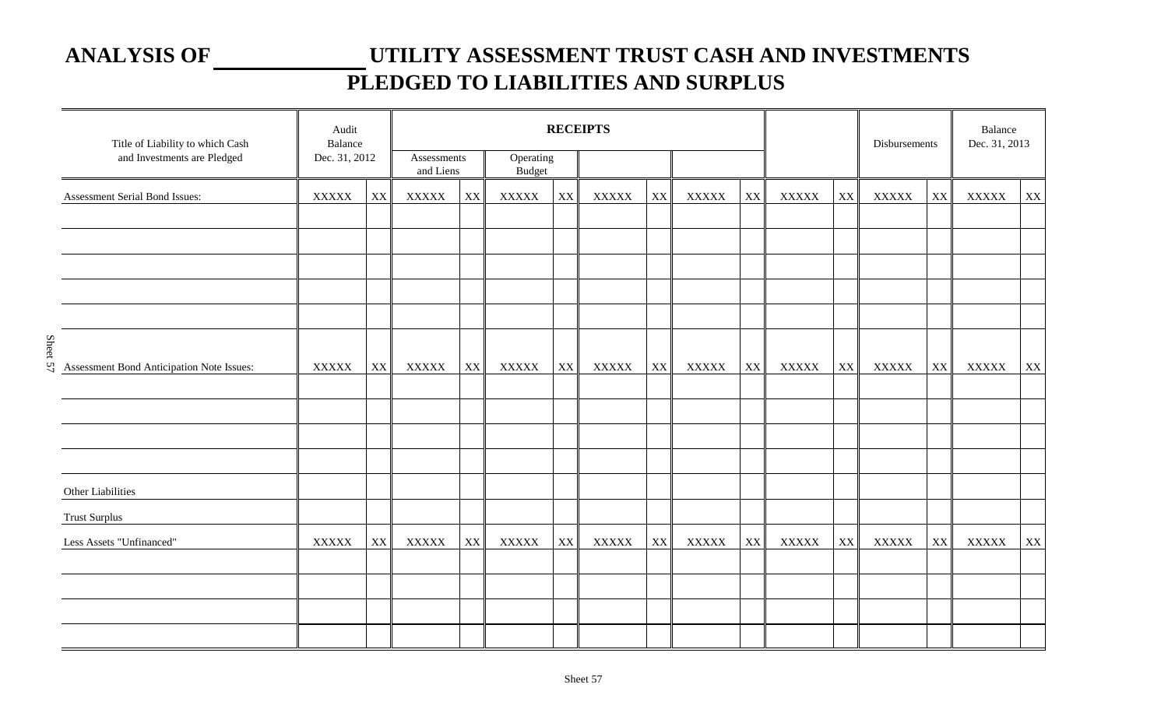Sheet 57

# **ANALYSIS OF UTILITY ASSESSMENT TRUST CASH AND INVESTMENTS PLEDGED TO LIABILITIES AND SURPLUS**

| Title of Liability to which Cash          | Audit<br>Balance |                        |                          |    |                            |    | <b>RECEIPTS</b> |                        |              |                         |              | Disbursements          |              |    | Balance<br>Dec. 31, 2013 |    |
|-------------------------------------------|------------------|------------------------|--------------------------|----|----------------------------|----|-----------------|------------------------|--------------|-------------------------|--------------|------------------------|--------------|----|--------------------------|----|
| and Investments are Pledged               | Dec. 31, 2012    |                        | Assessments<br>and Liens |    | Operating<br><b>Budget</b> |    |                 |                        |              |                         |              |                        |              |    |                          |    |
| Assessment Serial Bond Issues:            | <b>XXXXX</b>     | $\mathbf{X}\mathbf{X}$ | <b>XXXXX</b>             | XX | <b>XXXXX</b>               | XX | <b>XXXXX</b>    | $\mathbf{X}\mathbf{X}$ | <b>XXXXX</b> | XX                      | <b>XXXXX</b> | XX                     | <b>XXXXX</b> | XX | <b>XXXXX</b>             | XX |
|                                           |                  |                        |                          |    |                            |    |                 |                        |              |                         |              |                        |              |    |                          |    |
|                                           |                  |                        |                          |    |                            |    |                 |                        |              |                         |              |                        |              |    |                          |    |
|                                           |                  |                        |                          |    |                            |    |                 |                        |              |                         |              |                        |              |    |                          |    |
|                                           |                  |                        |                          |    |                            |    |                 |                        |              |                         |              |                        |              |    |                          |    |
|                                           |                  |                        |                          |    |                            |    |                 |                        |              |                         |              |                        |              |    |                          |    |
| Assessment Bond Anticipation Note Issues: | <b>XXXXX</b>     | $\mathbf{X}\mathbf{X}$ | <b>XXXXX</b>             | XX | <b>XXXXX</b>               | XX | $\bold{XXXXX}$  | XX                     | <b>XXXXX</b> | $\mathbf{X} \mathbf{X}$ | <b>XXXXX</b> | $\mathbf{X}\mathbf{X}$ | <b>XXXXX</b> | XX | <b>XXXXX</b>             | XX |
|                                           |                  |                        |                          |    |                            |    |                 |                        |              |                         |              |                        |              |    |                          |    |
|                                           |                  |                        |                          |    |                            |    |                 |                        |              |                         |              |                        |              |    |                          |    |
|                                           |                  |                        |                          |    |                            |    |                 |                        |              |                         |              |                        |              |    |                          |    |
| Other Liabilities                         |                  |                        |                          |    |                            |    |                 |                        |              |                         |              |                        |              |    |                          |    |
| <b>Trust Surplus</b>                      |                  |                        |                          |    |                            |    |                 |                        |              |                         |              |                        |              |    |                          |    |
| Less Assets "Unfinanced"                  | <b>XXXXX</b>     | XX                     | <b>XXXXX</b>             | XX | <b>XXXXX</b>               | XX | <b>XXXXX</b>    | $\mathbf{X}\mathbf{X}$ | <b>XXXXX</b> | XX                      | <b>XXXXX</b> | XX                     | <b>XXXXX</b> | XX | <b>XXXXX</b>             | XX |
|                                           |                  |                        |                          |    |                            |    |                 |                        |              |                         |              |                        |              |    |                          |    |
|                                           |                  |                        |                          |    |                            |    |                 |                        |              |                         |              |                        |              |    |                          |    |
|                                           |                  |                        |                          |    |                            |    |                 |                        |              |                         |              |                        |              |    |                          |    |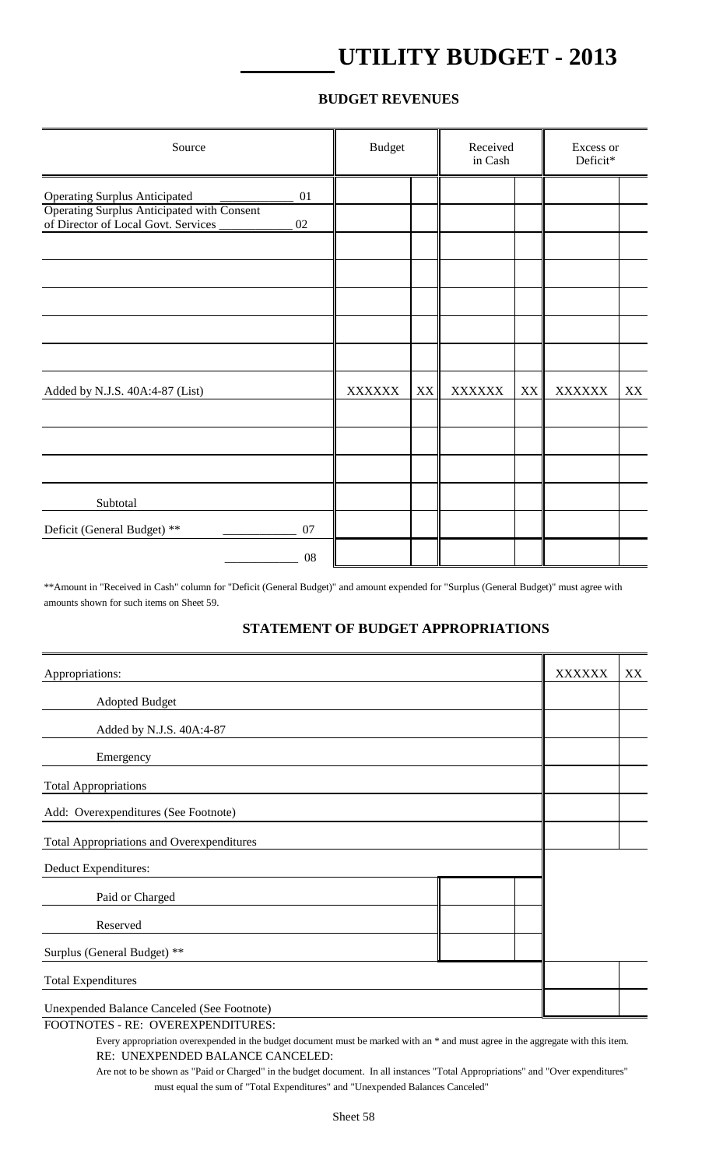# **UTILITY BUDGET - 2013**

#### **BUDGET REVENUES**

| Source                                                                            |    | <b>Budget</b> |    | Received<br>in Cash |    | Excess or<br>Deficit* |    |  |
|-----------------------------------------------------------------------------------|----|---------------|----|---------------------|----|-----------------------|----|--|
| <b>Operating Surplus Anticipated</b>                                              | 01 |               |    |                     |    |                       |    |  |
| Operating Surplus Anticipated with Consent<br>of Director of Local Govt. Services | 02 |               |    |                     |    |                       |    |  |
|                                                                                   |    |               |    |                     |    |                       |    |  |
|                                                                                   |    |               |    |                     |    |                       |    |  |
|                                                                                   |    |               |    |                     |    |                       |    |  |
|                                                                                   |    |               |    |                     |    |                       |    |  |
| Added by N.J.S. 40A:4-87 (List)                                                   |    | <b>XXXXXX</b> | XX | <b>XXXXXX</b>       | XX | <b>XXXXXX</b>         | XX |  |
|                                                                                   |    |               |    |                     |    |                       |    |  |
|                                                                                   |    |               |    |                     |    |                       |    |  |
| Subtotal                                                                          |    |               |    |                     |    |                       |    |  |
| Deficit (General Budget) **                                                       | 07 |               |    |                     |    |                       |    |  |
|                                                                                   | 08 |               |    |                     |    |                       |    |  |

\*\*Amount in "Received in Cash" column for "Deficit (General Budget)" and amount expended for "Surplus (General Budget)" must agree with amounts shown for such items on Sheet 59.

#### **STATEMENT OF BUDGET APPROPRIATIONS**

| Appropriations:                                   |  | <b>XXXXXX</b> | XX |
|---------------------------------------------------|--|---------------|----|
| <b>Adopted Budget</b>                             |  |               |    |
| Added by N.J.S. 40A:4-87                          |  |               |    |
| Emergency                                         |  |               |    |
| <b>Total Appropriations</b>                       |  |               |    |
| Add: Overexpenditures (See Footnote)              |  |               |    |
| <b>Total Appropriations and Overexpenditures</b>  |  |               |    |
| Deduct Expenditures:                              |  |               |    |
| Paid or Charged                                   |  |               |    |
| Reserved                                          |  |               |    |
| Surplus (General Budget) **                       |  |               |    |
| <b>Total Expenditures</b>                         |  |               |    |
| <b>Unexpended Balance Canceled (See Footnote)</b> |  |               |    |

FOOTNOTES - RE: OVEREXPENDITURES:

Every appropriation overexpended in the budget document must be marked with an \* and must agree in the aggregate with this item. RE: UNEXPENDED BALANCE CANCELED:

Are not to be shown as "Paid or Charged" in the budget document. In all instances "Total Appropriations" and "Over expenditures" must equal the sum of "Total Expenditures" and "Unexpended Balances Canceled"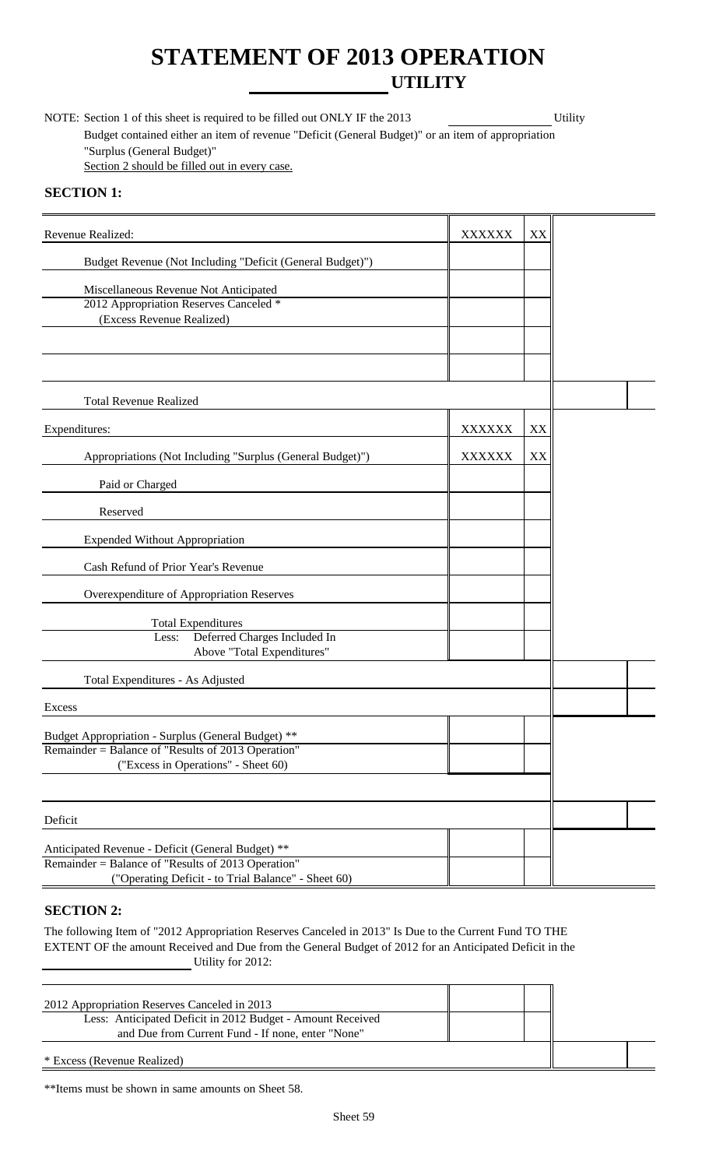## **STATEMENT OF 2013 OPERATION UTILITY**

NOTE: Section 1 of this sheet is required to be filled out ONLY IF the 2013 Utility Budget contained either an item of revenue "Deficit (General Budget)" or an item of appropriation "Surplus (General Budget)" Section 2 should be filled out in every case.

#### **SECTION 1:**

| Revenue Realized:                                         | <b>XXXXXX</b> | XX |  |
|-----------------------------------------------------------|---------------|----|--|
| Budget Revenue (Not Including "Deficit (General Budget)") |               |    |  |
| Miscellaneous Revenue Not Anticipated                     |               |    |  |
| 2012 Appropriation Reserves Canceled *                    |               |    |  |
| (Excess Revenue Realized)                                 |               |    |  |
|                                                           |               |    |  |
|                                                           |               |    |  |
|                                                           |               |    |  |
|                                                           |               |    |  |
| <b>Total Revenue Realized</b>                             |               |    |  |
| Expenditures:                                             | <b>XXXXXX</b> | XX |  |
| Appropriations (Not Including "Surplus (General Budget)") | <b>XXXXXX</b> | XX |  |
|                                                           |               |    |  |
| Paid or Charged                                           |               |    |  |
| Reserved                                                  |               |    |  |
| <b>Expended Without Appropriation</b>                     |               |    |  |
| Cash Refund of Prior Year's Revenue                       |               |    |  |
|                                                           |               |    |  |
| Overexpenditure of Appropriation Reserves                 |               |    |  |
| <b>Total Expenditures</b>                                 |               |    |  |
| Deferred Charges Included In<br>Less:                     |               |    |  |
| Above "Total Expenditures"                                |               |    |  |
|                                                           |               |    |  |
| Total Expenditures - As Adjusted                          |               |    |  |
| Excess                                                    |               |    |  |
|                                                           |               |    |  |
| Budget Appropriation - Surplus (General Budget) **        |               |    |  |
| Remainder = Balance of "Results of 2013 Operation"        |               |    |  |
| ("Excess in Operations" - Sheet 60)                       |               |    |  |
|                                                           |               |    |  |
| Deficit                                                   |               |    |  |
|                                                           |               |    |  |
| Anticipated Revenue - Deficit (General Budget) **         |               |    |  |
| Remainder = Balance of "Results of 2013 Operation"        |               |    |  |
| ("Operating Deficit - to Trial Balance" - Sheet 60)       |               |    |  |

#### **SECTION 2:**

The following Item of "2012 Appropriation Reserves Canceled in 2013" Is Due to the Current Fund TO THE EXTENT OF the amount Received and Due from the General Budget of 2012 for an Anticipated Deficit in the Utility for 2012:

| 2012 Appropriation Reserves Canceled in 2013               |  |  |
|------------------------------------------------------------|--|--|
| Less: Anticipated Deficit in 2012 Budget - Amount Received |  |  |
| and Due from Current Fund - If none, enter "None"          |  |  |
| * Excess (Revenue Realized)                                |  |  |

\*\*Items must be shown in same amounts on Sheet 58.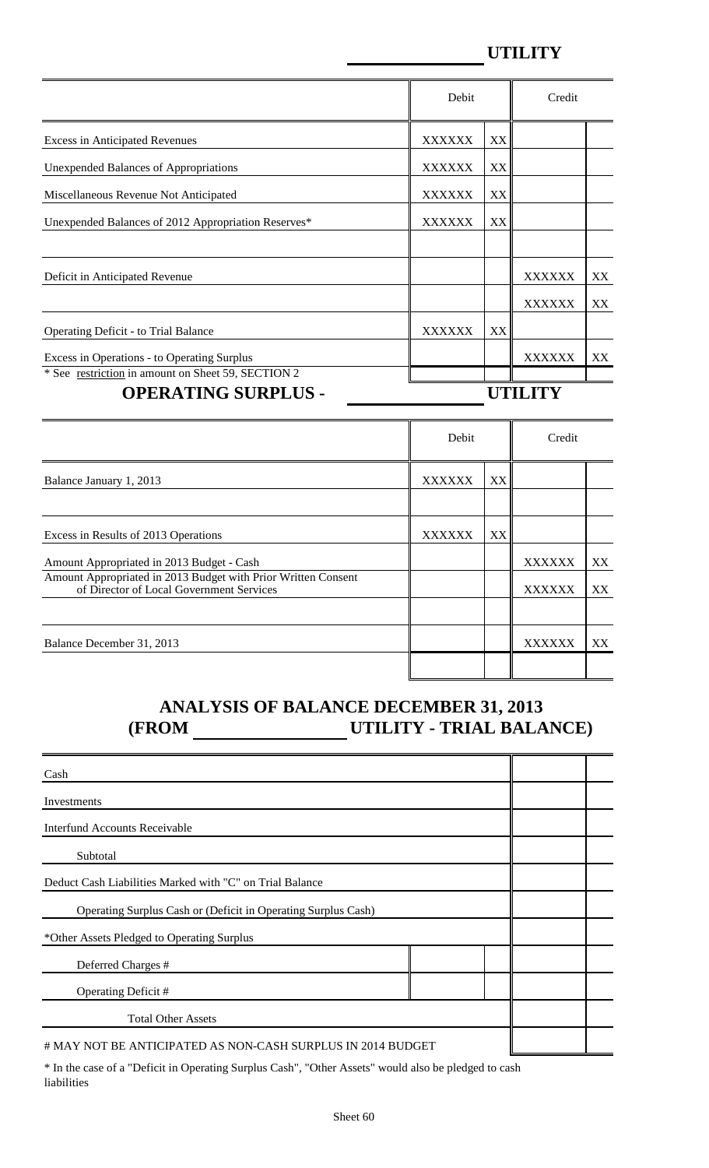**UTILITY**

|                                                     | Debit         |    |               |    |
|-----------------------------------------------------|---------------|----|---------------|----|
| <b>Excess in Anticipated Revenues</b>               | <b>XXXXXX</b> | XX |               |    |
| <b>Unexpended Balances of Appropriations</b>        | XXXXXX        | XX |               |    |
| Miscellaneous Revenue Not Anticipated               | XXXXXX        | XX |               |    |
| Unexpended Balances of 2012 Appropriation Reserves* | XXXXXX        | XX |               |    |
|                                                     |               |    |               |    |
| Deficit in Anticipated Revenue                      |               |    | <b>XXXXXX</b> | XX |
|                                                     |               |    | <b>XXXXXX</b> | XX |
| <b>Operating Deficit - to Trial Balance</b>         | XXXXXX        | XX |               |    |
| Excess in Operations - to Operating Surplus         |               |    | <b>XXXXXX</b> | XX |
| * See restriction in amount on Sheet 59, SECTION 2  |               |    |               |    |
| <b>OPERATING SURPLUS -</b>                          |               |    |               |    |

|                                                                                                           | Debit         |    | Credit        |     |
|-----------------------------------------------------------------------------------------------------------|---------------|----|---------------|-----|
| Balance January 1, 2013                                                                                   | XXXXXX        | XX |               |     |
|                                                                                                           |               |    |               |     |
| Excess in Results of 2013 Operations                                                                      | <b>XXXXXX</b> | XX |               |     |
| Amount Appropriated in 2013 Budget - Cash                                                                 |               |    | XXXXXX        | XX. |
| Amount Appropriated in 2013 Budget with Prior Written Consent<br>of Director of Local Government Services |               |    | <b>XXXXXX</b> | XX. |
|                                                                                                           |               |    |               |     |
| Balance December 31, 2013                                                                                 |               |    | <b>XXXXXX</b> | XX. |
|                                                                                                           |               |    |               |     |

## **ANALYSIS OF BALANCE DECEMBER 31, 2013 (FROM UTILITY - TRIAL BALANCE)**

| Cash                                                                                                |  |  |  |
|-----------------------------------------------------------------------------------------------------|--|--|--|
| Investments                                                                                         |  |  |  |
| Interfund Accounts Receivable                                                                       |  |  |  |
| Subtotal                                                                                            |  |  |  |
| Deduct Cash Liabilities Marked with "C" on Trial Balance                                            |  |  |  |
| Operating Surplus Cash or (Deficit in Operating Surplus Cash)                                       |  |  |  |
| *Other Assets Pledged to Operating Surplus                                                          |  |  |  |
| Deferred Charges #                                                                                  |  |  |  |
| Operating Deficit #                                                                                 |  |  |  |
| <b>Total Other Assets</b>                                                                           |  |  |  |
| # MAY NOT BE ANTICIPATED AS NON-CASH SURPLUS IN 2014 BUDGET                                         |  |  |  |
| * In the case of a "Deficit in Operating Surplus Cash" "Other Assets" would also be pledged to cash |  |  |  |

In the case of a "Deficit in Operating Surplus Cash", "Other Assets" would also be pledged to cash liabilities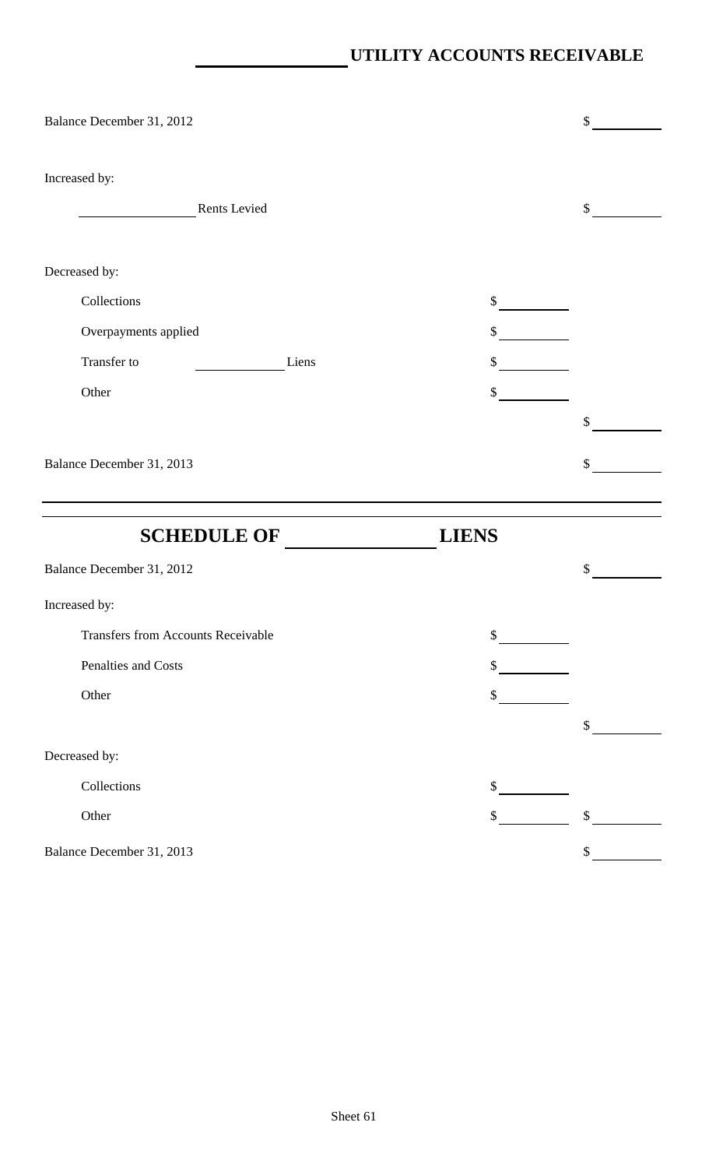| Balance December 31, 2012          |              | $\mathcal{S}$             |
|------------------------------------|--------------|---------------------------|
|                                    |              |                           |
| Increased by:                      |              |                           |
| <b>Rents Levied</b>                |              | $\mathcal{S}$             |
|                                    |              |                           |
| Decreased by:                      |              |                           |
| Collections                        | \$           |                           |
|                                    |              |                           |
| Overpayments applied               | \$           |                           |
| Transfer to<br>Liens               | \$           |                           |
| Other                              | $\mathbb{S}$ |                           |
|                                    |              | \$                        |
|                                    |              |                           |
| Balance December 31, 2013          |              | \$                        |
|                                    |              |                           |
|                                    |              |                           |
| <b>SCHEDULE OF</b>                 | <b>LIENS</b> |                           |
| Balance December 31, 2012          |              | \$                        |
| Increased by:                      |              |                           |
| Transfers from Accounts Receivable | \$           |                           |
| Penalties and Costs                | \$           |                           |
|                                    |              |                           |
| Other                              | \$           |                           |
|                                    |              | $\boldsymbol{\mathsf{S}}$ |
| Decreased by:                      |              |                           |
| Collections                        | $\sim$       |                           |
| Other                              | $\sim$       | $\mathsf{\$}$             |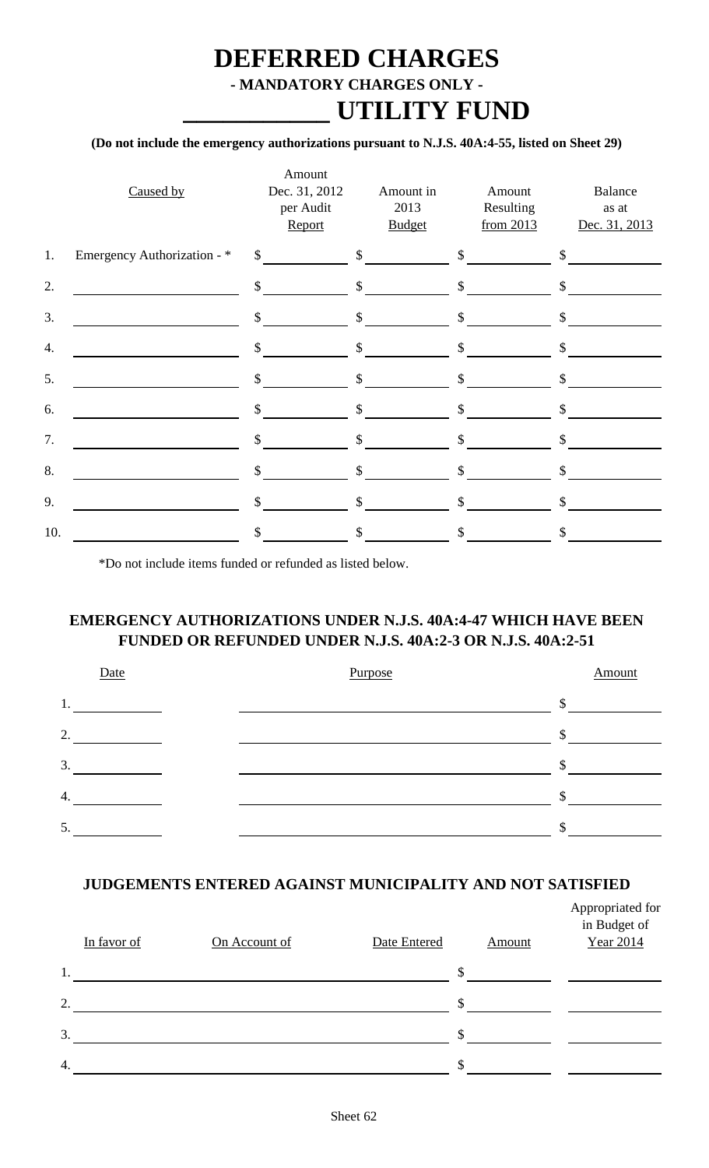# **DEFERRED CHARGES - MANDATORY CHARGES ONLY - \_\_\_\_\_\_\_\_\_\_\_ UTILITY FUND**

#### **(Do not include the emergency authorizations pursuant to N.J.S. 40A:4-55, listed on Sheet 29)**

|     | Caused by                   | Amount<br>Dec. 31, 2012<br>per Audit<br>Report | Amount in<br>2013<br><b>Budget</b> | Amount<br>Resulting<br>from 2013 | <b>Balance</b><br>as at<br>Dec. 31, 2013 |
|-----|-----------------------------|------------------------------------------------|------------------------------------|----------------------------------|------------------------------------------|
| 1.  | Emergency Authorization - * | $\sim$                                         | $\sim$                             | $\sim$                           | $\frac{1}{2}$                            |
| 2.  |                             | $\mathcal{S}$                                  | $\mathsf{\$}$                      | $\mathsf{\$}$                    | $\mathcal{S}$                            |
| 3.  |                             | $\mathbb{S}$                                   | $\frac{1}{2}$                      | $\mathsf{\$}$                    | \$                                       |
| 4.  |                             | $\mathcal{S}$                                  | \$                                 | \$                               | \$                                       |
| 5.  |                             | $\mathcal{S}$                                  | \$                                 | \$                               | $\mathcal{S}$                            |
| 6.  |                             | \$                                             | \$                                 | \$                               | \$                                       |
| 7.  |                             | \$                                             | \$                                 | \$                               | \$                                       |
| 8.  |                             | $\mathcal{S}$                                  | \$                                 | \$                               | \$                                       |
| 9.  |                             | \$                                             | \$                                 | \$                               | \$                                       |
| 10. |                             | \$                                             | \$                                 | \$                               | \$                                       |

\*Do not include items funded or refunded as listed below.

### **EMERGENCY AUTHORIZATIONS UNDER N.J.S. 40A:4-47 WHICH HAVE BEEN FUNDED OR REFUNDED UNDER N.J.S. 40A:2-3 OR N.J.S. 40A:2-51**



#### **JUDGEMENTS ENTERED AGAINST MUNICIPALITY AND NOT SATISFIED**

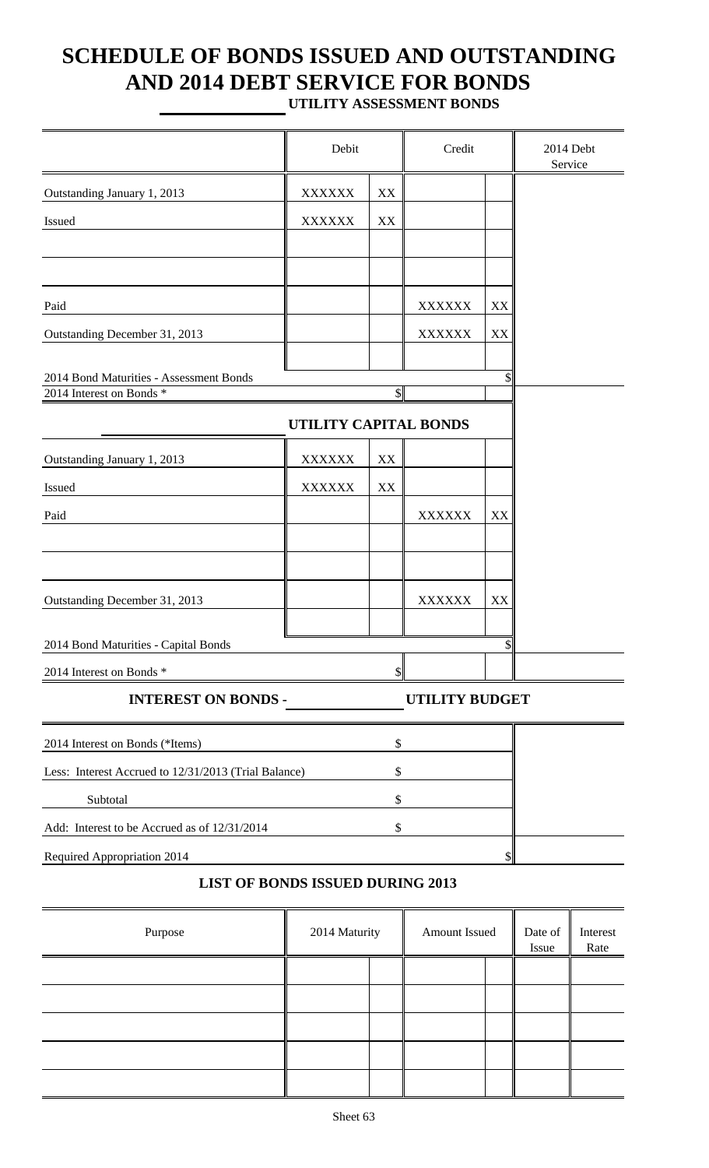# **SCHEDULE OF BONDS ISSUED AND OUTSTANDING AND 2014 DEBT SERVICE FOR BONDS**

**UTILITY ASSESSMENT BONDS**

|                                                                     | Debit                 |            | Credit                |    | 2014 Debt<br>Service |          |
|---------------------------------------------------------------------|-----------------------|------------|-----------------------|----|----------------------|----------|
| Outstanding January 1, 2013                                         | <b>XXXXXX</b>         | XX         |                       |    |                      |          |
| Issued                                                              | <b>XXXXXX</b>         | XX         |                       |    |                      |          |
|                                                                     |                       |            |                       |    |                      |          |
|                                                                     |                       |            |                       |    |                      |          |
| Paid                                                                |                       |            | <b>XXXXXX</b>         | XX |                      |          |
| Outstanding December 31, 2013                                       |                       |            | <b>XXXXXX</b>         | XX |                      |          |
|                                                                     |                       |            |                       |    |                      |          |
| 2014 Bond Maturities - Assessment Bonds<br>2014 Interest on Bonds * |                       | $\sqrt{S}$ |                       |    |                      |          |
|                                                                     | UTILITY CAPITAL BONDS |            |                       |    |                      |          |
| Outstanding January 1, 2013                                         | <b>XXXXXX</b>         | XX         |                       |    |                      |          |
| Issued                                                              | <b>XXXXXX</b>         | XX         |                       |    |                      |          |
| Paid                                                                |                       |            | <b>XXXXXX</b>         | XX |                      |          |
|                                                                     |                       |            |                       |    |                      |          |
|                                                                     |                       |            |                       |    |                      |          |
| Outstanding December 31, 2013                                       |                       |            | <b>XXXXXX</b>         | XX |                      |          |
|                                                                     |                       |            |                       |    |                      |          |
| 2014 Bond Maturities - Capital Bonds                                |                       |            |                       |    |                      |          |
| 2014 Interest on Bonds *<br><b>INTEREST ON BONDS -</b>              |                       |            | <b>UTILITY BUDGET</b> |    |                      |          |
| 2014 Interest on Bonds (*Items)                                     |                       | \$         |                       |    |                      |          |
| Less: Interest Accrued to 12/31/2013 (Trial Balance)                |                       | \$         |                       |    |                      |          |
| Subtotal                                                            |                       | \$         |                       |    |                      |          |
| Add: Interest to be Accrued as of 12/31/2014                        |                       | \$         |                       |    |                      |          |
| Required Appropriation 2014                                         |                       |            |                       |    |                      |          |
| <b>LIST OF BONDS ISSUED DURING 2013</b>                             |                       |            |                       |    |                      |          |
|                                                                     |                       |            |                       |    |                      |          |
| Purpose                                                             | 2014 Maturity         |            | Amount Issued         |    | Date of              | Interest |

| Purpose | 2014 Maturity |  | Amount Issued |  | Date of $\ $<br>Issue | Interest<br>Rate |
|---------|---------------|--|---------------|--|-----------------------|------------------|
|         |               |  |               |  |                       |                  |
|         |               |  |               |  |                       |                  |
|         |               |  |               |  |                       |                  |
|         |               |  |               |  |                       |                  |
|         |               |  |               |  |                       |                  |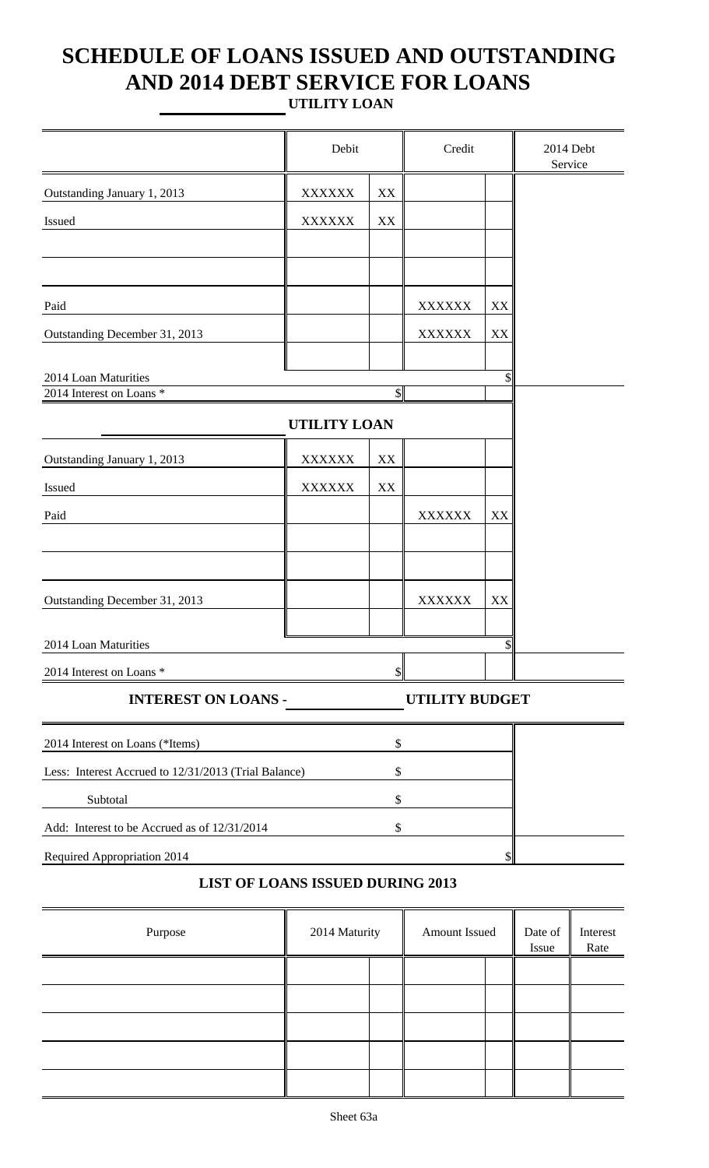## **SCHEDULE OF LOANS ISSUED AND OUTSTANDING AND 2014 DEBT SERVICE FOR LOANS UTILITY LOAN**

|                                                      | Debit               |                         | Credit                |              | 2014 Debt<br>Service |
|------------------------------------------------------|---------------------|-------------------------|-----------------------|--------------|----------------------|
| Outstanding January 1, 2013                          | <b>XXXXXX</b>       | $\mathbf{X} \mathbf{X}$ |                       |              |                      |
| Issued                                               | <b>XXXXXX</b>       | XX                      |                       |              |                      |
|                                                      |                     |                         |                       |              |                      |
|                                                      |                     |                         |                       |              |                      |
| Paid                                                 |                     |                         | <b>XXXXXX</b>         | XX           |                      |
| Outstanding December 31, 2013                        |                     |                         | <b>XXXXXX</b>         | XX           |                      |
|                                                      |                     |                         |                       |              |                      |
| 2014 Loan Maturities<br>2014 Interest on Loans *     |                     | $\mathbb{S}$            |                       | \$           |                      |
|                                                      |                     |                         |                       |              |                      |
|                                                      | <b>UTILITY LOAN</b> |                         |                       |              |                      |
| Outstanding January 1, 2013                          | <b>XXXXXX</b>       | $\mathbf{XX}$           |                       |              |                      |
| Issued                                               | <b>XXXXXX</b>       | $\mathbf{X}\mathbf{X}$  |                       |              |                      |
| Paid                                                 |                     |                         | <b>XXXXXX</b>         | XX           |                      |
|                                                      |                     |                         |                       |              |                      |
|                                                      |                     |                         |                       |              |                      |
| Outstanding December 31, 2013                        |                     |                         | <b>XXXXXX</b>         | XX           |                      |
|                                                      |                     |                         |                       |              |                      |
| 2014 Loan Maturities                                 |                     |                         |                       | $\mathbf{S}$ |                      |
| 2014 Interest on Loans *                             |                     |                         |                       |              |                      |
| <b>INTEREST ON LOANS -</b>                           |                     |                         | <b>UTILITY BUDGET</b> |              |                      |
| 2014 Interest on Loans (*Items)                      |                     | \$                      |                       |              |                      |
| Less: Interest Accrued to 12/31/2013 (Trial Balance) |                     | \$                      |                       |              |                      |
| Subtotal                                             |                     | \$                      |                       |              |                      |
| Add: Interest to be Accrued as of 12/31/2014         |                     | \$                      |                       |              |                      |
| Required Appropriation 2014                          |                     |                         |                       |              |                      |

#### **LIST OF LOANS ISSUED DURING 2013**

| Purpose | 2014 Maturity |  |  |  | <b>Amount Issued</b> | Date of<br>Issue | Interest<br>Rate |
|---------|---------------|--|--|--|----------------------|------------------|------------------|
|         |               |  |  |  |                      |                  |                  |
|         |               |  |  |  |                      |                  |                  |
|         |               |  |  |  |                      |                  |                  |
|         |               |  |  |  |                      |                  |                  |
|         |               |  |  |  |                      |                  |                  |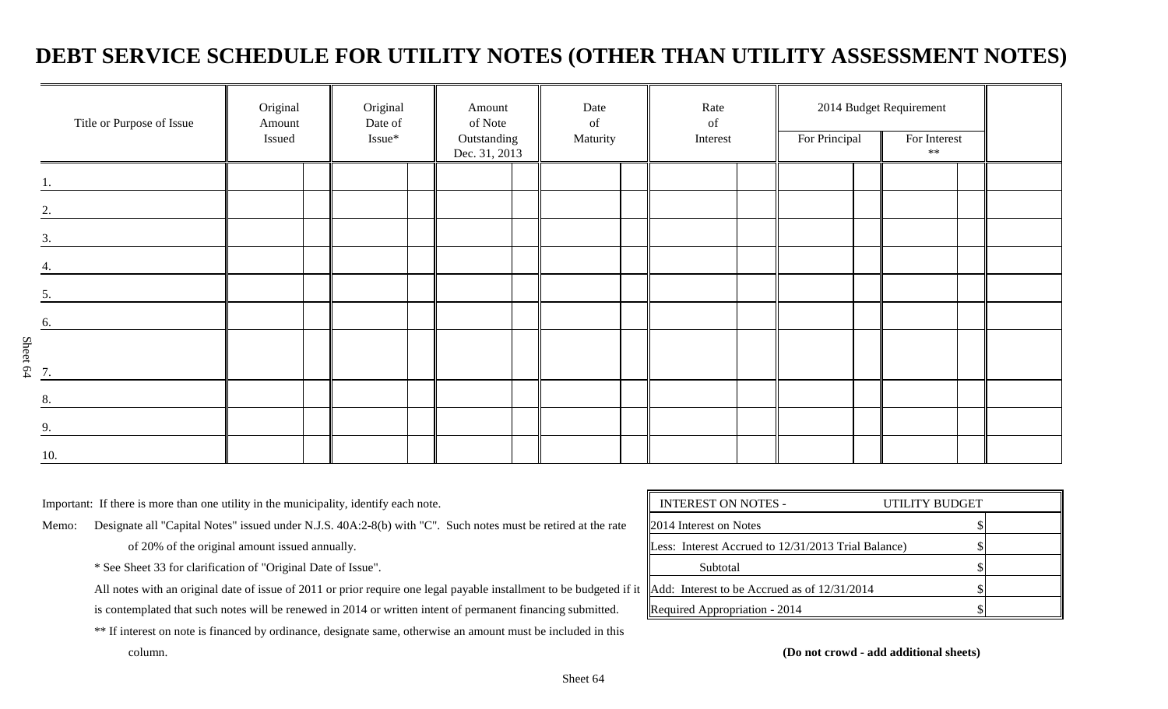# **DEBT SERVICE SCHEDULE FOR UTILITY NOTES (OTHER THAN UTILITY ASSESSMENT NOTES)**

|             | Title or Purpose of Issue | Original<br>Amount<br>Issued | Original<br>Date of<br>Issue* | Amount<br>of Note<br>Outstanding<br>Dec. 31, 2013 | Date<br>of<br>Maturity | Rate<br>of<br>Interest | For Principal | 2014 Budget Requirement<br>For Interest<br>$\ast\ast$ |  |
|-------------|---------------------------|------------------------------|-------------------------------|---------------------------------------------------|------------------------|------------------------|---------------|-------------------------------------------------------|--|
|             |                           |                              |                               |                                                   |                        |                        |               |                                                       |  |
| 2.          |                           |                              |                               |                                                   |                        |                        |               |                                                       |  |
| 3.          |                           |                              |                               |                                                   |                        |                        |               |                                                       |  |
|             |                           |                              |                               |                                                   |                        |                        |               |                                                       |  |
| 5.          |                           |                              |                               |                                                   |                        |                        |               |                                                       |  |
| 6.          |                           |                              |                               |                                                   |                        |                        |               |                                                       |  |
| $S$ heet 64 |                           |                              |                               |                                                   |                        |                        |               |                                                       |  |
|             |                           |                              |                               |                                                   |                        |                        |               |                                                       |  |
| 8.          |                           |                              |                               |                                                   |                        |                        |               |                                                       |  |
| 9.          |                           |                              |                               |                                                   |                        |                        |               |                                                       |  |
| 10.         |                           |                              |                               |                                                   |                        |                        |               |                                                       |  |

Important: If there is more than one utility in the municipality, identify each note.

Memo: Designate all "Capital Notes" issued under N.J.S. 40A:2-8(b) with "C". Such notes must be retired at the rate

of 20% of the original amount issued annually.

\* See Sheet 33 for clarification of "Original Date of Issue".

All notes with an original date of issue of 2011 or prior require one legal payable installment to be budgeted if it is contemplated that such notes will be renewed in 2014 or written intent of permanent financing submitted.

\*\* If interest on note is financed by ordinance, designate same, otherwise an amount must be included in this

| <b>INTEREST ON NOTES -</b>                               | UTILITY BUDGET |  |
|----------------------------------------------------------|----------------|--|
| <b>2014</b> Interest on Notes                            |                |  |
| Less: Interest Accrued to 12/31/2013 Trial Balance)      |                |  |
| Subtotal                                                 |                |  |
| $\mathbf{A}$ dd: Interest to be Accrued as of 12/31/2014 |                |  |
| Required Appropriation - 2014                            |                |  |

column. **(Do not crowd - add additional sheets)**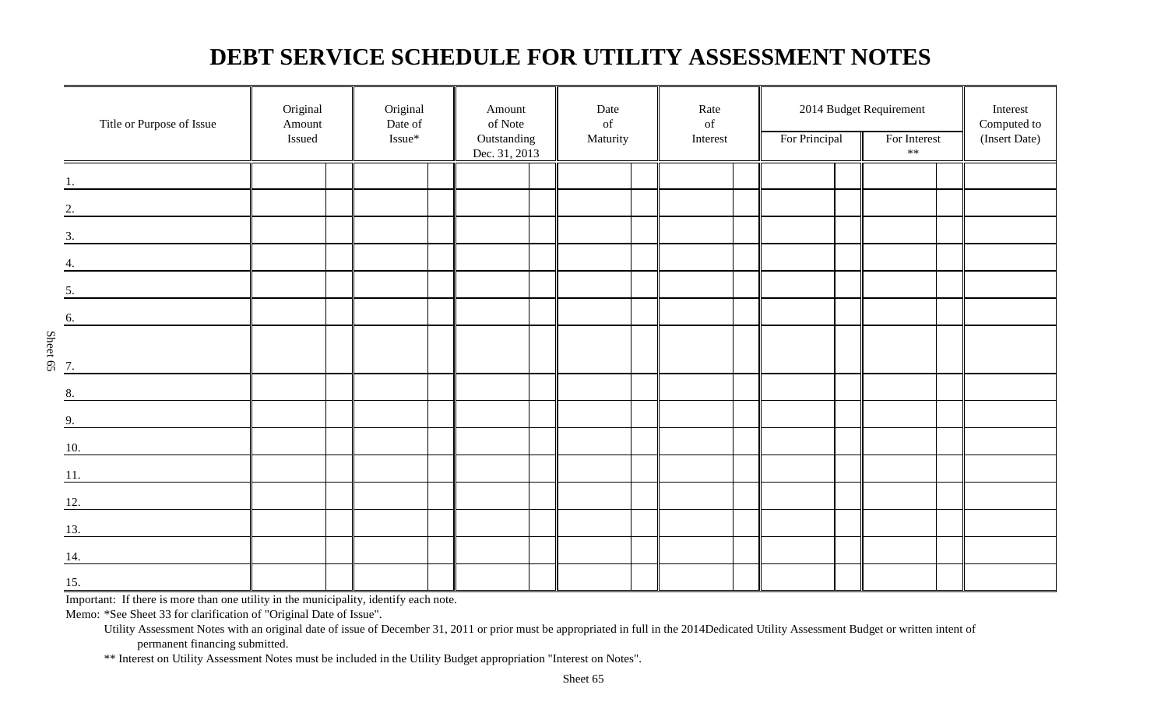# **DEBT SERVICE SCHEDULE FOR UTILITY ASSESSMENT NOTES**

|                                | Title or Purpose of Issue                                                                                                                                                                                                            | Original<br>Amount<br>Issued | Original<br>Date of<br>Issue* | Amount<br>of Note<br>Outstanding<br>Dec. 31, 2013 | Date<br>$% \left( \left( \mathcal{A},\mathcal{A}\right) \right)$ of<br>Maturity | Rate<br>$% \left( \left( \mathcal{A},\mathcal{A}\right) \right) =\left( \mathcal{A},\mathcal{A}\right)$ of<br>Interest | For Principal | 2014 Budget Requirement<br>For Interest<br>$\ast\ast$ | Interest<br>Computed to<br>(Insert Date) |
|--------------------------------|--------------------------------------------------------------------------------------------------------------------------------------------------------------------------------------------------------------------------------------|------------------------------|-------------------------------|---------------------------------------------------|---------------------------------------------------------------------------------|------------------------------------------------------------------------------------------------------------------------|---------------|-------------------------------------------------------|------------------------------------------|
|                                |                                                                                                                                                                                                                                      |                              |                               |                                                   |                                                                                 |                                                                                                                        |               |                                                       |                                          |
|                                | 2.                                                                                                                                                                                                                                   |                              |                               |                                                   |                                                                                 |                                                                                                                        |               |                                                       |                                          |
|                                | $\overline{\mathbf{3.}}$                                                                                                                                                                                                             |                              |                               |                                                   |                                                                                 |                                                                                                                        |               |                                                       |                                          |
| 4.                             |                                                                                                                                                                                                                                      |                              |                               |                                                   |                                                                                 |                                                                                                                        |               |                                                       |                                          |
|                                | $\overline{\phantom{a}}$                                                                                                                                                                                                             |                              |                               |                                                   |                                                                                 |                                                                                                                        |               |                                                       |                                          |
| 6.                             | <u> 1980 - Jan Barat, politik politik (</u>                                                                                                                                                                                          |                              |                               |                                                   |                                                                                 |                                                                                                                        |               |                                                       |                                          |
| Sheet 65                       |                                                                                                                                                                                                                                      |                              |                               |                                                   |                                                                                 |                                                                                                                        |               |                                                       |                                          |
| 7.                             |                                                                                                                                                                                                                                      |                              |                               |                                                   |                                                                                 |                                                                                                                        |               |                                                       |                                          |
| 8.                             | <u> 1989 - Johann Stein, fransk politik (</u>                                                                                                                                                                                        |                              |                               |                                                   |                                                                                 |                                                                                                                        |               |                                                       |                                          |
| 9.                             |                                                                                                                                                                                                                                      |                              |                               |                                                   |                                                                                 |                                                                                                                        |               |                                                       |                                          |
| 10.                            |                                                                                                                                                                                                                                      |                              |                               |                                                   |                                                                                 |                                                                                                                        |               |                                                       |                                          |
| 11.                            |                                                                                                                                                                                                                                      |                              |                               |                                                   |                                                                                 |                                                                                                                        |               |                                                       |                                          |
| 12.                            |                                                                                                                                                                                                                                      |                              |                               |                                                   |                                                                                 |                                                                                                                        |               |                                                       |                                          |
| 13.                            | <u>and the community of the community of the community of the community of the community of the community of the community of the community of the community of the community of the community of the community of the community</u> |                              |                               |                                                   |                                                                                 |                                                                                                                        |               |                                                       |                                          |
| 14.                            |                                                                                                                                                                                                                                      |                              |                               |                                                   |                                                                                 |                                                                                                                        |               |                                                       |                                          |
| $\underline{\underline{15}}$ . |                                                                                                                                                                                                                                      |                              |                               |                                                   |                                                                                 |                                                                                                                        |               |                                                       |                                          |

Important: If there is more than one utility in the municipality, identify each note.

Memo: \*See Sheet 33 for clarification of "Original Date of Issue".

\*\* Interest on Utility Assessment Notes must be included in the Utility Budget appropriation "Interest on Notes".

Utility Assessment Notes with an original date of issue of December 31, 2011 or prior must be appropriated in full in the 2014Dedicated Utility Assessment Budget or written intent of permanent financing submitted.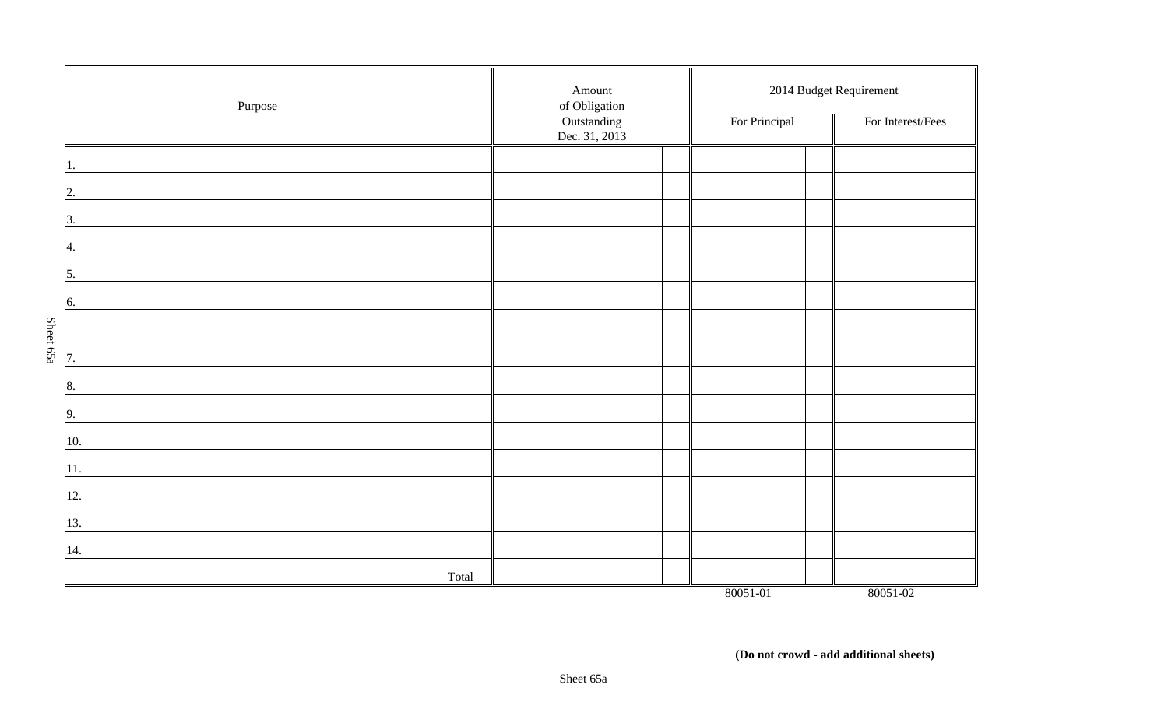|           | Purpose                                                                                                                      | Amount<br>of Obligation<br>Outstanding<br>Dec. 31, 2013 | For Principal | 2014 Budget Requirement<br>For Interest/Fees |
|-----------|------------------------------------------------------------------------------------------------------------------------------|---------------------------------------------------------|---------------|----------------------------------------------|
|           |                                                                                                                              |                                                         |               |                                              |
|           | 2.                                                                                                                           |                                                         |               |                                              |
|           | 3.                                                                                                                           |                                                         |               |                                              |
|           | 4.                                                                                                                           |                                                         |               |                                              |
|           | 5.                                                                                                                           |                                                         |               |                                              |
|           | 6.                                                                                                                           |                                                         |               |                                              |
|           |                                                                                                                              |                                                         |               |                                              |
| Sheet 65a | 7.                                                                                                                           |                                                         |               |                                              |
|           | 8.                                                                                                                           |                                                         |               |                                              |
|           | 9.                                                                                                                           |                                                         |               |                                              |
|           | 10.<br><u> 1980 - Jan Sterner, amerikansk politik (</u>                                                                      |                                                         |               |                                              |
|           | 11.<br><u> 1989 - Johann Barnett, fransk politiker (d. 1989)</u>                                                             |                                                         |               |                                              |
|           | 12.                                                                                                                          |                                                         |               |                                              |
|           | 13.<br><u> 1989 - Johann Stein, mars and de British Born Stein Born Stein Born Stein Born Stein Born Stein Born Stein Bo</u> |                                                         |               |                                              |
|           | 14.                                                                                                                          |                                                         |               |                                              |
|           | Total                                                                                                                        |                                                         | 80051-01      | 80051-02                                     |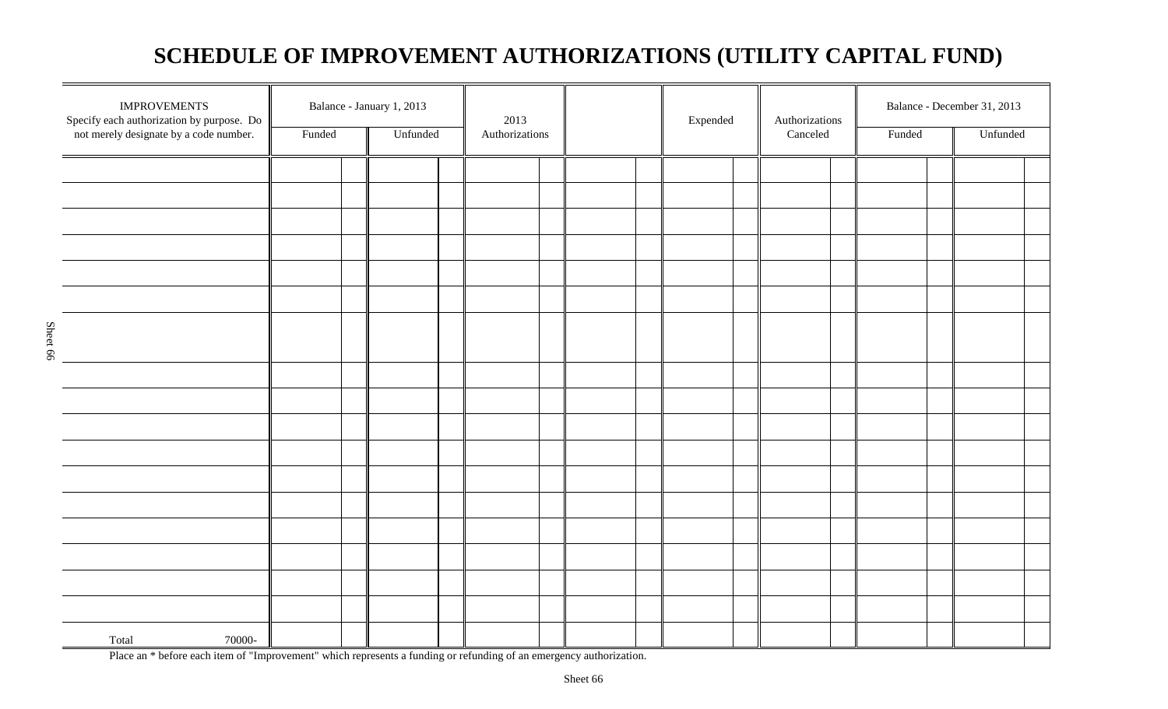# **SCHEDULE OF IMPROVEMENT AUTHORIZATIONS (UTILITY CAPITAL FUND)**

| <b>IMPROVEMENTS</b><br>Specify each authorization by purpose. Do | Balance - January 1, 2013 |  |          | 2013 |                | Expended | Authorizations |  | Balance - December 31, 2013 |  |        |          |  |
|------------------------------------------------------------------|---------------------------|--|----------|------|----------------|----------|----------------|--|-----------------------------|--|--------|----------|--|
| not merely designate by a code number.                           | Funded                    |  | Unfunded |      | Authorizations |          |                |  | Canceled                    |  | Funded | Unfunded |  |
|                                                                  |                           |  |          |      |                |          |                |  |                             |  |        |          |  |
|                                                                  |                           |  |          |      |                |          |                |  |                             |  |        |          |  |
|                                                                  |                           |  |          |      |                |          |                |  |                             |  |        |          |  |
|                                                                  |                           |  |          |      |                |          |                |  |                             |  |        |          |  |
|                                                                  |                           |  |          |      |                |          |                |  |                             |  |        |          |  |
|                                                                  |                           |  |          |      |                |          |                |  |                             |  |        |          |  |
|                                                                  |                           |  |          |      |                |          |                |  |                             |  |        |          |  |
|                                                                  |                           |  |          |      |                |          |                |  |                             |  |        |          |  |
|                                                                  |                           |  |          |      |                |          |                |  |                             |  |        |          |  |
|                                                                  |                           |  |          |      |                |          |                |  |                             |  |        |          |  |
|                                                                  |                           |  |          |      |                |          |                |  |                             |  |        |          |  |
|                                                                  |                           |  |          |      |                |          |                |  |                             |  |        |          |  |
|                                                                  |                           |  |          |      |                |          |                |  |                             |  |        |          |  |
|                                                                  |                           |  |          |      |                |          |                |  |                             |  |        |          |  |
|                                                                  |                           |  |          |      |                |          |                |  |                             |  |        |          |  |
|                                                                  |                           |  |          |      |                |          |                |  |                             |  |        |          |  |
|                                                                  |                           |  |          |      |                |          |                |  |                             |  |        |          |  |
|                                                                  |                           |  |          |      |                |          |                |  |                             |  |        |          |  |
| Total<br>70000-                                                  |                           |  |          |      |                |          |                |  |                             |  |        |          |  |

Sheet 66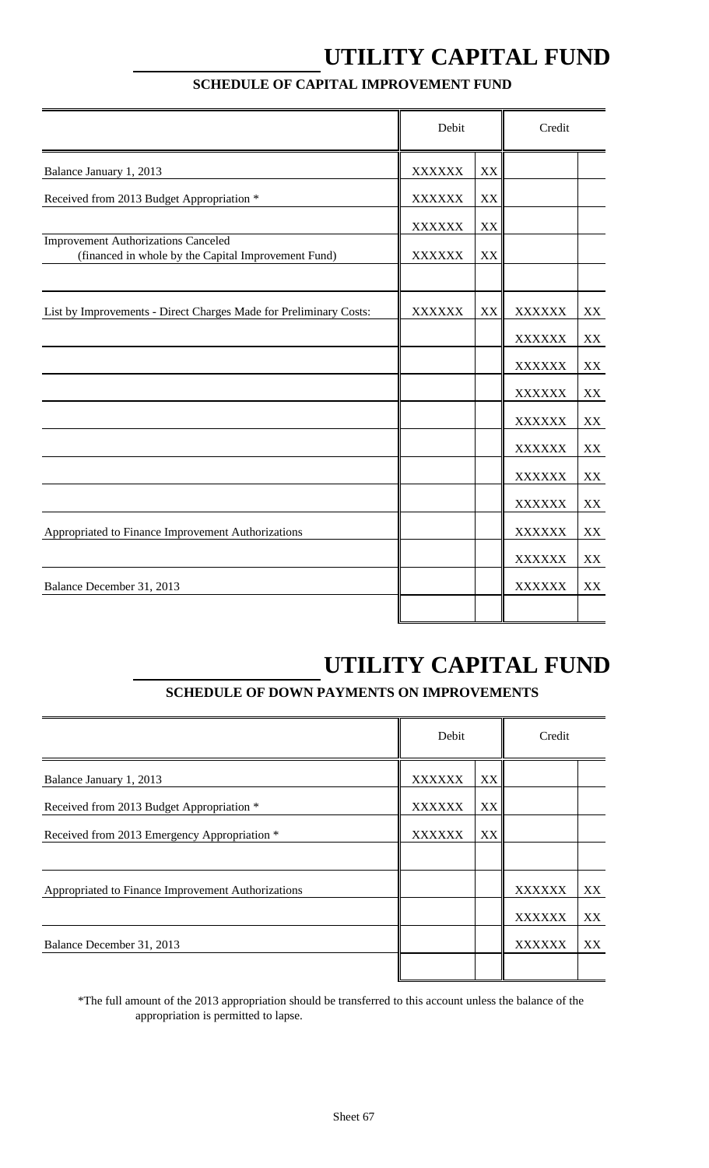# **UTILITY CAPITAL FUND**

|                                                                                                   | Debit         |    | Credit        |               |
|---------------------------------------------------------------------------------------------------|---------------|----|---------------|---------------|
| Balance January 1, 2013                                                                           | <b>XXXXXX</b> | XX |               |               |
| Received from 2013 Budget Appropriation *                                                         | <b>XXXXXX</b> | XX |               |               |
|                                                                                                   | <b>XXXXXX</b> | XX |               |               |
| <b>Improvement Authorizations Canceled</b><br>(financed in whole by the Capital Improvement Fund) | <b>XXXXXX</b> | XX |               |               |
| List by Improvements - Direct Charges Made for Preliminary Costs:                                 | <b>XXXXXX</b> | XX | <b>XXXXXX</b> | XX            |
|                                                                                                   |               |    | <b>XXXXXX</b> | XX            |
|                                                                                                   |               |    | <b>XXXXXX</b> | $\mathbf{XX}$ |
|                                                                                                   |               |    | <b>XXXXXX</b> | XX            |
|                                                                                                   |               |    | <b>XXXXXX</b> | XX            |
|                                                                                                   |               |    | <b>XXXXXX</b> | XX            |
|                                                                                                   |               |    | <b>XXXXXX</b> | XX            |
|                                                                                                   |               |    | <b>XXXXXX</b> | XX            |
| Appropriated to Finance Improvement Authorizations                                                |               |    | <b>XXXXXX</b> | XX            |
|                                                                                                   |               |    | <b>XXXXXX</b> | XX            |
| Balance December 31, 2013                                                                         |               |    | <b>XXXXXX</b> | XX            |
|                                                                                                   |               |    |               |               |

### **SCHEDULE OF CAPITAL IMPROVEMENT FUND**

# **UTILITY CAPITAL FUND**

## **SCHEDULE OF DOWN PAYMENTS ON IMPROVEMENTS**

|                                                    | Debit         |    | Credit        |    |
|----------------------------------------------------|---------------|----|---------------|----|
| Balance January 1, 2013                            | <b>XXXXXX</b> | XX |               |    |
| Received from 2013 Budget Appropriation *          | <b>XXXXXX</b> | XX |               |    |
| Received from 2013 Emergency Appropriation *       | <b>XXXXXX</b> | XX |               |    |
|                                                    |               |    |               |    |
| Appropriated to Finance Improvement Authorizations |               |    | <b>XXXXXX</b> | XX |
|                                                    |               |    | <b>XXXXXX</b> | XX |
| Balance December 31, 2013                          |               |    | <b>XXXXXX</b> | XX |
|                                                    |               |    |               |    |

\*The full amount of the 2013 appropriation should be transferred to this account unless the balance of the appropriation is permitted to lapse.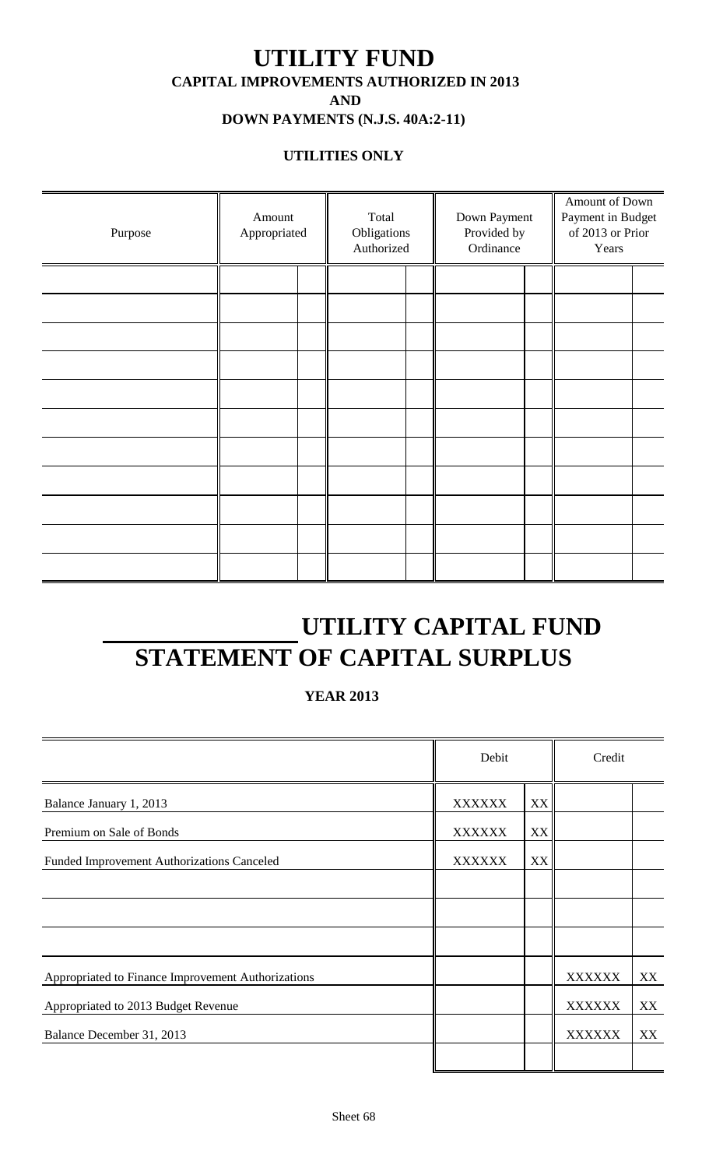## **UTILITY FUND CAPITAL IMPROVEMENTS AUTHORIZED IN 2013 AND**

## **DOWN PAYMENTS (N.J.S. 40A:2-11)**

### **UTILITIES ONLY**

| Purpose | Amount<br>Appropriated | Total<br>Obligations<br>Authorized | Down Payment<br>Provided by<br>Ordinance | Amount of Down<br>Payment in Budget<br>of 2013 or Prior<br>Years |
|---------|------------------------|------------------------------------|------------------------------------------|------------------------------------------------------------------|
|         |                        |                                    |                                          |                                                                  |
|         |                        |                                    |                                          |                                                                  |
|         |                        |                                    |                                          |                                                                  |
|         |                        |                                    |                                          |                                                                  |
|         |                        |                                    |                                          |                                                                  |
|         |                        |                                    |                                          |                                                                  |
|         |                        |                                    |                                          |                                                                  |
|         |                        |                                    |                                          |                                                                  |
|         |                        |                                    |                                          |                                                                  |
|         |                        |                                    |                                          |                                                                  |
|         |                        |                                    |                                          |                                                                  |

# **UTILITY CAPITAL FUND STATEMENT OF CAPITAL SURPLUS**

#### **YEAR 2013**

|                                                    | Debit         |    | Credit        |    |
|----------------------------------------------------|---------------|----|---------------|----|
| Balance January 1, 2013                            | <b>XXXXXX</b> | XX |               |    |
| Premium on Sale of Bonds                           | <b>XXXXXX</b> | XX |               |    |
| Funded Improvement Authorizations Canceled         | <b>XXXXXX</b> | XX |               |    |
|                                                    |               |    |               |    |
|                                                    |               |    |               |    |
|                                                    |               |    |               |    |
| Appropriated to Finance Improvement Authorizations |               |    | <b>XXXXXX</b> | XX |
| Appropriated to 2013 Budget Revenue                |               |    | <b>XXXXXX</b> | XX |
| Balance December 31, 2013                          |               |    | <b>XXXXXX</b> | XX |
|                                                    |               |    |               |    |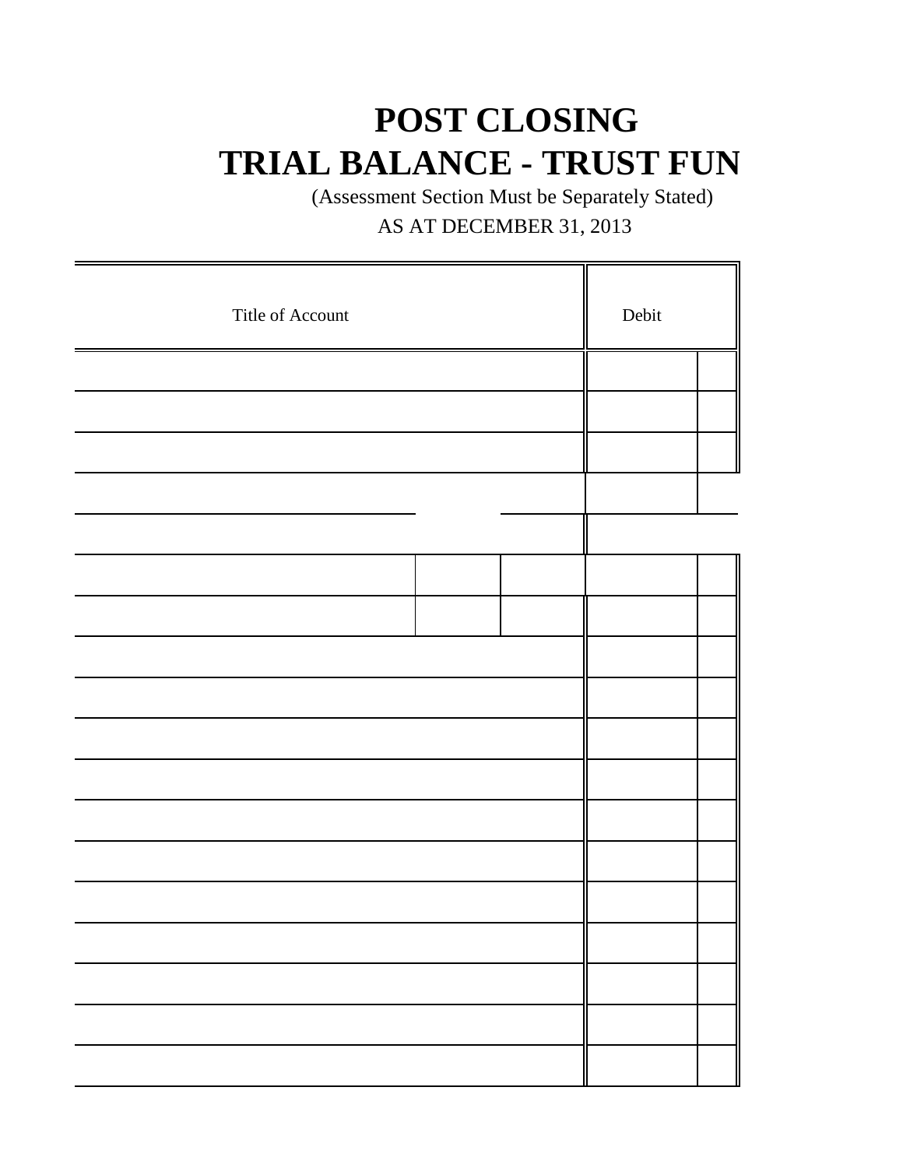# **POST CLOSING TRIAL BALANCE - TRUST FUN**

(Assessment Section Must be Separately Stated)

## AS AT DECEMBER 31, 2013

| Title of Account | Debit |  |
|------------------|-------|--|
|                  |       |  |
|                  |       |  |
|                  |       |  |
|                  |       |  |
|                  |       |  |
|                  |       |  |
|                  |       |  |
|                  |       |  |
|                  |       |  |
|                  |       |  |
|                  |       |  |
|                  |       |  |
|                  |       |  |
|                  |       |  |
|                  |       |  |
|                  |       |  |
|                  |       |  |
|                  |       |  |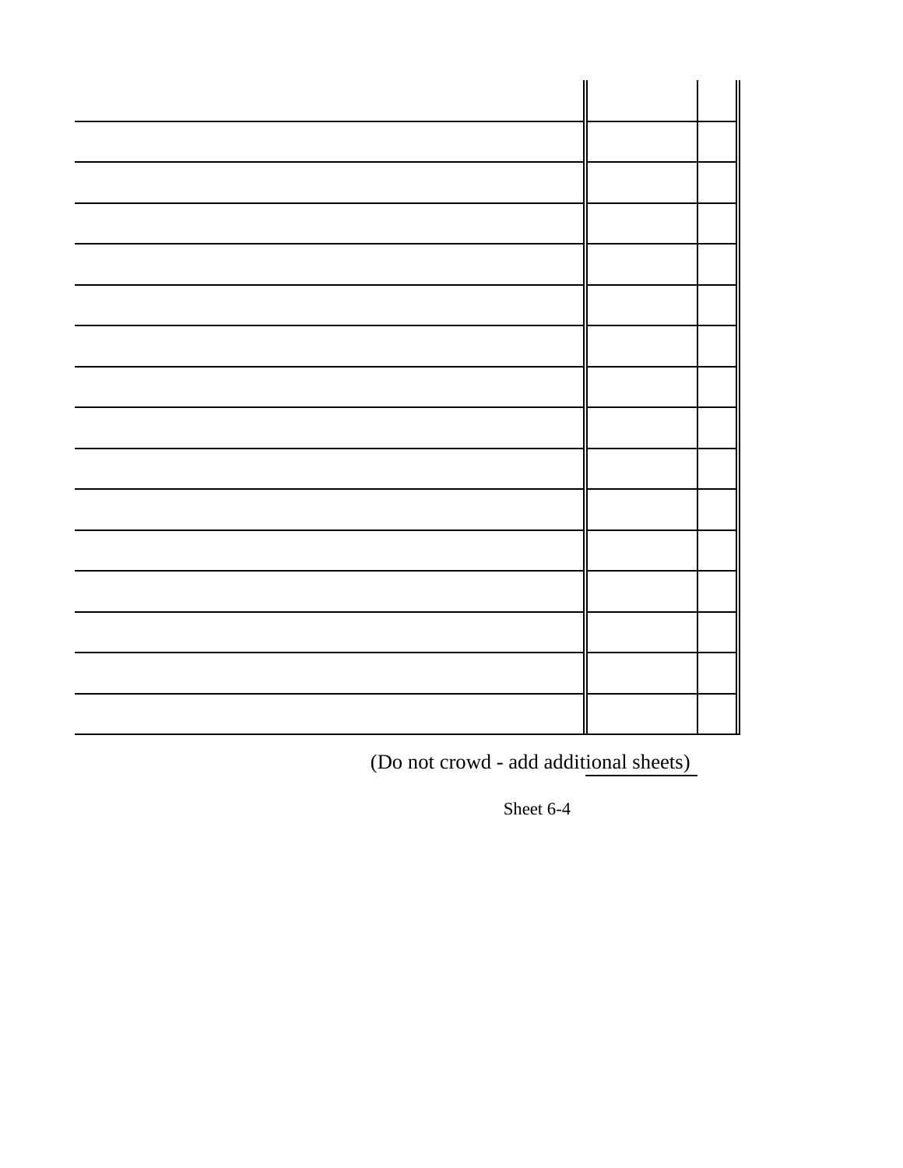(Do not crowd - add additional sheets)

Sheet 6-4